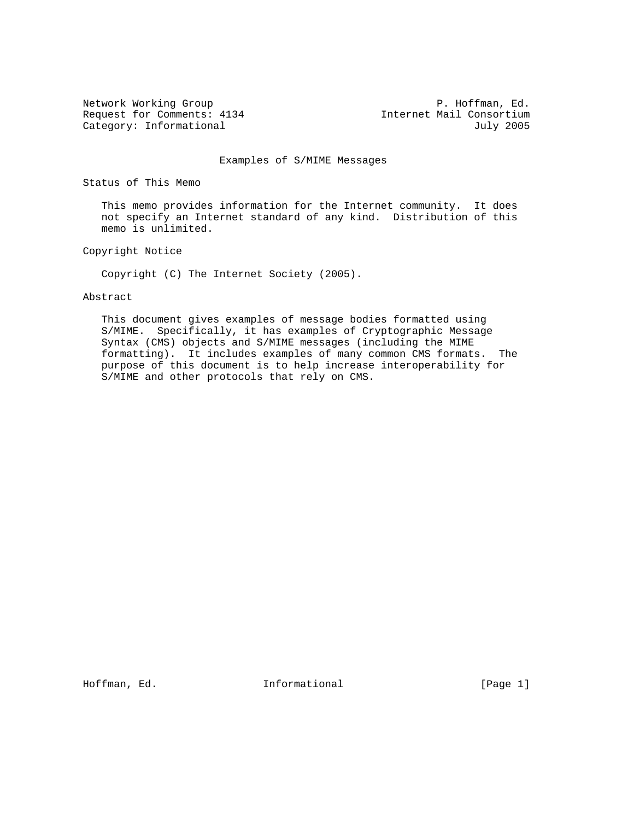Request for Comments: 4134 Internet Mail Consortium<br>Category: Informational duly 2005 Category: Informational

Network Working Group **P. Hoffman, Ed.** 

### Examples of S/MIME Messages

Status of This Memo

 This memo provides information for the Internet community. It does not specify an Internet standard of any kind. Distribution of this memo is unlimited.

Copyright Notice

Copyright (C) The Internet Society (2005).

### Abstract

 This document gives examples of message bodies formatted using S/MIME. Specifically, it has examples of Cryptographic Message Syntax (CMS) objects and S/MIME messages (including the MIME formatting). It includes examples of many common CMS formats. The purpose of this document is to help increase interoperability for S/MIME and other protocols that rely on CMS.

Hoffman, Ed. The Informational The Informational (Page 1)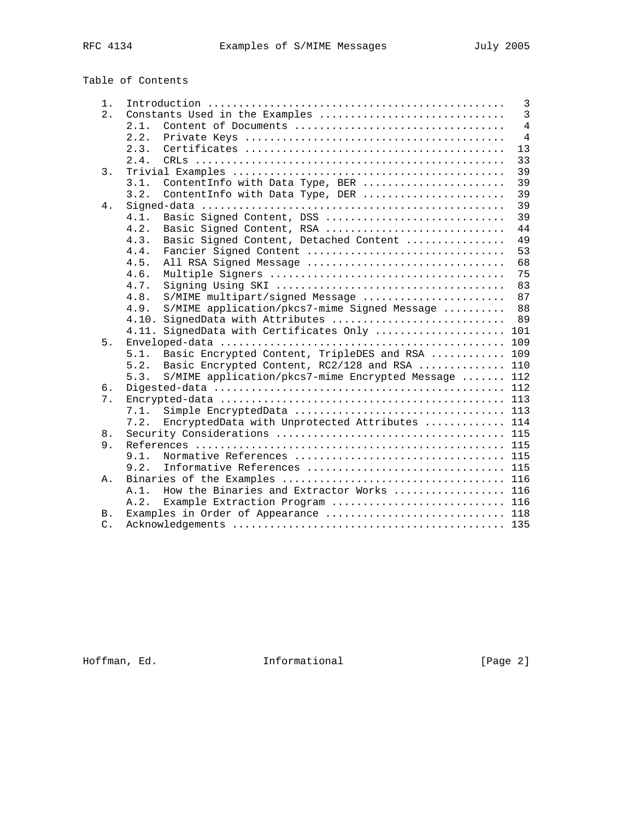## Table of Contents

| 1.               |                                                              | $\overline{3}$ |
|------------------|--------------------------------------------------------------|----------------|
| 2.               | Constants Used in the Examples                               | $\overline{3}$ |
|                  | Content of Documents<br>2.1.                                 | $\overline{4}$ |
|                  | 2.2.                                                         | $\overline{4}$ |
|                  | 2.3.                                                         | 13             |
|                  | 2.4.                                                         | 33             |
| $\overline{3}$ . |                                                              | 39             |
|                  | 3.1.<br>ContentInfo with Data Type, BER                      | 39             |
|                  | 3.2.<br>ContentInfo with Data Type, DER                      | 39             |
| 4.               |                                                              | 39             |
|                  | Basic Signed Content, DSS<br>4.1.                            | 39             |
|                  | 4.2.<br>Basic Signed Content, RSA                            | 44             |
|                  | Basic Signed Content, Detached Content<br>4.3.               | 49             |
|                  | Fancier Signed Content<br>4.4.                               | 53             |
|                  | 4.5.<br>All RSA Signed Message                               | 68             |
|                  | 4.6.                                                         | 75             |
|                  | 4.7.                                                         | 83             |
|                  | 4.8.<br>S/MIME multipart/signed Message                      | 87             |
|                  | 4.9.<br>S/MIME application/pkcs7-mime Signed Message         | 88             |
|                  | SignedData with Attributes<br>4.10.                          | 89             |
|                  | SignedData with Certificates Only<br>4.11.                   | 101            |
| 5.               |                                                              | 109            |
|                  | Basic Encrypted Content, TripleDES and RSA  109<br>5.1.      |                |
|                  | Basic Encrypted Content, RC2/128 and RSA  110<br>5.2.        |                |
|                  | S/MIME application/pkcs7-mime Encrypted Message  112<br>5.3. |                |
| б.               |                                                              |                |
| 7.               |                                                              | 113            |
|                  | 7.1.                                                         |                |
|                  | EncryptedData with Unprotected Attributes<br>7.2.            | 114            |
| 8.               |                                                              |                |
| 9.               |                                                              |                |
|                  | Normative References  115<br>9.1.                            |                |
|                  | 9.2.<br>Informative References  115                          |                |
| Α.               |                                                              |                |
|                  | How the Binaries and Extractor Works  116<br>A.1.            |                |
|                  | A.2.<br>Example Extraction Program  116                      |                |
| Β.               | Examples in Order of Appearance  118                         |                |
| $C$ .            |                                                              |                |

Hoffman, Ed. 1nformational 1992 [Page 2]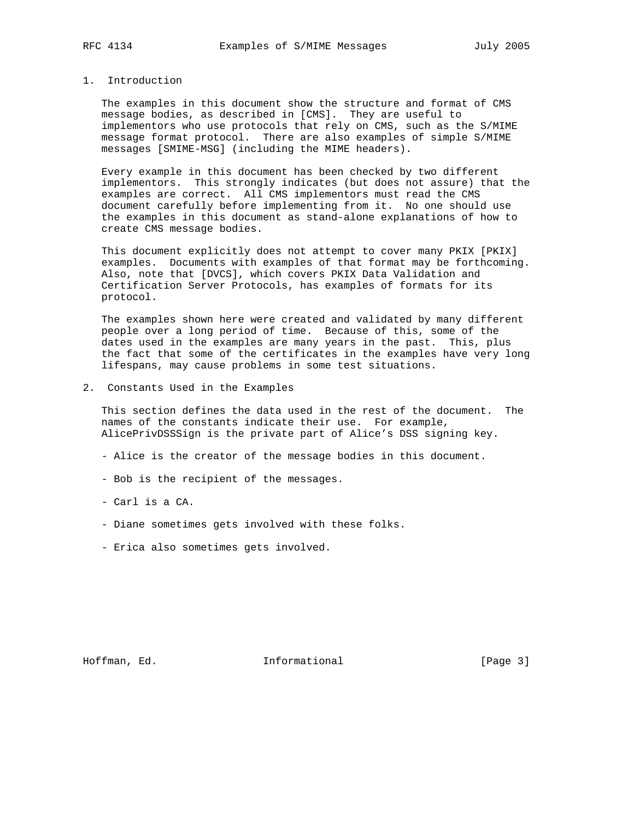### 1. Introduction

 The examples in this document show the structure and format of CMS message bodies, as described in [CMS]. They are useful to implementors who use protocols that rely on CMS, such as the S/MIME message format protocol. There are also examples of simple S/MIME messages [SMIME-MSG] (including the MIME headers).

 Every example in this document has been checked by two different implementors. This strongly indicates (but does not assure) that the examples are correct. All CMS implementors must read the CMS document carefully before implementing from it. No one should use the examples in this document as stand-alone explanations of how to create CMS message bodies.

 This document explicitly does not attempt to cover many PKIX [PKIX] examples. Documents with examples of that format may be forthcoming. Also, note that [DVCS], which covers PKIX Data Validation and Certification Server Protocols, has examples of formats for its protocol.

 The examples shown here were created and validated by many different people over a long period of time. Because of this, some of the dates used in the examples are many years in the past. This, plus the fact that some of the certificates in the examples have very long lifespans, may cause problems in some test situations.

2. Constants Used in the Examples

 This section defines the data used in the rest of the document. The names of the constants indicate their use. For example, AlicePrivDSSSign is the private part of Alice's DSS signing key.

- Alice is the creator of the message bodies in this document.
- Bob is the recipient of the messages.
- Carl is a CA.
- Diane sometimes gets involved with these folks.
- Erica also sometimes gets involved.

Hoffman, Ed. 10. Informational 1.1 [Page 3]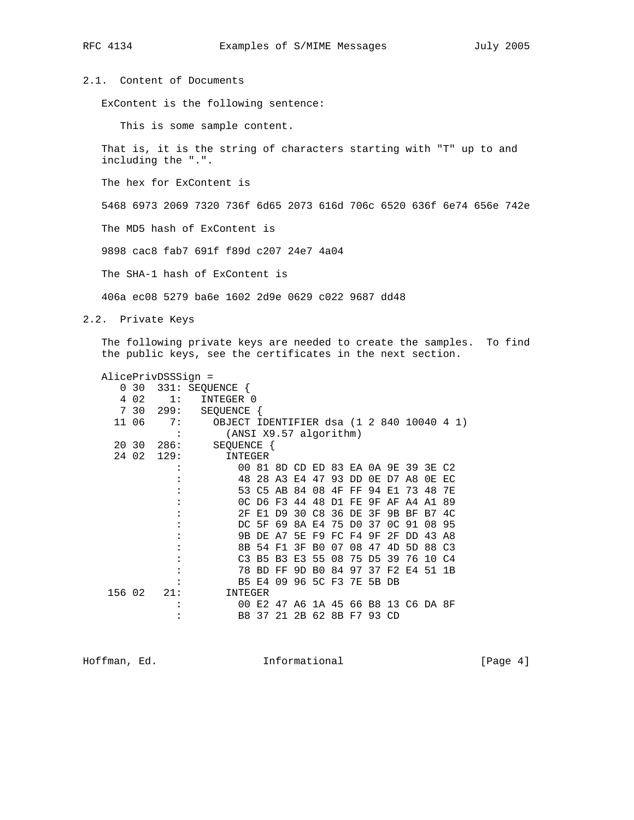### 2.1. Content of Documents

ExContent is the following sentence:

This is some sample content.

 That is, it is the string of characters starting with "T" up to and including the ".".

The hex for ExContent is

5468 6973 2069 7320 736f 6d65 2073 616d 706c 6520 636f 6e74 656e 742e

The MD5 hash of ExContent is

9898 cac8 fab7 691f f89d c207 24e7 4a04

The SHA-1 hash of ExContent is

406a ec08 5279 ba6e 1602 2d9e 0629 c022 9687 dd48

2.2. Private Keys

 The following private keys are needed to create the samples. To find the public keys, see the certificates in the next section.

AlicePrivDSSSign =

| 0      | 30    |      | 331: SEQUENCE {                           |         |                |                   |                |             |            |       |                                     |     |       |      |
|--------|-------|------|-------------------------------------------|---------|----------------|-------------------|----------------|-------------|------------|-------|-------------------------------------|-----|-------|------|
| 4      | 02    | 1:   | INTEGER 0                                 |         |                |                   |                |             |            |       |                                     |     |       |      |
|        | 7 30  | 299: | SEQUENCE                                  |         |                |                   |                |             |            |       |                                     |     |       |      |
|        | 11 06 | 7:   | OBJECT IDENTIFIER dsa (1 2 840 10040 4 1) |         |                |                   |                |             |            |       |                                     |     |       |      |
|        |       |      | (ANSI X9.57 algorithm)                    |         |                |                   |                |             |            |       |                                     |     |       |      |
|        | 20 30 | 286: | SEQUENCE {                                |         |                |                   |                |             |            |       |                                     |     |       |      |
|        | 24 02 | 129: | INTEGER                                   |         |                |                   |                |             |            |       |                                     |     |       |      |
|        |       |      |                                           |         |                |                   |                |             |            |       | 00 81 8D CD ED 83 EA 0A 9E 39 3E C2 |     |       |      |
|        |       |      |                                           | 48 28   |                | A3 E4 47          |                |             | 93 DD      |       | $0E$ D7                             | A8  | 0 F.  | EC   |
|        |       |      |                                           |         |                | 53 C5 AB 84 08 4F |                |             | ${\rm FF}$ | 94    | E1 73                               |     | 48.   | 7 F. |
|        |       |      |                                           | OC D6   | F3             |                   | 44 48          | D1 FE       |            | 9F    | ΑF                                  | A4  | A1    | 89   |
|        |       |      | 2.F                                       | - E 1   | D9             | 30                | C8             | 36          | DE         | 3F    | 9 B                                 | BF  | B7    | 4C   |
|        |       |      |                                           | DC 5F   | 69             |                   | 8A E4          | 75 DO       |            | 37    | 0C                                  | 91  | 08    | 95   |
|        |       |      |                                           | 9B DE   | A7             | 5E                |                | F9 FC F4    |            | 9F    | 2F                                  | DD. | 43    | A8   |
|        |       |      |                                           | 8B 54   | F1             | 3F                | B0             | 07          | 08         | 47    | 4D                                  | 5D  | 88 C3 |      |
|        |       |      |                                           | $C3$ B5 | B <sub>3</sub> | E3                | 55             | 08          | 75         | D5    | 39                                  | 76  | 10 C4 |      |
|        |       |      |                                           | 78 BD   | FF             | 9D                | B <sub>0</sub> | 84          | 97         | 37    | F 2.                                | F.4 | 51 1B |      |
|        |       |      |                                           | B5 E4   | 09             | 96 5C F3 7E       |                |             |            | 5B DB |                                     |     |       |      |
| 156 02 |       | 21:  | INTEGER                                   |         |                |                   |                |             |            |       |                                     |     |       |      |
|        |       |      | 00                                        | E2      | 47             |                   |                |             |            |       | A6 1A 45 66 B8 13 C6 DA 8F          |     |       |      |
|        |       |      |                                           | B8 37   | 21             |                   |                | 2B 62 8B F7 |            |       | 93 CD                               |     |       |      |

Hoffman, Ed. 10. Informational 1.1 [Page 4]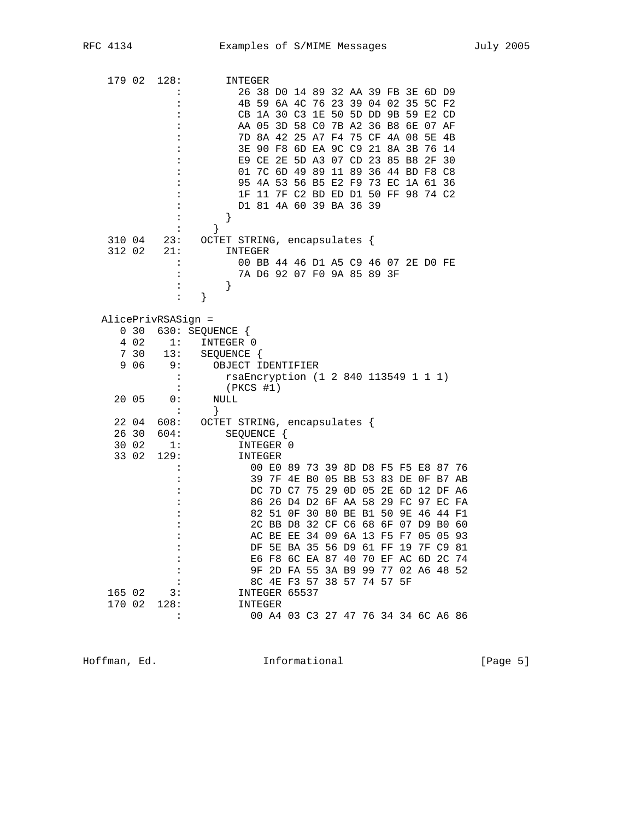| 179 02           |                                        | 128:                                                           | INTEGER<br>26 38 DO 14 89 32 AA 39 FB 3E 6D D9<br>4B 59 6A 4C 76 23 39 04 02 35<br>5C F2<br>50 5D DD 9B 59<br>CB 1A 30 C3 1E<br>E2 CD<br>AA 05 3D 58 CO<br>7B A2 36 B8 6E<br>07 AF<br>7D 8A 42 25 A7 F4 75 CF 4A 08<br>5E<br>4B<br>90 F8 6D EA 9C C9 21 8A 3B 76 14<br>3E .<br>E9 CE 2E 5D A3 07 CD 23 85 B8<br>2F<br>30<br>7C 6D 49 89<br>11 89 36 44 BD F8 C8<br>01<br>4A 53 56 B5 E2 F9 73 EC 1A 61 36<br>95<br>1F 11 7F C2 BD ED D1 50 FF 98 74 C2<br>D1 81 4A 60 39 BA 36 39<br>}                                                     |
|------------------|----------------------------------------|----------------------------------------------------------------|--------------------------------------------------------------------------------------------------------------------------------------------------------------------------------------------------------------------------------------------------------------------------------------------------------------------------------------------------------------------------------------------------------------------------------------------------------------------------------------------------------------------------------------------|
|                  | 310 04<br>312 02                       | 23:<br>21:<br>:                                                | ł<br>OCTET STRING, encapsulates {<br>INTEGER<br>00 BB 44 46 D1 A5 C9 46 07 2E D0 FE<br>7A D6 92 07 F0 9A 85 89 3F<br>}<br>}                                                                                                                                                                                                                                                                                                                                                                                                                |
|                  | 030<br>4 0 2<br>7 30<br>9 0 6<br>20 05 | AlicePrivRSASign =<br>1:<br>13:<br>9 :<br>$\ddot{\cdot}$<br>0: | 630: SEQUENCE<br>INTEGER 0<br>SEQUENCE {<br>OBJECT IDENTIFIER<br>rsaEncryption (1 2 840 113549 1 1 1)<br>$(PKCS$ #1)<br>NULL<br>}                                                                                                                                                                                                                                                                                                                                                                                                          |
|                  | 22 04<br>26 30<br>30 02<br>33 02       | 608:<br>604:<br>1:<br>129:                                     | OCTET STRING, encapsulates {<br>SEQUENCE {<br>INTEGER 0<br>INTEGER<br>00 E0 89 73 39 8D D8 F5 F5 E8 87 76<br>39<br>7F 4E B0 05 BB 53 83 DE 0F B7<br>AB<br>7D C7 75 29 0D 05<br>2E 6D 12 DF A6<br>DC<br>26 D4 D2 6F AA 58<br>29 FC 97 EC<br>86<br>FA<br>82<br>51<br>OF 30 80 BE B1<br>50<br>9E 46<br>44 F1<br>2C BB D8 32 CF C6 68 6F 07 D9 B0 60<br>AC BE EE 34 09 6A 13 F5 F7 05 05 93<br>DF 5E BA 35 56 D9 61 FF 19 7F C9 81<br>E6 F8 6C EA 87 40 70 EF AC 6D 2C 74<br>9F 2D FA 55 3A B9 99 77 02 A6 48 52<br>8C 4E F3 57 38 57 74 57 5F |
| 165 02<br>170 02 |                                        | $\overline{\phantom{a}}$ 3:<br>128:                            | INTEGER 65537<br><b>INTEGER</b><br>00 A4 03 C3 27 47 76 34 34 6C A6 86                                                                                                                                                                                                                                                                                                                                                                                                                                                                     |

Hoffman, Ed. 10. Informational 1999 [Page 5]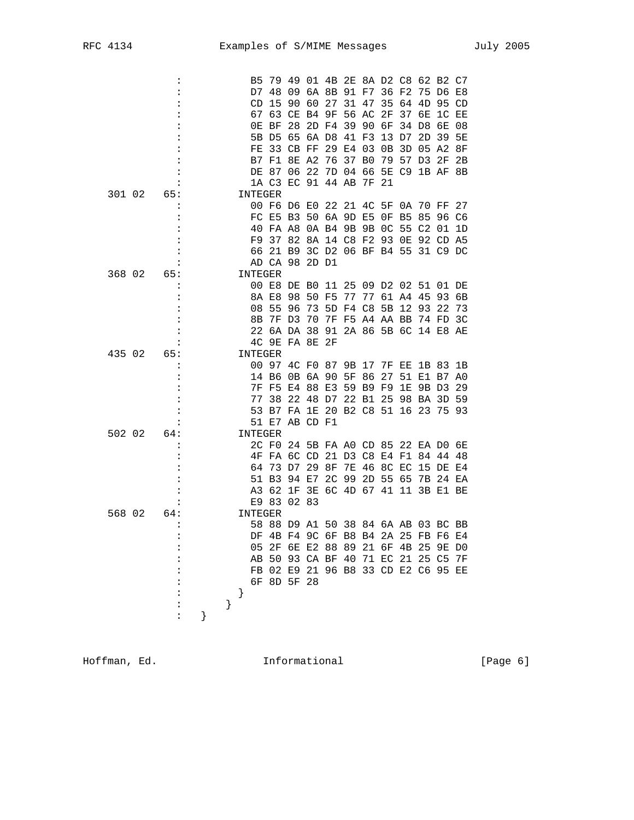|        | ፡              |   |      | B5             |       |    |             |                | 79 49 01 4B 2E 8A D2 C8 62 B2 C7    |       |          |                      |       |                 |          |           |
|--------|----------------|---|------|----------------|-------|----|-------------|----------------|-------------------------------------|-------|----------|----------------------|-------|-----------------|----------|-----------|
|        |                |   |      | D7             |       | 48 |             |                | 09 6A 8B 91 F7 36 F2                |       |          |                      |       |                 | 75 D6 E8 |           |
|        |                |   |      | CD             |       | 15 | 90          | 60             | 27                                  | 31    | 47       | 35                   | 64    | 4D              | 95       | CD        |
|        |                |   |      |                | 67    | 63 |             |                | CE B4 9F                            | 56    | AC       | 2F                   | 37    | 6E              | 1C       | EЕ        |
|        |                |   |      |                | OE BF |    | 28          | 2D F4          |                                     | 39    | 90       | 6F                   | 34    | D8              | 6E       | 08        |
|        |                |   |      |                | 5B D5 |    | 65          | 6A D8          |                                     | 41    | F3       | 13                   | D7    | $2\,\mathrm{D}$ | 39       | <b>5E</b> |
|        |                |   |      | FE.            |       | 33 | CB FF       |                | 29                                  | E4    | 03       | 0В                   | 3D    | 05 A2           |          | 8F        |
|        |                |   |      |                | B7    | F1 | 8E A2       |                | 76                                  | 37    | B0       | 79                   | 57    | D3              | 2F       | 2В        |
|        |                |   |      |                | DE 87 |    | 06          | 22             |                                     | 7D 04 | 66       |                      | 5E C9 |                 | 1B AF 8B |           |
|        |                |   |      |                |       |    | 1A C3 EC 91 |                | 44 AB                               |       | 7F       | -21                  |       |                 |          |           |
| 301 02 | 65:            |   |      | INTEGER        |       |    |             |                |                                     |       |          |                      |       |                 |          |           |
|        |                |   |      |                |       |    | 00 F6 D6 E0 |                | 22 21 4C 5F                         |       |          |                      | 0A    |                 | 70 FF    | 27        |
|        |                |   |      |                |       |    | FC E5 B3    |                | 50 6A 9D E5                         |       |          | 0F                   | B5    | 85              | 96 C6    |           |
|        |                |   |      |                |       |    |             |                | 40 FA A8 0A B4 9B 9B 0C             |       |          |                      | - 55  | C2              | 01       | 1D        |
|        |                |   |      | F9             |       |    |             |                | 37 82 8A 14 C8 F2 93                |       |          |                      | OЕ    |                 | 92 CD A5 |           |
|        |                |   |      | 66             |       |    |             |                | 21 B9 3C D2 06 BF B4 55 31 C9 DC    |       |          |                      |       |                 |          |           |
|        |                |   |      |                |       |    | AD CA 98    | 2D D1          |                                     |       |          |                      |       |                 |          |           |
| 368 02 | 65:            |   |      | INTEGER        |       |    |             |                |                                     |       |          |                      |       |                 |          |           |
|        |                |   |      |                |       |    | 00 E8 DE B0 |                | 11                                  |       |          | 25 09 D2 02 51 01 DE |       |                 |          |           |
|        |                |   |      |                | 8A E8 |    | 98          | 50             | F5                                  | 77    |          | 77 61 A4             |       | 45              | 93       | 6В        |
|        |                |   |      | 08             |       | 55 | -96         | 73             |                                     | F4 C8 |          | 5B                   | 12    | 93              | 22       | 73        |
|        |                |   |      |                |       |    | 7F D3       |                | 5D                                  |       |          | 7F F5 A4 AA BB       |       |                 |          |           |
|        |                |   |      |                | 8B    |    |             | 70             |                                     |       |          |                      |       | 74 FD           |          | 3C        |
|        |                |   |      |                |       |    |             |                | 22 6A DA 38 91 2A 86 5B 6C 14 E8 AE |       |          |                      |       |                 |          |           |
|        |                |   |      |                |       |    | 4C 9E FA 8E |                | 2F                                  |       |          |                      |       |                 |          |           |
| 435 02 | 65:            |   |      | <b>INTEGER</b> |       |    |             |                |                                     |       |          |                      |       |                 |          |           |
|        |                |   |      |                | 00 97 |    |             | 4C F0 87       |                                     |       |          | 9B 17 7F EE 1B 83 1B |       |                 |          |           |
|        |                |   |      |                | 14 B6 |    |             | 0B 6A 90       |                                     | 5F    | 86       | 27                   | 51    |                 | E1 B7 A0 |           |
|        |                |   |      |                |       |    |             | 7F F5 E4 88 E3 |                                     |       |          | 59 B9 F9 1E          |       |                 | 9B D3 29 |           |
|        |                |   |      |                | 77    | 38 |             |                | 22 48 D7                            |       | 22 B1 25 |                      | 98 BA |                 | 3D 59    |           |
|        |                |   |      |                |       |    |             |                | 53 B7 FA 1E 20 B2 C8 51 16 23       |       |          |                      |       |                 | 75 93    |           |
|        |                |   |      |                |       |    |             | 51 E7 AB CD F1 |                                     |       |          |                      |       |                 |          |           |
| 502 02 | 64:            |   |      | INTEGER        |       |    |             |                |                                     |       |          |                      |       |                 |          |           |
|        |                |   |      |                |       |    |             |                | 2C F0 24 5B FA A0 CD 85 22 EA D0 6E |       |          |                      |       |                 |          |           |
|        |                |   |      |                |       |    | 4F FA 6C CD |                | 21 D3 C8 E4 F1                      |       |          |                      |       | 84              | 4448     |           |
|        |                |   |      | 64             |       |    | 73 D7       | 29             | 8F                                  | 7E    |          | 46 8C EC             |       |                 | 15 DE E4 |           |
|        |                |   |      |                | 51 B3 |    | 94          | E7             | 2 <sub>C</sub>                      | 99    |          | 2D 55                | 65    | 7в              | 24 EA    |           |
|        |                |   |      |                | A3    | 62 | 1F          |                | 3E 6C 4D 67 41 11                   |       |          |                      |       |                 | 3B E1 BE |           |
|        |                |   |      |                | E9 83 |    | 02 83       |                |                                     |       |          |                      |       |                 |          |           |
| 568 02 | 64:            |   |      | INTEGER        |       |    |             |                |                                     |       |          |                      |       |                 |          |           |
|        |                |   |      |                |       |    | 58 88 D9 A1 |                | 50 38 84 6A AB 03 BC BB             |       |          |                      |       |                 |          |           |
|        | :              |   |      |                |       |    |             |                | DF 4B F4 9C 6F B8 B4 2A 25 FB F6 E4 |       |          |                      |       |                 |          |           |
|        | :              |   |      |                |       |    |             |                | 05 2F 6E E2 88 89 21 6F 4B 25 9E DO |       |          |                      |       |                 |          |           |
|        |                |   |      |                |       |    |             |                | AB 50 93 CA BF 40 71 EC 21 25 C5 7F |       |          |                      |       |                 |          |           |
|        |                |   |      |                |       |    |             |                | FB 02 E9 21 96 B8 33 CD E2 C6 95 EE |       |          |                      |       |                 |          |           |
|        |                |   |      |                |       |    | 6F 8D 5F 28 |                |                                     |       |          |                      |       |                 |          |           |
|        |                |   |      | }              |       |    |             |                |                                     |       |          |                      |       |                 |          |           |
|        | $\ddot{\cdot}$ |   | $\}$ |                |       |    |             |                |                                     |       |          |                      |       |                 |          |           |
|        | :              | } |      |                |       |    |             |                |                                     |       |          |                      |       |                 |          |           |
|        |                |   |      |                |       |    |             |                |                                     |       |          |                      |       |                 |          |           |

Hoffman, Ed. 1nformational 1999 [Page 6]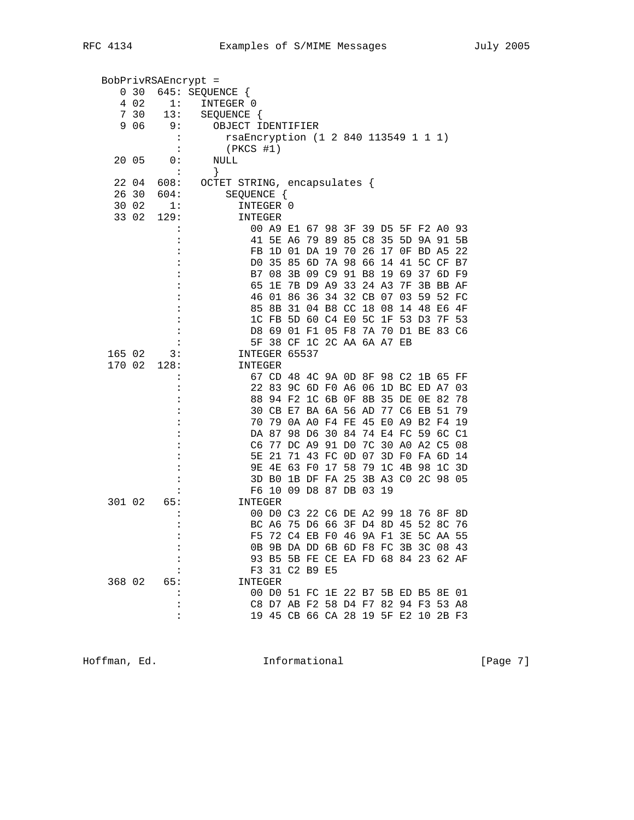| 4 0 2<br>1:<br>INTEGER 0<br>7 30<br>13:<br>SEQUENCE {<br>9 0 6<br>9:<br>OBJECT IDENTIFIER<br>rsaEncryption (1 2 840 113549 1 1 1)<br>$(PKCS$ #1)<br>20 05<br>0:<br>NULL<br>}<br>$\ddot{\cdot}$<br>OCTET STRING, encapsulates {<br>22 04<br>608:<br>26 30<br>604:<br>SEQUENCE {<br>30 02<br>1:<br>INTEGER 0<br>129:<br>33 02<br>INTEGER<br>00 A9 E1 67 98 3F 39 D5 5F F2 A0<br>79 89 85 C8 35<br>41 5E A6<br>5D 9A 91 5B<br>FB 1D 01 DA 19 70 26 17 OF BD A5<br>D0 35 85 6D<br>7A 98 66 14 41 5C CF B7<br>B7 08 3B 09 C9 91 B8 19 69<br>37 6D F9<br>7B D9 A9 33 24 A3<br>65 1E<br>7F<br>3B BB AF<br>46 01 86 36 34 32 CB 07<br>03<br>59 52 FC<br>31 04 B8 CC 18 08<br>85 8B<br>14<br>48<br>E6<br>1C FB 5D 60 C4 E0 5C 1F 53 D3<br>7F 53<br>D8 69 01 F1 05 F8 7A 70 D1 BE 83 C6<br>5F 38 CF 1C 2C AA 6A A7 EB<br>INTEGER 65537<br>165 02<br>3:<br>170 02<br>128:<br>INTEGER<br>67 CD 48 4C 9A 0D 8F 98 C2 1B 65 FF<br>22 83 9C 6D F0 A6 06 1D BC ED A7<br>88 94 F2 1C 6B 0F 8B 35 DE 0E 82<br>30 CB E7 BA 6A 56 AD 77 C6 EB 51<br>70 79 0A AO F4 FE 45 E0 A9 B2 F4 19<br>30 84 74 E4 FC 59 6C C1<br>DA 87 98 D6<br>7C 30 A0 A2 C5 08<br>C6 77 DC A9 91 D0<br>5E 21 71 43 FC 0D 07 3D F0 FA 6D 14<br>9E 4E 63 F0 17 58 79 1C 4B 98 1C 3D<br>3D B0 1B DF FA 25 3B A3 C0 2C 98 05<br>F6 10 09 D8 87 DB 03 19<br>301 02<br>65:<br><b>INTEGER</b><br>00 D0 C3 22 C6 DE A2 99 18 76 8F<br>BC A6 75 D6 66 3F D4 8D 45 52 8C 76<br>$\ddot{\cdot}$<br>F5 72 C4 EB F0 46 9A F1 3E 5C AA 55<br>0B 9B DA DD 6B 6D F8 FC 3B 3C 08 43<br>93 B5 5B FE CE EA FD 68 84 23 62 AF<br>F3 31 C2 B9 E5<br>368 02 65:<br>INTEGER<br>00 D0 51 FC 1E 22 B7 5B ED B5 8E 01<br>C8 D7 AB F2 58 D4 F7 82 94 F3 53 A8 | 0 30 | BobPrivRSAEncrypt =<br>645: SEQUENCE { |  |  |  |  |  |     |
|---------------------------------------------------------------------------------------------------------------------------------------------------------------------------------------------------------------------------------------------------------------------------------------------------------------------------------------------------------------------------------------------------------------------------------------------------------------------------------------------------------------------------------------------------------------------------------------------------------------------------------------------------------------------------------------------------------------------------------------------------------------------------------------------------------------------------------------------------------------------------------------------------------------------------------------------------------------------------------------------------------------------------------------------------------------------------------------------------------------------------------------------------------------------------------------------------------------------------------------------------------------------------------------------------------------------------------------------------------------------------------------------------------------------------------------------------------------------------------------------------------------------------------------------------------------------------------------------------------------------------------------------------------------------------------------|------|----------------------------------------|--|--|--|--|--|-----|
|                                                                                                                                                                                                                                                                                                                                                                                                                                                                                                                                                                                                                                                                                                                                                                                                                                                                                                                                                                                                                                                                                                                                                                                                                                                                                                                                                                                                                                                                                                                                                                                                                                                                                       |      |                                        |  |  |  |  |  |     |
|                                                                                                                                                                                                                                                                                                                                                                                                                                                                                                                                                                                                                                                                                                                                                                                                                                                                                                                                                                                                                                                                                                                                                                                                                                                                                                                                                                                                                                                                                                                                                                                                                                                                                       |      |                                        |  |  |  |  |  |     |
|                                                                                                                                                                                                                                                                                                                                                                                                                                                                                                                                                                                                                                                                                                                                                                                                                                                                                                                                                                                                                                                                                                                                                                                                                                                                                                                                                                                                                                                                                                                                                                                                                                                                                       |      |                                        |  |  |  |  |  |     |
|                                                                                                                                                                                                                                                                                                                                                                                                                                                                                                                                                                                                                                                                                                                                                                                                                                                                                                                                                                                                                                                                                                                                                                                                                                                                                                                                                                                                                                                                                                                                                                                                                                                                                       |      |                                        |  |  |  |  |  |     |
|                                                                                                                                                                                                                                                                                                                                                                                                                                                                                                                                                                                                                                                                                                                                                                                                                                                                                                                                                                                                                                                                                                                                                                                                                                                                                                                                                                                                                                                                                                                                                                                                                                                                                       |      |                                        |  |  |  |  |  |     |
|                                                                                                                                                                                                                                                                                                                                                                                                                                                                                                                                                                                                                                                                                                                                                                                                                                                                                                                                                                                                                                                                                                                                                                                                                                                                                                                                                                                                                                                                                                                                                                                                                                                                                       |      |                                        |  |  |  |  |  |     |
|                                                                                                                                                                                                                                                                                                                                                                                                                                                                                                                                                                                                                                                                                                                                                                                                                                                                                                                                                                                                                                                                                                                                                                                                                                                                                                                                                                                                                                                                                                                                                                                                                                                                                       |      |                                        |  |  |  |  |  |     |
|                                                                                                                                                                                                                                                                                                                                                                                                                                                                                                                                                                                                                                                                                                                                                                                                                                                                                                                                                                                                                                                                                                                                                                                                                                                                                                                                                                                                                                                                                                                                                                                                                                                                                       |      |                                        |  |  |  |  |  |     |
|                                                                                                                                                                                                                                                                                                                                                                                                                                                                                                                                                                                                                                                                                                                                                                                                                                                                                                                                                                                                                                                                                                                                                                                                                                                                                                                                                                                                                                                                                                                                                                                                                                                                                       |      |                                        |  |  |  |  |  |     |
|                                                                                                                                                                                                                                                                                                                                                                                                                                                                                                                                                                                                                                                                                                                                                                                                                                                                                                                                                                                                                                                                                                                                                                                                                                                                                                                                                                                                                                                                                                                                                                                                                                                                                       |      |                                        |  |  |  |  |  |     |
|                                                                                                                                                                                                                                                                                                                                                                                                                                                                                                                                                                                                                                                                                                                                                                                                                                                                                                                                                                                                                                                                                                                                                                                                                                                                                                                                                                                                                                                                                                                                                                                                                                                                                       |      |                                        |  |  |  |  |  |     |
|                                                                                                                                                                                                                                                                                                                                                                                                                                                                                                                                                                                                                                                                                                                                                                                                                                                                                                                                                                                                                                                                                                                                                                                                                                                                                                                                                                                                                                                                                                                                                                                                                                                                                       |      |                                        |  |  |  |  |  | 93  |
|                                                                                                                                                                                                                                                                                                                                                                                                                                                                                                                                                                                                                                                                                                                                                                                                                                                                                                                                                                                                                                                                                                                                                                                                                                                                                                                                                                                                                                                                                                                                                                                                                                                                                       |      |                                        |  |  |  |  |  |     |
|                                                                                                                                                                                                                                                                                                                                                                                                                                                                                                                                                                                                                                                                                                                                                                                                                                                                                                                                                                                                                                                                                                                                                                                                                                                                                                                                                                                                                                                                                                                                                                                                                                                                                       |      |                                        |  |  |  |  |  | 22  |
|                                                                                                                                                                                                                                                                                                                                                                                                                                                                                                                                                                                                                                                                                                                                                                                                                                                                                                                                                                                                                                                                                                                                                                                                                                                                                                                                                                                                                                                                                                                                                                                                                                                                                       |      |                                        |  |  |  |  |  |     |
|                                                                                                                                                                                                                                                                                                                                                                                                                                                                                                                                                                                                                                                                                                                                                                                                                                                                                                                                                                                                                                                                                                                                                                                                                                                                                                                                                                                                                                                                                                                                                                                                                                                                                       |      |                                        |  |  |  |  |  |     |
|                                                                                                                                                                                                                                                                                                                                                                                                                                                                                                                                                                                                                                                                                                                                                                                                                                                                                                                                                                                                                                                                                                                                                                                                                                                                                                                                                                                                                                                                                                                                                                                                                                                                                       |      |                                        |  |  |  |  |  |     |
|                                                                                                                                                                                                                                                                                                                                                                                                                                                                                                                                                                                                                                                                                                                                                                                                                                                                                                                                                                                                                                                                                                                                                                                                                                                                                                                                                                                                                                                                                                                                                                                                                                                                                       |      |                                        |  |  |  |  |  |     |
|                                                                                                                                                                                                                                                                                                                                                                                                                                                                                                                                                                                                                                                                                                                                                                                                                                                                                                                                                                                                                                                                                                                                                                                                                                                                                                                                                                                                                                                                                                                                                                                                                                                                                       |      |                                        |  |  |  |  |  | 4F  |
|                                                                                                                                                                                                                                                                                                                                                                                                                                                                                                                                                                                                                                                                                                                                                                                                                                                                                                                                                                                                                                                                                                                                                                                                                                                                                                                                                                                                                                                                                                                                                                                                                                                                                       |      |                                        |  |  |  |  |  |     |
|                                                                                                                                                                                                                                                                                                                                                                                                                                                                                                                                                                                                                                                                                                                                                                                                                                                                                                                                                                                                                                                                                                                                                                                                                                                                                                                                                                                                                                                                                                                                                                                                                                                                                       |      |                                        |  |  |  |  |  |     |
|                                                                                                                                                                                                                                                                                                                                                                                                                                                                                                                                                                                                                                                                                                                                                                                                                                                                                                                                                                                                                                                                                                                                                                                                                                                                                                                                                                                                                                                                                                                                                                                                                                                                                       |      |                                        |  |  |  |  |  |     |
|                                                                                                                                                                                                                                                                                                                                                                                                                                                                                                                                                                                                                                                                                                                                                                                                                                                                                                                                                                                                                                                                                                                                                                                                                                                                                                                                                                                                                                                                                                                                                                                                                                                                                       |      |                                        |  |  |  |  |  |     |
|                                                                                                                                                                                                                                                                                                                                                                                                                                                                                                                                                                                                                                                                                                                                                                                                                                                                                                                                                                                                                                                                                                                                                                                                                                                                                                                                                                                                                                                                                                                                                                                                                                                                                       |      |                                        |  |  |  |  |  |     |
|                                                                                                                                                                                                                                                                                                                                                                                                                                                                                                                                                                                                                                                                                                                                                                                                                                                                                                                                                                                                                                                                                                                                                                                                                                                                                                                                                                                                                                                                                                                                                                                                                                                                                       |      |                                        |  |  |  |  |  |     |
|                                                                                                                                                                                                                                                                                                                                                                                                                                                                                                                                                                                                                                                                                                                                                                                                                                                                                                                                                                                                                                                                                                                                                                                                                                                                                                                                                                                                                                                                                                                                                                                                                                                                                       |      |                                        |  |  |  |  |  | 03  |
|                                                                                                                                                                                                                                                                                                                                                                                                                                                                                                                                                                                                                                                                                                                                                                                                                                                                                                                                                                                                                                                                                                                                                                                                                                                                                                                                                                                                                                                                                                                                                                                                                                                                                       |      |                                        |  |  |  |  |  | -78 |
|                                                                                                                                                                                                                                                                                                                                                                                                                                                                                                                                                                                                                                                                                                                                                                                                                                                                                                                                                                                                                                                                                                                                                                                                                                                                                                                                                                                                                                                                                                                                                                                                                                                                                       |      |                                        |  |  |  |  |  | 79  |
|                                                                                                                                                                                                                                                                                                                                                                                                                                                                                                                                                                                                                                                                                                                                                                                                                                                                                                                                                                                                                                                                                                                                                                                                                                                                                                                                                                                                                                                                                                                                                                                                                                                                                       |      |                                        |  |  |  |  |  |     |
|                                                                                                                                                                                                                                                                                                                                                                                                                                                                                                                                                                                                                                                                                                                                                                                                                                                                                                                                                                                                                                                                                                                                                                                                                                                                                                                                                                                                                                                                                                                                                                                                                                                                                       |      |                                        |  |  |  |  |  |     |
|                                                                                                                                                                                                                                                                                                                                                                                                                                                                                                                                                                                                                                                                                                                                                                                                                                                                                                                                                                                                                                                                                                                                                                                                                                                                                                                                                                                                                                                                                                                                                                                                                                                                                       |      |                                        |  |  |  |  |  |     |
|                                                                                                                                                                                                                                                                                                                                                                                                                                                                                                                                                                                                                                                                                                                                                                                                                                                                                                                                                                                                                                                                                                                                                                                                                                                                                                                                                                                                                                                                                                                                                                                                                                                                                       |      |                                        |  |  |  |  |  |     |
|                                                                                                                                                                                                                                                                                                                                                                                                                                                                                                                                                                                                                                                                                                                                                                                                                                                                                                                                                                                                                                                                                                                                                                                                                                                                                                                                                                                                                                                                                                                                                                                                                                                                                       |      |                                        |  |  |  |  |  |     |
|                                                                                                                                                                                                                                                                                                                                                                                                                                                                                                                                                                                                                                                                                                                                                                                                                                                                                                                                                                                                                                                                                                                                                                                                                                                                                                                                                                                                                                                                                                                                                                                                                                                                                       |      |                                        |  |  |  |  |  |     |
|                                                                                                                                                                                                                                                                                                                                                                                                                                                                                                                                                                                                                                                                                                                                                                                                                                                                                                                                                                                                                                                                                                                                                                                                                                                                                                                                                                                                                                                                                                                                                                                                                                                                                       |      |                                        |  |  |  |  |  |     |
|                                                                                                                                                                                                                                                                                                                                                                                                                                                                                                                                                                                                                                                                                                                                                                                                                                                                                                                                                                                                                                                                                                                                                                                                                                                                                                                                                                                                                                                                                                                                                                                                                                                                                       |      |                                        |  |  |  |  |  |     |
|                                                                                                                                                                                                                                                                                                                                                                                                                                                                                                                                                                                                                                                                                                                                                                                                                                                                                                                                                                                                                                                                                                                                                                                                                                                                                                                                                                                                                                                                                                                                                                                                                                                                                       |      |                                        |  |  |  |  |  | 8D  |
|                                                                                                                                                                                                                                                                                                                                                                                                                                                                                                                                                                                                                                                                                                                                                                                                                                                                                                                                                                                                                                                                                                                                                                                                                                                                                                                                                                                                                                                                                                                                                                                                                                                                                       |      |                                        |  |  |  |  |  |     |
|                                                                                                                                                                                                                                                                                                                                                                                                                                                                                                                                                                                                                                                                                                                                                                                                                                                                                                                                                                                                                                                                                                                                                                                                                                                                                                                                                                                                                                                                                                                                                                                                                                                                                       |      |                                        |  |  |  |  |  |     |
|                                                                                                                                                                                                                                                                                                                                                                                                                                                                                                                                                                                                                                                                                                                                                                                                                                                                                                                                                                                                                                                                                                                                                                                                                                                                                                                                                                                                                                                                                                                                                                                                                                                                                       |      |                                        |  |  |  |  |  |     |
|                                                                                                                                                                                                                                                                                                                                                                                                                                                                                                                                                                                                                                                                                                                                                                                                                                                                                                                                                                                                                                                                                                                                                                                                                                                                                                                                                                                                                                                                                                                                                                                                                                                                                       |      |                                        |  |  |  |  |  |     |
|                                                                                                                                                                                                                                                                                                                                                                                                                                                                                                                                                                                                                                                                                                                                                                                                                                                                                                                                                                                                                                                                                                                                                                                                                                                                                                                                                                                                                                                                                                                                                                                                                                                                                       |      |                                        |  |  |  |  |  |     |
|                                                                                                                                                                                                                                                                                                                                                                                                                                                                                                                                                                                                                                                                                                                                                                                                                                                                                                                                                                                                                                                                                                                                                                                                                                                                                                                                                                                                                                                                                                                                                                                                                                                                                       |      |                                        |  |  |  |  |  |     |
|                                                                                                                                                                                                                                                                                                                                                                                                                                                                                                                                                                                                                                                                                                                                                                                                                                                                                                                                                                                                                                                                                                                                                                                                                                                                                                                                                                                                                                                                                                                                                                                                                                                                                       |      |                                        |  |  |  |  |  |     |
| 19 45 CB 66 CA 28 19 5F E2 10 2B F3<br>:                                                                                                                                                                                                                                                                                                                                                                                                                                                                                                                                                                                                                                                                                                                                                                                                                                                                                                                                                                                                                                                                                                                                                                                                                                                                                                                                                                                                                                                                                                                                                                                                                                              |      |                                        |  |  |  |  |  |     |

Hoffman, Ed. 1nformational 1992 [Page 7]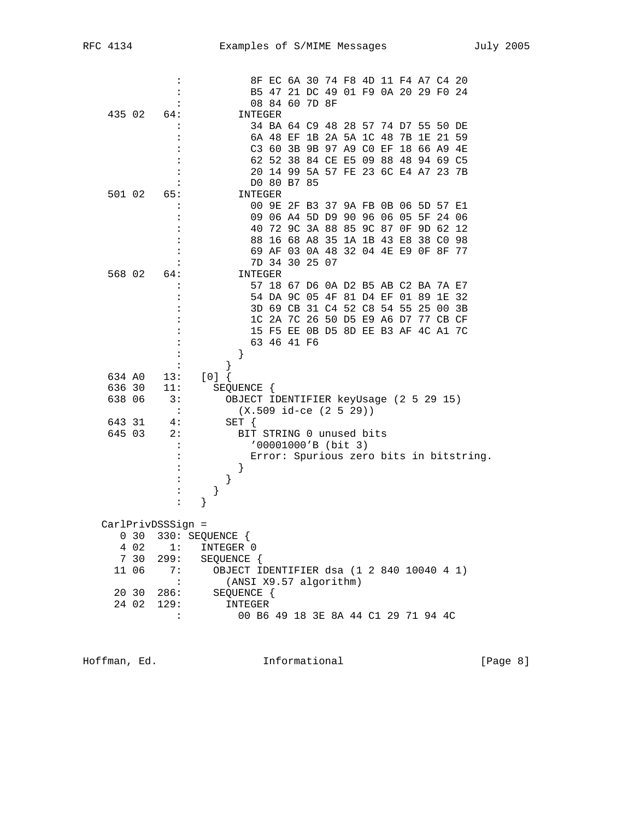| 34 BA 64 C9 48 28 57 74 D7 55 50 DE<br>$\ddot{\cdot}$<br>6A 48 EF 1B 2A 5A 1C 48 7B 1E 21 59<br>:<br>C3 60 3B 9B 97 A9 C0 EF 18 66 A9 4E<br>:<br>62 52 38 84 CE E5 09 88 48 94 69 C5<br>20 14 99 5A 57 FE 23 6C E4 A7 23 7B<br>DO 80 B7 85<br>501 02<br><b>INTEGER</b><br>65:<br>00 9E 2F B3 37 9A FB 0B 06 5D 57 E1<br>09 06 A4 5D D9 90 96 06 05 5F 24 06<br>:<br>40<br>72 9C 3A 88 85 9C 87 0F 9D 62 12<br>:<br>16 68 A8 35 1A 1B 43 E8 38 C0 98<br>88<br>69 AF 03 0A 48 32 04 4E E9 OF 8F 77<br>:<br>7D 34 30 25 07<br>:<br>568 02 64:<br>INTEGER<br>57 18 67 D6 0A D2 B5 AB C2 BA 7A E7<br>:<br>54 DA 9C 05 4F 81 D4 EF 01 89 1E 32<br>$\ddot{\cdot}$<br>3D 69 CB 31 C4 52 C8 54 55 25 00<br>3B<br>1C 2A 7C 26 50 D5 E9 A6 D7 77 CB CF<br>15 F5 EE 0B D5 8D EE B3 AF 4C A1 7C<br>63 46 41 F6<br>}<br>}<br>$[0]$ {<br>634 AO<br>13:<br>636 30<br>11:<br>SEQUENCE {<br>638 06<br>3:<br>OBJECT IDENTIFIER keyUsage (2 5 29 15)<br>$\cdot$ :<br>$(X.509$ id-ce $(2 5 29)$<br>SET {<br>643 31<br>4:<br>645 03<br>2:<br>BIT STRING 0 unused bits<br>'00001000'B (bit 3)<br>Error: Spurious zero bits in bitstring.<br>$\left\{ \right\}$<br>:<br>$\}$<br>}<br>:<br>}<br>$\ddot{\phantom{a}}$<br>CarlPrivDSSSign =<br>330: SEQUENCE {<br>$0\quad30$<br>4 0 2<br>1:<br>INTEGER 0<br>7 30<br>299:<br>SEQUENCE {<br>OBJECT IDENTIFIER dsa (1 2 840 10040 4 1)<br>11 06<br>7:<br>$\ddot{\cdot}$<br>(ANSI X9.57 algorithm)<br>20 30<br>SEQUENCE {<br>286:<br>24 02<br>129:<br>INTEGER<br>$\ddot{\phantom{a}}$<br>00 B6 49 18 3E 8A 44 C1 29 71 94 4C | 435 02 | :<br>:<br>64: | INTEGER | 8F EC 6A 30 74 F8 4D 11 F4 A7 C4 20<br>B5 47 21 DC 49 01 F9 0A 20 29 F0 24<br>08 84 60 7D 8F |  |  |  |  |  |
|-----------------------------------------------------------------------------------------------------------------------------------------------------------------------------------------------------------------------------------------------------------------------------------------------------------------------------------------------------------------------------------------------------------------------------------------------------------------------------------------------------------------------------------------------------------------------------------------------------------------------------------------------------------------------------------------------------------------------------------------------------------------------------------------------------------------------------------------------------------------------------------------------------------------------------------------------------------------------------------------------------------------------------------------------------------------------------------------------------------------------------------------------------------------------------------------------------------------------------------------------------------------------------------------------------------------------------------------------------------------------------------------------------------------------------------------------------------------------------------------------------------------------------------------------|--------|---------------|---------|----------------------------------------------------------------------------------------------|--|--|--|--|--|
|                                                                                                                                                                                                                                                                                                                                                                                                                                                                                                                                                                                                                                                                                                                                                                                                                                                                                                                                                                                                                                                                                                                                                                                                                                                                                                                                                                                                                                                                                                                                               |        |               |         |                                                                                              |  |  |  |  |  |
|                                                                                                                                                                                                                                                                                                                                                                                                                                                                                                                                                                                                                                                                                                                                                                                                                                                                                                                                                                                                                                                                                                                                                                                                                                                                                                                                                                                                                                                                                                                                               |        |               |         |                                                                                              |  |  |  |  |  |
|                                                                                                                                                                                                                                                                                                                                                                                                                                                                                                                                                                                                                                                                                                                                                                                                                                                                                                                                                                                                                                                                                                                                                                                                                                                                                                                                                                                                                                                                                                                                               |        |               |         |                                                                                              |  |  |  |  |  |
|                                                                                                                                                                                                                                                                                                                                                                                                                                                                                                                                                                                                                                                                                                                                                                                                                                                                                                                                                                                                                                                                                                                                                                                                                                                                                                                                                                                                                                                                                                                                               |        |               |         |                                                                                              |  |  |  |  |  |
|                                                                                                                                                                                                                                                                                                                                                                                                                                                                                                                                                                                                                                                                                                                                                                                                                                                                                                                                                                                                                                                                                                                                                                                                                                                                                                                                                                                                                                                                                                                                               |        |               |         |                                                                                              |  |  |  |  |  |
|                                                                                                                                                                                                                                                                                                                                                                                                                                                                                                                                                                                                                                                                                                                                                                                                                                                                                                                                                                                                                                                                                                                                                                                                                                                                                                                                                                                                                                                                                                                                               |        |               |         |                                                                                              |  |  |  |  |  |
|                                                                                                                                                                                                                                                                                                                                                                                                                                                                                                                                                                                                                                                                                                                                                                                                                                                                                                                                                                                                                                                                                                                                                                                                                                                                                                                                                                                                                                                                                                                                               |        |               |         |                                                                                              |  |  |  |  |  |
|                                                                                                                                                                                                                                                                                                                                                                                                                                                                                                                                                                                                                                                                                                                                                                                                                                                                                                                                                                                                                                                                                                                                                                                                                                                                                                                                                                                                                                                                                                                                               |        |               |         |                                                                                              |  |  |  |  |  |
|                                                                                                                                                                                                                                                                                                                                                                                                                                                                                                                                                                                                                                                                                                                                                                                                                                                                                                                                                                                                                                                                                                                                                                                                                                                                                                                                                                                                                                                                                                                                               |        |               |         |                                                                                              |  |  |  |  |  |
|                                                                                                                                                                                                                                                                                                                                                                                                                                                                                                                                                                                                                                                                                                                                                                                                                                                                                                                                                                                                                                                                                                                                                                                                                                                                                                                                                                                                                                                                                                                                               |        |               |         |                                                                                              |  |  |  |  |  |
|                                                                                                                                                                                                                                                                                                                                                                                                                                                                                                                                                                                                                                                                                                                                                                                                                                                                                                                                                                                                                                                                                                                                                                                                                                                                                                                                                                                                                                                                                                                                               |        |               |         |                                                                                              |  |  |  |  |  |
|                                                                                                                                                                                                                                                                                                                                                                                                                                                                                                                                                                                                                                                                                                                                                                                                                                                                                                                                                                                                                                                                                                                                                                                                                                                                                                                                                                                                                                                                                                                                               |        |               |         |                                                                                              |  |  |  |  |  |
|                                                                                                                                                                                                                                                                                                                                                                                                                                                                                                                                                                                                                                                                                                                                                                                                                                                                                                                                                                                                                                                                                                                                                                                                                                                                                                                                                                                                                                                                                                                                               |        |               |         |                                                                                              |  |  |  |  |  |
|                                                                                                                                                                                                                                                                                                                                                                                                                                                                                                                                                                                                                                                                                                                                                                                                                                                                                                                                                                                                                                                                                                                                                                                                                                                                                                                                                                                                                                                                                                                                               |        |               |         |                                                                                              |  |  |  |  |  |
|                                                                                                                                                                                                                                                                                                                                                                                                                                                                                                                                                                                                                                                                                                                                                                                                                                                                                                                                                                                                                                                                                                                                                                                                                                                                                                                                                                                                                                                                                                                                               |        |               |         |                                                                                              |  |  |  |  |  |
|                                                                                                                                                                                                                                                                                                                                                                                                                                                                                                                                                                                                                                                                                                                                                                                                                                                                                                                                                                                                                                                                                                                                                                                                                                                                                                                                                                                                                                                                                                                                               |        |               |         |                                                                                              |  |  |  |  |  |
|                                                                                                                                                                                                                                                                                                                                                                                                                                                                                                                                                                                                                                                                                                                                                                                                                                                                                                                                                                                                                                                                                                                                                                                                                                                                                                                                                                                                                                                                                                                                               |        |               |         |                                                                                              |  |  |  |  |  |
|                                                                                                                                                                                                                                                                                                                                                                                                                                                                                                                                                                                                                                                                                                                                                                                                                                                                                                                                                                                                                                                                                                                                                                                                                                                                                                                                                                                                                                                                                                                                               |        |               |         |                                                                                              |  |  |  |  |  |
|                                                                                                                                                                                                                                                                                                                                                                                                                                                                                                                                                                                                                                                                                                                                                                                                                                                                                                                                                                                                                                                                                                                                                                                                                                                                                                                                                                                                                                                                                                                                               |        |               |         |                                                                                              |  |  |  |  |  |
|                                                                                                                                                                                                                                                                                                                                                                                                                                                                                                                                                                                                                                                                                                                                                                                                                                                                                                                                                                                                                                                                                                                                                                                                                                                                                                                                                                                                                                                                                                                                               |        |               |         |                                                                                              |  |  |  |  |  |
|                                                                                                                                                                                                                                                                                                                                                                                                                                                                                                                                                                                                                                                                                                                                                                                                                                                                                                                                                                                                                                                                                                                                                                                                                                                                                                                                                                                                                                                                                                                                               |        |               |         |                                                                                              |  |  |  |  |  |
|                                                                                                                                                                                                                                                                                                                                                                                                                                                                                                                                                                                                                                                                                                                                                                                                                                                                                                                                                                                                                                                                                                                                                                                                                                                                                                                                                                                                                                                                                                                                               |        |               |         |                                                                                              |  |  |  |  |  |
|                                                                                                                                                                                                                                                                                                                                                                                                                                                                                                                                                                                                                                                                                                                                                                                                                                                                                                                                                                                                                                                                                                                                                                                                                                                                                                                                                                                                                                                                                                                                               |        |               |         |                                                                                              |  |  |  |  |  |
|                                                                                                                                                                                                                                                                                                                                                                                                                                                                                                                                                                                                                                                                                                                                                                                                                                                                                                                                                                                                                                                                                                                                                                                                                                                                                                                                                                                                                                                                                                                                               |        |               |         |                                                                                              |  |  |  |  |  |
|                                                                                                                                                                                                                                                                                                                                                                                                                                                                                                                                                                                                                                                                                                                                                                                                                                                                                                                                                                                                                                                                                                                                                                                                                                                                                                                                                                                                                                                                                                                                               |        |               |         |                                                                                              |  |  |  |  |  |
|                                                                                                                                                                                                                                                                                                                                                                                                                                                                                                                                                                                                                                                                                                                                                                                                                                                                                                                                                                                                                                                                                                                                                                                                                                                                                                                                                                                                                                                                                                                                               |        |               |         |                                                                                              |  |  |  |  |  |
|                                                                                                                                                                                                                                                                                                                                                                                                                                                                                                                                                                                                                                                                                                                                                                                                                                                                                                                                                                                                                                                                                                                                                                                                                                                                                                                                                                                                                                                                                                                                               |        |               |         |                                                                                              |  |  |  |  |  |
|                                                                                                                                                                                                                                                                                                                                                                                                                                                                                                                                                                                                                                                                                                                                                                                                                                                                                                                                                                                                                                                                                                                                                                                                                                                                                                                                                                                                                                                                                                                                               |        |               |         |                                                                                              |  |  |  |  |  |
|                                                                                                                                                                                                                                                                                                                                                                                                                                                                                                                                                                                                                                                                                                                                                                                                                                                                                                                                                                                                                                                                                                                                                                                                                                                                                                                                                                                                                                                                                                                                               |        |               |         |                                                                                              |  |  |  |  |  |
|                                                                                                                                                                                                                                                                                                                                                                                                                                                                                                                                                                                                                                                                                                                                                                                                                                                                                                                                                                                                                                                                                                                                                                                                                                                                                                                                                                                                                                                                                                                                               |        |               |         |                                                                                              |  |  |  |  |  |
|                                                                                                                                                                                                                                                                                                                                                                                                                                                                                                                                                                                                                                                                                                                                                                                                                                                                                                                                                                                                                                                                                                                                                                                                                                                                                                                                                                                                                                                                                                                                               |        |               |         |                                                                                              |  |  |  |  |  |
|                                                                                                                                                                                                                                                                                                                                                                                                                                                                                                                                                                                                                                                                                                                                                                                                                                                                                                                                                                                                                                                                                                                                                                                                                                                                                                                                                                                                                                                                                                                                               |        |               |         |                                                                                              |  |  |  |  |  |
|                                                                                                                                                                                                                                                                                                                                                                                                                                                                                                                                                                                                                                                                                                                                                                                                                                                                                                                                                                                                                                                                                                                                                                                                                                                                                                                                                                                                                                                                                                                                               |        |               |         |                                                                                              |  |  |  |  |  |
|                                                                                                                                                                                                                                                                                                                                                                                                                                                                                                                                                                                                                                                                                                                                                                                                                                                                                                                                                                                                                                                                                                                                                                                                                                                                                                                                                                                                                                                                                                                                               |        |               |         |                                                                                              |  |  |  |  |  |
|                                                                                                                                                                                                                                                                                                                                                                                                                                                                                                                                                                                                                                                                                                                                                                                                                                                                                                                                                                                                                                                                                                                                                                                                                                                                                                                                                                                                                                                                                                                                               |        |               |         |                                                                                              |  |  |  |  |  |
|                                                                                                                                                                                                                                                                                                                                                                                                                                                                                                                                                                                                                                                                                                                                                                                                                                                                                                                                                                                                                                                                                                                                                                                                                                                                                                                                                                                                                                                                                                                                               |        |               |         |                                                                                              |  |  |  |  |  |
|                                                                                                                                                                                                                                                                                                                                                                                                                                                                                                                                                                                                                                                                                                                                                                                                                                                                                                                                                                                                                                                                                                                                                                                                                                                                                                                                                                                                                                                                                                                                               |        |               |         |                                                                                              |  |  |  |  |  |
|                                                                                                                                                                                                                                                                                                                                                                                                                                                                                                                                                                                                                                                                                                                                                                                                                                                                                                                                                                                                                                                                                                                                                                                                                                                                                                                                                                                                                                                                                                                                               |        |               |         |                                                                                              |  |  |  |  |  |
|                                                                                                                                                                                                                                                                                                                                                                                                                                                                                                                                                                                                                                                                                                                                                                                                                                                                                                                                                                                                                                                                                                                                                                                                                                                                                                                                                                                                                                                                                                                                               |        |               |         |                                                                                              |  |  |  |  |  |

Hoffman, Ed. 10. Informational 1999 [Page 8]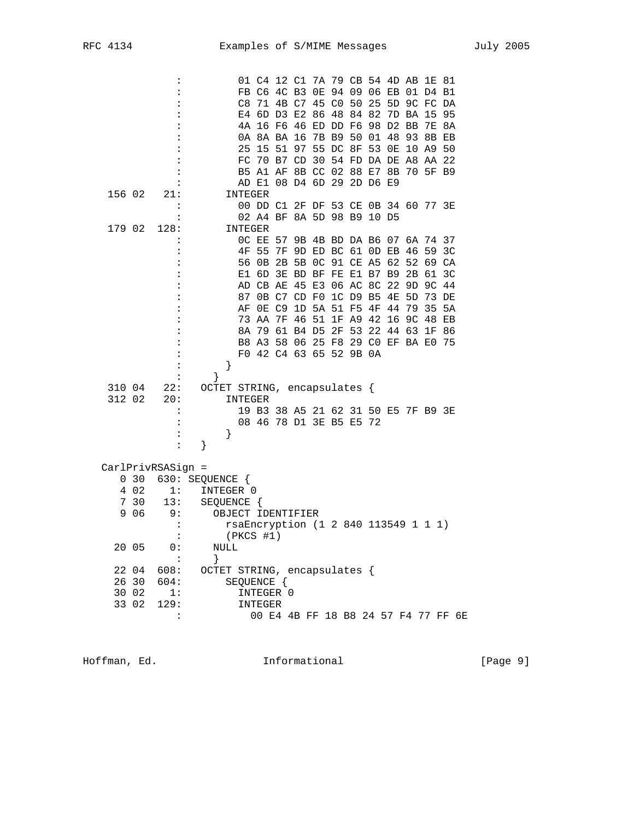|        |       |                   |                              |         | 01 C4 12 C1 7A 79 CB 54 4D AB 1E 81  |       |                      |       |                |          |             |                                  |             |          |                                     |
|--------|-------|-------------------|------------------------------|---------|--------------------------------------|-------|----------------------|-------|----------------|----------|-------------|----------------------------------|-------------|----------|-------------------------------------|
|        |       |                   |                              |         | FB C6 4C B3                          |       |                      |       |                |          |             | OE 94 09 06 EB 01 D4 B1          |             |          |                                     |
|        |       |                   |                              | C8      |                                      |       |                      |       |                |          |             | 71 4B C7 45 C0 50 25 5D 9C FC DA |             |          |                                     |
|        |       |                   |                              |         | E4 6D D3 E2                          |       |                      |       | 86 48 84 82    |          |             |                                  | 7D BA 15 95 |          |                                     |
|        |       |                   |                              |         | 4A 16 F6 46 ED DD F6 98 D2 BB        |       |                      |       |                |          |             |                                  |             | 7E 8A    |                                     |
|        |       |                   |                              |         | 0A 8A BA 16                          |       |                      |       | 7B B9 50 01 48 |          |             |                                  | 93          | 8B EB    |                                     |
|        |       |                   |                              |         | 25 15 51 97 55 DC 8F 53 OE           |       |                      |       |                |          |             |                                  |             | 10 A9 50 |                                     |
|        |       |                   |                              |         | FC 70 B7                             |       | CD                   | 30    |                |          |             | 54 FD DA DE A8 AA 22             |             |          |                                     |
|        |       |                   |                              |         | B5 A1 AF 8B CC 02 88 E7 8B           |       |                      |       |                |          |             |                                  |             | 70 5F B9 |                                     |
|        |       |                   |                              |         | AD E1                                |       | 08 D4 6D 29 2D D6 E9 |       |                |          |             |                                  |             |          |                                     |
| 156 02 |       | 21:               |                              | INTEGER |                                      |       |                      |       |                |          |             |                                  |             |          |                                     |
|        |       |                   |                              |         | 00 DD C1 2F DF 53 CE 0B 34 60 77 3E  |       |                      |       |                |          |             |                                  |             |          |                                     |
|        |       |                   |                              |         | 02 A4 BF 8A 5D 98 B9 10 D5           |       |                      |       |                |          |             |                                  |             |          |                                     |
|        |       |                   |                              |         |                                      |       |                      |       |                |          |             |                                  |             |          |                                     |
| 179 02 |       | 128:              |                              | INTEGER |                                      |       |                      |       |                |          |             |                                  |             |          |                                     |
|        |       |                   |                              |         | OC EE                                |       |                      |       |                |          |             | 57 9B 4B BD DA B6 07 6A 74 37    |             |          |                                     |
|        |       |                   |                              |         | 4F 55                                | 7F    | 9D ED BC 61 OD EB    |       |                |          |             |                                  | 46          | 59 3C    |                                     |
|        |       |                   |                              | 56      | 0В                                   |       | 2B 5B 0C 91 CE A5 62 |       |                |          |             |                                  | 52          | 69 CA    |                                     |
|        |       |                   |                              |         | E1 6D 3E BD BF FE E1 B7 B9           |       |                      |       |                |          |             |                                  | 2B          | 61       | 3 <sup>c</sup>                      |
|        |       |                   |                              |         | AD CB AE 45 E3                       |       |                      |       |                |          | 06 AC 8C 22 |                                  | 9D          |          | 9C 44                               |
|        |       |                   |                              | 87      |                                      | 0B C7 |                      | CD F0 |                | 1C D9 B5 |             | 4E                               | 5D          |          | 73 DE                               |
|        |       |                   |                              | ΑF      |                                      | OE C9 |                      |       | 1D 5A 51 F5    |          |             | 4F 44                            | 79          | 35       | 5A                                  |
|        |       |                   |                              |         | 73 AA                                | 7F    |                      | 46 51 |                | 1F A9    | 42          | 16                               | 9C          | 48       | ЕB                                  |
|        |       |                   |                              | 8A      | 79                                   |       | 61 B4 D5             |       |                |          |             | 2F 53 22 44 63                   |             | 1F 86    |                                     |
|        |       |                   |                              |         | B8 A3 58 06 25 F8 29 C0 EF BA E0     |       |                      |       |                |          |             |                                  |             |          | 75                                  |
|        |       |                   |                              |         | F0 42 C4 63 65 52 9B 0A              |       |                      |       |                |          |             |                                  |             |          |                                     |
|        |       |                   | }                            |         |                                      |       |                      |       |                |          |             |                                  |             |          |                                     |
|        |       |                   | }                            |         |                                      |       |                      |       |                |          |             |                                  |             |          |                                     |
| 310 04 |       | 22:               | OCTET STRING, encapsulates { |         |                                      |       |                      |       |                |          |             |                                  |             |          |                                     |
| 312 02 |       | 20:               |                              | INTEGER |                                      |       |                      |       |                |          |             |                                  |             |          |                                     |
|        |       |                   |                              |         | 19 B3 38 A5 21 62 31 50 E5 7F B9 3E  |       |                      |       |                |          |             |                                  |             |          |                                     |
|        |       |                   |                              |         | 08 46 78 D1 3E B5 E5 72              |       |                      |       |                |          |             |                                  |             |          |                                     |
|        |       |                   | }                            |         |                                      |       |                      |       |                |          |             |                                  |             |          |                                     |
|        |       | :                 | }                            |         |                                      |       |                      |       |                |          |             |                                  |             |          |                                     |
|        |       |                   |                              |         |                                      |       |                      |       |                |          |             |                                  |             |          |                                     |
|        |       | CarlPrivRSASign = |                              |         |                                      |       |                      |       |                |          |             |                                  |             |          |                                     |
|        | 030   |                   | 630: SEQUENCE {              |         |                                      |       |                      |       |                |          |             |                                  |             |          |                                     |
|        | 4 0 2 | 1:                | INTEGER 0                    |         |                                      |       |                      |       |                |          |             |                                  |             |          |                                     |
| 7      | 30    | 13:               | SEQUENCE {                   |         |                                      |       |                      |       |                |          |             |                                  |             |          |                                     |
| 9      | 06    | 9:                | OBJECT IDENTIFIER            |         |                                      |       |                      |       |                |          |             |                                  |             |          |                                     |
|        |       |                   |                              |         | rsaEncryption (1 2 840 113549 1 1 1) |       |                      |       |                |          |             |                                  |             |          |                                     |
|        |       | :                 |                              |         | $(PKCS$ #1)                          |       |                      |       |                |          |             |                                  |             |          |                                     |
|        |       | 0:                | $\textsc{NULL}$              |         |                                      |       |                      |       |                |          |             |                                  |             |          |                                     |
|        | 20 05 | :                 |                              |         |                                      |       |                      |       |                |          |             |                                  |             |          |                                     |
|        |       |                   | }                            |         |                                      |       |                      |       |                |          |             |                                  |             |          |                                     |
|        | 22 04 | 608:              | OCTET STRING, encapsulates { |         |                                      |       |                      |       |                |          |             |                                  |             |          |                                     |
|        | 26 30 | 604:              |                              |         | SEQUENCE {                           |       |                      |       |                |          |             |                                  |             |          |                                     |
|        | 30 02 | 1:                |                              |         | INTEGER 0                            |       |                      |       |                |          |             |                                  |             |          |                                     |
|        | 33 02 | 129:              |                              |         | INTEGER                              |       |                      |       |                |          |             |                                  |             |          |                                     |
|        |       | :                 |                              |         |                                      |       |                      |       |                |          |             |                                  |             |          | 00 E4 4B FF 18 B8 24 57 F4 77 FF 6E |

Hoffman, Ed. 1nformational 1999 [Page 9]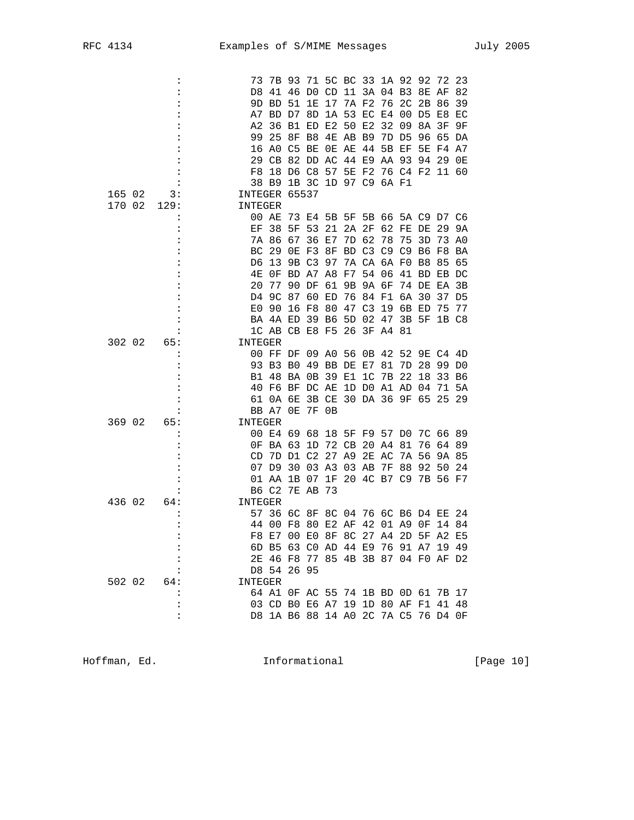|        |                | 73            |                                     | 7B 93          |                | 71 5C BC 33 1A 92 92    |           |                |          |                      |       | 72       | 23             |
|--------|----------------|---------------|-------------------------------------|----------------|----------------|-------------------------|-----------|----------------|----------|----------------------|-------|----------|----------------|
|        |                | D8            | 41                                  |                | 46 DO          | CD                      |           | 11 3A 04 B3    |          |                      |       | 8E AF    | 82             |
|        |                | 9D.           | <b>BD</b>                           | 51             | 1E             | 17                      |           | 7A F2          | 76       | 2 <sup>C</sup>       | 2В    | 86       | 39             |
|        |                | A7.           |                                     | BD D7          | 8D             |                         |           | 1A 53 EC E4    |          | - 00                 |       | D5 E8    | EC             |
|        |                | A2            |                                     | 36 B1          | ED             | Е2                      | 50 E2     |                | 32       | 09                   | 8A    | 3F       | 9F             |
|        |                | 99            | 25                                  | 8F             | B8             | 4E                      | AB B9     |                |          | 7D D5                | 96    | 65       | DA             |
|        |                |               | 16 AO                               | C5             | ВE             |                         | OE AE     | 44             |          | 5B EF                |       | 5E F4 A7 |                |
|        |                | 29            | CВ                                  |                | 82 DD          | AC                      |           | 44 E9          | AA 93    |                      | 94    | 29       | 0E             |
|        |                | F8            | 18                                  | D6 C8          |                | 57                      | <b>5E</b> | F2             |          | 76 C4 F2 11 60       |       |          |                |
|        |                |               | 38 B9                               |                |                | 1B 3C 1D 97 C9 6A F1    |           |                |          |                      |       |          |                |
| 165 02 |                | INTEGER 65537 |                                     |                |                |                         |           |                |          |                      |       |          |                |
|        | 3:             |               |                                     |                |                |                         |           |                |          |                      |       |          |                |
| 170 02 | 129:           | INTEGER       |                                     |                |                |                         |           |                |          |                      |       |          |                |
|        |                |               | 00 AE                               | 73             | E4             | 5B                      |           |                |          | 5F 5B 66 5A C9 D7 C6 |       |          |                |
|        |                | ЕF            | 38                                  | 5F             | 53             | 21                      |           | 2A 2F          |          | 62 FE DE             |       | 29       | 9А             |
|        |                |               | 7A 86                               | 67             | 36             | E7                      | 7D -      | 62             | 78       | 75                   | 3D    | 73 A0    |                |
|        |                | ВC            | 29                                  | 0E             | F3             | 8F                      |           |                |          | BD C3 C9 C9 B6       |       | F8       | ΒA             |
|        |                | D6            | 13                                  |                | 9B C3          | 97                      |           | 7A CA 6A FO    |          |                      | B8    | 85 65    |                |
|        |                | 4E            | 0F                                  |                | BD A7 A8       |                         | F7        |                | 54 06    | 41 BD EB DC          |       |          |                |
|        |                | 20            | 77                                  | 90             | DF             | 61                      | 9Β        |                | 9A 6F    | 74 DE                |       | ΕA       | 3B             |
|        |                | D4            | 9C                                  | 87             | 60             | ED                      | 76        | 84             | F1       | 6A 30                |       | 37       | D5             |
|        |                | E0            | 90                                  |                | 16 F8          | 80                      |           | 47 C3          | 19       |                      | 6B ED | 75       | 77             |
|        |                |               | BA 4A ED                            |                | 39 B6          |                         |           | 5D 02          | 47       | 3B 5F                |       | 1B C8    |                |
|        |                |               | 1C AB CB E8 F5                      |                |                |                         | 26        |                | 3F A4 81 |                      |       |          |                |
| 302 02 | 65:            | INTEGER       |                                     |                |                |                         |           |                |          |                      |       |          |                |
|        |                |               | 00 FF DF                            |                |                | 09 AO                   |           | 56 OB 42       |          | 52                   |       | 9E C4 4D |                |
|        |                |               |                                     |                |                |                         |           |                |          |                      |       |          |                |
|        |                |               | 93 B3                               | B <sub>0</sub> |                | 49 BB DE E7             |           |                | 81       | 7D                   | 28    | 99       | D <sub>0</sub> |
|        |                | Β1            | 48                                  | BA 0B          |                | 39                      | E1        | 1 <sup>C</sup> | 7B       | 22                   | 18    |          | 33 B6          |
|        |                |               | 40 F6 BF DC AE                      |                |                |                         |           |                |          | 1D DO A1 AD 04       |       | 71       | 5A             |
|        |                | 61            |                                     | 0A 6E          |                | 3B CE                   |           |                |          | 30 DA 36 9F 65       |       |          | 25 29          |
|        |                |               | BB A7 OE                            |                |                | 7F 0B                   |           |                |          |                      |       |          |                |
| 369 02 | 65:            | INTEGER       |                                     |                |                |                         |           |                |          |                      |       |          |                |
|        |                |               | 00 E4 69                            |                | 68             | 18                      |           | 5F F9 57 D0    |          |                      |       | 7C 66 89 |                |
|        |                | 0F            | BA 63                               |                | 1D             | 72                      | СB        |                | 20 A4 81 |                      | 76    | 6489     |                |
|        |                | CD            |                                     | 7D D1          | C <sub>2</sub> | 27                      | A9        |                | 2E AC    | 7A                   | 56    | 9A 85    |                |
|        |                |               | 07 D9                               | 30             | 03 A3          |                         | 03 AB     |                | 7F       | 88                   | 92    | 50       | 24             |
|        |                |               | 01 AA                               | 1B 07          |                | 1F                      |           |                |          | 20 4C B7 C9 7B 56 F7 |       |          |                |
|        |                |               | B6 C2                               |                | 7E AB          | 73                      |           |                |          |                      |       |          |                |
| 436 02 | 64:            | INTEGER       |                                     |                |                |                         |           |                |          |                      |       |          |                |
|        |                |               | 57 36                               |                | 6C 8F          | 8C 04 76 6C B6 D4 EE 24 |           |                |          |                      |       |          |                |
|        |                | 44            | 00                                  | F8 80          |                | E2 AF                   |           |                |          | 42 01 A9 OF          |       | 14 84    |                |
|        |                |               |                                     |                |                |                         |           |                |          |                      |       |          |                |
|        | $\ddot{\cdot}$ |               | F8 E7 00 E0 8F 8C 27 A4 2D 5F A2 E5 |                |                |                         |           |                |          |                      |       |          |                |
|        | :              |               | 6D B5 63 C0 AD 44 E9 76 91 A7 19 49 |                |                |                         |           |                |          |                      |       |          |                |
|        |                |               | 2E 46 F8 77 85 4B 3B 87 04 F0 AF D2 |                |                |                         |           |                |          |                      |       |          |                |
|        |                |               | D8 54 26 95                         |                |                |                         |           |                |          |                      |       |          |                |
| 502 02 | 64:            | INTEGER       |                                     |                |                |                         |           |                |          |                      |       |          |                |
|        |                |               | 64 A1 OF AC 55 74 1B BD OD 61 7B 17 |                |                |                         |           |                |          |                      |       |          |                |
|        | :              |               | 03 CD B0 E6 A7 19 1D 80 AF F1 41 48 |                |                |                         |           |                |          |                      |       |          |                |
|        | $\ddot{\cdot}$ |               | D8 1A B6 88 14 A0 2C 7A C5 76 D4 OF |                |                |                         |           |                |          |                      |       |          |                |

Hoffman, Ed. 10. Informational 1.1 [Page 10]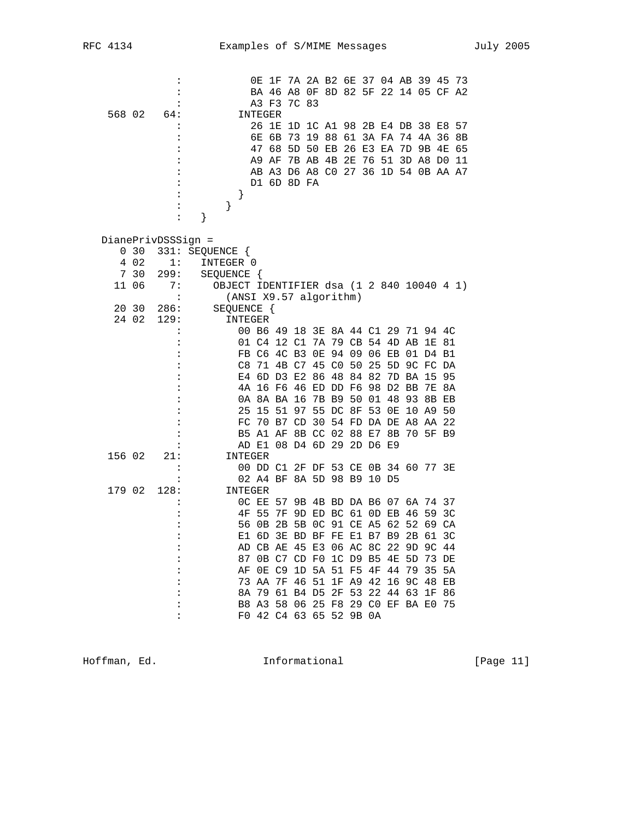| 568 02 |       | $\ddot{\cdot}$<br>64: |                                                                     | 0E<br>A3 F3<br>INTEGER | 1F 7A 2A B2 6E 37 04 AB 39 45 73<br>BA 46 A8 OF 8D 82 5F 22 14 05 CF A2    | 7C 83                |    |       |                |             |                               |             |          |    |    |
|--------|-------|-----------------------|---------------------------------------------------------------------|------------------------|----------------------------------------------------------------------------|----------------------|----|-------|----------------|-------------|-------------------------------|-------------|----------|----|----|
|        |       |                       |                                                                     |                        | 26 1E 1D 1C A1 98 2B E4 DB 38 E8 57                                        |                      |    |       |                |             |                               |             |          |    |    |
|        |       |                       |                                                                     | 6Е                     | 6B                                                                         | 73                   |    |       |                |             | 19 88 61 3A FA 74 4A 36       |             |          |    | 8B |
|        |       |                       |                                                                     | 47<br>A9               | 68<br>AF                                                                   | 5D 50<br>7B AB 4B 2E |    | EB 26 |                | E3 EA<br>76 | 51 3D A8 D0 11                | 7D 9B 4E 65 |          |    |    |
|        |       |                       |                                                                     |                        | AB A3 D6 A8 C0 27 36 1D 54 0B AA A7                                        |                      |    |       |                |             |                               |             |          |    |    |
|        |       |                       |                                                                     |                        | D1 6D 8D FA                                                                |                      |    |       |                |             |                               |             |          |    |    |
|        |       |                       | }                                                                   |                        |                                                                            |                      |    |       |                |             |                               |             |          |    |    |
|        |       |                       | }                                                                   |                        |                                                                            |                      |    |       |                |             |                               |             |          |    |    |
|        |       | :                     | }                                                                   |                        |                                                                            |                      |    |       |                |             |                               |             |          |    |    |
|        |       | DianePrivDSSSign =    |                                                                     |                        |                                                                            |                      |    |       |                |             |                               |             |          |    |    |
|        | 0, 30 |                       | 331: SEQUENCE {                                                     |                        |                                                                            |                      |    |       |                |             |                               |             |          |    |    |
|        | 4 0 2 | 1:                    | INTEGER 0                                                           |                        |                                                                            |                      |    |       |                |             |                               |             |          |    |    |
|        | 7 30  | 299:                  | SEQUENCE {                                                          |                        |                                                                            |                      |    |       |                |             |                               |             |          |    |    |
|        | 11 06 | 7:                    | OBJECT IDENTIFIER dsa (1 2 840 10040 4 1)<br>(ANSI X9.57 algorithm) |                        |                                                                            |                      |    |       |                |             |                               |             |          |    |    |
|        | 20 30 | 286:                  | SEQUENCE {                                                          |                        |                                                                            |                      |    |       |                |             |                               |             |          |    |    |
|        | 24 02 | 129:                  | INTEGER                                                             |                        |                                                                            |                      |    |       |                |             |                               |             |          |    |    |
|        |       |                       |                                                                     |                        | 00 B6 49 18 3E 8A 44 C1 29 71 94 4C                                        |                      |    |       |                |             |                               |             |          |    |    |
|        |       |                       |                                                                     |                        | 01 C4 12 C1 7A 79 CB 54 4D AB                                              |                      |    |       |                |             |                               |             | 1E       | 81 |    |
|        |       |                       |                                                                     |                        | FB C6 4C B3                                                                |                      | 0E |       |                |             | 94 09 06 EB 01 D4 B1          |             |          |    |    |
|        |       |                       | C8                                                                  | 71                     |                                                                            | 4B C7                |    | 45 CO | 50             | 25          |                               | 5D 9C FC    |          | DA |    |
|        |       |                       |                                                                     |                        | E4 6D D3 E2                                                                |                      |    |       | 86 48 84 82    |             |                               | 7D BA 15    |          | 95 |    |
|        |       |                       |                                                                     |                        | 4A 16 F6                                                                   |                      |    |       | 46 ED DD F6    |             | 98 D2 BB                      |             | 7E       | 8A |    |
|        |       |                       |                                                                     |                        | 0A 8A BA 16                                                                |                      |    |       | 7B B9 50 01    |             | 48                            | 93          | 8B       | ЕB |    |
|        |       |                       |                                                                     |                        | 25 15 51<br>FC 70 B7 CD                                                    |                      |    |       | 97 55 DC 8F    | 53          | 0E<br>30 54 FD DA DE A8 AA 22 | 10          | A9       | 50 |    |
|        |       |                       |                                                                     |                        | B5 A1 AF 8B CC 02 88 E7 8B                                                 |                      |    |       |                |             |                               |             | 70 5F B9 |    |    |
|        |       |                       |                                                                     |                        | AD E1 08 D4 6D 29 2D D6 E9                                                 |                      |    |       |                |             |                               |             |          |    |    |
| 156 02 |       | 21:                   | INTEGER                                                             |                        |                                                                            |                      |    |       |                |             |                               |             |          |    |    |
|        |       |                       |                                                                     |                        | 00 DD C1 2F DF 53 CE 0B 34 60 77 3E                                        |                      |    |       |                |             |                               |             |          |    |    |
|        |       | $\ddot{\cdot}$        |                                                                     |                        | 02 A4 BF 8A 5D 98 B9 10 D5                                                 |                      |    |       |                |             |                               |             |          |    |    |
| 179 02 |       | 128:                  | INTEGER                                                             |                        |                                                                            |                      |    |       |                |             |                               |             |          |    |    |
|        |       |                       |                                                                     | OC EE                  | 57                                                                         |                      |    |       | 9B 4B BD DA B6 |             | 07                            |             | 6A 74 37 |    |    |
|        |       |                       | 4F                                                                  | 55                     | 7F                                                                         |                      |    |       |                |             | 9D ED BC 61 OD EB             | 46          | 59       | ЗC |    |
|        |       |                       |                                                                     |                        | 56 OB 2B 5B OC 91 CE A5 62 52 69 CA                                        |                      |    |       |                |             |                               |             |          |    |    |
|        |       |                       |                                                                     |                        | E1 6D 3E BD BF FE E1 B7 B9 2B 61 3C<br>AD CB AE 45 E3 06 AC 8C 22 9D 9C 44 |                      |    |       |                |             |                               |             |          |    |    |
|        |       |                       |                                                                     |                        | 87 OB C7 CD F0 1C D9 B5 4E 5D 73 DE                                        |                      |    |       |                |             |                               |             |          |    |    |
|        |       |                       | AF                                                                  |                        | 0E C9                                                                      |                      |    |       |                |             | 1D 5A 51 F5 4F 44 79          |             | -35      | 5A |    |
|        |       |                       |                                                                     |                        | 73 AA 7F 46 51 1F A9 42 16 9C 48 EB                                        |                      |    |       |                |             |                               |             |          |    |    |
|        |       |                       |                                                                     |                        | 8A 79 61 B4 D5 2F 53 22 44 63 1F 86                                        |                      |    |       |                |             |                               |             |          |    |    |
|        |       |                       |                                                                     |                        | B8 A3 58 06 25 F8 29 C0 EF BA E0 75                                        |                      |    |       |                |             |                               |             |          |    |    |
|        |       |                       |                                                                     |                        | F0 42 C4 63 65 52 9B 0A                                                    |                      |    |       |                |             |                               |             |          |    |    |

Hoffman, Ed. 11 Communicational Theorem is the set of the set of the set of the set of the set of the set of t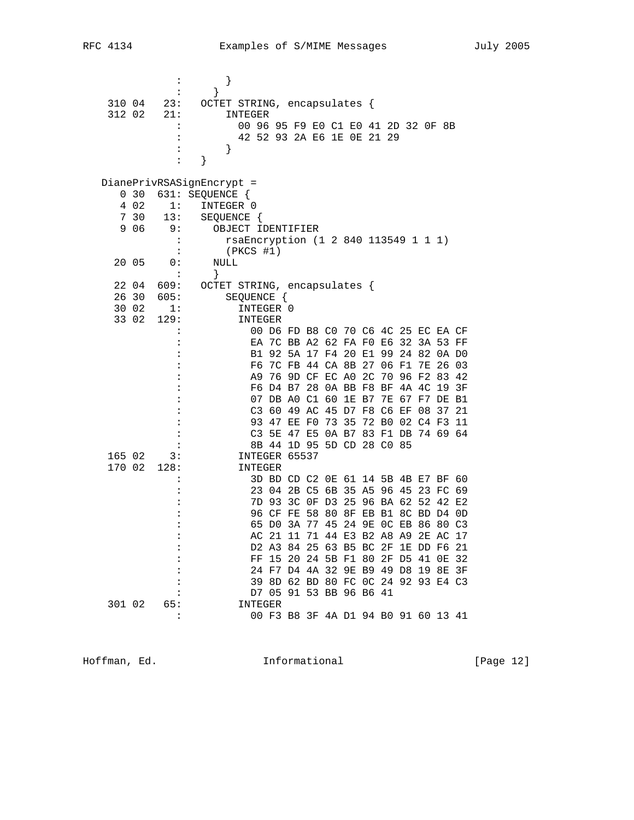|  | RFC | л |
|--|-----|---|
|--|-----|---|

|        |            |                      | }                                    |                                     |  |  |  |    |          |    |
|--------|------------|----------------------|--------------------------------------|-------------------------------------|--|--|--|----|----------|----|
|        |            |                      | }                                    |                                     |  |  |  |    |          |    |
| 310 04 |            | 23:                  | OCTET STRING, encapsulates {         |                                     |  |  |  |    |          |    |
| 312 02 |            | 21:                  | INTEGER                              |                                     |  |  |  |    |          |    |
|        |            |                      | 00 96 95 F9 E0 C1 E0 41 2D 32 OF 8B  |                                     |  |  |  |    |          |    |
|        |            | :                    | 42 52 93 2A E6 1E OE 21 29           |                                     |  |  |  |    |          |    |
|        |            |                      | }                                    |                                     |  |  |  |    |          |    |
|        |            |                      | }                                    |                                     |  |  |  |    |          |    |
|        |            |                      |                                      |                                     |  |  |  |    |          |    |
|        |            |                      | DianePrivRSASignEncrypt =            |                                     |  |  |  |    |          |    |
|        | $0\quad30$ |                      | 631: SEQUENCE {                      |                                     |  |  |  |    |          |    |
|        | 4 0 2      | 1:                   | INTEGER 0                            |                                     |  |  |  |    |          |    |
|        | 7 30       | 13:                  | SEQUENCE {                           |                                     |  |  |  |    |          |    |
|        | 9 0 6      | 9:                   | OBJECT IDENTIFIER                    |                                     |  |  |  |    |          |    |
|        |            | :                    |                                      |                                     |  |  |  |    |          |    |
|        |            |                      | rsaEncryption (1 2 840 113549 1 1 1) |                                     |  |  |  |    |          |    |
|        | 20 05      | 0:                   | $(PKCS$ #1)                          |                                     |  |  |  |    |          |    |
|        |            |                      | NULL                                 |                                     |  |  |  |    |          |    |
|        |            | :                    | $\}$                                 |                                     |  |  |  |    |          |    |
|        | 22 04      | 609:                 | OCTET STRING, encapsulates {         |                                     |  |  |  |    |          |    |
|        | 26 30      | 605:                 | SEQUENCE {                           |                                     |  |  |  |    |          |    |
|        | 30 02      | 1:                   | INTEGER 0                            |                                     |  |  |  |    |          |    |
|        | 33 02      | 129:                 | INTEGER                              |                                     |  |  |  |    |          |    |
|        |            |                      |                                      | 00 D6 FD B8 C0 70 C6 4C 25 EC EA CF |  |  |  |    |          |    |
|        |            |                      |                                      | EA 7C BB A2 62 FA F0 E6 32 3A 53 FF |  |  |  |    |          |    |
|        |            |                      |                                      | B1 92 5A 17 F4 20 E1 99 24 82 0A D0 |  |  |  |    |          |    |
|        |            |                      |                                      | F6 7C FB 44 CA 8B 27 06 F1          |  |  |  |    | 7E 26 03 |    |
|        |            |                      |                                      | A9 76 9D CF EC A0 2C 70 96 F2 83 42 |  |  |  |    |          |    |
|        |            |                      |                                      | F6 D4 B7 28 0A BB F8 BF 4A 4C 19 3F |  |  |  |    |          |    |
|        |            |                      |                                      | 07 DB A0 C1 60 1E B7 7E 67 F7 DE B1 |  |  |  |    |          |    |
|        |            |                      |                                      | C3 60 49 AC 45 D7 F8 C6 EF          |  |  |  | 08 | 37 21    |    |
|        |            |                      |                                      | 93 47 EE F0 73 35 72 B0 02 C4 F3 11 |  |  |  |    |          |    |
|        |            |                      |                                      | C3 5E 47 E5 0A B7 83 F1 DB 74 69 64 |  |  |  |    |          |    |
|        |            |                      |                                      | 8B 44 1D 95 5D CD 28 C0 85          |  |  |  |    |          |    |
| 165 02 |            | 3:                   | INTEGER 65537                        |                                     |  |  |  |    |          |    |
| 170 02 |            | 128:                 | INTEGER                              |                                     |  |  |  |    |          |    |
|        |            | $\ddot{\phantom{a}}$ |                                      | 3D BD CD C2 0E 61 14 5B 4B E7 BF 60 |  |  |  |    |          |    |
|        |            |                      |                                      | 23 04 2B C5 6B 35 A5 96 45 23 FC 69 |  |  |  |    |          |    |
|        |            |                      |                                      | 7D 93 3C OF D3 25 96 BA 62 52 42 E2 |  |  |  |    |          |    |
|        |            |                      |                                      | 96 CF FE 58 80 8F EB B1 8C BD D4    |  |  |  |    |          | 0D |
|        |            |                      |                                      | 65 DO 3A 77 45 24 9E OC EB 86 80 C3 |  |  |  |    |          |    |
|        |            |                      |                                      | AC 21 11 71 44 E3 B2 A8 A9 2E AC 17 |  |  |  |    |          |    |
|        |            | :                    |                                      | D2 A3 84 25 63 B5 BC 2F 1E DD F6 21 |  |  |  |    |          |    |
|        |            |                      |                                      | FF 15 20 24 5B F1 80 2F D5 41 OE 32 |  |  |  |    |          |    |
|        |            |                      |                                      | 24 F7 D4 4A 32 9E B9 49 D8 19 8E 3F |  |  |  |    |          |    |
|        |            | $\ddot{\cdot}$       |                                      | 39 8D 62 BD 80 FC 0C 24 92 93 E4 C3 |  |  |  |    |          |    |
|        |            |                      |                                      | D7 05 91 53 BB 96 B6 41             |  |  |  |    |          |    |
| 301 02 |            | 65:                  | INTEGER                              |                                     |  |  |  |    |          |    |
|        |            | :                    |                                      | 00 F3 B8 3F 4A D1 94 B0 91 60 13 41 |  |  |  |    |          |    |
|        |            |                      |                                      |                                     |  |  |  |    |          |    |

Hoffman, Ed. 1999 and Informational 1999 [Page 12]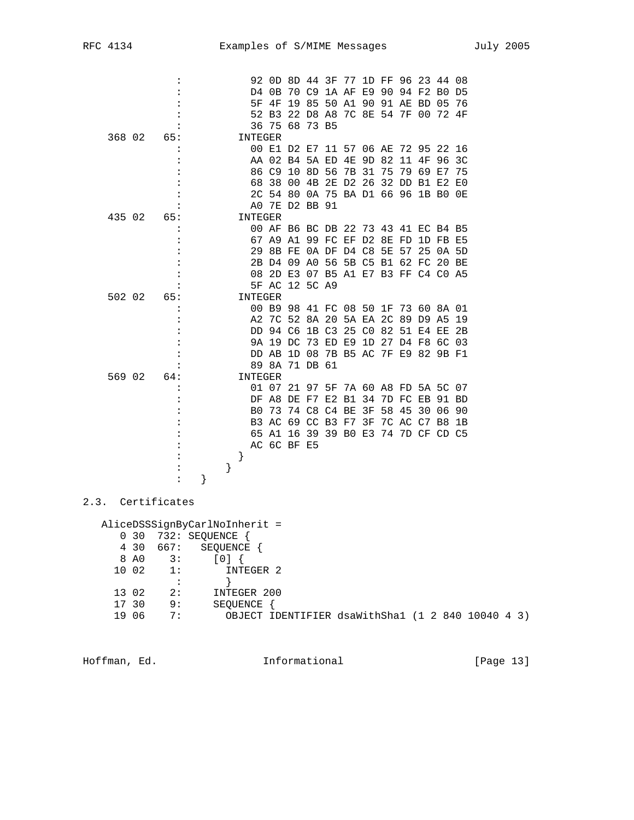|        |     |   |   | 92             |                                     |             |          | OD 8D 44 3F 77 |       |    |          |                   |    | 1D FF 96 23 44 08                |    |
|--------|-----|---|---|----------------|-------------------------------------|-------------|----------|----------------|-------|----|----------|-------------------|----|----------------------------------|----|
|        |     |   |   | D4.            | 0B                                  |             |          |                |       |    |          |                   |    | 70 C9 1A AF E9 90 94 F2 B0 D5    |    |
|        |     |   |   |                | 5F 4F                               |             |          |                |       |    |          |                   |    | 19 85 50 A1 90 91 AE BD 05 76    |    |
|        |     |   |   |                | 52 B3                               |             |          |                |       |    |          |                   |    | 22 D8 A8 7C 8E 54 7F 00 72 4F    |    |
|        |     |   |   | 36             |                                     | 75 68 73 B5 |          |                |       |    |          |                   |    |                                  |    |
| 368 02 | 65: |   |   | <b>INTEGER</b> |                                     |             |          |                |       |    |          |                   |    |                                  |    |
|        |     |   |   |                | 00 E1 D2 E7 11 57 06 AE 72 95 22 16 |             |          |                |       |    |          |                   |    |                                  |    |
|        |     |   |   |                | AA 02                               |             | B4 5A ED |                | 4E    | 9D | 82       | 11                | 4F | 96 3C                            |    |
|        |     |   |   |                | 86 C9                               |             | 10 8D 56 |                | 7B 31 |    |          | 75 79 69          |    | E7 75                            |    |
|        |     |   |   |                | 68 38                               | 00          | 4B       | 2E D2 26       |       |    |          |                   |    | 32 DD B1 E2 E0                   |    |
|        |     |   |   |                | 2C 54 80 0A 75 BA D1 66 96 1B B0 0E |             |          |                |       |    |          |                   |    |                                  |    |
|        |     |   |   |                | A0 7E D2 BB 91                      |             |          |                |       |    |          |                   |    |                                  |    |
| 435 02 | 65: |   |   | INTEGER        |                                     |             |          |                |       |    |          |                   |    |                                  |    |
|        |     |   |   |                | 00 AF B6 BC DB 22 73 43 41 EC B4 B5 |             |          |                |       |    |          |                   |    |                                  |    |
|        |     |   |   |                | 67 A9                               |             |          | A1 99 FC EF D2 |       |    | 8E       | FD                |    | 1D FB E5                         |    |
|        |     |   |   | 29             |                                     | 8B FE       |          | 0A DF D4 C8    |       |    | 5E       | 57                | 25 | 0A 5D                            |    |
|        |     |   |   |                | 2B D4 09 A0 56 5B C5 B1 62 FC 20 BE |             |          |                |       |    |          |                   |    |                                  |    |
|        |     |   |   | 08             |                                     |             |          |                |       |    |          |                   |    | 2D E3 07 B5 A1 E7 B3 FF C4 C0 A5 |    |
|        |     |   |   |                | 5F AC 12 5C A9                      |             |          |                |       |    |          |                   |    |                                  |    |
| 502 02 | 65: |   |   | INTEGER        |                                     |             |          |                |       |    |          |                   |    |                                  |    |
|        |     |   |   |                | 00 B9 98 41 FC 08 50 1F 73 60 8A 01 |             |          |                |       |    |          |                   |    |                                  |    |
|        |     |   |   | A2             |                                     | 7C 52 8A 20 |          |                |       |    |          |                   |    | 5A EA 2C 89 D9 A5 19             |    |
|        |     |   |   |                | DD 94 C6                            |             | 1B C3    |                |       |    |          | 25 CO 82 51 E4 EE |    |                                  | 2B |
|        |     |   |   |                | 9A 19 DC 73 ED E9 1D 27 D4 F8 6C 03 |             |          |                |       |    |          |                   |    |                                  |    |
|        |     |   |   |                | DD AB 1D 08 7B B5 AC 7F E9 82 9B F1 |             |          |                |       |    |          |                   |    |                                  |    |
|        |     |   |   |                | 89 8A 71 DB 61                      |             |          |                |       |    |          |                   |    |                                  |    |
| 569 02 | 64: |   |   | <b>INTEGER</b> |                                     |             |          |                |       |    |          |                   |    |                                  |    |
|        |     |   |   |                | 01 07                               |             |          |                |       |    |          |                   |    | 21 97 5F 7A 60 A8 FD 5A 5C 07    |    |
|        |     |   |   |                | DF A8 DE F7 E2 B1 34 7D FC EB 91 BD |             |          |                |       |    |          |                   |    |                                  |    |
|        |     |   |   | B <sub>0</sub> | 73                                  |             |          | 74 C8 C4 BE    |       |    | 3F 58 45 |                   |    | 30 06 90                         |    |
|        |     |   |   |                | B3 AC 69 CC B3 F7 3F 7C AC C7 B8 1B |             |          |                |       |    |          |                   |    |                                  |    |
|        |     |   |   |                | 65 A1                               |             |          |                |       |    |          |                   |    | 16 39 39 B0 E3 74 7D CF CD C5    |    |
|        |     |   |   |                | AC 6C BF E5                         |             |          |                |       |    |          |                   |    |                                  |    |
|        |     |   |   |                |                                     |             |          |                |       |    |          |                   |    |                                  |    |
|        |     |   | } |                |                                     |             |          |                |       |    |          |                   |    |                                  |    |
|        |     | ł |   |                |                                     |             |          |                |       |    |          |                   |    |                                  |    |
|        |     |   |   |                |                                     |             |          |                |       |    |          |                   |    |                                  |    |

# 2.3. Certificates

|       |       |      | AliceDSSSignByCarlNoInherit = |                                            |  |  |  |
|-------|-------|------|-------------------------------|--------------------------------------------|--|--|--|
|       | 0, 30 |      | 732: SEQUENCE                 |                                            |  |  |  |
|       | 4 30  | 667: | SEQUENCE                      |                                            |  |  |  |
|       | 8 AO  | 3:   | [0]                           |                                            |  |  |  |
| 10 02 |       | 1:   | INTEGER 2                     |                                            |  |  |  |
|       |       |      |                               |                                            |  |  |  |
| 13 02 |       | 2:   | INTEGER 200                   |                                            |  |  |  |
| 17 30 |       | 9:   | SEOUENCE                      |                                            |  |  |  |
| 1 Q   | 06    | 7:   | OBJECT                        | IDENTIFIER dsaWithSha1 (1 2 840 10040 4 3) |  |  |  |
|       |       |      |                               |                                            |  |  |  |

Hoffman, Ed. 1999 and Informational 1999 [Page 13]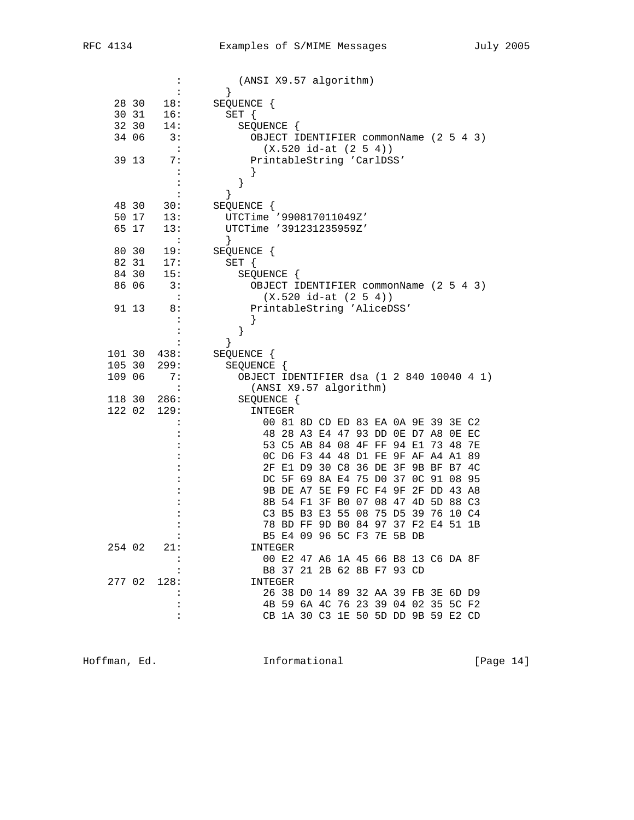|        |       | $\ddot{\cdot}$       | (ANSI X9.57 algorithm)                    |  |
|--------|-------|----------------------|-------------------------------------------|--|
|        |       | :                    | }                                         |  |
|        | 28 30 | 18:                  | SEQUENCE {                                |  |
|        | 30 31 | 16:                  | SET {                                     |  |
|        | 32 30 | 14:                  | SEQUENCE {                                |  |
|        | 34 06 | 3:                   | OBJECT IDENTIFIER commonName (2 5 4 3)    |  |
|        |       | $\ddot{\phantom{1}}$ | $(X.520 id-at (2 5 4))$                   |  |
|        | 39 13 | 7:                   | PrintableString 'CarlDSS'                 |  |
|        |       | $\ddot{\cdot}$       |                                           |  |
|        |       | :                    | }                                         |  |
|        |       | $\ddot{\cdot}$       | }                                         |  |
|        | 48 30 |                      |                                           |  |
|        |       | 30:                  | SEQUENCE {                                |  |
|        | 50 17 | 13:                  | UTCTime '990817011049Z'                   |  |
|        | 65 17 | 13:                  | UTCTime '391231235959Z'                   |  |
|        |       | :                    | }                                         |  |
|        | 80 30 | 19:                  | SEQUENCE {                                |  |
|        | 82 31 | 17:                  | SET {                                     |  |
|        | 84 30 | 15:                  | SEQUENCE {                                |  |
|        | 86 06 | 3:                   | OBJECT IDENTIFIER commonName (2 5 4 3)    |  |
|        |       | $\ddot{\cdot}$       | $(X.520 id-at (2 5 4))$                   |  |
|        | 91 13 | 8:                   | PrintableString 'AliceDSS'                |  |
|        |       | :                    |                                           |  |
|        |       |                      | }                                         |  |
|        |       | :                    | $\}$                                      |  |
| 101 30 |       | 438:                 | SEQUENCE {                                |  |
| 105 30 |       | 299:                 | SEQUENCE {                                |  |
| 109 06 |       | 7:                   | OBJECT IDENTIFIER dsa (1 2 840 10040 4 1) |  |
|        |       | $\ddot{\phantom{a}}$ | (ANSI X9.57 algorithm)                    |  |
| 118 30 |       | 286:                 | SEQUENCE {                                |  |
| 122 02 |       | 129:                 | INTEGER                                   |  |
|        |       | :                    | 00 81 8D CD ED 83 EA 0A 9E 39 3E C2       |  |
|        |       |                      | 48 28 A3 E4 47 93 DD 0E D7 A8 0E EC       |  |
|        |       | :                    | 53 C5 AB 84 08 4F FF 94 E1 73 48<br>7E    |  |
|        |       |                      | OC D6 F3 44 48 D1 FE 9F AF A4 A1<br>89    |  |
|        |       |                      | 2F E1 D9 30 C8 36 DE 3F 9B BF B7 4C       |  |
|        |       |                      | DC 5F 69 8A E4 75 D0 37 0C 91 08<br>95    |  |
|        |       |                      | 2F DD 43 A8                               |  |
|        |       |                      | 9B DE A7 5E F9 FC F4 9F                   |  |
|        |       |                      | 8B 54 F1 3F B0 07 08 47<br>4D 5D 88 C3    |  |
|        |       |                      | C3 B5 B3 E3 55 08 75 D5<br>39 76 10 C4    |  |
|        |       |                      | 78 BD FF 9D B0 84 97 37 F2 E4 51 1B       |  |
|        |       | :                    | B5 E4 09 96 5C F3 7E 5B DB                |  |
| 254 02 |       | 21:                  | INTEGER                                   |  |
|        |       | $\ddot{\cdot}$       | 00 E2 47 A6 1A 45 66 B8 13 C6 DA 8F       |  |
|        |       |                      | B8 37 21 2B 62 8B F7 93 CD                |  |
| 277 02 |       | 128:                 | INTEGER                                   |  |
|        |       |                      | 26 38 D0 14 89 32 AA 39 FB 3E 6D D9       |  |
|        |       | :                    | 4B 59 6A 4C 76 23 39 04 02 35 5C F2       |  |
|        |       | :                    | CB 1A 30 C3 1E 50 5D DD 9B 59 E2 CD       |  |
|        |       |                      |                                           |  |

Hoffman, Ed. 1999 and Informational 1999 [Page 14]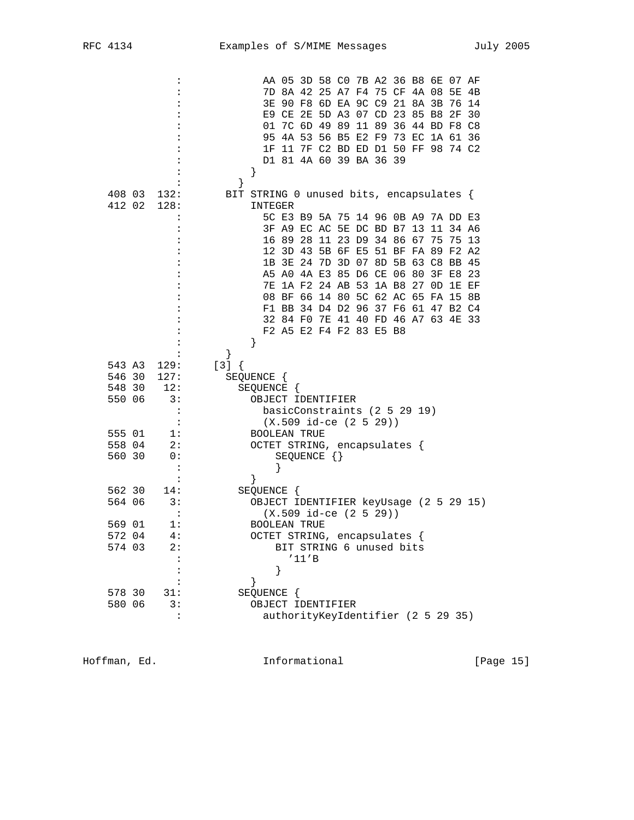|        | :              | AA 05 3D 58 CO 7B A2 36 B8 6E 07 AF          |  |
|--------|----------------|----------------------------------------------|--|
|        |                | 7D 8A 42 25 A7 F4 75 CF 4A 08 5E<br>4B       |  |
|        |                | 90 F8 6D EA 9C C9 21 8A 3B 76<br>3E<br>14    |  |
|        |                | E9 CE 2E 5D A3 07 CD 23 85 B8 2F<br>- 30     |  |
|        |                | 7C 6D 49 89 11 89 36 44 BD F8 C8<br>01       |  |
|        |                | 4A 53 56 B5 E2 F9 73 EC 1A 61 36<br>95       |  |
|        |                | 11 7F C2 BD ED D1 50 FF 98 74 C2<br>1F       |  |
|        |                | D1 81 4A 60 39 BA 36 39                      |  |
|        |                | $\}$                                         |  |
|        |                | }                                            |  |
| 408 03 | 132:           | BIT STRING 0 unused bits, encapsulates {     |  |
| 412 02 | 128:           | INTEGER                                      |  |
|        | $\ddot{\cdot}$ | 5C E3 B9 5A 75 14 96 0B A9 7A DD E3          |  |
|        |                | 3F A9 EC AC 5E DC BD B7 13 11 34 A6          |  |
|        |                | 16 89 28<br>11 23 D9 34 86 67 75<br>75<br>13 |  |
|        |                | 12 3D 43 5B 6F E5 51 BF FA 89 F2 A2          |  |
|        |                | 3E 24 7D 3D 07 8D 5B 63 C8 BB 45<br>1B       |  |
|        |                | A5 A0 4A E3 85 D6 CE 06 80<br>3F E8<br>23    |  |
|        |                | 1A F2 24 AB 53 1A B8 27 OD<br>7E<br>1E EF    |  |
|        |                | 08 BF 66 14 80 5C 62 AC 65 FA 15 8B          |  |
|        |                | F1 BB 34 D4 D2 96 37 F6 61 47 B2 C4          |  |
|        |                | 32 84 F0 7E 41 40 FD 46 A7 63 4E 33          |  |
|        |                | F2 A5 E2 F4 F2 83 E5 B8                      |  |
|        |                |                                              |  |
|        |                | }                                            |  |
| 543 A3 | 129:           | $[3] { }$                                    |  |
| 546 30 | 127:           | SEQUENCE {                                   |  |
| 548 30 | 12:            | SEQUENCE {                                   |  |
| 550 06 | 3:             | OBJECT IDENTIFIER                            |  |
|        | $\ddot{\cdot}$ | basicConstraints (2 5 29 19)                 |  |
|        | $\ddot{\cdot}$ | $(X.509$ id-ce $(2 5 29))$                   |  |
| 555 01 | 1:             | <b>BOOLEAN TRUE</b>                          |  |
| 558 04 | 2:             | OCTET STRING, encapsulates {                 |  |
| 560 30 | 0:             | SEQUENCE $\{\}$                              |  |
|        | $\ddot{\cdot}$ |                                              |  |
|        | :              | ł                                            |  |
| 562 30 | 14:            | SEQUENCE {                                   |  |
| 564 06 | 3:             | OBJECT IDENTIFIER keyUsage (2 5 29 15)       |  |
|        |                | $(X.509$ id-ce $(2 5 29)$                    |  |
| 569 01 | 1:             | <b>BOOLEAN TRUE</b>                          |  |
| 572 04 | 4 :            | OCTET STRING, encapsulates                   |  |
| 574 03 | 2:             | BIT STRING 6 unused bits                     |  |
|        |                | '11'B                                        |  |
|        |                | }                                            |  |
|        |                | ł                                            |  |
| 578 30 | 31:            | SEQUENCE {                                   |  |
| 580 06 | 3 :            | OBJECT IDENTIFIER                            |  |
|        | :              | authorityKeyIdentifier (2 5 29 35)           |  |
|        |                |                                              |  |

Hoffman, Ed. 1999 and Informational 1999 [Page 15]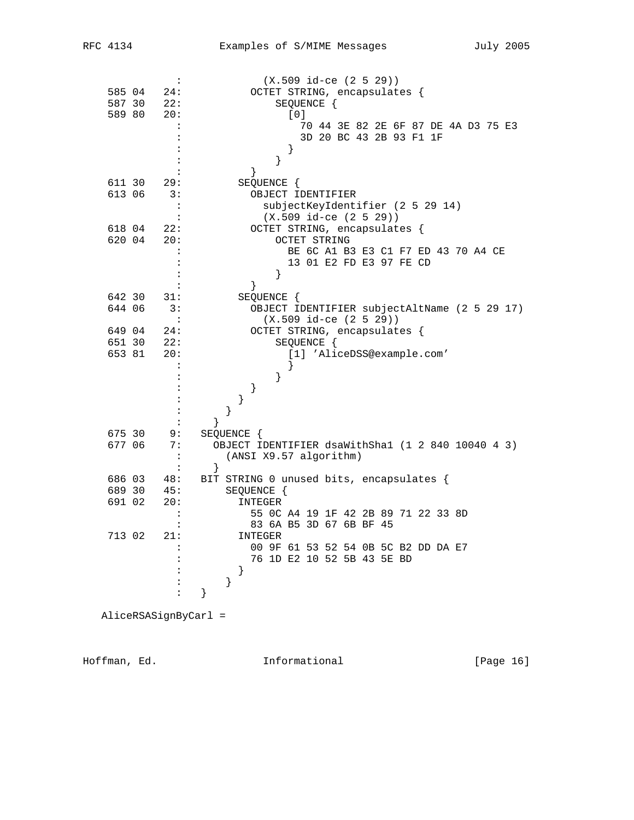|        | :                    | $(X.509 id-ce (2 5 29))$                          |
|--------|----------------------|---------------------------------------------------|
| 585 04 | 24:                  | OCTET STRING, encapsulates {                      |
| 587 30 | 22:                  | SEQUENCE {                                        |
| 589 80 | 20:                  | [0]                                               |
|        | :                    | 70 44 3E 82 2E 6F 87 DE 4A D3 75 E3               |
|        | :                    | 3D 20 BC 43 2B 93 F1 1F                           |
|        |                      |                                                   |
|        |                      |                                                   |
|        |                      | }                                                 |
|        |                      | $\}$                                              |
| 611 30 | 29:                  | SEQUENCE {                                        |
| 613 06 | 3:                   | OBJECT IDENTIFIER                                 |
|        | :                    | subjectKeyIdentifier (2 5 29 14)                  |
|        | $\ddot{\phantom{a}}$ | $(X.509$ id-ce $(2 5 29))$                        |
| 618 04 | 22:                  | OCTET STRING, encapsulates {                      |
| 620 04 | 20:                  | OCTET STRING                                      |
|        | :                    | BE 6C A1 B3 E3 C1 F7 ED 43 70 A4 CE               |
|        | $\ddot{\phantom{a}}$ | 13 01 E2 FD E3 97 FE CD                           |
|        | :                    |                                                   |
|        | $\ddot{\cdot}$       | }                                                 |
| 642 30 | 31:                  | SEQUENCE {                                        |
| 644 06 | 3:                   | OBJECT IDENTIFIER subjectAltName (2 5 29 17)      |
|        | $\ddot{\phantom{a}}$ | $(X.509 id-ce (2 5 29))$                          |
| 649 04 | 24:                  | OCTET STRING, encapsulates {                      |
| 651 30 | 22:                  | SEQUENCE {                                        |
| 653 81 | 20:                  | [1] 'AliceDSS@example.com'                        |
|        | :                    | ł                                                 |
|        |                      | $\}$                                              |
|        |                      |                                                   |
|        |                      | }<br>$\}$                                         |
|        |                      |                                                   |
|        | :                    | }                                                 |
|        | $\ddot{\cdot}$       | }                                                 |
| 675 30 | 9 :                  | SEQUENCE {                                        |
| 677 06 | 7:                   | OBJECT IDENTIFIER dsaWithSha1 (1 2 840 10040 4 3) |
|        | $\colon$             | (ANSI X9.57 algorithm)                            |
|        | $\ddot{\cdot}$       | $\}$                                              |
| 686 03 | 48:                  | BIT STRING 0 unused bits, encapsulates {          |
| 689 30 | 45:                  | SEQUENCE {                                        |
| 691 02 | 20:                  | INTEGER                                           |
|        | :                    | 55 OC A4 19 1F 42 2B 89 71 22 33 8D               |
|        | :                    | 83 6A B5 3D 67 6B BF 45                           |
| 713 02 | 21:                  | INTEGER                                           |
|        |                      | 00 9F 61 53 52 54 0B 5C B2 DD DA E7               |
|        |                      | 76 1D E2 10 52 5B 43 5E BD                        |
|        | $\ddot{\phantom{a}}$ | $\left\{ \right\}$                                |
|        | $\ddot{\cdot}$       | }                                                 |
|        | :                    | }                                                 |
|        |                      |                                                   |

AliceRSASignByCarl =

Hoffman, Ed. 16 and 10 and 111 and 111 and 10 and 10 and 10 and 10 and 10 and 10 and 10 and 10 and 10 and 10 and 10 and 10 and 10 and 10 and 10 and 10 and 10 and 10 and 10 and 10 and 10 and 10 and 10 and 10 and 10 and 10 a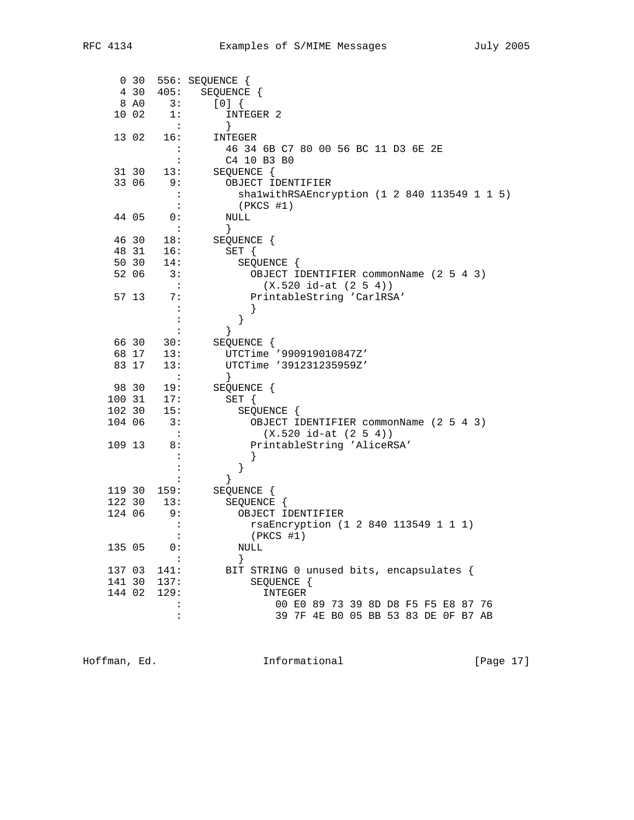|        | $0\quad30$ |                      | 556: SEQUENCE {                              |
|--------|------------|----------------------|----------------------------------------------|
|        | 4 30       | 405:                 | SEQUENCE {                                   |
|        | 8 AO       | 3:                   | [0]                                          |
|        | 10 02      | 1:                   | INTEGER 2                                    |
|        |            | $\sim$ 1             | $\}$                                         |
|        | 13 02      | 16:                  | INTEGER                                      |
|        |            |                      | 46 34 6B C7 80 00 56 BC 11 D3 6E 2E          |
|        |            | :                    | C4 10 B3 B0                                  |
|        | 31 30      | 13:                  | SEQUENCE {                                   |
|        | 33 06      | 9:                   | OBJECT IDENTIFIER                            |
|        |            | $\cdot$ :            | shalwithRSAEncryption (1 2 840 113549 1 1 5) |
|        |            | $\mathbf{L}$         | (PKCS #1)                                    |
|        | 44 05      | 0:                   | NULL                                         |
|        |            | $\ddot{\phantom{1}}$ | $\}$                                         |
|        | 46 30      | 18:                  | SEQUENCE {                                   |
|        | 48 31      | 16:                  | SET {                                        |
|        | 50 30      | 14:                  | SEQUENCE {                                   |
|        | 52 06      | 3:                   | OBJECT IDENTIFIER commonName (2 5 4 3)       |
|        |            | $\sim$ 1.            | $(X.520 id-at (2 5 4))$                      |
|        | 57 13      | 7:                   | PrintableString 'CarlRSA'                    |
|        |            |                      |                                              |
|        |            | $\ddot{\cdot}$       | }                                            |
|        | 66 30      | 30:                  | }<br>SEQUENCE {                              |
|        | 68 17      | 13:                  | UTCTime '990919010847Z'                      |
|        | 83 17      | 13:                  | UTCTime '391231235959Z'                      |
|        |            | $\sim$ $\sim$        | $\}$                                         |
|        | 98 30      | 19:                  | SEQUENCE {                                   |
| 100 31 |            | 17:                  | $SET \{$                                     |
| 102 30 |            | 15:                  | SEQUENCE {                                   |
| 104 06 |            | 3:                   | OBJECT IDENTIFIER commonName (2 5 4 3)       |
|        |            | $\sim$ :             | $(X.520 id-at (2 5 4))$                      |
| 109 13 |            | 8:                   | PrintableString 'AliceRSA'                   |
|        |            |                      |                                              |
|        |            |                      | }                                            |
|        |            |                      |                                              |
| 119 30 |            | 159:                 | SEQUENCE {                                   |
| 122 30 |            | 13:                  | SEQUENCE {                                   |
| 124 06 |            | 9:                   | OBJECT IDENTIFIER                            |
|        |            | $\ddot{\cdot}$       | rsaEncryption (1 2 840 113549 1 1 1)         |
|        |            |                      | $(PKCS$ #1)                                  |
| 135 05 |            | 0:                   | NULL                                         |
|        |            |                      | $\left\{ \right\}$                           |
| 137 03 |            | 141:                 | BIT STRING 0 unused bits, encapsulates {     |
| 141 30 |            | 137:                 | SEQUENCE {                                   |
| 144 02 |            | 129:                 | INTEGER                                      |
|        |            |                      | 00 E0 89 73 39 8D D8 F5 F5 E8 87 76          |
|        |            |                      | 39 7F 4E BO 05 BB 53 83 DE OF B7 AB          |

Hoffman, Ed. 1999 and Informational 1999 [Page 17]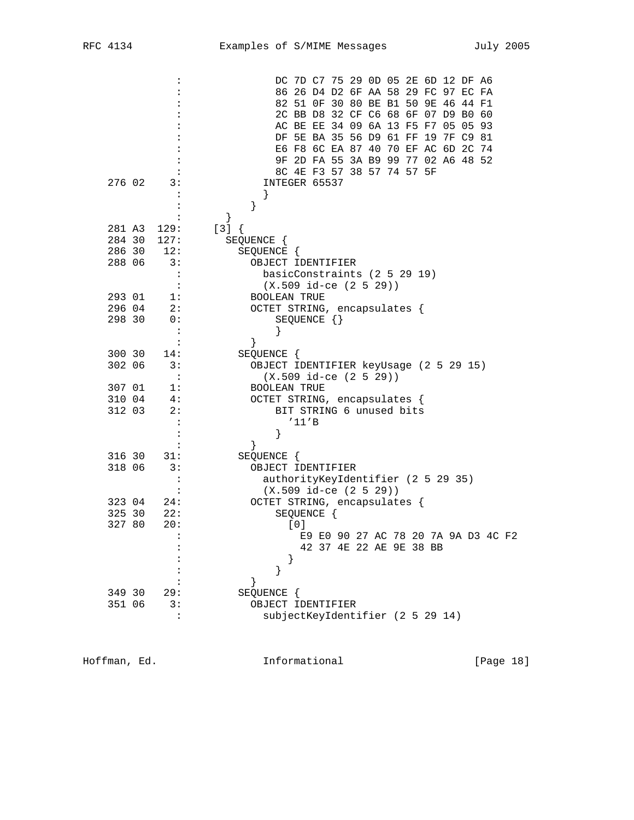|                                | DC 7D C7 75 29 0D 05 2E 6D 12 DF A6                                  |
|--------------------------------|----------------------------------------------------------------------|
|                                | 86 26 D4 D2 6F AA 58 29 FC 97 EC FA                                  |
|                                | 82 51 OF 30 80 BE B1 50 9E 46 44 F1                                  |
|                                | 2C BB D8 32 CF C6 68 6F 07 D9 B0 60                                  |
|                                | AC BE EE 34 09 6A 13 F5 F7 05 05 93                                  |
|                                | DF 5E BA 35 56 D9 61 FF 19 7F C9 81                                  |
|                                | E6 F8 6C EA 87 40 70 EF AC 6D 2C 74                                  |
|                                | 9F 2D FA 55 3A B9 99 77 02 A6 48 52                                  |
|                                | 8C 4E F3 57 38 57 74 57 5F                                           |
| 276 02<br>3:                   | INTEGER 65537                                                        |
|                                |                                                                      |
|                                | }                                                                    |
|                                |                                                                      |
| 281 A3<br>129:                 | $[3] { }$                                                            |
| 284 30<br>127:                 | SEQUENCE {                                                           |
| 286 30<br>12:                  | SEQUENCE {                                                           |
| 288 06<br>3:                   | OBJECT IDENTIFIER                                                    |
|                                | basicConstraints (2 5 29 19)<br>$\ddot{\cdot}$<br>$\ddot{\cdot}$     |
|                                | $(X.509$ id-ce $(2 5 29))$                                           |
| 293 01<br>l:                   | <b>BOOLEAN TRUE</b>                                                  |
| 296 04<br>2:                   | OCTET STRING, encapsulates {                                         |
| 298 30<br>0:<br>$\ddot{\cdot}$ | $SEQUENCE$ $\{\}$                                                    |
|                                | $\ddot{\cdot}$                                                       |
| 300 30                         | ł                                                                    |
| 14:<br>302 06<br>3:            | SEQUENCE {                                                           |
| $\ddot{\cdot}$                 | OBJECT IDENTIFIER keyUsage (2 5 29 15)<br>$(X.509$ id-ce $(2 5 29))$ |
| 307 01<br>1:                   |                                                                      |
| 310 04<br>4:                   | BOOLEAN TRUE<br>OCTET STRING, encapsulates {                         |
| 312 03<br>2:                   | BIT STRING 6 unused bits                                             |
|                                | '11'B<br>$\ddot{\cdot}$                                              |
|                                | }                                                                    |
|                                | ł                                                                    |
| 316 30<br>31:                  | SEQUENCE {                                                           |
| 318 06<br>3:                   | OBJECT IDENTIFIER                                                    |
|                                | $\ddot{\cdot}$<br>authorityKeyIdentifier (2 5 29 35)                 |
|                                | $(X.509$ id-ce $(2 5 29))$                                           |
| 323 04<br>24:                  | OCTET STRING, encapsulates {                                         |
| 325 30<br>22:                  | SEQUENCE {                                                           |
| 327 80<br>20:                  | [0]                                                                  |
|                                | $\ddot{\cdot}$<br>E9 E0 90 27 AC 78 20 7A 9A D3 4C F2                |
|                                | 42 37 4E 22 AE 9E 38 BB                                              |
|                                |                                                                      |
|                                | }                                                                    |
|                                | ł                                                                    |
| 349 30<br>29:                  | SEQUENCE {                                                           |
| 351 06<br>3:                   | OBJECT IDENTIFIER                                                    |
|                                | :<br>subjectKeyIdentifier (2 5 29 14)                                |
|                                |                                                                      |

Hoffman, Ed. 1999 and Informational 1999 [Page 18]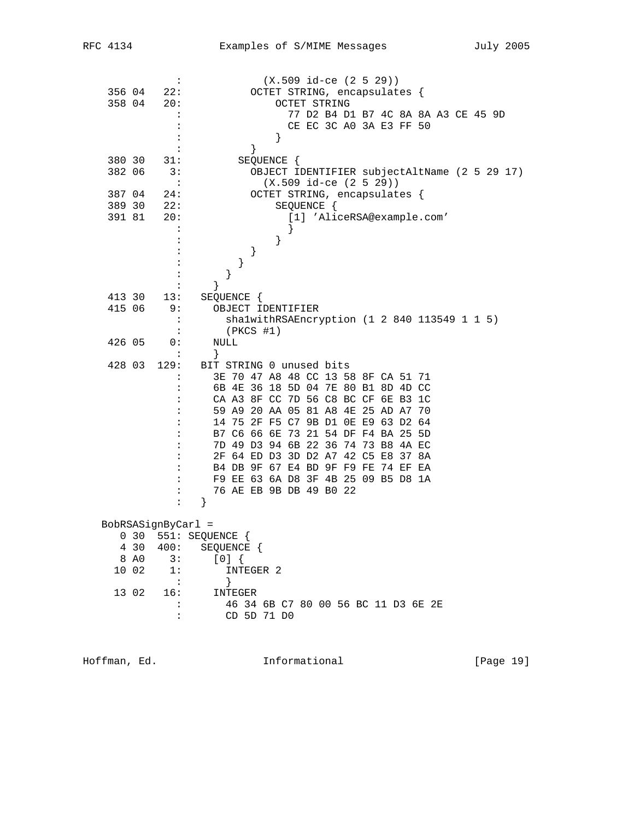|        |                  | $\ddot{\phantom{a}}$ | $(X.509$ id-ce $(2 5 29))$                   |
|--------|------------------|----------------------|----------------------------------------------|
| 356 04 |                  | 22:                  | OCTET STRING, encapsulates {                 |
| 358 04 |                  | 20:                  | OCTET STRING                                 |
|        |                  |                      | 77 D2 B4 D1 B7 4C 8A 8A A3 CE 45 9D          |
|        |                  |                      | CE EC 3C A0 3A E3 FF 50                      |
|        |                  |                      | }                                            |
|        |                  |                      | }                                            |
| 380 30 |                  | 31:                  | SEQUENCE {                                   |
| 382 06 |                  | 3:                   | OBJECT IDENTIFIER subjectAltName (2 5 29 17) |
|        |                  | $\ddot{\cdot}$       | $(X.509$ id-ce $(2 5 29))$                   |
| 387 04 |                  | 24:                  | OCTET STRING, encapsulates {                 |
|        |                  |                      |                                              |
| 389 30 |                  | 22:                  | SEQUENCE {                                   |
| 391 81 |                  | 20:                  | [1] 'AliceRSA@example.com'                   |
|        |                  |                      | ł                                            |
|        |                  |                      | }                                            |
|        |                  |                      | }                                            |
|        |                  |                      | }                                            |
|        |                  |                      | }                                            |
|        |                  |                      | ł                                            |
| 413 30 |                  | 13:                  | SEQUENCE {                                   |
| 415 06 |                  | 9 :                  | OBJECT IDENTIFIER                            |
|        |                  | :                    | shalwithRSAEncryption (1 2 840 113549 1 1 5) |
|        |                  | $\ddot{\cdot}$       | $(PKCS$ #1)                                  |
| 426 05 |                  | 0:                   | NULL                                         |
|        |                  | :                    | $\}$                                         |
| 428 03 |                  | 129:                 | BIT STRING 0 unused bits                     |
|        |                  | :                    | 3E 70 47 A8 48 CC 13 58 8F CA 51 71          |
|        |                  |                      | 6B 4E 36 18 5D 04 7E 80 B1 8D 4D CC          |
|        |                  |                      | CA A3 8F CC 7D 56 C8 BC CF 6E B3 1C          |
|        |                  |                      | 59 A9 20 AA 05 81 A8 4E 25 AD A7 70          |
|        |                  |                      | 14 75 2F F5 C7 9B D1 0E E9 63 D2 64          |
|        |                  |                      | B7 C6 66 6E 73 21 54 DF F4 BA 25 5D          |
|        |                  |                      | 7D 49 D3 94 6B 22 36 74 73 B8 4A EC          |
|        |                  |                      | 2F 64 ED D3 3D D2 A7 42 C5 E8 37 8A          |
|        |                  | :                    | B4 DB 9F 67 E4 BD 9F F9 FE 74 EF EA          |
|        |                  | :                    | F9 EE 63 6A D8 3F 4B 25 09 B5 D8 1A          |
|        |                  | $\ddot{\cdot}$       | 76 AE EB 9B DB 49 B0 22                      |
|        |                  | $\ddot{\phantom{a}}$ | }                                            |
|        |                  |                      |                                              |
|        |                  | BobRSASignByCarl =   |                                              |
|        | 030              |                      | 551: SEQUENCE {                              |
|        | 4 30             | 400:                 | SEQUENCE {                                   |
|        | 8 A <sub>0</sub> | 3:                   | $[0]$ {                                      |
|        | 10 02            | 1:                   | INTEGER 2                                    |
|        |                  | $\ddot{\cdot}$       | }                                            |
|        | 13 02            | 16:                  | INTEGER                                      |
|        |                  | $\ddot{\cdot}$       | 46 34 6B C7 80 00 56 BC 11 D3 6E 2E          |
|        |                  | :                    | CD 5D 71 D0                                  |
|        |                  |                      |                                              |
|        |                  |                      |                                              |

Hoffman, Ed. 19 and 19 and 111 and 111 and 111 and 12 and 13 and 14 and 15 and 16 and 17 and 18 and 18 and 19 and 19 and 19 and 19 and 19 and 19 and 19 and 19 and 19 and 19 and 19 and 19 and 19 and 19 and 19 and 19 and 19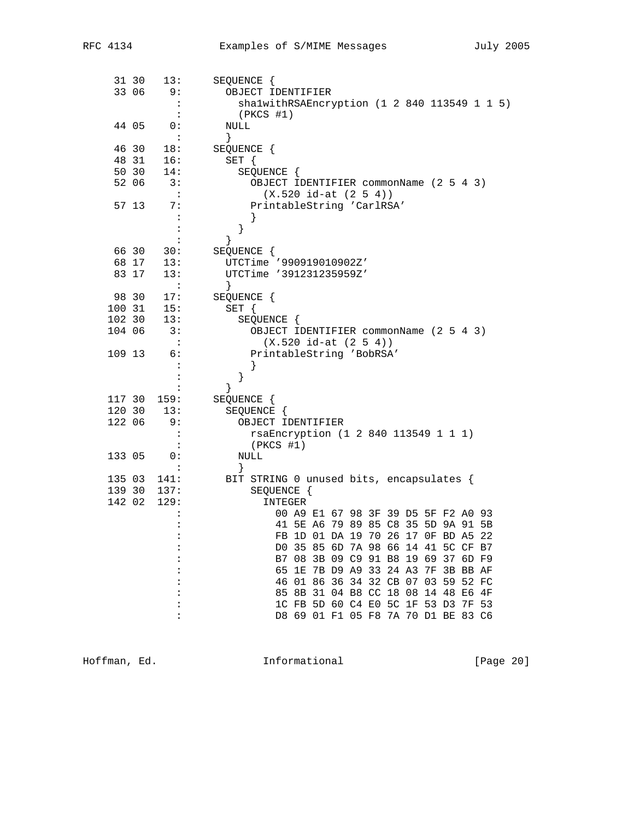|        | 31 30          | 13:            | SEQUENCE {                                                                 |
|--------|----------------|----------------|----------------------------------------------------------------------------|
|        | 33 06          | 9:             | OBJECT IDENTIFIER                                                          |
|        |                | :              | shalwithRSAEncryption (1 2 840 113549 1 1 5)                               |
|        |                | $\ddot{\cdot}$ | $(PKCS$ #1)                                                                |
|        | 44 05          | 0:             | NULL                                                                       |
|        |                | $\cdot$ :      | $\}$                                                                       |
|        | 46 30          | 18:            | SEQUENCE {                                                                 |
|        | 48 31          | 16:            | SET {                                                                      |
|        | 50 30<br>52 06 | 14:<br>3:      | SEQUENCE {                                                                 |
|        |                | $\mathbf{L}$   | OBJECT IDENTIFIER commonName (2 5 4 3)<br>$(X.520 id-at (2 5 4))$          |
|        | 57 13          | 7:             | PrintableString 'CarlRSA'                                                  |
|        |                | :              | ł                                                                          |
|        |                | $\ddot{\cdot}$ | }                                                                          |
|        |                | :              | }                                                                          |
|        | 66 30          | 30:            | SEQUENCE {                                                                 |
|        | 68 17          | 13:            | UTCTime '990919010902Z'                                                    |
|        | 83 17          | 13:            | UTCTime '391231235959Z'                                                    |
|        |                | $\sim 10$      | $\}$                                                                       |
|        | 98 30          | 17:            | SEQUENCE {                                                                 |
| 100 31 |                | 15:            | $SET \{$                                                                   |
| 102 30 |                | 13:            | SEQUENCE {                                                                 |
| 104 06 |                | 3:             | OBJECT IDENTIFIER commonName (2 5 4 3)                                     |
|        |                | $\mathbf{L}$   | $(X.520 id-at (2 5 4))$                                                    |
| 109 13 |                | 6:             | PrintableString 'BobRSA'                                                   |
|        |                | :<br>:         | ł                                                                          |
|        |                | :              | }<br>}                                                                     |
| 117 30 |                | 159:           | SEQUENCE {                                                                 |
| 120 30 |                | 13:            | SEQUENCE {                                                                 |
| 122 06 |                | 9:             | OBJECT IDENTIFIER                                                          |
|        |                | :              | rsaEncryption (1 2 840 113549 1 1 1)                                       |
|        |                |                | $(PKCS$ #1)                                                                |
| 133 05 |                | 0:             | NULL                                                                       |
|        |                |                |                                                                            |
| 135 03 |                | 141:           | BIT STRING 0 unused bits, encapsulates {                                   |
| 139 30 |                | 137:           | SEQUENCE {                                                                 |
| 142 02 |                | 129:           | INTEGER                                                                    |
|        |                | :              | 00 A9 E1 67 98 3F 39 D5 5F F2 A0 93                                        |
|        |                | $\ddot{\cdot}$ | 41 5E A6 79 89 85 C8 35 5D 9A 91 5B                                        |
|        |                |                | FB 1D 01 DA 19 70 26 17 OF BD A5 22                                        |
|        |                |                | DO 35 85 6D 7A 98 66 14 41 5C CF B7<br>B7 08 3B 09 C9 91 B8 19 69 37 6D F9 |
|        |                |                | 65 1E 7B D9 A9 33 24 A3 7F 3B BB AF                                        |
|        |                |                | 46 01 86 36 34 32 CB 07<br>03 59 52 FC                                     |
|        |                |                | 85 8B 31 04 B8 CC 18 08 14 48 E6 4F                                        |
|        |                |                | 1C FB 5D 60 C4 E0 5C 1F 53 D3 7F 53                                        |
|        |                |                | D8 69 01 F1 05 F8 7A 70 D1 BE 83 C6                                        |
|        |                |                |                                                                            |

Hoffman, Ed. 10. Informational 1.1 [Page 20]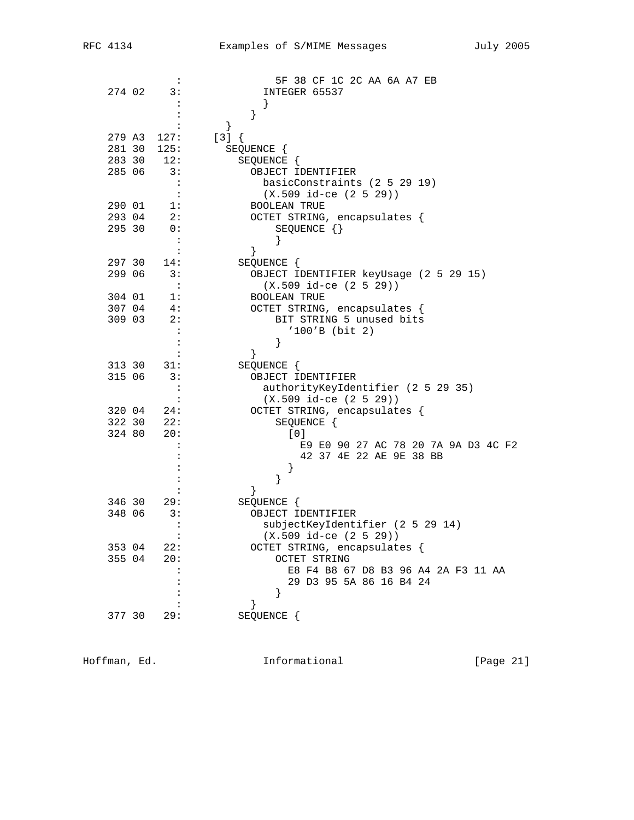|                  | ÷                          | 5F 38 CF 1C 2C AA 6A A7 EB                                       |
|------------------|----------------------------|------------------------------------------------------------------|
| 274 02           | 3:                         | INTEGER 65537                                                    |
|                  |                            |                                                                  |
|                  |                            |                                                                  |
|                  |                            | }                                                                |
| 279 A3           | 127:                       | $[3] { }$                                                        |
| 281 30           | 125:                       | SEQUENCE {                                                       |
| 283 30<br>285 06 | 12:                        | SEQUENCE {                                                       |
|                  | 3:<br>$\ddot{\phantom{a}}$ | OBJECT IDENTIFIER                                                |
|                  | $\ddot{\cdot}$             | basicConstraints (2 5 29 19)<br>$(X.509$ id-ce $(2 5 29)$        |
| 290 01           | 1:                         | <b>BOOLEAN TRUE</b>                                              |
| 293 04           | 2:                         | OCTET STRING, encapsulates {                                     |
| 295 30           | 0:                         | SEQUENCE $\{\}$                                                  |
|                  | $\ddot{\cdot}$             |                                                                  |
|                  | :                          | }                                                                |
| 297 30           | 14:                        | SEQUENCE {                                                       |
| 299 06           | 3:                         | OBJECT IDENTIFIER keyUsage (2 5 29 15)                           |
|                  | $\cdot$ :                  | $(X.509$ id-ce $(2 5 29))$                                       |
| 304 01           | 1:                         | <b>BOOLEAN TRUE</b>                                              |
| 307 04           | 4:                         | OCTET STRING, encapsulates {                                     |
| 309 03           | 2:                         | BIT STRING 5 unused bits                                         |
|                  | $\ddot{\phantom{a}}$       | $'100'B$ (bit 2)                                                 |
|                  | :                          | }                                                                |
|                  | :                          | }                                                                |
| 313 30           | 31:                        | SEQUENCE {                                                       |
| 315 06           | 3:                         | OBJECT IDENTIFIER                                                |
|                  | :                          | authorityKeyIdentifier (2 5 29 35)<br>$(X.509$ id-ce $(2 5 29))$ |
| 320 04           | 24:                        | OCTET STRING, encapsulates {                                     |
| 322 30           | 22:                        | SEQUENCE {                                                       |
| 324 80           | 20:                        | [0]                                                              |
|                  |                            | E9 E0 90 27 AC 78 20 7A 9A D3 4C F2                              |
|                  |                            | 42 37 4E 22 AE 9E 38 BB                                          |
|                  |                            | $\}$                                                             |
|                  |                            | }                                                                |
|                  |                            | ł                                                                |
| 346 30           | 29:                        | SEQUENCE {                                                       |
| 348 06           | 3:                         | OBJECT IDENTIFIER                                                |
|                  | $\ddot{\cdot}$             | subjectKeyIdentifier (2 5 29 14)                                 |
|                  |                            | $(X.509$ id-ce $(2 5 29)$                                        |
| 353 04           | 22:                        | OCTET STRING, encapsulates {                                     |
| 355 04           | 20:                        | <b>OCTET STRING</b>                                              |
|                  |                            | E8 F4 B8 67 D8 B3 96 A4 2A F3 11 AA<br>29 D3 95 5A 86 16 B4 24   |
|                  |                            |                                                                  |
|                  |                            | ł                                                                |
| 377 30           | 29:                        | SEQUENCE {                                                       |
|                  |                            |                                                                  |

Hoffman, Ed. 10. Informational 1999 [Page 21]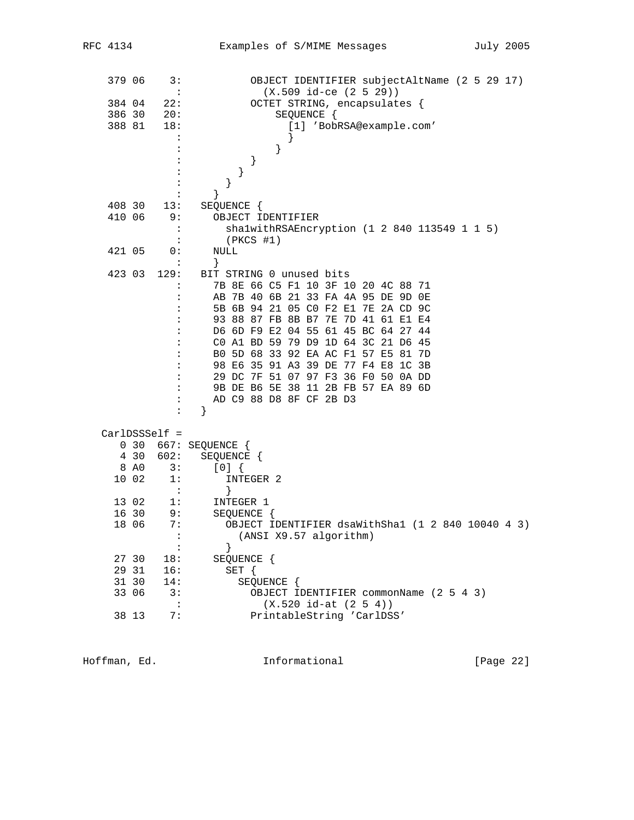| 379 06 |       | 3:                         | OBJECT IDENTIFIER subjectAltName (2 5 29 17)      |
|--------|-------|----------------------------|---------------------------------------------------|
|        |       | $\cdot$ :                  | $(X.509$ id-ce $(2 5 29))$                        |
| 384 04 |       | 22:                        | OCTET STRING, encapsulates {                      |
| 386 30 |       | 20:                        | SEQUENCE {                                        |
| 388 81 |       | 18:                        | [1] 'BobRSA@example.com'                          |
|        |       |                            | ł                                                 |
|        |       |                            | }                                                 |
|        |       |                            | }                                                 |
|        |       |                            | }                                                 |
|        |       |                            |                                                   |
|        |       |                            | }                                                 |
| 408 30 |       | 13:                        | SEQUENCE {                                        |
| 410 06 |       | 9 :                        | OBJECT IDENTIFIER                                 |
|        |       | $\ddot{\cdot}$             | shalwithRSAEncryption (1 2 840 113549 1 1 5)      |
|        |       |                            | $(PKCS$ #1)                                       |
| 421 05 |       | 0:<br>$\ddot{\phantom{a}}$ | NULL<br>}                                         |
| 423 03 |       | 129:                       | BIT STRING 0 unused bits                          |
|        |       | $\ddot{\phantom{a}}$       | 7B 8E 66 C5 F1 10 3F 10 20 4C 88 71               |
|        |       |                            | AB 7B 40 6B 21 33 FA 4A 95 DE 9D 0E               |
|        |       |                            | 5B 6B 94 21 05 CO F2 E1 7E 2A CD 9C               |
|        |       |                            | 93 88 87 FB 8B B7 7E 7D 41 61 E1 E4               |
|        |       |                            | D6 6D F9 E2 04 55 61 45 BC 64 27 44               |
|        |       |                            | CO A1 BD 59 79 D9 1D 64 3C 21 D6 45               |
|        |       |                            | B0 5D 68 33 92 EA AC F1 57 E5 81 7D               |
|        |       |                            | 98 E6 35 91 A3 39 DE 77 F4 E8 1C 3B               |
|        |       |                            | 29 DC 7F 51 07 97 F3 36 F0 50 0A DD               |
|        |       | :                          | 9B DE B6 5E 38 11 2B FB 57 EA 89 6D               |
|        |       | :                          | AD C9 88 D8 8F CF 2B D3                           |
|        |       | :                          | }                                                 |
|        |       | $CarDSSSelf =$             |                                                   |
|        | 0 30  |                            | 667: SEQUENCE                                     |
|        | 4 30  | 602:                       | SEQUENCE {                                        |
|        | 8 AO  | 3:                         | [0]                                               |
|        | 10 02 | 1:                         | INTEGER 2                                         |
|        |       | $\mathbf{L}$               | }                                                 |
|        | 13 02 | 1:                         | INTEGER 1                                         |
|        | 16 30 | 9:                         | SEQUENCE {                                        |
|        | 18 06 | 7:                         | OBJECT IDENTIFIER dsaWithSha1 (1 2 840 10040 4 3) |
|        |       |                            | (ANSI X9.57 algorithm)                            |
|        |       |                            | }                                                 |
|        | 27 30 | 18:                        | SEQUENCE {                                        |
|        | 29 31 | 16:                        | SET {                                             |
|        | 31 30 | 14:                        | SEQUENCE {                                        |
|        | 33 06 | 3:                         | OBJECT IDENTIFIER commonName (2 5 4 3)            |
|        |       | $\cdot$ :                  | $(X.520 id-at (2 5 4))$                           |
|        | 38 13 | 7:                         | PrintableString 'CarlDSS'                         |

Hoffman, Ed. 10. Informational 1.1 [Page 22]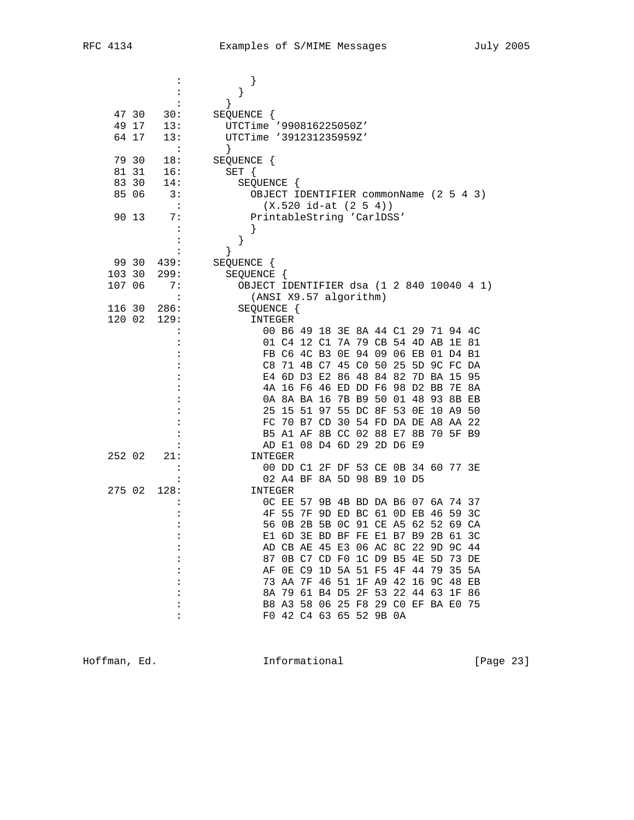|        |       |           | $\mathbf{r}$                              |                                     |  |  |  |             |  |                |
|--------|-------|-----------|-------------------------------------------|-------------------------------------|--|--|--|-------------|--|----------------|
|        |       |           | }                                         |                                     |  |  |  |             |  |                |
|        |       |           | }                                         |                                     |  |  |  |             |  |                |
|        | 47 30 | 30:       | SEQUENCE {                                |                                     |  |  |  |             |  |                |
|        | 49 17 | 13:       | UTCTime '990816225050Z'                   |                                     |  |  |  |             |  |                |
|        | 64 17 | 13:       | UTCTime '391231235959Z'                   |                                     |  |  |  |             |  |                |
|        |       | :         | }                                         |                                     |  |  |  |             |  |                |
| 79 30  |       | 18:       | SEQUENCE {                                |                                     |  |  |  |             |  |                |
|        | 81 31 |           |                                           |                                     |  |  |  |             |  |                |
|        |       | 16:       | $SET \{$                                  |                                     |  |  |  |             |  |                |
|        | 83 30 | 14:       | SEQUENCE {                                |                                     |  |  |  |             |  |                |
|        | 85 06 | 3:        | OBJECT IDENTIFIER commonName (2 5 4 3)    |                                     |  |  |  |             |  |                |
|        |       | $\cdot$ : |                                           | $(X.520 id-at (2 5 4))$             |  |  |  |             |  |                |
| 90 13  |       | 7:        | PrintableString 'CarlDSS'                 |                                     |  |  |  |             |  |                |
|        |       |           |                                           |                                     |  |  |  |             |  |                |
|        |       |           | }                                         |                                     |  |  |  |             |  |                |
|        |       |           | }                                         |                                     |  |  |  |             |  |                |
|        | 99 30 | 439:      | SEQUENCE {                                |                                     |  |  |  |             |  |                |
| 103 30 |       | 299:      | SEQUENCE {                                |                                     |  |  |  |             |  |                |
| 107 06 |       | 7:        | OBJECT IDENTIFIER dsa (1 2 840 10040 4 1) |                                     |  |  |  |             |  |                |
|        |       | :         | (ANSI X9.57 algorithm)                    |                                     |  |  |  |             |  |                |
| 116 30 |       | 286:      | SEQUENCE {                                |                                     |  |  |  |             |  |                |
| 120 02 |       | 129:      | INTEGER                                   |                                     |  |  |  |             |  |                |
|        |       |           |                                           | 00 B6 49 18 3E 8A 44 C1 29 71 94 4C |  |  |  |             |  |                |
|        |       |           |                                           | 01 C4 12 C1 7A 79 CB 54 4D AB 1E 81 |  |  |  |             |  |                |
|        |       |           |                                           | FB C6 4C B3 OE 94 09 06 EB 01 D4 B1 |  |  |  |             |  |                |
|        |       |           |                                           | C8 71 4B C7 45 C0 50 25 5D 9C FC DA |  |  |  |             |  |                |
|        |       |           |                                           | E4 6D D3 E2 86 48 84 82             |  |  |  | 7D BA 15 95 |  |                |
|        |       |           |                                           | 4A 16 F6 46 ED DD F6 98 D2 BB 7E 8A |  |  |  |             |  |                |
|        |       |           |                                           | 0A 8A BA 16 7B B9 50 01 48 93 8B EB |  |  |  |             |  |                |
|        |       |           |                                           | 25 15 51 97 55 DC 8F 53 0E 10 A9 50 |  |  |  |             |  |                |
|        |       |           |                                           | FC 70 B7 CD 30 54 FD DA DE A8 AA 22 |  |  |  |             |  |                |
|        |       |           |                                           | B5 A1 AF 8B CC 02 88 E7 8B 70 5F B9 |  |  |  |             |  |                |
|        |       |           |                                           | AD E1 08 D4 6D 29 2D D6 E9          |  |  |  |             |  |                |
| 252 02 |       | 21:       | INTEGER                                   |                                     |  |  |  |             |  |                |
|        |       |           |                                           | 00 DD C1 2F DF 53 CE 0B 34 60 77 3E |  |  |  |             |  |                |
|        |       |           |                                           | 02 A4 BF 8A 5D 98 B9 10 D5          |  |  |  |             |  |                |
| 275 02 |       | 128:      | INTEGER                                   |                                     |  |  |  |             |  |                |
|        |       |           |                                           |                                     |  |  |  |             |  |                |
|        |       |           |                                           | OC EE 57 9B 4B BD DA B6 07 6A 74 37 |  |  |  |             |  |                |
|        |       |           | 4F                                        | 55 7F 9D ED BC 61 0D EB 46 59       |  |  |  |             |  | 3 <sup>c</sup> |
|        |       |           |                                           | 56 0B 2B 5B 0C 91 CE A5 62 52 69 CA |  |  |  |             |  |                |
|        |       |           |                                           | E1 6D 3E BD BF FE E1 B7 B9 2B 61 3C |  |  |  |             |  |                |
|        |       |           |                                           | AD CB AE 45 E3 06 AC 8C 22 9D 9C 44 |  |  |  |             |  |                |
|        |       |           |                                           | 87 OB C7 CD F0 1C D9 B5 4E 5D 73 DE |  |  |  |             |  |                |
|        |       |           |                                           | AF OE C9 1D 5A 51 F5 4F 44 79 35 5A |  |  |  |             |  |                |
|        |       |           |                                           | 73 AA 7F 46 51 1F A9 42 16 9C 48 EB |  |  |  |             |  |                |
|        |       |           |                                           | 8A 79 61 B4 D5 2F 53 22 44 63 1F 86 |  |  |  |             |  |                |
|        |       |           |                                           | B8 A3 58 06 25 F8 29 C0 EF BA E0 75 |  |  |  |             |  |                |
|        |       | :         |                                           | F0 42 C4 63 65 52 9B 0A             |  |  |  |             |  |                |

Hoffman, Ed. 1nformational 1999 [Page 23]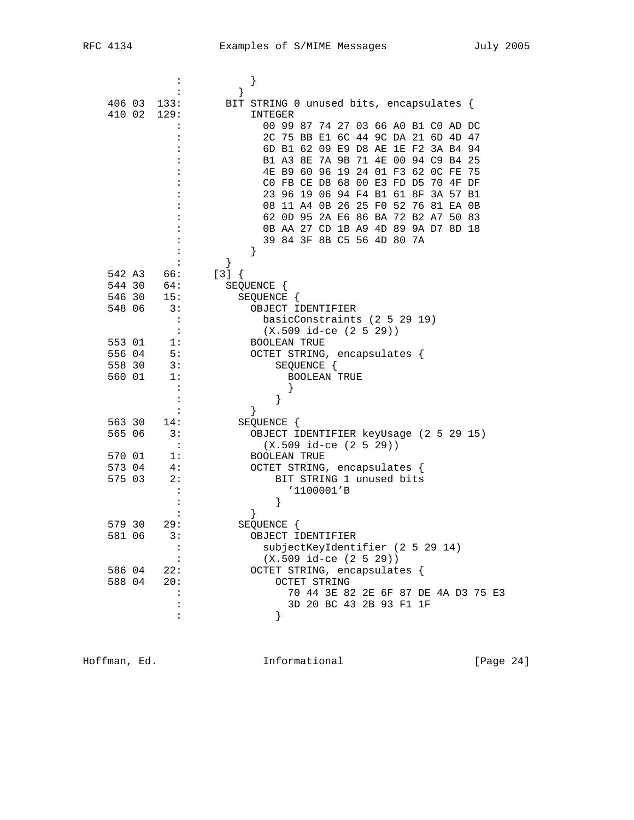| 406 03 133:          |                      | BIT STRING 0 unused bits, encapsulates { |
|----------------------|----------------------|------------------------------------------|
| 410 02 129:          |                      | INTEGER                                  |
|                      |                      | 00 99 87 74 27 03 66 A0 B1 C0 AD DC      |
|                      |                      | 2C 75 BB E1 6C 44 9C DA 21 6D 4D 47      |
|                      |                      | 6D B1 62 09 E9 D8 AE 1E F2 3A B4 94      |
|                      |                      | B1 A3 8E 7A 9B 71 4E 00 94 C9 B4 25      |
|                      |                      | 4E B9 60 96 19 24 01 F3 62 0C FE<br>75   |
|                      |                      | CO FB CE D8 68 00 E3 FD D5 70 4F DF      |
|                      |                      | 23 96 19 06 94 F4 B1 61 8F 3A 57 B1      |
|                      |                      | 08 11 A4 0B 26 25 F0 52 76 81 EA 0B      |
|                      |                      | 62 OD 95 2A E6 86 BA 72 B2 A7 50 83      |
|                      |                      | 0B AA 27 CD 1B A9 4D 89 9A D7 8D 18      |
|                      |                      | 39 84 3F 8B C5 56 4D 80 7A               |
|                      |                      | }                                        |
|                      |                      |                                          |
| 542 A3 66:           | $[3]$ {              |                                          |
| 544 30<br>64:<br>15: |                      | SEQUENCE {                               |
| 546 30               | 15:                  | SEQUENCE {                               |
| 548 06               | 3:                   | OBJECT IDENTIFIER                        |
|                      | $\ddot{\cdot}$       | basicConstraints (2 5 29 19)             |
|                      | $\ddot{\phantom{a}}$ | $(X.509 id-ce (2 5 29))$                 |
| 553 01               | 1:                   | <b>BOOLEAN TRUE</b>                      |
| 556 04               | 5:                   | OCTET STRING, encapsulates {             |
| 558 30               | 3:                   | SEQUENCE {                               |
| 560 01               | 1:                   | <b>BOOLEAN TRUE</b>                      |
|                      |                      |                                          |
|                      |                      | }                                        |
|                      |                      |                                          |
| 563 30               | 14:                  | SEQUENCE {                               |
| 565 06               | 3:                   | OBJECT IDENTIFIER keyUsage (2 5 29 15)   |
|                      | $\ddot{\phantom{a}}$ | $(X.509 id-ce (2 5 29))$                 |
| 570 01               | l:                   | <b>BOOLEAN TRUE</b>                      |
| 573 04               | 4:                   | OCTET STRING, encapsulates {             |
| 575 03               | 2:                   | BIT STRING 1 unused bits                 |
|                      |                      | '1100001'B                               |
|                      |                      | $\}$                                     |
|                      |                      | ł                                        |
| 579 30               | 29:                  | SEQUENCE {                               |
| 581 06               | 3:                   | OBJECT IDENTIFIER                        |
|                      | $\ddot{\cdot}$       | subjectKeyIdentifier (2 5 29 14)         |
|                      |                      | $(X.509$ id-ce $(2 5 29))$               |
| 586 04               | 22:                  | OCTET STRING, encapsulates {             |
| 588 04               | 20:                  | OCTET STRING                             |
|                      |                      | 70 44 3E 82 2E 6F 87 DE 4A D3 75 E3      |
|                      |                      | 3D 20 BC 43 2B 93 F1 1F                  |
|                      |                      |                                          |

Hoffman, Ed. 1nformational 1999 [Page 24]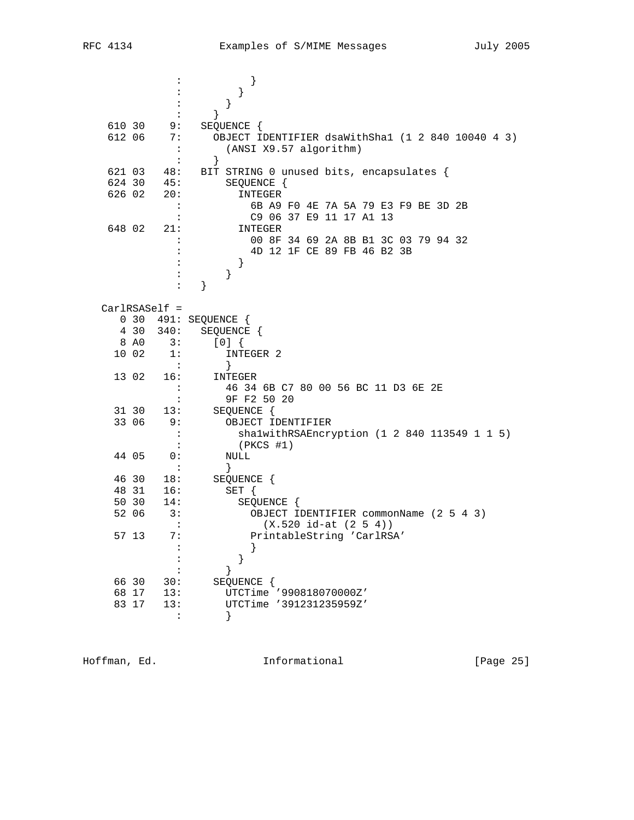|                  |                              | }<br>:                                                                           |
|------------------|------------------------------|----------------------------------------------------------------------------------|
|                  |                              | }                                                                                |
|                  |                              | }                                                                                |
|                  |                              | $\}$                                                                             |
| 610 30<br>612 06 | 9:<br>7 :                    | SEQUENCE {                                                                       |
|                  |                              | OBJECT IDENTIFIER dsaWithSha1 (1 2 840 10040 4 3)<br>(ANSI X9.57 algorithm)<br>: |
|                  |                              | ł<br>$\ddot{\cdot}$                                                              |
| 621 03           | 48:                          | BIT STRING 0 unused bits, encapsulates {                                         |
| 624 30           | 45:                          | SEQUENCE {                                                                       |
| 626 02           | 20:                          | INTEGER                                                                          |
|                  |                              | 6B A9 F0 4E 7A 5A 79 E3 F9 BE 3D 2B<br>$\ddot{\cdot}$                            |
|                  |                              | C9 06 37 E9 11 17 A1 13<br>$\ddot{\cdot}$                                        |
| 648 02           | 21:                          | INTEGER                                                                          |
|                  |                              | 00 8F 34 69 2A 8B B1 3C 03 79 94 32                                              |
|                  |                              | 4D 12 1F CE 89 FB 46 B2 3B                                                       |
|                  |                              | $\left\{ \right\}$<br>$\}$                                                       |
|                  |                              | }<br>$\ddot{\cdot}$                                                              |
|                  |                              |                                                                                  |
|                  | $CarlRSASelf =$              |                                                                                  |
|                  |                              | 0 30 491: SEQUENCE {                                                             |
|                  | 4 30<br>340:                 | SEQUENCE {                                                                       |
|                  | 8 A <sub>0</sub><br>3:       | [0]                                                                              |
|                  | 10 02<br>1:                  | INTEGER 2                                                                        |
|                  | $\cdot$ :<br>16:             | ł                                                                                |
|                  | 13 02                        | INTEGER<br>46 34 6B C7 80 00 56 BC 11 D3 6E 2E<br>$\ddot{\cdot}$                 |
|                  |                              | 9F F2 50 20<br>:                                                                 |
|                  | 31 30<br>13:                 | SEQUENCE {                                                                       |
|                  | 33 06<br>9:                  | OBJECT IDENTIFIER                                                                |
|                  |                              | shalwithRSAEncryption (1 2 840 113549 1 1 5)<br>$\ddot{\phantom{a}}$             |
|                  |                              | $\cdot$<br>(PKCS #1)                                                             |
|                  | 44 05<br>0:                  | NULL                                                                             |
|                  |                              | }<br>$\cdot$ :                                                                   |
|                  | 46 30<br>18:<br>48 31<br>16: | SEQUENCE {                                                                       |
|                  | 50 30<br>14:                 | SET {<br>SEQUENCE {                                                              |
|                  | 52 06<br>3:                  | OBJECT IDENTIFIER commonName (2 5 4 3)                                           |
|                  |                              | $(X.520 id-at (2 5 4))$<br>$\ddot{\cdot}$                                        |
|                  | 57 13<br>7 :                 | PrintableString 'CarlRSA'                                                        |
|                  |                              |                                                                                  |
|                  |                              |                                                                                  |
|                  |                              |                                                                                  |
|                  | 66 30<br>30:                 | SEQUENCE {                                                                       |
|                  | 68 17<br>13:                 | UTCTime '990818070000Z'                                                          |
|                  | 83 17<br>13:                 | UTCTime '391231235959Z'                                                          |
|                  |                              |                                                                                  |

Hoffman, Ed. 1nformational 1999 [Page 25]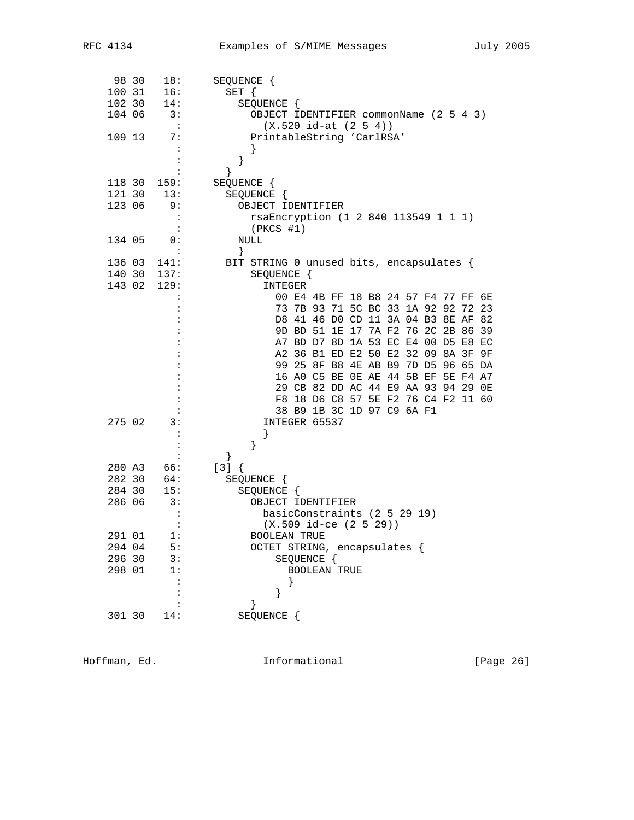|        | 98 30 | 18:            | SEQUENCE {                               |
|--------|-------|----------------|------------------------------------------|
| 100 31 |       | 16:            | $SET \{$                                 |
| 102 30 |       | 14:            | SEQUENCE {                               |
| 104 06 |       | 3:             | OBJECT IDENTIFIER commonName (2 5 4 3)   |
|        |       | $\ddot{\cdot}$ | $(X.520 id-at (2 5 4))$                  |
| 109 13 |       | 7:             | PrintableString 'CarlRSA'                |
|        |       | :              | }                                        |
|        |       |                | }                                        |
|        |       |                | }                                        |
| 118 30 |       | 159:           | SEQUENCE {                               |
| 121 30 |       | 13:            | SEQUENCE {                               |
| 123 06 |       |                |                                          |
|        |       | 9:             | OBJECT IDENTIFIER                        |
|        |       | :              | rsaEncryption (1 2 840 113549 1 1 1)     |
|        |       |                | $(PKCS$ #1)                              |
| 134 05 |       | 0:             | NULL                                     |
|        |       |                | }                                        |
| 136 03 |       | 141:           | BIT STRING 0 unused bits, encapsulates { |
| 140 30 |       | 137:           | SEQUENCE {                               |
| 143 02 |       | 129:           | INTEGER                                  |
|        |       |                | 00 E4 4B FF 18 B8 24 57 F4 77 FF 6E      |
|        |       |                | 73 7B 93 71 5C BC 33 1A 92 92<br>72 23   |
|        |       |                | D8 41 46 D0 CD 11 3A 04 B3 8E AF<br>82   |
|        |       |                | 9D BD 51 1E 17 7A F2 76 2C 2B 86<br>39   |
|        |       |                | A7 BD D7 8D 1A 53 EC E4 00 D5 E8 EC      |
|        |       |                | A2 36 B1 ED E2 50 E2 32 09 8A 3F 9F      |
|        |       |                | 99 25 8F B8 4E AB B9 7D D5 96 65 DA      |
|        |       |                | 16 AO C5 BE OE AE 44 5B EF 5E F4 A7      |
|        |       |                | 29 CB 82 DD AC 44 E9 AA 93 94 29 OE      |
|        |       |                | F8 18 D6 C8 57 5E F2 76 C4 F2 11 60      |
|        |       |                | 38 B9 1B 3C 1D 97 C9 6A F1               |
| 275 02 |       | 3:             | INTEGER 65537                            |
|        |       |                |                                          |
|        |       |                | }                                        |
|        |       |                | }                                        |
| 280 A3 |       | 66:            | $[3] { }$                                |
| 282 30 |       | 64:            | SEQUENCE {                               |
| 284 30 |       | 15:            | SEQUENCE {                               |
| 286 06 |       | 3:             | OBJECT IDENTIFIER                        |
|        |       | $\ddot{\cdot}$ | basicConstraints (2 5 29 19)             |
|        |       | :              | $(X.509$ id-ce $(2 5 29)$                |
| 291 01 |       | 1:             | <b>BOOLEAN TRUE</b>                      |
| 294 04 |       | 5:             | OCTET STRING, encapsulates {             |
| 296 30 |       | 3:             | SEQUENCE {                               |
| 298 01 |       | 1:             | <b>BOOLEAN TRUE</b>                      |
|        |       |                |                                          |
|        |       |                | }                                        |
|        |       |                |                                          |
|        |       |                |                                          |
| 301 30 |       | 14:            | SEQUENCE {                               |

Hoffman, Ed. 1nformational 1999 [Page 26]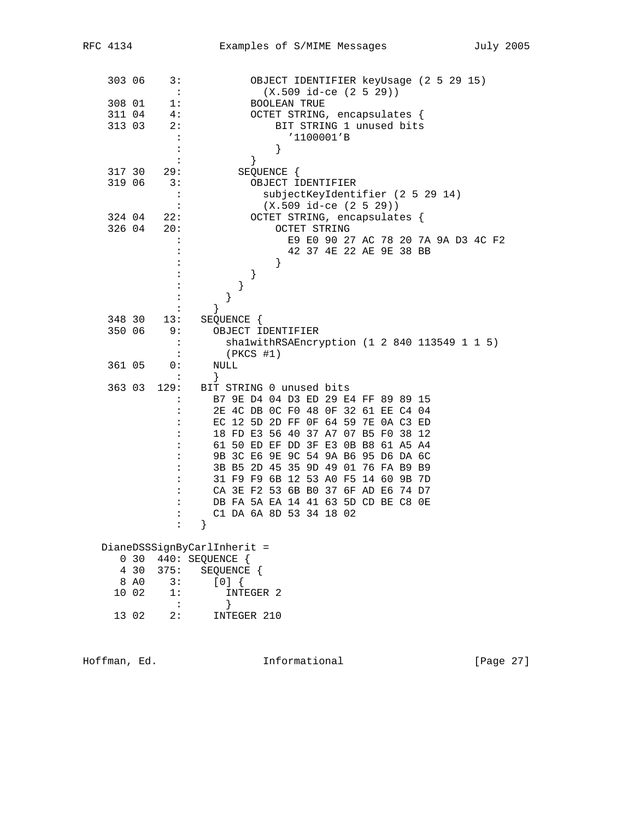| 303 06 |                 | 3:<br>$\cdot$        | OBJECT IDENTIFIER keyUsage (2 5 29 15)<br>$(X.509$ id-ce $(2 5 29))$ |
|--------|-----------------|----------------------|----------------------------------------------------------------------|
| 308 01 |                 | 1:                   | <b>BOOLEAN TRUE</b>                                                  |
| 311 04 |                 | 4:                   | OCTET STRING, encapsulates {                                         |
| 313 03 |                 | 2:                   | BIT STRING 1 unused bits                                             |
|        |                 | :                    | '1100001'B                                                           |
|        |                 | $\ddot{\cdot}$       | }                                                                    |
|        |                 |                      | }                                                                    |
| 317 30 |                 | 29:                  | SEQUENCE {                                                           |
| 319 06 |                 | 3:                   | OBJECT IDENTIFIER                                                    |
|        |                 | $\ddot{\phantom{a}}$ | subjectKeyIdentifier (2 5 29 14)                                     |
|        |                 | $\ddot{\phantom{a}}$ | $(X.509$ id-ce $(2 5 29))$                                           |
| 324 04 |                 | 22:                  | OCTET STRING, encapsulates {                                         |
| 326 04 |                 | 20:                  | OCTET STRING                                                         |
|        |                 |                      | E9 E0 90 27 AC 78 20 7A 9A D3 4C F2                                  |
|        |                 |                      | 42 37 4E 22 AE 9E 38 BB                                              |
|        |                 |                      | }                                                                    |
|        |                 |                      | $\}$                                                                 |
|        |                 |                      | $\}$                                                                 |
|        |                 |                      | }                                                                    |
|        |                 |                      | $\left\{ \right\}$                                                   |
| 348 30 |                 | 13:                  | SEQUENCE {                                                           |
| 350 06 |                 | 9:                   | OBJECT IDENTIFIER                                                    |
|        |                 | :                    | shalwithRSAEncryption (1 2 840 113549 1 1 5)                         |
|        |                 | $\ddot{\cdot}$       | $(PKCS$ #1)                                                          |
| 361 05 |                 | 0:                   | NULL                                                                 |
|        |                 | :                    | }                                                                    |
| 363 03 |                 | 129:                 | BIT STRING 0 unused bits                                             |
|        |                 |                      | B7 9E D4 04 D3 ED 29 E4 FF 89 89 15                                  |
|        |                 |                      | 2E 4C DB 0C F0 48 0F 32 61 EE C4 04                                  |
|        |                 |                      | EC 12 5D 2D FF 0F 64 59 7E 0A C3 ED                                  |
|        |                 |                      | 18 FD E3 56 40 37 A7 07 B5 F0 38 12                                  |
|        |                 |                      | 61 50 ED EF DD 3F E3 0B B8 61 A5 A4                                  |
|        |                 |                      | 9B 3C E6 9E 9C 54 9A B6 95 D6 DA 6C                                  |
|        |                 |                      | 3B B5 2D 45 35 9D 49 01 76 FA B9 B9                                  |
|        |                 |                      | 31 F9 F9 6B 12 53 A0 F5 14 60 9B 7D                                  |
|        |                 |                      | CA 3E F2 53 6B B0 37 6F AD E6 74 D7                                  |
|        |                 |                      | DB FA 5A EA 14 41 63 5D CD BE C8 OE                                  |
|        |                 |                      | C1 DA 6A 8D 53 34 18 02                                              |
|        |                 |                      | ł                                                                    |
|        |                 |                      |                                                                      |
|        | 0 <sub>30</sub> |                      | DianeDSSSignByCarlInherit =<br>440: SEQUENCE {                       |
|        | 4 30            | 375:                 | SEQUENCE {                                                           |
|        | 8 A0            | 3:                   | [0]                                                                  |
|        | 10 02           | 1:                   | INTEGER 2                                                            |
|        |                 |                      | }                                                                    |
|        | 13 02           | 2:                   | INTEGER 210                                                          |
|        |                 |                      |                                                                      |
|        |                 |                      |                                                                      |

Hoffman, Ed. 1nformational 1999 [Page 27]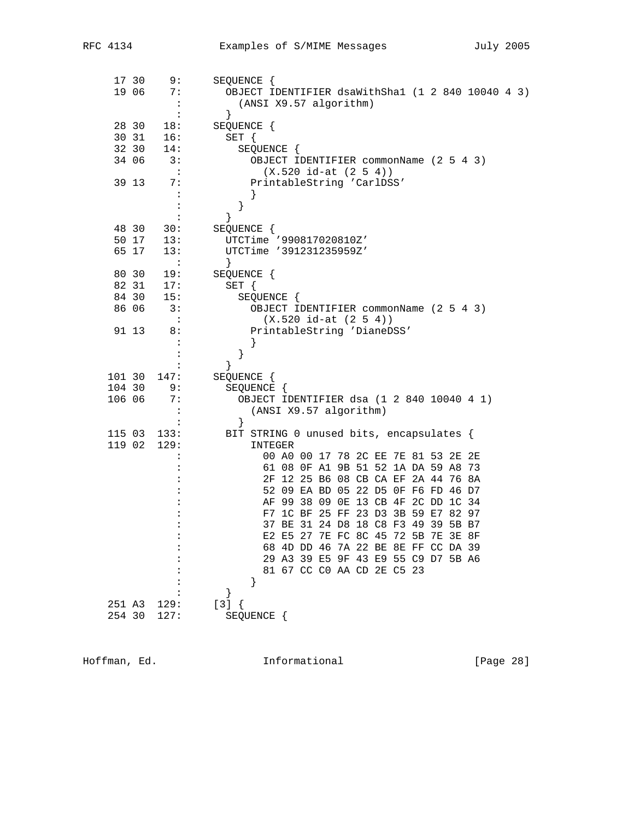|                  | 17 30<br>19 06 | 9:<br>7:                          | SEQUENCE {<br>OBJECT IDENTIFIER dsaWithSha1 (1 2 840 10040 4 3)            |
|------------------|----------------|-----------------------------------|----------------------------------------------------------------------------|
|                  |                | $\cdot$ :<br>$\ddot{\phantom{a}}$ | (ANSI X9.57 algorithm)<br>$\}$                                             |
|                  | 28 30          | 18:                               | SEQUENCE {                                                                 |
|                  | 30 31          | 16:                               | $SET \{$                                                                   |
|                  | 32 30          | 14:                               | SEQUENCE {                                                                 |
|                  | 34 06          | 3:                                | OBJECT IDENTIFIER commonName (2 5 4 3)                                     |
|                  |                | $\cdot$ :                         | $(X.520 id-at (2 5 4))$                                                    |
|                  | 39 13          | 7:                                | PrintableString 'CarlDSS'                                                  |
|                  |                |                                   |                                                                            |
|                  |                |                                   | }                                                                          |
|                  | 48 30          | 30:                               | }<br>SEQUENCE {                                                            |
|                  | 50 17          | 13:                               | UTCTime '990817020810Z'                                                    |
|                  | 65 17          | 13:                               | UTCTime '391231235959Z'                                                    |
|                  |                | $\sim 100$                        |                                                                            |
|                  | 80 30          | 19:                               | SEQUENCE {                                                                 |
|                  |                | $84$ 31 17:<br>$84$ 30 15:        | SET {                                                                      |
|                  |                |                                   | SEQUENCE {                                                                 |
|                  | 86 06          | 3:<br>$\cdot$ :                   | OBJECT IDENTIFIER commonName (2 5 4 3)<br>$(X.520 id-at (2 5 4))$          |
|                  | 91 13          | 8:                                | PrintableString 'DianeDSS'                                                 |
|                  |                |                                   |                                                                            |
|                  |                |                                   | }                                                                          |
|                  |                |                                   | ł                                                                          |
| 101 30           |                | 147:                              | SEQUENCE {                                                                 |
| 104 30           |                | 9:                                | SEQUENCE {                                                                 |
| 106 06           |                | 7:                                | OBJECT IDENTIFIER dsa (1 2 840 10040 4 1)                                  |
|                  |                |                                   | (ANSI X9.57 algorithm)<br>$\}$                                             |
| 115 03           |                | 133:                              | BIT STRING 0 unused bits, encapsulates {                                   |
| 119 02           |                | 129:                              | INTEGER                                                                    |
|                  |                |                                   | 00 A0 00 17 78 2C EE 7E 81 53 2E 2E                                        |
|                  |                |                                   | 61 08 OF A1 9B 51 52 1A DA 59 A8 73                                        |
|                  |                |                                   | 2F 12 25 B6 08 CB CA EF 2A 44 76 8A                                        |
|                  |                |                                   | 52 09 EA BD 05 22 D5 0F F6 FD 46 D7                                        |
|                  |                |                                   | AF 99 38 09 OE 13 CB 4F 2C DD 1C 34<br>F7 1C BF 25 FF 23 D3 3B 59 E7 82 97 |
|                  |                |                                   | 37 BE 31 24 D8 18 C8 F3 49 39 5B B7                                        |
|                  |                |                                   | E2 E5 27 7E FC 8C 45 72 5B 7E 3E 8F                                        |
|                  |                |                                   | 68 4D DD 46 7A 22 BE 8E FF CC DA 39                                        |
|                  |                |                                   | 29 A3 39 E5 9F 43 E9 55 C9 D7 5B A6                                        |
|                  |                |                                   | 81 67 CC CO AA CD 2E C5 23                                                 |
|                  |                |                                   | }                                                                          |
|                  |                |                                   |                                                                            |
| 251 A3<br>254 30 |                | 129:<br>127:                      | $[3]$ {<br>SEQUENCE {                                                      |
|                  |                |                                   |                                                                            |

Hoffman, Ed. 10. Informational 1999 [Page 28]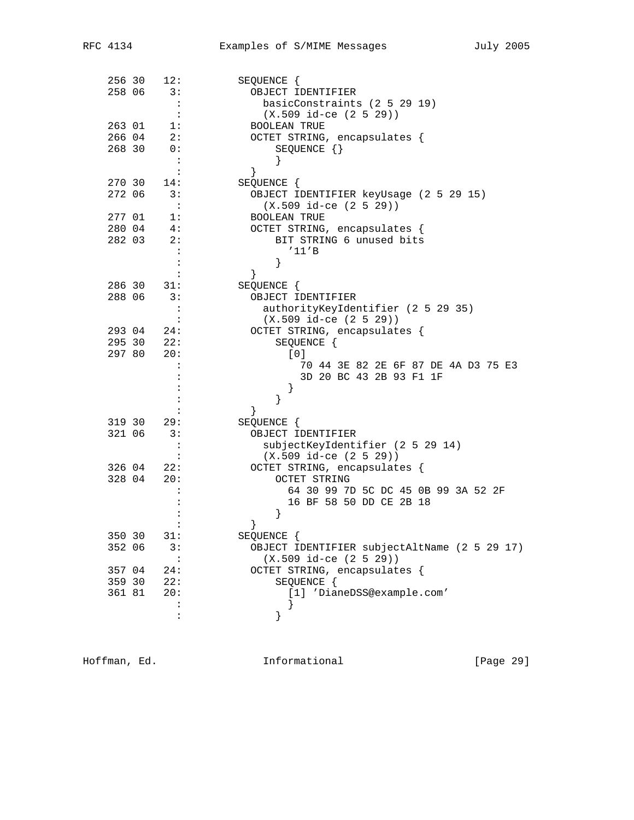| 256 30           | 12:                  | SEQUENCE {                                                 |
|------------------|----------------------|------------------------------------------------------------|
| 258 06           | 3:                   | OBJECT IDENTIFIER                                          |
|                  | $\ddot{\cdot}$       | basicConstraints (2 5 29 19)                               |
|                  | $\cdot$ :            | $(X.509 id-ce (2 5 29))$                                   |
| 263 01<br>266 04 | 1:<br>2:             | <b>BOOLEAN TRUE</b><br>OCTET STRING, encapsulates {        |
| 268 30           | 0:                   | SEQUENCE $\{\}$                                            |
|                  | $\mathbf{L}$         |                                                            |
|                  | $\ddot{\cdot}$       | $\}$                                                       |
| 270 30           | 14:                  | SEQUENCE {                                                 |
| 272 06           | 3:                   | OBJECT IDENTIFIER keyUsage (2 5 29 15)                     |
|                  | $\cdot$ :            | $(X.509$ id-ce $(2 5 29))$                                 |
| 277 01           | 1:                   | <b>BOOLEAN TRUE</b>                                        |
| 280 04           | 4:                   | OCTET STRING, encapsulates {                               |
| 282 03           | 2:                   | BIT STRING 6 unused bits                                   |
|                  | :                    | '11'B                                                      |
|                  |                      | ł                                                          |
| 286 30           | 31:                  | }<br>SEQUENCE {                                            |
| 288 06           | 3:                   | OBJECT IDENTIFIER                                          |
|                  | $\colon$             | authorityKeyIdentifier (2 5 29 35)                         |
|                  | $\ddot{\phantom{a}}$ | $(X.509$ id-ce $(2 5 29))$                                 |
| 293 04           | 24:                  | OCTET STRING, encapsulates {                               |
| 295 30           | 22:                  | SEQUENCE {                                                 |
| 297 80           | 20:                  | [0]                                                        |
|                  | :                    | 70 44 3E 82 2E 6F 87 DE 4A D3 75 E3                        |
|                  |                      | 3D 20 BC 43 2B 93 F1 1F<br>}                               |
|                  |                      | ł                                                          |
|                  |                      | }                                                          |
| 319 30           | 29:                  | SEQUENCE {                                                 |
| 321 06           | 3:                   | OBJECT IDENTIFIER                                          |
|                  | $\ddot{\cdot}$       | subjectKeyIdentifier (2 5 29 14)                           |
|                  | $\ddot{\phantom{a}}$ | $(X.509 id-ce (2 5 29))$                                   |
| 326 04           | 22:                  | OCTET STRING, encapsulates {                               |
| 328 04           | 20:                  | <b>OCTET STRING</b><br>64 30 99 7D 5C DC 45 0B 99 3A 52 2F |
|                  |                      | 16 BF 58 50 DD CE 2B 18                                    |
|                  |                      | }                                                          |
|                  |                      | }                                                          |
| 350 30           | 31:                  | SEQUENCE {                                                 |
| 352 06           | 3:                   | OBJECT IDENTIFIER subjectAltName (2 5 29 17)               |
|                  | :                    | $(X.509$ id-ce $(2 5 29))$                                 |
| 357 04           | 24:                  | OCTET STRING, encapsulates {                               |
| 359 30           | 22:                  | SEQUENCE {                                                 |
| 361 81           | 20:                  | [1] 'DianeDSS@example.com'                                 |
|                  | $\ddot{\cdot}$<br>:  |                                                            |
|                  |                      | }                                                          |

Hoffman, Ed. 10. Informational 1.1 [Page 29]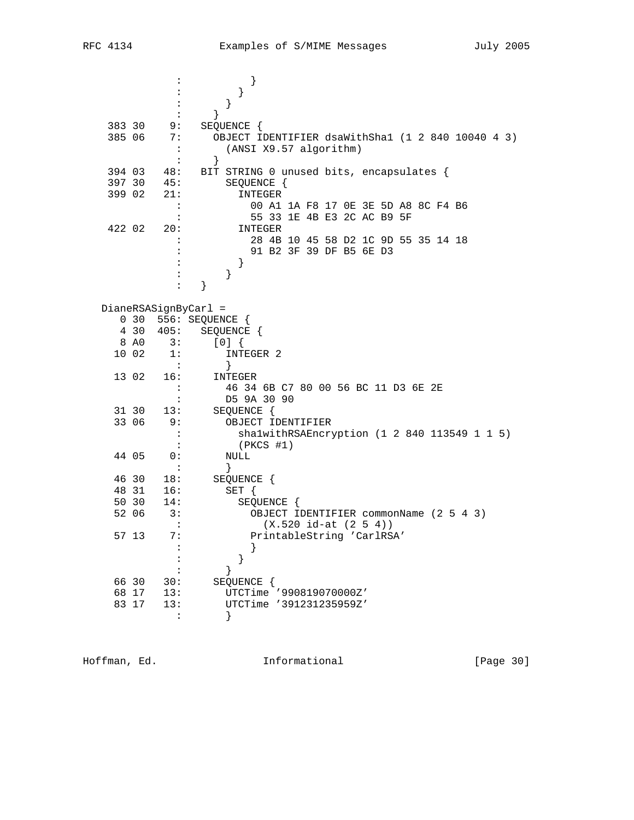| OBJECT IDENTIFIER dsaWithSha1 (1 2 840 10040 4 3)<br>BIT STRING 0 unused bits, encapsulates { |
|-----------------------------------------------------------------------------------------------|
|                                                                                               |
|                                                                                               |
|                                                                                               |
|                                                                                               |
|                                                                                               |
|                                                                                               |
|                                                                                               |
|                                                                                               |
|                                                                                               |
|                                                                                               |
| 00 A1 1A F8 17 OE 3E 5D A8 8C F4 B6                                                           |
|                                                                                               |
|                                                                                               |
| 28 4B 10 45 58 D2 1C 9D 55 35 14 18                                                           |
|                                                                                               |
|                                                                                               |
|                                                                                               |
|                                                                                               |
|                                                                                               |
|                                                                                               |
|                                                                                               |
|                                                                                               |
|                                                                                               |
|                                                                                               |
|                                                                                               |
|                                                                                               |
|                                                                                               |
|                                                                                               |
|                                                                                               |
| shalwithRSAEncryption (1 2 840 113549 1 1 5)                                                  |
|                                                                                               |
|                                                                                               |
|                                                                                               |
|                                                                                               |
|                                                                                               |
|                                                                                               |
| OBJECT IDENTIFIER commonName (2 5 4 3)                                                        |
|                                                                                               |
|                                                                                               |
|                                                                                               |
|                                                                                               |
|                                                                                               |
|                                                                                               |
|                                                                                               |
|                                                                                               |
|                                                                                               |
|                                                                                               |

Hoffman, Ed. 1nformational 1999 [Page 30]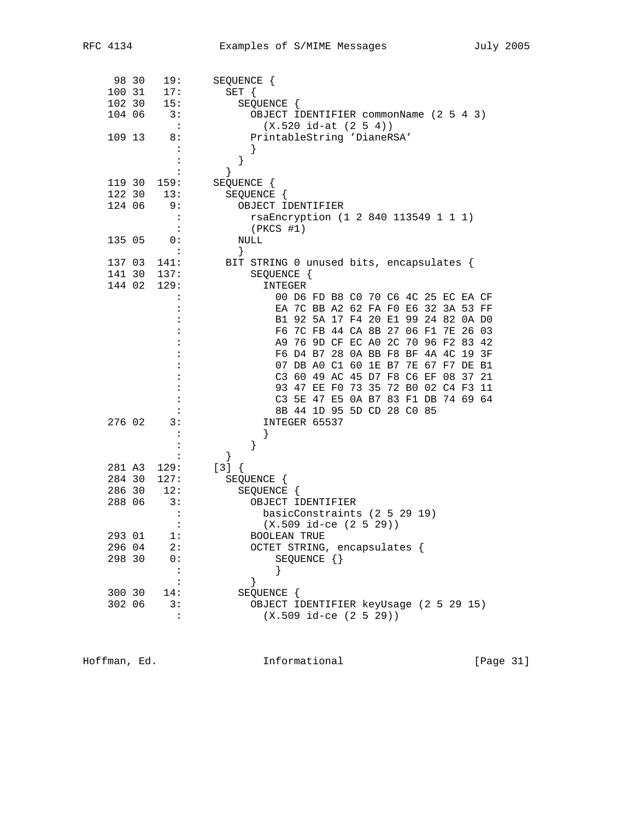| 98 30  | 19:                         | SEQUENCE {                               |
|--------|-----------------------------|------------------------------------------|
| 100 31 | 17:                         | SET {                                    |
| 102 30 | 15:                         | SEQUENCE {                               |
| 104 06 | $\overline{\phantom{a}}$ 3: | OBJECT IDENTIFIER commonName (2 5 4 3)   |
|        | $\ddot{\phantom{1}}$        | $(X.520 id-at (2 5 4))$                  |
| 109 13 | 8:                          | PrintableString 'DianeRSA'               |
|        |                             |                                          |
|        |                             | }                                        |
|        |                             | ł                                        |
| 119 30 | 159:                        | SEQUENCE {                               |
| 122 30 | 13:                         | SEQUENCE {                               |
| 124 06 | 9:                          | OBJECT IDENTIFIER                        |
|        | :                           | rsaEncryption (1 2 840 113549 1 1 1)     |
|        |                             | $(PKCS$ #1)                              |
| 135 05 | 0:                          | NULL                                     |
|        |                             | }                                        |
| 137 03 | 141:                        | BIT STRING 0 unused bits, encapsulates { |
| 141 30 | 137:                        | SEQUENCE {                               |
| 144 02 | 129:                        | INTEGER                                  |
|        | $\ddot{\phantom{a}}$        | 00 D6 FD B8 C0 70 C6 4C 25 EC EA CF      |
|        |                             | EA 7C BB A2 62 FA F0 E6 32 3A 53 FF      |
|        |                             | B1 92 5A 17 F4 20 E1 99 24 82 0A D0      |
|        |                             | F6 7C FB 44 CA 8B 27 06 F1 7E 26 03      |
|        |                             | A9 76 9D CF EC A0 2C 70 96 F2 83 42      |
|        |                             | F6 D4 B7 28 0A BB F8 BF 4A 4C 19 3F      |
|        |                             | 07 DB A0 C1 60 1E B7 7E 67 F7 DE B1      |
|        |                             | C3 60 49 AC 45 D7 F8 C6 EF 08<br>37 21   |
|        |                             | 93 47 EE F0 73 35 72 B0 02 C4 F3 11      |
|        |                             | C3 5E 47 E5 0A B7 83 F1 DB 74 69 64      |
|        |                             | 8B 44 1D 95 5D CD 28 CO 85               |
| 276 02 | 3:                          | INTEGER 65537                            |
|        |                             |                                          |
|        |                             | }                                        |
|        |                             | ł                                        |
| 281 A3 | 129:                        | $[3] { }$                                |
| 284 30 | 127:                        | SEQUENCE {                               |
| 286 30 | 12:                         | SEQUENCE {                               |
| 288 06 | 3:                          | OBJECT IDENTIFIER                        |
|        | :                           | basicConstraints (2 5 29 19)             |
|        |                             | $(X.509$ id-ce $(2 5 29))$               |
| 293 01 | l:                          | BOOLEAN TRUE                             |
| 296 04 | 2:                          | OCTET STRING, encapsulates {             |
| 298 30 | 0:                          | SEQUENCE $\{\}$                          |
|        | $\ddot{\phantom{a}}$        |                                          |
|        | $\ddot{\phantom{a}}$        | }                                        |
| 300 30 | 14:                         | SEQUENCE {                               |
| 302 06 | 3:                          | OBJECT IDENTIFIER keyUsage (2 5 29 15)   |
|        | $\ddot{\cdot}$              | $(X.509$ id-ce $(2 5 29))$               |
|        |                             |                                          |

Hoffman, Ed. 10. Informational 1999 [Page 31]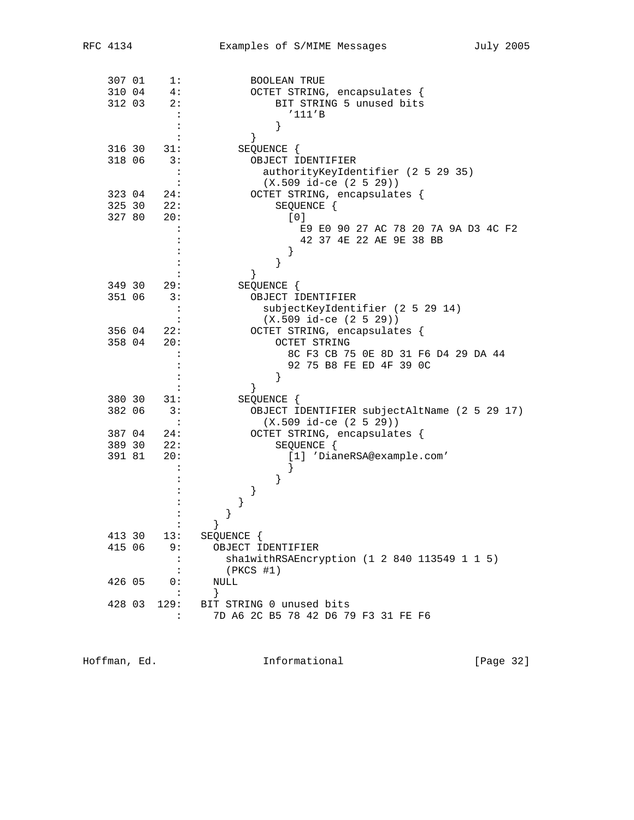| 307 01 | 1:                   | <b>BOOLEAN TRUE</b>                          |
|--------|----------------------|----------------------------------------------|
| 310 04 | 4:                   | OCTET STRING, encapsulates {                 |
| 312 03 | 2:                   | BIT STRING 5 unused bits                     |
|        | $\ddot{\cdot}$       | '111'B                                       |
|        | :                    |                                              |
|        |                      | ł                                            |
| 316 30 | 31:                  | SEQUENCE {                                   |
| 318 06 | 3:                   | OBJECT IDENTIFIER                            |
|        |                      | authorityKeyIdentifier (2 5 29 35)           |
|        | $\colon$             | $(X.509 id-ce (2 5 29))$                     |
| 323 04 | 24:                  | OCTET STRING, encapsulates {                 |
| 325 30 | 22:                  | SEQUENCE {                                   |
| 327 80 | 20:                  | [0]                                          |
|        |                      | E9 E0 90 27 AC 78 20 7A 9A D3 4C F2          |
|        |                      | 42 37 4E 22 AE 9E 38 BB                      |
|        |                      |                                              |
|        |                      | $\}$                                         |
|        |                      | }                                            |
| 349 30 | 29:                  | SEQUENCE {                                   |
|        | 3:                   |                                              |
| 351 06 |                      | OBJECT IDENTIFIER                            |
|        |                      | subjectKeyIdentifier (2 5 29 14)             |
|        | $\ddot{\cdot}$       | $(X.509$ id-ce $(2 5 29)$                    |
| 356 04 | 22:                  | OCTET STRING, encapsulates {                 |
| 358 04 | 20:                  | OCTET STRING                                 |
|        |                      | 8C F3 CB 75 OE 8D 31 F6 D4 29 DA 44          |
|        |                      | 92 75 B8 FE ED 4F 39 OC                      |
|        |                      |                                              |
|        |                      |                                              |
| 380 30 | 31:                  | SEQUENCE {                                   |
| 382 06 | 3:                   | OBJECT IDENTIFIER subjectAltName (2 5 29 17) |
|        | :                    | $(X.509$ id-ce $(2 5 29))$                   |
| 387 04 | 24:                  | OCTET STRING, encapsulates {                 |
| 389 30 | 22:                  | SEQUENCE {                                   |
| 391 81 | 20:                  | [1] 'DianeRSA@example.com'                   |
|        |                      |                                              |
|        |                      | $\}$                                         |
|        |                      | }                                            |
|        |                      | $\}$                                         |
|        |                      |                                              |
|        |                      |                                              |
| 413 30 | 13:                  | SEQUENCE {                                   |
|        |                      |                                              |
| 415 06 | 9 :                  | OBJECT IDENTIFIER                            |
|        | $\ddot{\phantom{a}}$ | shalwithRSAEncryption (1 2 840 113549 1 1 5) |
|        | $\ddot{\cdot}$       | $(PKCS$ #1)                                  |
| 426 05 | 0:                   | NULL                                         |
|        | $\ddot{\phantom{a}}$ | $\}$                                         |
| 428 03 | 129:                 | BIT STRING 0 unused bits                     |
|        | $\ddot{\phantom{a}}$ | 7D A6 2C B5 78 42 D6 79 F3 31 FE F6          |
|        |                      |                                              |

Hoffman, Ed. 10. Informational 1999 [Page 32]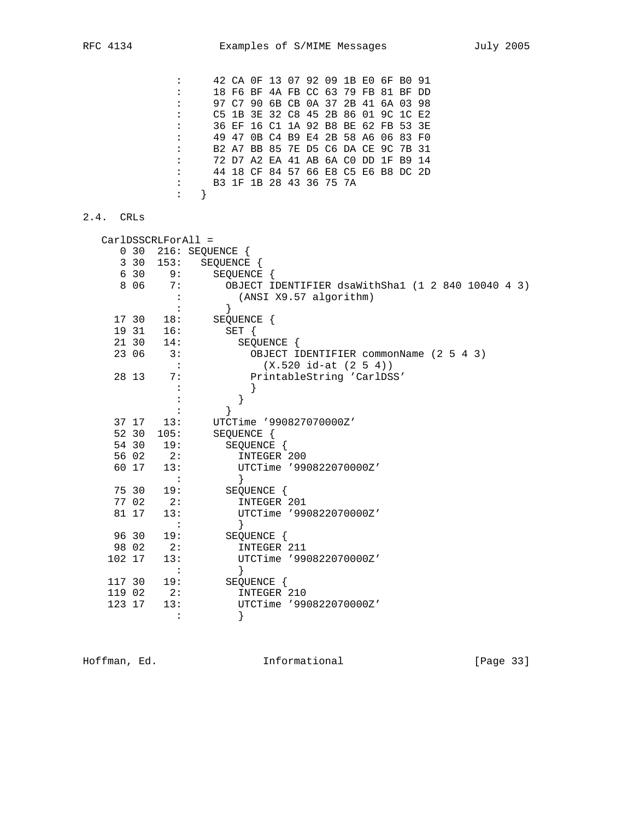: 42 CA 0F 13 07 92 09 1B E0 6F B0 91 : 18 F6 BF 4A FB CC 63 79 FB 81 BF DD : 97 C7 90 6B CB 0A 37 2B 41 6A 03 98 : C5 1B 3E 32 C8 45 2B 86 01 9C 1C E2 : 36 EF 16 C1 1A 92 B8 BE 62 FB 53 3E : 49 47 0B C4 B9 E4 2B 58 A6 06 83 F0 : B2 A7 BB 85 7E D5 C6 DA CE 9C 7B 31 : 72 D7 A2 EA 41 AB 6A C0 DD 1F B9 14 : 44 18 CF 84 57 66 E8 C5 E6 B8 DC 2D : B3 1F 1B 28 43 36 75 7A : }

## 2.4. CRLs

|  |                                                                                                                                                                                                                | 216: SEQUENCE {                                   |
|--|----------------------------------------------------------------------------------------------------------------------------------------------------------------------------------------------------------------|---------------------------------------------------|
|  |                                                                                                                                                                                                                | SEQUENCE {                                        |
|  | 9:                                                                                                                                                                                                             | SEQUENCE {                                        |
|  | 7:                                                                                                                                                                                                             | OBJECT IDENTIFIER dsaWithSha1 (1 2 840 10040 4 3) |
|  |                                                                                                                                                                                                                | (ANSI X9.57 algorithm)                            |
|  |                                                                                                                                                                                                                | }                                                 |
|  | 18:                                                                                                                                                                                                            | SEQUENCE {                                        |
|  | 16:                                                                                                                                                                                                            | SET {                                             |
|  | 14:                                                                                                                                                                                                            | SEQUENCE {                                        |
|  | 3:                                                                                                                                                                                                             | OBJECT IDENTIFIER commonName (2 5 4 3)            |
|  |                                                                                                                                                                                                                | $(X.520 id-at (2 5 4))$                           |
|  | 7:                                                                                                                                                                                                             | PrintableString 'CarlDSS'                         |
|  |                                                                                                                                                                                                                |                                                   |
|  |                                                                                                                                                                                                                |                                                   |
|  |                                                                                                                                                                                                                |                                                   |
|  | 13:                                                                                                                                                                                                            | UTCTime '9908270700002'                           |
|  | 105:                                                                                                                                                                                                           | SEQUENCE {                                        |
|  | 19:                                                                                                                                                                                                            | SEQUENCE {                                        |
|  |                                                                                                                                                                                                                | INTEGER 200                                       |
|  | 13:                                                                                                                                                                                                            | UTCTime '990822070000Z'                           |
|  |                                                                                                                                                                                                                |                                                   |
|  | 19:                                                                                                                                                                                                            | SEQUENCE {                                        |
|  | 2:                                                                                                                                                                                                             | INTEGER 201                                       |
|  | 13:                                                                                                                                                                                                            | UTCTime '990822070000Z'                           |
|  |                                                                                                                                                                                                                |                                                   |
|  | 19:                                                                                                                                                                                                            | SEQUENCE {                                        |
|  | 2:                                                                                                                                                                                                             | INTEGER 211                                       |
|  | 13:                                                                                                                                                                                                            | UTCTime '990822070000Z'                           |
|  |                                                                                                                                                                                                                |                                                   |
|  | 19:                                                                                                                                                                                                            | SEQUENCE {                                        |
|  | 2:                                                                                                                                                                                                             | INTEGER 210                                       |
|  | 13:                                                                                                                                                                                                            | UTCTime '990822070000Z'                           |
|  |                                                                                                                                                                                                                |                                                   |
|  | 0 <sub>30</sub><br>3 30<br>6 30<br>8 0 6<br>17 30<br>19 31<br>21 30<br>23 06<br>28 13<br>52 30<br>54 30<br>56 02<br>60 17<br>75 30<br>77 02<br>81 17<br>96 30<br>98 02<br>102 17<br>117 30<br>119 02<br>123 17 | CarlDSSCRLForAll =<br>153:<br>37 17<br>2:         |

Hoffman, Ed. 10. Informational 1999 [Page 33]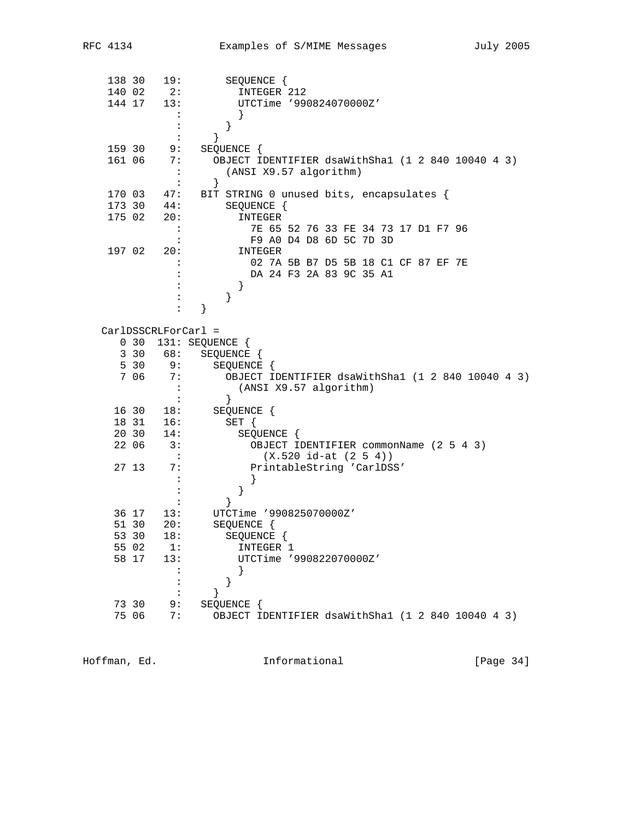| 138 30           | 19:                   | SEQUENCE {                                        |
|------------------|-----------------------|---------------------------------------------------|
| 140 02           | 2:                    | INTEGER 212                                       |
| 144 17           | 13:                   | UTCTime '990824070000Z'                           |
|                  |                       |                                                   |
|                  |                       | }                                                 |
|                  | $\ddot{\cdot}$        | $\}$                                              |
| 159 30           | 9:                    | SEQUENCE {                                        |
| 161 06           | 7 :                   | OBJECT IDENTIFIER dsaWithSha1 (1 2 840 10040 4 3) |
|                  |                       | (ANSI X9.57 algorithm)                            |
|                  | :                     | }                                                 |
| 170 03           | 47:                   | BIT STRING 0 unused bits, encapsulates {          |
| 173 30           | 44:                   | SEQUENCE {                                        |
| 175 02           | 20:                   | INTEGER                                           |
|                  |                       | 7E 65 52 76 33 FE 34 73 17 D1 F7 96               |
|                  |                       | F9 A0 D4 D8 6D 5C 7D 3D                           |
| 197 02           | 20:                   | INTEGER                                           |
|                  |                       | 02 7A 5B B7 D5 5B 18 C1 CF 87 EF 7E               |
|                  |                       | DA 24 F3 2A 83 9C 35 A1                           |
|                  |                       | }                                                 |
|                  |                       | }                                                 |
|                  |                       | }                                                 |
|                  | $CarIDSSCRLForCarl =$ |                                                   |
| $0\quad30$       |                       | 131: SEQUENCE {                                   |
| $3\overline{30}$ | 68:                   | SEQUENCE {                                        |
| 5 30             | 9:                    | SEQUENCE {                                        |
| 7 06             | 7:                    | OBJECT IDENTIFIER dsaWithSha1 (1 2 840 10040 4 3) |
|                  |                       | (ANSI X9.57 algorithm)                            |
|                  |                       | $\}$                                              |
| 16 30            | 18:                   | SEQUENCE {                                        |
| 18 31            | 16:                   | $SET \{$                                          |
| 20 30            | 14:                   | SEQUENCE {                                        |
| 22 06            | 3:                    | OBJECT IDENTIFIER commonName (2 5 4 3)            |
|                  | $\mathbf{L}$          | $(X.520 id-at (2 5 4))$                           |
| 27 13            | 7:                    | PrintableString 'CarlDSS'                         |
|                  | $\ddot{\cdot}$        |                                                   |
|                  |                       | }                                                 |
|                  |                       |                                                   |
| 36 17            | 13:                   | UTCTime '990825070000Z'                           |
| 51 30            | 20:                   | SEQUENCE {                                        |
| 53 30            | 18:                   | SEQUENCE {                                        |
| 55 02            | 1:                    | INTEGER 1                                         |
| 58 17            | 13:                   | UTCTime '990822070000Z'                           |
|                  |                       | }                                                 |
|                  |                       | }                                                 |
|                  | :                     |                                                   |
| 73 30            | 9:                    | SEQUENCE {                                        |
| 75 06            | 7:                    | OBJECT IDENTIFIER dsaWithSha1 (1 2 840 10040 4 3) |
|                  |                       |                                                   |

Hoffman, Ed. 1nformational 1999 [Page 34]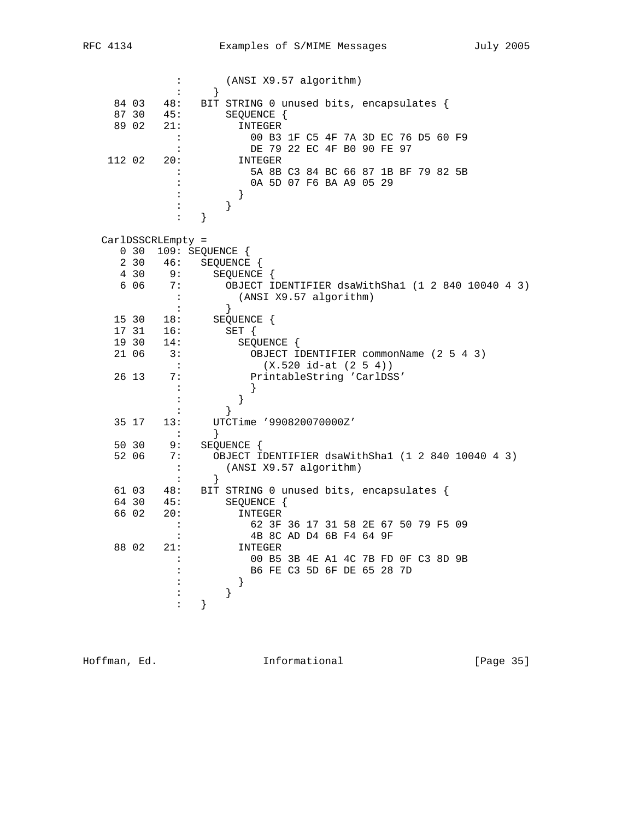|        |       | $\ddot{\phantom{a}}$ | (ANSI X9.57 algorithm)                            |
|--------|-------|----------------------|---------------------------------------------------|
|        |       | $\ddot{\cdot}$       | $\}$                                              |
|        | 84 03 | 48:                  | BIT STRING 0 unused bits, encapsulates {          |
|        | 87 30 | 45:                  | SEQUENCE {                                        |
|        | 89 02 | 21:                  | INTEGER                                           |
|        |       | $\ddot{\phantom{a}}$ | 00 B3 1F C5 4F 7A 3D EC 76 D5 60 F9               |
|        |       | $\ddot{\cdot}$       | DE 79 22 EC 4F B0 90 FE 97                        |
| 112 02 |       | 20:                  | INTEGER                                           |
|        |       | :                    | 5A 8B C3 84 BC 66 87 1B BF 79 82 5B               |
|        |       | :                    | 0A 5D 07 F6 BA A9 05 29                           |
|        |       | :                    | }                                                 |
|        |       | $\ddot{\cdot}$       | $\}$                                              |
|        |       | $\ddot{\phantom{a}}$ | }                                                 |
|        |       |                      |                                                   |
|        |       |                      |                                                   |
|        |       | CarlDSSCRLEmpty =    |                                                   |
|        | 0 30  |                      | 109: SEQUENCE {                                   |
|        | 2 30  | 46:                  | SEQUENCE {                                        |
|        | 4 30  | 9:                   | SEQUENCE {                                        |
|        | 6 0 6 | 7:                   | OBJECT IDENTIFIER dsaWithSha1 (1 2 840 10040 4 3) |
|        |       | $\cdot$ :            | (ANSI X9.57 algorithm)                            |
|        |       | $\mathbf{r}$         | $\}$                                              |
|        | 15 30 | 18:                  | SEQUENCE {                                        |
|        | 17 31 | 16:                  | SET {                                             |
|        | 19 30 | 14:                  | SEQUENCE {                                        |
|        | 21 06 | 3:                   | OBJECT IDENTIFIER commonName (2 5 4 3)            |
|        |       | $\sim$ 1.            | $(X.520 id-at (2 5 4))$                           |
|        | 26 13 | 7:                   | PrintableString 'CarlDSS'                         |
|        |       | $\ddot{\cdot}$       |                                                   |
|        |       | $\ddot{\cdot}$       | ł                                                 |
|        |       | $\ddot{\cdot}$       | }                                                 |
|        | 35 17 | 13:                  | UTCTime '990820070000Z'                           |
|        |       | $\ddot{\phantom{a}}$ | ł                                                 |
|        | 50 30 | 9:                   | SEQUENCE {                                        |
|        | 52 06 | 7:                   | OBJECT IDENTIFIER dsaWithSha1 (1 2 840 10040 4 3) |
|        |       | $\mathbf{E}$         | (ANSI X9.57 algorithm)                            |
|        |       | $\ddot{\phantom{a}}$ |                                                   |
|        |       |                      | $\}$                                              |
|        | 61 03 | 48:                  | BIT STRING 0 unused bits, encapsulates {          |
|        | 64 30 | 45:                  | SEQUENCE {                                        |
|        | 66 02 | 20:                  | INTEGER                                           |
|        |       | $\ddot{\cdot}$       | 62 3F 36 17 31 58 2E 67 50 79 F5 09               |
|        |       | $\ddot{\phantom{a}}$ | 4B 8C AD D4 6B F4 64 9F                           |
|        | 88 02 | 21:                  | INTEGER                                           |
|        |       | :                    | 00 B5 3B 4E A1 4C 7B FD 0F C3 8D 9B               |
|        |       | $\ddot{\cdot}$       | B6 FE C3 5D 6F DE 65 28 7D                        |
|        |       | $\ddot{\cdot}$       | }                                                 |
|        |       | :                    | }                                                 |
|        |       | $\ddot{\cdot}$       | }                                                 |
|        |       |                      |                                                   |

Hoffman, Ed. 10. Informational 1999 [Page 35]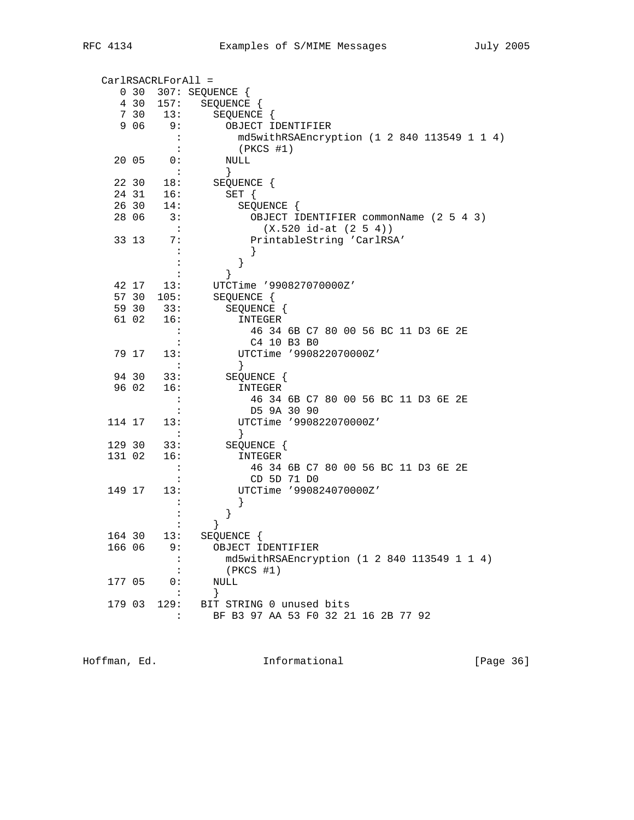|        |       | CarlRSACRLForAll =   |                                             |
|--------|-------|----------------------|---------------------------------------------|
|        |       |                      | 0 30 307: SEQUENCE {                        |
|        | 4 30  | 157:                 | SEQUENCE {                                  |
|        | 7 30  | 13:                  | SEQUENCE {                                  |
|        | 9 0 6 | 9 :                  | OBJECT IDENTIFIER                           |
|        |       |                      | md5withRSAEncryption (1 2 840 113549 1 1 4) |
|        |       |                      | $(PKCS$ #1)                                 |
|        | 20 05 | 0:                   | NULL                                        |
|        |       | $\ddot{\phantom{a}}$ | $\}$                                        |
|        | 22 30 | 18:                  | SEQUENCE {                                  |
|        | 24 31 | 16:                  | $SET \{$                                    |
|        | 26 30 | 14:                  | SEQUENCE {                                  |
|        | 28 06 | 3:                   | OBJECT IDENTIFIER commonName (2 5 4 3)      |
|        |       | $\sim$ 10            | $(X.520 id-at (2 5 4))$                     |
|        | 33 13 | 7:                   | PrintableString 'CarlRSA'                   |
|        |       |                      |                                             |
|        |       |                      | $\}$                                        |
|        |       |                      |                                             |
|        | 42 17 | 13:                  | UTCTime '990827070000Z'                     |
|        |       | 57 30 105:           | SEQUENCE {                                  |
|        | 59 30 | 33:                  | SEQUENCE {                                  |
|        | 61 02 | 16:                  | INTEGER                                     |
|        |       |                      | 46 34 6B C7 80 00 56 BC 11 D3 6E 2E         |
|        | 79 17 | 13:                  | C4 10 B3 B0<br>UTCTime '990822070000Z'      |
|        |       |                      | $\}$                                        |
|        | 94 30 | 33:                  | SEQUENCE {                                  |
|        | 96 02 | 16:                  | INTEGER                                     |
|        |       |                      | 46 34 6B C7 80 00 56 BC 11 D3 6E 2E         |
|        |       |                      | D5 9A 30 90                                 |
| 114 17 |       | 13:                  | UTCTime '990822070000Z'                     |
|        |       | :                    | $\}$                                        |
| 129 30 |       | 33:                  | SEQUENCE {                                  |
| 131 02 |       | 16:                  | INTEGER                                     |
|        |       |                      | 46 34 6B C7 80 00 56 BC 11 D3 6E 2E         |
|        |       |                      | CD 5D 71 D0                                 |
| 149 17 |       | 13:                  | UTCTime '990824070000Z'                     |
|        |       |                      |                                             |
|        |       |                      | }                                           |
|        |       |                      | }                                           |
| 164 30 |       | 13:                  | SEQUENCE {                                  |
| 166 06 |       | 9 :                  | OBJECT IDENTIFIER                           |
|        |       |                      | md5withRSAEncryption (1 2 840 113549 1 1 4) |
|        |       |                      | (PKCS #1)                                   |
| 177 05 |       | 0:                   | NULL                                        |
|        |       |                      | $\}$                                        |
| 179 03 |       | 129:                 | BIT STRING 0 unused bits                    |
|        |       | $\ddot{\cdot}$       | BF B3 97 AA 53 F0 32 21 16 2B 77 92         |

Hoffman, Ed. 1nformational 1999 [Page 36]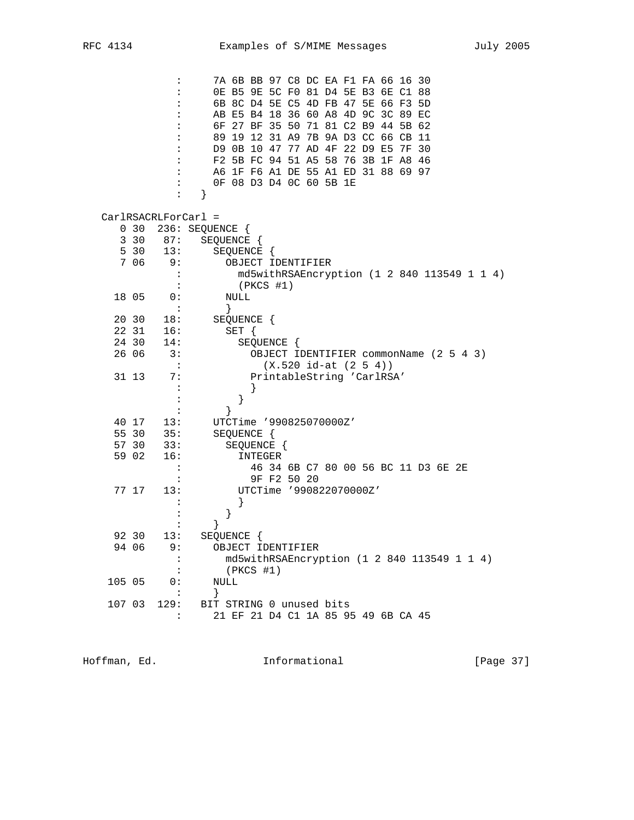|        |                 | :                    | 7A 6B BB 97 C8 DC EA F1 FA 66 16 30                                        |
|--------|-----------------|----------------------|----------------------------------------------------------------------------|
|        |                 | $\ddot{\phantom{a}}$ | OE B5 9E 5C F0 81 D4 5E B3 6E C1 88                                        |
|        |                 |                      | 6B 8C D4 5E C5 4D FB 47 5E 66 F3 5D<br>AB E5 B4 18 36 60 A8 4D 9C 3C 89 EC |
|        |                 |                      | 6F 27 BF 35 50 71 81 C2 B9 44 5B 62                                        |
|        |                 |                      | 89 19 12 31 A9 7B 9A D3 CC 66 CB 11                                        |
|        |                 |                      | D9 0B 10 47 77 AD 4F 22 D9 E5 7F 30                                        |
|        |                 | $\ddot{\phantom{a}}$ | F2 5B FC 94 51 A5 58 76 3B 1F A8 46                                        |
|        |                 |                      | A6 1F F6 A1 DE 55 A1 ED 31 88 69 97                                        |
|        |                 |                      | OF 08 D3 D4 OC 60 5B 1E                                                    |
|        |                 | :                    | }                                                                          |
|        |                 |                      | $CarlRSACRLForCarl =$                                                      |
|        | 0 <sub>30</sub> |                      | 236: SEQUENCE {                                                            |
|        | 3 30            | 87:                  | SEQUENCE {                                                                 |
|        | 5 30            | 13:                  | SEQUENCE {                                                                 |
|        | 7 06            | 9:                   | OBJECT IDENTIFIER                                                          |
|        |                 |                      | md5withRSAEncryption (1 2 840 113549 1 1 4)                                |
|        |                 |                      | $(PKCS$ #1)                                                                |
|        | 18 05           | 0:<br>$\ddot{\cdot}$ | NULL                                                                       |
|        | 20 30           | 18:                  | }<br>SEQUENCE {                                                            |
|        | 22 31           | 16:                  | SET {                                                                      |
|        | 24 30           | 14:                  | SEQUENCE {                                                                 |
|        | 26 06           | 3:                   | OBJECT IDENTIFIER commonName (2 5 4 3)                                     |
|        |                 | $\mathbf{L}$         | $(X.520 id-at (2 5 4))$                                                    |
|        | 31 13           | 7:                   | PrintableString 'CarlRSA'                                                  |
|        |                 |                      |                                                                            |
|        |                 |                      | }                                                                          |
|        |                 |                      |                                                                            |
|        | 40 17           | 13:                  | UTCTime '990825070000Z'                                                    |
|        | 55 30           | 35:                  | SEQUENCE {                                                                 |
|        | 57 30           | 33:                  | SEQUENCE {                                                                 |
|        | 59 02           | 16:                  | INTEGER                                                                    |
|        |                 | $\ddot{\phantom{a}}$ | 46 34 6B C7 80 00 56 BC 11 D3 6E 2E<br>9F F2 50 20                         |
|        | 77 17           | 13:                  | UTCTime '990822070000Z'                                                    |
|        |                 |                      |                                                                            |
|        |                 |                      | }                                                                          |
|        |                 |                      | }                                                                          |
|        | 92 30           | 13:                  | SEQUENCE {                                                                 |
|        | 94 06           | 9 :                  | OBJECT IDENTIFIER                                                          |
|        |                 |                      | md5withRSAEncryption (1 2 840 113549 1 1 4)                                |
|        |                 | :                    | (PKCS #1)                                                                  |
| 105 05 |                 | 0:                   | NULL                                                                       |
|        |                 | $\ddot{\cdot}$       | $\}$                                                                       |
| 107 03 |                 | 129:                 | BIT STRING 0 unused bits                                                   |
|        |                 | $\ddot{\phantom{a}}$ | 21 EF 21 D4 C1 1A 85 95 49 6B CA 45                                        |

Hoffman, Ed. 10. Informational 1.1 [Page 37]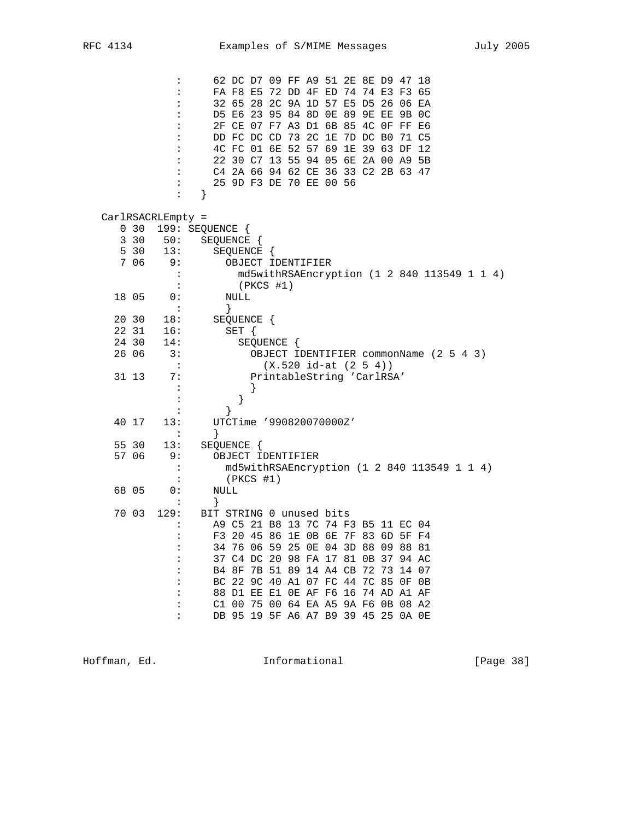|       | :<br>$\ddot{\phantom{a}}$ | 62 DC D7 09 FF A9 51 2E 8E D9 47 18                                        |
|-------|---------------------------|----------------------------------------------------------------------------|
|       |                           | FA F8 E5 72 DD 4F ED 74 74 E3 F3 65<br>32 65 28 2C 9A 1D 57 E5 D5 26 06 EA |
|       |                           | D5 E6 23 95 84 8D OE 89 9E EE 9B OC                                        |
|       |                           | 2F CE 07 F7 A3 D1 6B 85 4C OF FF E6                                        |
|       |                           | DD FC DC CD 73 2C 1E 7D DC B0<br>71 C5                                     |
|       |                           | 4C FC 01 6E 52 57 69 1E 39 63 DF 12                                        |
|       | :                         | 22 30 C7 13 55 94 05 6E 2A 00 A9 5B                                        |
|       |                           | C4 2A 66 94 62 CE 36 33 C2 2B 63 47                                        |
|       |                           | 25 9D F3 DE 70 EE 00 56                                                    |
|       | $\ddot{\cdot}$            | }                                                                          |
|       | CarlRSACRLEmpty =         |                                                                            |
|       | 0 <sub>30</sub>           | 199: SEQUENCE {                                                            |
|       | 3 30<br>50:               | SEQUENCE {                                                                 |
|       | 5 30<br>13:               | SEQUENCE {                                                                 |
|       | 7 06<br>9 :               | OBJECT IDENTIFIER                                                          |
|       |                           | md5withRSAEncryption (1 2 840 113549 1 1 4)                                |
| 18 05 | 0:                        | $(PKCS$ #1)<br>NULL                                                        |
|       | $\ddot{\cdot}$            | $\}$                                                                       |
| 20 30 | 18:                       | SEQUENCE {                                                                 |
| 22 31 | 16:                       | $SET \{$                                                                   |
| 24 30 | 14:                       | SEQUENCE {                                                                 |
| 26 06 | $\overline{3}$ :          | OBJECT IDENTIFIER commonName (2 5 4 3)                                     |
|       | $\sim$ 100                | $(X.520 id-at (2 5 4))$                                                    |
| 31 13 | 7:                        | PrintableString 'CarlRSA'                                                  |
|       |                           |                                                                            |
|       |                           | }                                                                          |
| 40 17 | 13:                       | UTCTime '990820070000Z'                                                    |
|       | :                         | ł                                                                          |
| 55 30 | 13:                       | SEQUENCE {                                                                 |
| 57 06 | 9 :                       | OBJECT IDENTIFIER                                                          |
|       | :                         | md5withRSAEncryption (1 2 840 113549 1 1 4)                                |
|       |                           | $(PKCS$ #1)                                                                |
| 68 05 | 0 :                       | NULL                                                                       |
|       |                           | }                                                                          |
| 70 03 | 129:                      | BIT STRING 0 unused bits                                                   |
|       |                           | A9 C5 21 B8 13 7C 74 F3 B5 11 EC 04<br>F3 20 45 86 1E OB 6E 7F 83 6D 5F F4 |
|       | $\ddot{\cdot}$            | 34 76 06 59 25 0E 04 3D 88 09 88 81                                        |
|       |                           | 37 C4 DC 20 98 FA 17 81 0B 37 94 AC                                        |
|       |                           | B4 8F 7B 51 89 14 A4 CB 72 73 14 07                                        |
|       |                           | BC 22 9C 40 A1 07 FC 44 7C 85 OF OB                                        |
|       | :                         | 88 D1 EE E1 OE AF F6 16 74 AD A1 AF                                        |
|       | $\ddot{\phantom{a}}$      | C1 00 75 00 64 EA A5 9A F6 0B 08 A2                                        |
|       |                           | DB 95 19 5F A6 A7 B9 39 45 25 OA OE                                        |

Hoffman, Ed. 10. Informational 1999 [Page 38]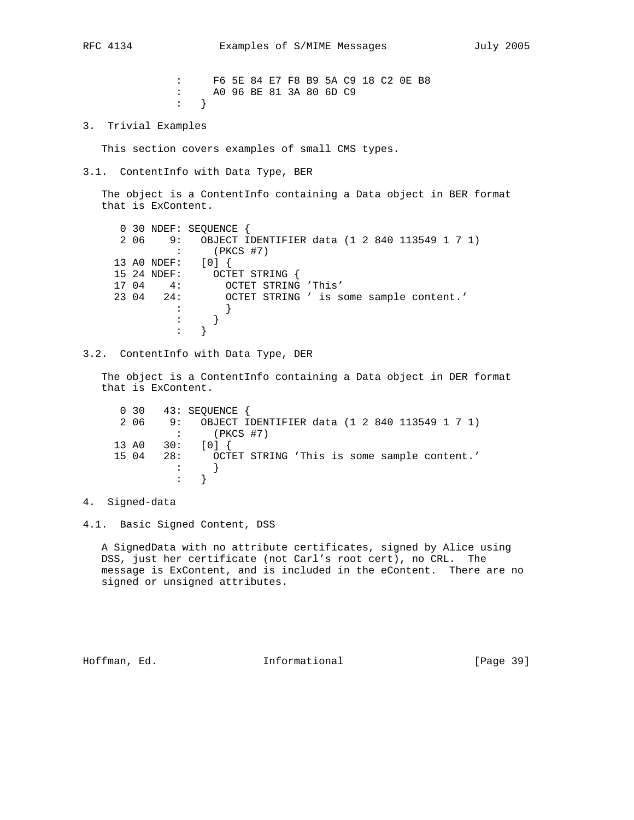: F6 5E 84 E7 F8 B9 5A C9 18 C2 0E B8 : A0 96 BE 81 3A 80 6D C9 : }

3. Trivial Examples

This section covers examples of small CMS types.

3.1. ContentInfo with Data Type, BER

 The object is a ContentInfo containing a Data object in BER format that is ExContent.

|       |              | 0 30 NDEF: SEOUENCE                              |
|-------|--------------|--------------------------------------------------|
| 206   |              | 9: OBJECT IDENTIFIER data (1 2 840 113549 1 7 1) |
|       |              | $(PKCS$ #7)                                      |
|       | 13 AO NDEF:  |                                                  |
|       | 15 24 NDEF:  | OCTET STRING                                     |
| 17 04 | 4:           | OCTET STRING 'This'                              |
|       | $2304$ $24:$ | OCTET STRING ' is some sample content.'          |
|       |              |                                                  |
|       |              |                                                  |
|       |              |                                                  |

3.2. ContentInfo with Data Type, DER

 The object is a ContentInfo containing a Data object in DER format that is ExContent.

|       |     |     | $0$ 30 43: SEQUENCE $\{$                         |
|-------|-----|-----|--------------------------------------------------|
|       | 206 |     | 9: OBJECT IDENTIFIER data (1 2 840 113549 1 7 1) |
|       |     |     | $:$ (PKCS #7)                                    |
|       |     |     | 13 A0 30: $[0]$                                  |
| 15 04 |     | 28: | OCTET STRING 'This is some sample content.'      |
|       |     |     |                                                  |
|       |     |     |                                                  |

4. Signed-data

4.1. Basic Signed Content, DSS

 A SignedData with no attribute certificates, signed by Alice using DSS, just her certificate (not Carl's root cert), no CRL. The message is ExContent, and is included in the eContent. There are no signed or unsigned attributes.

Hoffman, Ed. 10. Informational 1.1 [Page 39]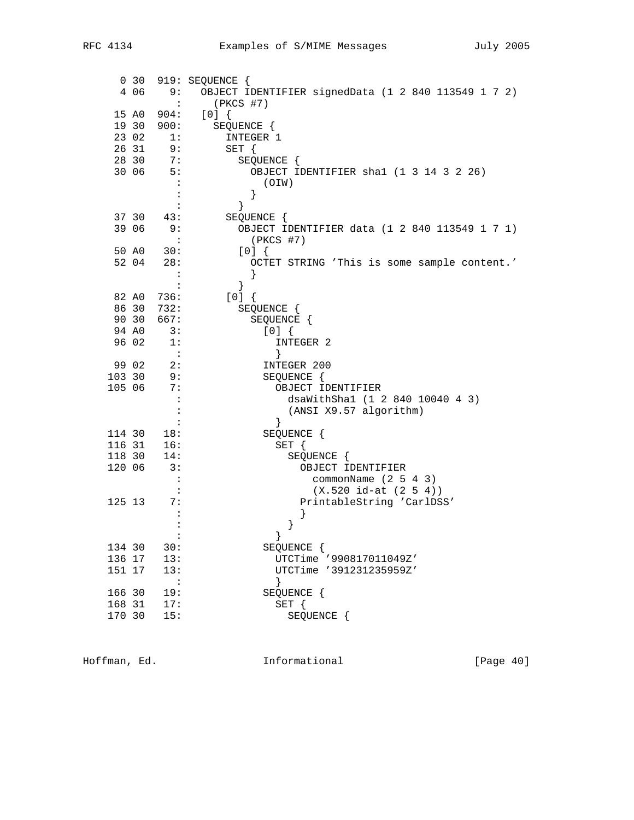| 0, 30          |                      | 919: SEQUENCE {                                      |
|----------------|----------------------|------------------------------------------------------|
| 4 0 6          | 9:                   | OBJECT IDENTIFIER signedData (1 2 840 113549 1 7 2)  |
|                | $\sim$ 100 $\sim$    | (PKCS #7)                                            |
| 15 AO          |                      | 904: [0] {                                           |
|                | 19 30 900:           | SEQUENCE {                                           |
| 23 02          | 1:                   | INTEGER 1                                            |
| 26 31<br>28 30 | 9:                   | SET {                                                |
| 30 06          | 7:<br>5:             | SEQUENCE {<br>OBJECT IDENTIFIER shal (1 3 14 3 2 26) |
|                | $\cdot$ :            | (OIW)                                                |
|                | $\ddot{\cdot}$       | }                                                    |
|                |                      | $\}$                                                 |
| 37 30          | 43:                  | SEQUENCE {                                           |
| 39 06          | 9:                   | OBJECT IDENTIFIER data (1 2 840 113549 1 7 1)        |
|                |                      | $(PKCS$ #7)                                          |
| 50 AO          | 30:                  | [0]                                                  |
| 52 04          | 28:                  | OCTET STRING 'This is some sample content.'          |
|                | $\ddot{\phantom{a}}$ | }                                                    |
| 82 AO          | 736:                 | }<br>$[0]$ {                                         |
| 86 30          | 732:                 | SEQUENCE {                                           |
| 90 30          | 667:                 | SEQUENCE {                                           |
| 94 AO          | 3:                   | [0]                                                  |
| 96 02          | -1:                  | INTEGER 2                                            |
|                | $\sim$ :             | }                                                    |
| 99 02          | 2:                   | INTEGER 200                                          |
| 103 30         | 9:                   | SEQUENCE {                                           |
| 105 06         | 7:                   | OBJECT IDENTIFIER                                    |
|                | $\ddot{\cdot}$       | dsaWithSha1 (1 2 840 10040 4 3)                      |
|                |                      | (ANSI X9.57 algorithm)<br>$\}$                       |
| 114 30         | 18:                  | SEQUENCE {                                           |
| 116 31         | 16:                  | $SET \{$                                             |
| 118 30         | 14:                  | SEQUENCE {                                           |
| 120 06         | 3:                   | OBJECT IDENTIFIER                                    |
|                | $\ddot{\cdot}$       | commonName $(2 5 4 3)$                               |
|                |                      | $(X.520 id-at (2 5 4))$                              |
| 125 13         | 7 :                  | PrintableString 'CarlDSS'                            |
|                |                      |                                                      |
|                |                      | }                                                    |
| 134 30         | 30:                  | $\}$<br>SEQUENCE {                                   |
| 136 17         | 13:                  | UTCTime '990817011049Z'                              |
| 151 17         | 13:                  | UTCTime '391231235959Z'                              |
|                | $\sim$ 100 $\pm$     |                                                      |
| 166 30         | 19:                  | SEQUENCE {                                           |
| 168 31         | 17:                  | SET {                                                |
| 170 30         | 15:                  | SEQUENCE {                                           |
|                |                      |                                                      |

Hoffman, Ed. 10. Informational 11. [Page 40]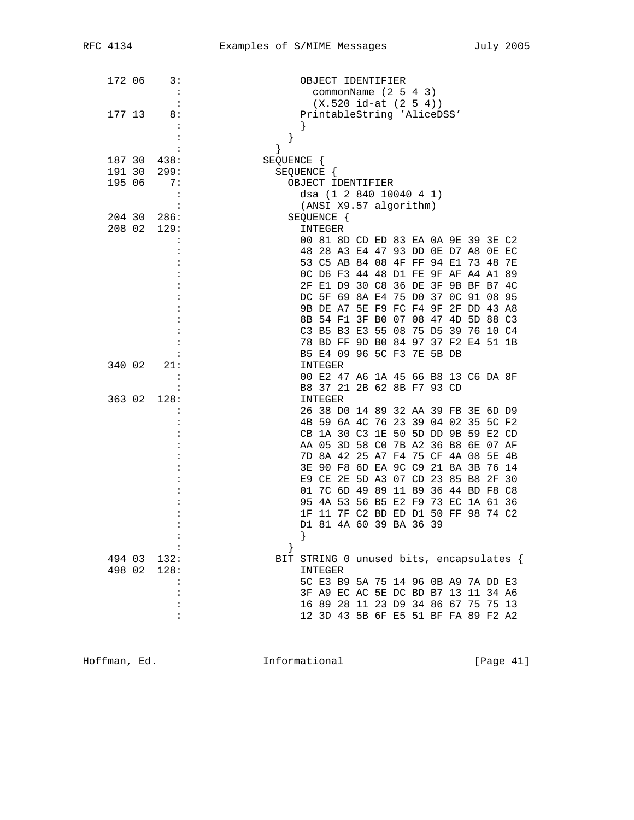| 172 06 | 3:                   | OBJECT IDENTIFIER                        |  |
|--------|----------------------|------------------------------------------|--|
|        | $\cdot$ :            | commonName (2 5 4 3)                     |  |
|        | $\ddot{\phantom{a}}$ | $(X.520 id-at (2 5 4))$                  |  |
| 177 13 | 8:                   | PrintableString 'AliceDSS'               |  |
|        |                      |                                          |  |
|        |                      | }                                        |  |
|        |                      | ł                                        |  |
| 187 30 | 438:                 | SEQUENCE {                               |  |
| 191 30 | 299:                 | SEQUENCE {                               |  |
| 195 06 | 7:                   | OBJECT IDENTIFIER                        |  |
|        | $\ddot{\cdot}$       | dsa (1 2 840 10040 4 1)                  |  |
|        | :                    | (ANSI X9.57 algorithm)                   |  |
| 204 30 | 286:                 | SEQUENCE {                               |  |
| 208 02 | 129:                 | INTEGER                                  |  |
|        | :                    | 00 81 8D CD ED 83 EA 0A 9E 39 3E C2      |  |
|        |                      | 48 28 A3 E4 47 93 DD 0E D7 A8 0E EC      |  |
|        |                      | 53 C5 AB 84 08 4F FF 94 E1 73 48 7E      |  |
|        |                      | OC D6 F3 44 48 D1 FE 9F AF A4 A1 89      |  |
|        |                      | 2F E1 D9 30 C8 36 DE 3F 9B BF B7 4C      |  |
|        |                      | DC 5F 69 8A E4 75 D0 37 OC 91 08 95      |  |
|        |                      | 9B DE A7 5E F9 FC F4 9F 2F DD 43 A8      |  |
|        |                      | 8B 54 F1 3F B0 07 08 47 4D 5D 88 C3      |  |
|        |                      | C3 B5 B3 E3 55 08 75 D5 39 76 10 C4      |  |
|        |                      | 78 BD FF 9D B0 84 97 37 F2 E4 51 1B      |  |
|        |                      | B5 E4 09 96 5C F3 7E 5B DB               |  |
| 340 02 | 21:                  | INTEGER                                  |  |
|        | $\ddot{\phantom{a}}$ | 00 E2 47 A6 1A 45 66 B8 13 C6 DA 8F      |  |
|        |                      | B8 37 21 2B 62 8B F7 93 CD               |  |
| 363 02 | 128:                 | INTEGER                                  |  |
|        | :                    | 26 38 D0 14 89 32 AA 39 FB 3E 6D D9      |  |
|        |                      | 4B 59 6A 4C 76 23 39 04 02 35 5C F2      |  |
|        |                      | CB 1A 30 C3 1E 50 5D DD 9B 59 E2 CD      |  |
|        |                      | AA 05 3D 58 C0 7B A2 36 B8 6E 07 AF      |  |
|        |                      | 7D 8A 42 25 A7 F4 75 CF 4A 08 5E 4B      |  |
|        |                      | 3E 90 F8 6D EA 9C C9 21 8A 3B 76 14      |  |
|        |                      | E9 CE 2E 5D A3 07 CD 23 85 B8 2F 30      |  |
|        |                      | 01 7C 6D 49 89 11 89 36 44 BD F8 C8      |  |
|        |                      | 95 4A 53 56 B5 E2 F9 73 EC 1A 61 36      |  |
|        |                      | 11 7F C2 BD ED D1 50 FF 98 74 C2<br>1F   |  |
|        |                      | D1 81 4A 60 39 BA 36 39                  |  |
|        |                      | $\}$                                     |  |
|        | $\ddot{\cdot}$       |                                          |  |
| 494 03 | 132:                 | BIT STRING 0 unused bits, encapsulates { |  |
|        | 498 02 128:          | INTEGER                                  |  |
|        | :                    | 5C E3 B9 5A 75 14 96 0B A9 7A DD E3      |  |
|        | :                    | 3F A9 EC AC 5E DC BD B7 13 11 34 A6      |  |
|        | $\ddot{\cdot}$       | 16 89 28 11 23 D9 34 86 67 75 75 13      |  |
|        | $\ddot{\cdot}$       | 12 3D 43 5B 6F E5 51 BF FA 89 F2 A2      |  |
|        |                      |                                          |  |

Hoffman, Ed. 1nformational 1999 [Page 41]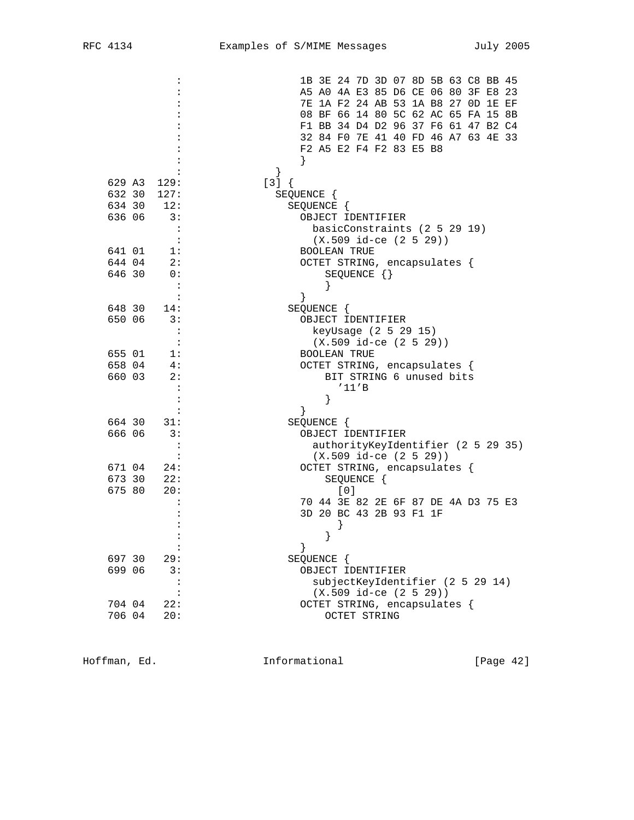|                      | 1B 3E 24 7D 3D 07 8D 5B 63 C8 BB 45 |
|----------------------|-------------------------------------|
|                      | A5 A0 4A E3 85 D6 CE 06 80 3F E8 23 |
|                      | 7E 1A F2 24 AB 53 1A B8 27 OD 1E EF |
|                      | 08 BF 66 14 80 5C 62 AC 65 FA 15 8B |
|                      | F1 BB 34 D4 D2 96 37 F6 61 47 B2 C4 |
|                      | 32 84 FO 7E 41 40 FD 46 A7 63 4E 33 |
|                      | F2 A5 E2 F4 F2 83 E5 B8             |
|                      |                                     |
|                      | $\}$                                |
| 629 A3<br>129:       | $[3]$ {                             |
| 632 30<br>127:       |                                     |
| 634 30               | SEQUENCE {                          |
| 12:                  | SEQUENCE {                          |
| 636 06<br>3:         | OBJECT IDENTIFIER                   |
| :                    | basicConstraints (2 5 29 19)        |
|                      | $(X.509$ id-ce $(2 5 29))$          |
| 641 01<br>1:         | <b>BOOLEAN TRUE</b>                 |
| 644 04<br>2:         | OCTET STRING, encapsulates {        |
| 646 30<br>0:         | SEQUENCE $\{\}$                     |
| $\ddot{\phantom{a}}$ |                                     |
|                      | }                                   |
| 648 30<br>14:        | SEQUENCE {                          |
| 650 06<br>3:         | OBJECT IDENTIFIER                   |
|                      | keyUsage (2 5 29 15)                |
|                      | $(X.509$ id-ce $(2 5 29))$          |
| 655 01<br>1:         | <b>BOOLEAN TRUE</b>                 |
| 4:<br>658 04         | OCTET STRING, encapsulates {        |
| 660 03<br>2:         | BIT STRING 6 unused bits            |
|                      | '11'B                               |
|                      | }                                   |
|                      | }                                   |
| 664 30<br>31:        | SEQUENCE {                          |
| 666 06<br>3:         | OBJECT IDENTIFIER                   |
|                      | authorityKeyIdentifier (2 5 29 35)  |
|                      | $(X.509$ id-ce $(2 5 29))$          |
| 671 04<br>24:        | OCTET STRING, encapsulates {        |
| 673 30<br>22:        | SEQUENCE {                          |
| 675 80<br>20:        | [0]                                 |
|                      |                                     |
|                      | 70 44 3E 82 2E 6F 87 DE 4A D3 75 E3 |
|                      | 3D 20 BC 43 2B 93 F1 1F             |
|                      |                                     |
|                      |                                     |
| :                    | }                                   |
| 697 30<br>29:        | SEQUENCE {                          |
| 699 06<br>3:         | OBJECT IDENTIFIER                   |
|                      | subjectKeyIdentifier (2 5 29 14)    |
|                      | $(X.509$ id-ce $(2 5 29)$           |
| 704 04<br>22:        | OCTET STRING, encapsulates {        |
| 706 04<br>20:        | OCTET STRING                        |

Hoffman, Ed. 1nformational 1999 [Page 42]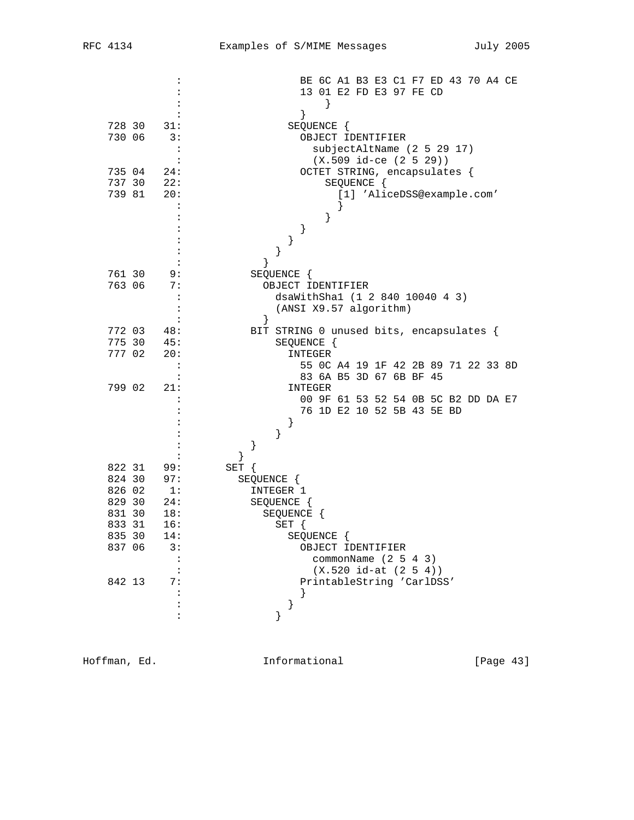|                                | BE 6C A1 B3 E3 C1 F7 ED 43 70 A4 CE<br>13 01 E2 FD E3 97 FE CD |
|--------------------------------|----------------------------------------------------------------|
|                                | $\left\{ \right\}$                                             |
|                                | }                                                              |
| 728 30<br>31:                  | SEQUENCE {                                                     |
| 730 06<br>3:                   | OBJECT IDENTIFIER                                              |
| :                              | subjectAltName (2 5 29 17)                                     |
| $\ddot{\cdot}$                 | $(X.509$ id-ce $(2 5 29)$                                      |
| 735 04<br>24:                  | OCTET STRING, encapsulates {                                   |
| 737 30<br>22:                  | SEQUENCE {                                                     |
| 739 81<br>20:                  | [1] 'AliceDSS@example.com'                                     |
|                                |                                                                |
|                                | }<br>}                                                         |
|                                | }                                                              |
|                                | }                                                              |
|                                | }                                                              |
| 761 30<br>9:                   | SEQUENCE {                                                     |
| 763 06<br>7:                   | OBJECT IDENTIFIER                                              |
| :                              | dsaWithSha1 (1 2 840 10040 4 3)                                |
| $\ddot{\cdot}$                 | (ANSI X9.57 algorithm)                                         |
|                                | $\}$                                                           |
| 772 03<br>48:                  | BIT STRING 0 unused bits, encapsulates {                       |
| 775 30<br>45:                  | SEQUENCE {                                                     |
| 777 02<br>20:                  | INTEGER                                                        |
| $\ddot{\cdot}$                 | 55 OC A4 19 1F 42 2B 89 71 22 33 8D                            |
|                                | 83 6A B5 3D 67 6B BF 45                                        |
| 799 02<br>21:                  | INTEGER                                                        |
|                                | 00 9F 61 53 52 54 0B 5C B2 DD DA E7                            |
|                                | 76 1D E2 10 52 5B 43 5E BD                                     |
|                                | }                                                              |
|                                | }                                                              |
|                                | }                                                              |
|                                | ł                                                              |
| 822 31<br>99:                  | SET {                                                          |
| 824 30<br>97:                  | SEQUENCE {                                                     |
| 826 02<br>$\overline{1}$ :     | INTEGER 1                                                      |
| 829 30<br>24:                  | SEQUENCE {                                                     |
| 831 30<br>18:                  | SEQUENCE {                                                     |
| 833 31<br>16:<br>835 30<br>14: | SET {                                                          |
| 837 06                         | SEQUENCE {<br>OBJECT IDENTIFIER                                |
| 3:                             | commonName (2 5 4 3)                                           |
|                                | $(X.520 id-at (2 5 4))$                                        |
| 842 13<br>7:                   | PrintableString 'CarlDSS'                                      |
|                                | $\left\{ \right\}$                                             |
|                                | $\}$                                                           |
|                                | }                                                              |
|                                |                                                                |

Hoffman, Ed. 1nformational 1999 [Page 43]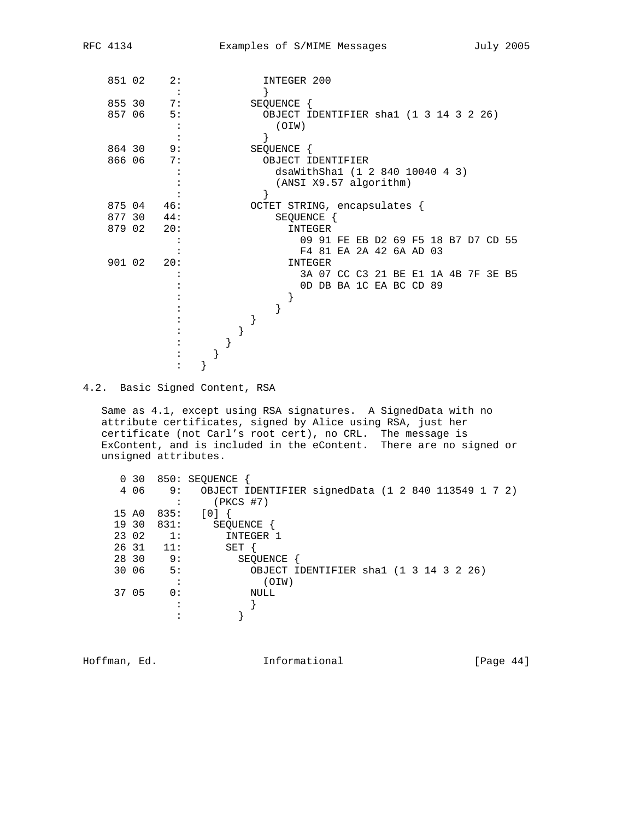| 851 02 | 2:                |  |  | INTEGER 200                            |  |  |                         |  |                                     |  |
|--------|-------------------|--|--|----------------------------------------|--|--|-------------------------|--|-------------------------------------|--|
|        |                   |  |  |                                        |  |  |                         |  |                                     |  |
| 855 30 | 7:                |  |  | SEQUENCE {                             |  |  |                         |  |                                     |  |
| 857 06 | 5:                |  |  | OBJECT IDENTIFIER shal (1 3 14 3 2 26) |  |  |                         |  |                                     |  |
|        |                   |  |  | (OIW)                                  |  |  |                         |  |                                     |  |
|        |                   |  |  |                                        |  |  |                         |  |                                     |  |
| 864 30 | 9:                |  |  | SEQUENCE {                             |  |  |                         |  |                                     |  |
| 866 06 | 7:                |  |  | OBJECT IDENTIFIER                      |  |  |                         |  |                                     |  |
|        |                   |  |  | dsaWithSha1 (1 2 840 10040 4 3)        |  |  |                         |  |                                     |  |
|        |                   |  |  | (ANSI X9.57 algorithm)                 |  |  |                         |  |                                     |  |
|        |                   |  |  |                                        |  |  |                         |  |                                     |  |
| 875 04 | 46:               |  |  | OCTET STRING, encapsulates {           |  |  |                         |  |                                     |  |
| 877 30 | 44:               |  |  | SEQUENCE {                             |  |  |                         |  |                                     |  |
| 879 02 | 20:               |  |  | INTEGER                                |  |  |                         |  |                                     |  |
|        |                   |  |  |                                        |  |  |                         |  | 09 91 FE EB D2 69 F5 18 B7 D7 CD 55 |  |
|        |                   |  |  |                                        |  |  | F4 81 EA 2A 42 6A AD 03 |  |                                     |  |
|        | $901 \t02 \t20$ : |  |  | INTEGER                                |  |  |                         |  |                                     |  |
|        |                   |  |  |                                        |  |  |                         |  | 3A 07 CC C3 21 BE E1 1A 4B 7F 3E B5 |  |
|        |                   |  |  |                                        |  |  | OD DB BA 1C EA BC CD 89 |  |                                     |  |
|        |                   |  |  |                                        |  |  |                         |  |                                     |  |
|        |                   |  |  |                                        |  |  |                         |  |                                     |  |
|        |                   |  |  |                                        |  |  |                         |  |                                     |  |
|        |                   |  |  |                                        |  |  |                         |  |                                     |  |
|        |                   |  |  |                                        |  |  |                         |  |                                     |  |
|        |                   |  |  |                                        |  |  |                         |  |                                     |  |
|        |                   |  |  |                                        |  |  |                         |  |                                     |  |
|        |                   |  |  |                                        |  |  |                         |  |                                     |  |

4.2. Basic Signed Content, RSA

 Same as 4.1, except using RSA signatures. A SignedData with no attribute certificates, signed by Alice using RSA, just her certificate (not Carl's root cert), no CRL. The message is ExContent, and is included in the eContent. There are no signed or unsigned attributes.

| 0, 30 |                | 850: SEQUENCE                                       |
|-------|----------------|-----------------------------------------------------|
| 4 0 6 | 9:             | OBJECT IDENTIFIER signedData (1 2 840 113549 1 7 2) |
|       | $\bullet$      | $(PKCS$ #7)                                         |
| 15 AO | 835:           | [0]                                                 |
| 19 30 | 831:           | SEQUENCE                                            |
| 23 02 | 1:             | INTEGER 1                                           |
| 26 31 | 11:            | SET                                                 |
| 28 30 | 9:             | SEOUENCE                                            |
| 30 06 | 5:             | OBJECT IDENTIFIER shal (1 3 14 3 2 26)              |
|       | ٠<br>$\bullet$ | (OIW)                                               |
| 37 05 | 0:             | NULL                                                |
|       |                |                                                     |
|       |                |                                                     |
|       |                |                                                     |

Hoffman, Ed. 10. Informational 1.1 [Page 44]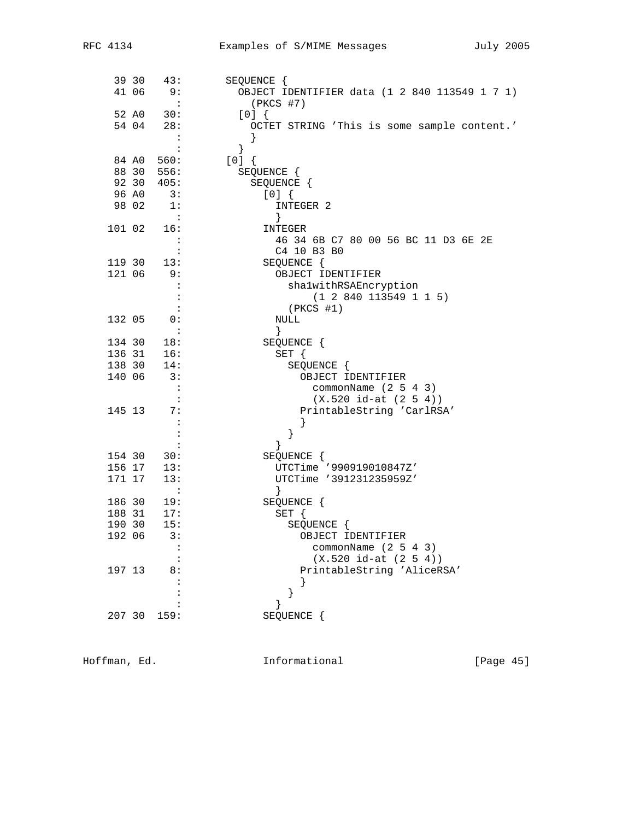|        | 39 30 | 43:                         | SEQUENCE {                                    |
|--------|-------|-----------------------------|-----------------------------------------------|
|        | 41 06 | 9:                          | OBJECT IDENTIFIER data (1 2 840 113549 1 7 1) |
|        |       | $\sim$ :                    | $(PKCS$ #7)                                   |
|        | 52 A0 | 30:                         | [0]                                           |
|        | 54 04 | 28:                         | OCTET STRING 'This is some sample content.'   |
|        |       | $\ddot{\cdot}$              | }                                             |
|        |       | $\ddot{\phantom{a}}$        | }                                             |
|        |       | 84 A0 560:                  | [0]                                           |
|        |       | 88 30 556:                  | SEQUENCE {                                    |
|        | 92 30 | 405:                        | SEQUENCE {                                    |
|        | 96 AO | $\overline{\phantom{a}}$ 3: | [0]                                           |
|        | 98 02 | 1:                          | INTEGER 2                                     |
|        |       | $\overline{\phantom{a}}$    | }                                             |
| 101 02 |       | 16:                         | INTEGER                                       |
|        |       | $\sim$ :                    | 46 34 6B C7 80 00 56 BC 11 D3 6E 2E           |
|        |       | $\ddot{\cdot}$              | C4 10 B3 B0                                   |
| 119 30 |       | 13:                         | SEQUENCE {                                    |
| 121 06 |       | 9 :                         | OBJECT IDENTIFIER                             |
|        |       | $\ddot{\cdot}$              | shalwithRSAEncryption                         |
|        |       | $\colon$                    | (1 2 840 113549 1 1 5)                        |
|        |       | $\ddot{\phantom{a}}$        | (PKCS #1)                                     |
| 132 05 |       | 0:                          | NULL                                          |
|        |       | $\sim$ 1                    | $\}$                                          |
| 134 30 |       | 18:                         | SEQUENCE {                                    |
| 136 31 |       | 16:                         | SET {                                         |
| 138 30 |       | 14:                         | SEQUENCE {                                    |
| 140 06 |       | 3:                          | OBJECT IDENTIFIER                             |
|        |       | $\mathbf{L}$                | commonName $(2 5 4 3)$                        |
|        |       |                             | $(X.520 id-at (2 5 4))$                       |
| 145 13 |       | 7:                          | PrintableString 'CarlRSA'                     |
|        |       | $\ddot{\phantom{a}}$        | ł                                             |
|        |       | $\colon$                    | }                                             |
|        |       | $\ddot{\cdot}$              | $\}$                                          |
| 154 30 |       | 30:                         | SEQUENCE {                                    |
| 156 17 |       | 13:                         | UTCTime '990919010847Z'                       |
| 171 17 |       | 13:                         | UTCTime '391231235959Z'                       |
|        |       | $\sim$ $-1$                 |                                               |
| 186 30 |       | 19:                         | SEQUENCE {                                    |
| 188 31 |       | 17:                         | $SET \{$                                      |
| 190 30 |       | 15:                         | SEQUENCE {                                    |
| 192 06 |       | 3:                          | OBJECT IDENTIFIER                             |
|        |       |                             | commonName $(2 5 4 3)$                        |
|        |       |                             | $(X.520 id-at (2 5 4))$                       |
| 197 13 |       | 8:                          | PrintableString 'AliceRSA'                    |
|        |       |                             |                                               |
|        |       |                             | }                                             |
|        |       |                             | }                                             |
| 207 30 |       | 159:                        | SEQUENCE                                      |

Hoffman, Ed. 1nformational 1999 [Page 45]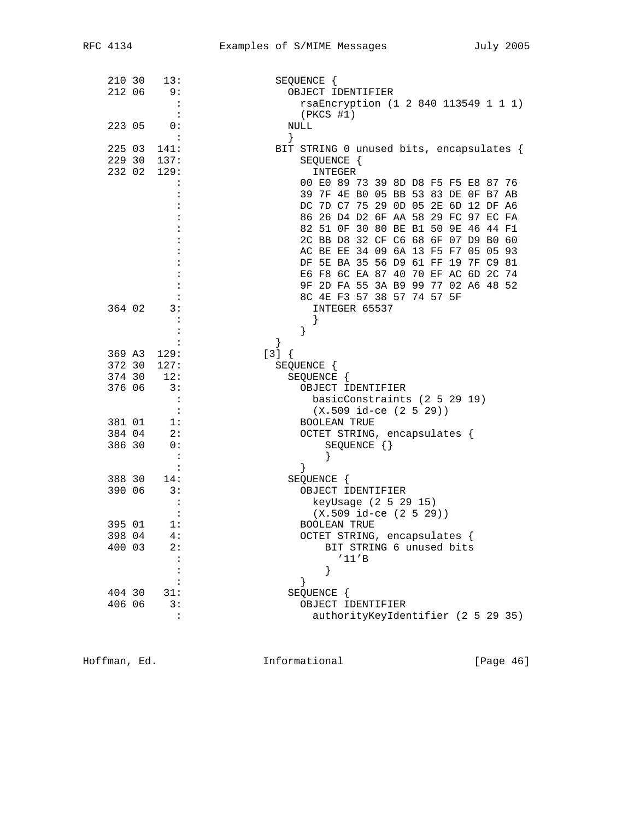| 210 30 | 13:                  | SEQUENCE {                               |
|--------|----------------------|------------------------------------------|
| 212 06 | 9 :                  | OBJECT IDENTIFIER                        |
|        | $\ddot{\cdot}$       | rsaEncryption (1 2 840 113549 1 1 1)     |
|        |                      | $(PKCS$ #1)                              |
| 223 05 | 0:                   | NULL                                     |
|        | $\mathbf{L}$         | }                                        |
| 225 03 | 141:                 | BIT STRING 0 unused bits, encapsulates { |
| 229 30 | 137:                 | SEQUENCE {                               |
| 232 02 | 129:                 | INTEGER                                  |
|        |                      | 00 E0 89 73 39 8D D8 F5 F5 E8 87 76      |
|        |                      | 39 7F 4E BO 05 BB 53 83 DE OF B7 AB      |
|        |                      |                                          |
|        |                      | DC 7D C7 75 29 0D 05 2E 6D 12 DF A6      |
|        |                      | 86 26 D4 D2 6F AA 58 29 FC 97 EC FA      |
|        |                      | 82 51 OF 30 80 BE B1 50 9E 46 44 F1      |
|        |                      | 2C BB D8 32 CF C6 68 6F 07 D9 B0 60      |
|        |                      | AC BE EE 34 09 6A 13 F5 F7 05 05 93      |
|        |                      | DF 5E BA 35 56 D9 61 FF 19 7F C9 81      |
|        |                      | E6 F8 6C EA 87 40 70 EF AC 6D 2C 74      |
|        |                      | 9F 2D FA 55 3A B9 99 77 02 A6 48 52      |
|        |                      | 8C 4E F3 57 38 57 74 57 5F               |
| 364 02 | 3:                   | INTEGER 65537                            |
|        |                      |                                          |
|        |                      |                                          |
|        |                      | }                                        |
| 369 A3 | 129:                 | $[3]$ {                                  |
| 372 30 | 127:                 | SEQUENCE {                               |
| 374 30 | 12:                  | SEQUENCE {                               |
| 376 06 | 3:                   | OBJECT IDENTIFIER                        |
|        | $\cdot$ :            | basicConstraints (2 5 29 19)             |
|        | $\ddot{\phantom{1}}$ | $(X.509$ id-ce $(2 5 29))$               |
| 381 01 | 1:                   | <b>BOOLEAN TRUE</b>                      |
| 384 04 | 2:                   | OCTET STRING, encapsulates {             |
| 386 30 | 0:                   | $SEQUENCE$ $\{\}$                        |
|        |                      |                                          |
|        | $\ddot{\cdot}$       | ł                                        |
| 388 30 |                      |                                          |
|        | 14:                  | SEQUENCE {                               |
| 390 06 | 3:                   | OBJECT IDENTIFIER                        |
|        | $\ddot{\cdot}$       | keyUsage (2 5 29 15)                     |
|        | $\ddot{\cdot}$       | $(X.509$ id-ce $(2 5 29))$               |
| 395 01 | 1:                   | <b>BOOLEAN TRUE</b>                      |
| 398 04 | 4 :                  | OCTET STRING, encapsulates {             |
| 400 03 | 2:                   | BIT STRING 6 unused bits                 |
|        |                      | '11'B                                    |
|        |                      | }                                        |
|        |                      | }                                        |
| 404 30 | 31:                  | SEQUENCE {                               |
| 406 06 | 3:                   | OBJECT IDENTIFIER                        |
|        | $\ddot{\cdot}$       | authorityKeyIdentifier (2 5 29 35)       |
|        |                      |                                          |

Hoffman, Ed. 1nformational 1999 [Page 46]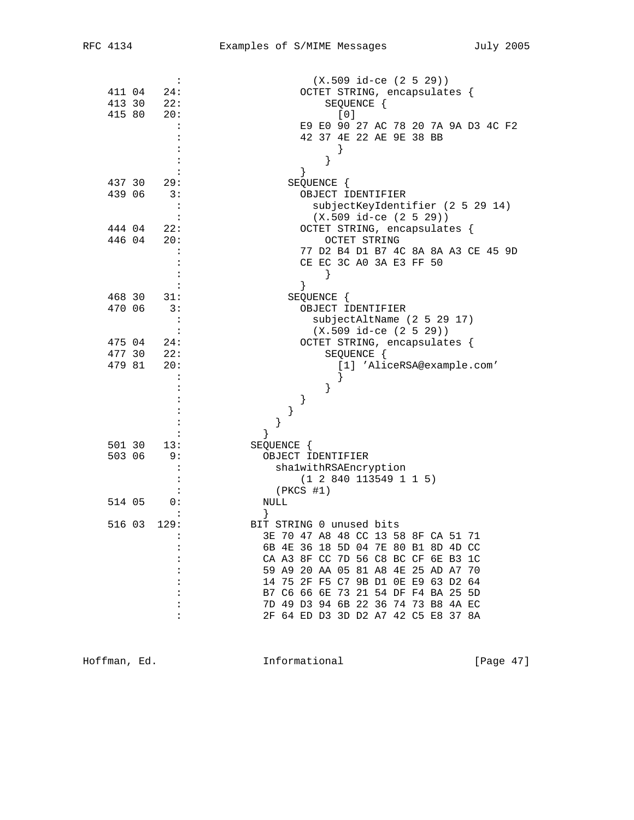|        | :                    | $(X.509$ id-ce $(2 5 29))$          |
|--------|----------------------|-------------------------------------|
| 411 04 | 24:                  | OCTET STRING, encapsulates {        |
| 413 30 | 22:                  | SEQUENCE {                          |
| 415 80 | 20:                  | [0]                                 |
|        |                      | E9 E0 90 27 AC 78 20 7A 9A D3 4C F2 |
|        |                      | 42 37 4E 22 AE 9E 38 BB             |
|        |                      |                                     |
|        |                      |                                     |
|        |                      | }                                   |
|        |                      | }                                   |
| 437 30 | 29:                  | SEQUENCE {                          |
| 439 06 | 3:                   | OBJECT IDENTIFIER                   |
|        | $\ddot{\phantom{1}}$ | subjectKeyIdentifier (2 5 29 14)    |
|        |                      | $(X.509$ id-ce $(2 5 29)$           |
| 444 04 | 22:                  | OCTET STRING, encapsulates {        |
| 446 04 | 20:                  | OCTET STRING                        |
|        |                      | 77 D2 B4 D1 B7 4C 8A 8A A3 CE 45 9D |
|        |                      | CE EC 3C A0 3A E3 FF 50             |
|        |                      |                                     |
|        |                      | $\}$                                |
|        |                      | }                                   |
| 468 30 | 31:                  | SEQUENCE {                          |
| 470 06 | 3:                   | OBJECT IDENTIFIER                   |
|        |                      | subjectAltName (2 5 29 17)          |
|        | $\ddot{\cdot}$       | $(X.509$ id-ce $(2 5 29))$          |
| 475 04 | 24:                  | OCTET STRING, encapsulates {        |
| 477 30 | 22:                  | SEQUENCE {                          |
| 479 81 | 20:                  | [1] 'AliceRSA@example.com'          |
|        |                      |                                     |
|        |                      | }                                   |
|        |                      | }                                   |
|        |                      | }                                   |
|        |                      | }                                   |
|        |                      | $\}$                                |
| 501 30 | 13:                  | SEQUENCE {                          |
| 503 06 | 9:                   | OBJECT IDENTIFIER                   |
|        |                      |                                     |
|        |                      | shalwithRSAEncryption               |
|        |                      | (1 2 840 113549 1 1 5)              |
|        |                      | $(PKCS$ #1)                         |
| 514 05 | 0:                   | NULL                                |
|        |                      |                                     |
| 516 03 | 129:                 | BIT STRING 0 unused bits            |
|        | $\ddot{\cdot}$       | 3E 70 47 A8 48 CC 13 58 8F CA 51 71 |
|        |                      | 6B 4E 36 18 5D 04 7E 80 B1 8D 4D CC |
|        |                      | CA A3 8F CC 7D 56 C8 BC CF 6E B3 1C |
|        |                      | 59 A9 20 AA 05 81 A8 4E 25 AD A7 70 |
|        |                      | 14 75 2F F5 C7 9B D1 0E E9 63 D2 64 |
|        |                      | B7 C6 66 6E 73 21 54 DF F4 BA 25 5D |
|        |                      | 7D 49 D3 94 6B 22 36 74 73 B8 4A EC |
|        |                      | 2F 64 ED D3 3D D2 A7 42 C5 E8 37 8A |
|        |                      |                                     |
|        |                      |                                     |

Hoffman, Ed. 1nformational 1999 [Page 47]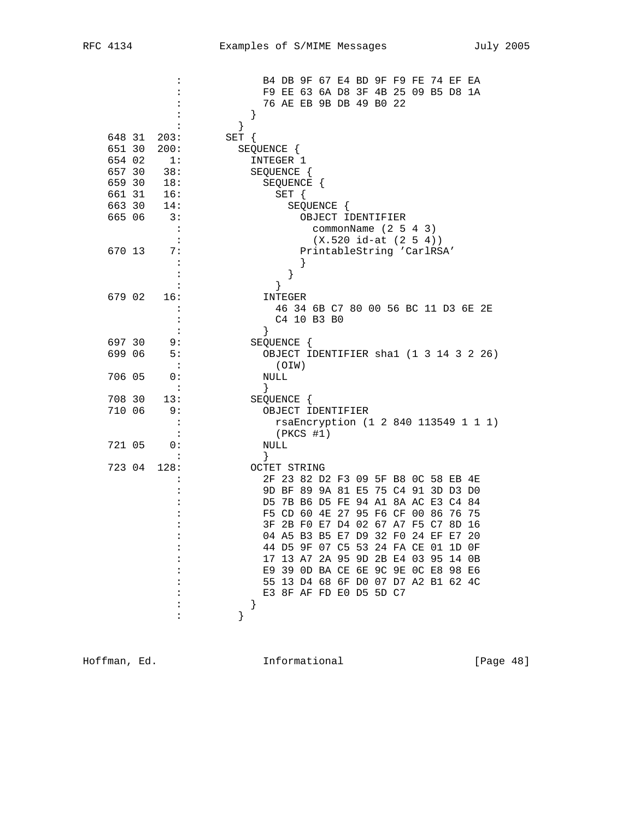|                      | B4 DB 9F 67 E4 BD 9F F9 FE 74 EF EA                        |
|----------------------|------------------------------------------------------------|
|                      | F9 EE 63 6A D8 3F 4B 25 09 B5 D8 1A                        |
|                      | 76 AE EB 9B DB 49 B0 22                                    |
|                      | }                                                          |
|                      | }                                                          |
| 648 31<br>203:       | SET {                                                      |
| 651 30<br>200:       | SEQUENCE {                                                 |
| 654 02<br>1:         | INTEGER 1                                                  |
| 657 30<br>38:        | SEQUENCE {                                                 |
| 659 30<br>18:        | SEQUENCE {                                                 |
| 661 31<br>16:        | SET {                                                      |
| 663 30<br>14:        | SEQUENCE {                                                 |
| 665 06<br>3:         | OBJECT IDENTIFIER                                          |
| $\cdot$ :            | commonName $(2 5 4 3)$                                     |
|                      | $(X.520 id-at (2 5 4))$                                    |
| 670 13<br>7:         | PrintableString 'CarlRSA'                                  |
| $\ddot{\cdot}$       |                                                            |
| :                    | }                                                          |
| :                    | ł                                                          |
| 679 02<br>16:        | INTEGER                                                    |
| $\ddot{\phantom{a}}$ | 46 34 6B C7 80 00 56 BC 11 D3 6E 2E                        |
| :                    | C4 10 B3 B0                                                |
|                      | $\}$                                                       |
| 697 30<br>9:         | SEQUENCE {                                                 |
| 699 06<br>5 :        | OBJECT IDENTIFIER shal (1 3 14 3 2 26)                     |
|                      | (OIN)                                                      |
| 706 05<br>0:         | NULL                                                       |
| $\ddot{\phantom{a}}$ | }                                                          |
| 708 30<br>13:        | SEQUENCE {                                                 |
| 710 06<br>9 :        | OBJECT IDENTIFIER                                          |
| :                    | rsaEncryption (1 2 840 113549 1 1 1)                       |
|                      |                                                            |
| 721 05<br>0:         | $(PKCS$ #1)                                                |
|                      | NULL                                                       |
| 128:                 | }                                                          |
| 723 04               | <b>OCTET STRING</b><br>2F 23 82 D2 F3 09 5F B8 0C 58 EB 4E |
|                      | 9D BF 89 9A 81 E5 75 C4 91 3D D3 D0                        |
|                      | D5 7B B6 D5 FE 94 A1 8A AC E3 C4 84                        |
|                      |                                                            |
|                      | F5 CD 60 4E 27 95 F6 CF 00 86<br>76 75                     |
|                      | 3F 2B F0 E7 D4 02 67 A7 F5 C7 8D 16                        |
|                      | 04 A5 B3 B5 E7 D9 32 F0 24 EF E7 20                        |
|                      | 44 D5 9F 07 C5 53 24 FA CE 01 1D OF                        |
|                      | 17 13 A7 2A 95 9D 2B E4 03 95 14 0B                        |
|                      | E9 39 OD BA CE 6E 9C 9E OC E8 98 E6                        |
|                      | 55 13 D4 68 6F D0 07 D7 A2 B1 62 4C                        |
|                      | E3 8F AF FD E0 D5 5D C7                                    |
|                      | }                                                          |
|                      | }                                                          |
|                      |                                                            |

Hoffman, Ed. 1nformational 1999 [Page 48]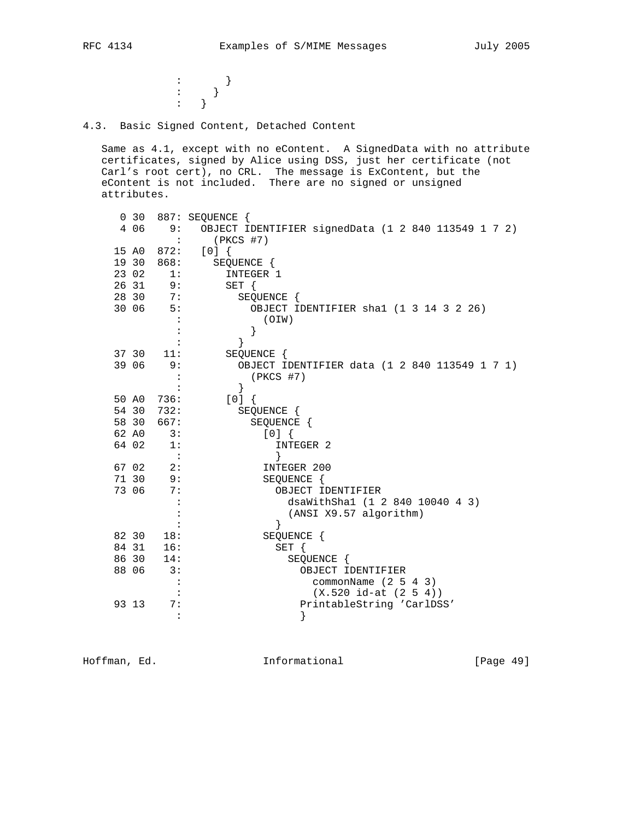$\cdots$   $\cdots$  } : the state  $\{x_i\}$  is the state  $\{x_i\}$ : the state  $\{x_i\}$  is the state of  $\{x_i\}$ 

4.3. Basic Signed Content, Detached Content

 Same as 4.1, except with no eContent. A SignedData with no attribute certificates, signed by Alice using DSS, just her certificate (not Carl's root cert), no CRL. The message is ExContent, but the eContent is not included. There are no signed or unsigned attributes.

|       | 0 <sub>30</sub><br>4 0 6  | 887: SEQUENCE {<br>9: OBJECT IDENTIFIER signedData (1 2 840 113549 1 7 2) |
|-------|---------------------------|---------------------------------------------------------------------------|
|       |                           | $\ddot{\phantom{1}}$<br>(PKCS #7)                                         |
|       | 15 A0<br>872:             | [0]                                                                       |
|       | 19 30<br>868:             | SEQUENCE {                                                                |
| 23 02 |                           | INTEGER 1<br>1:                                                           |
|       | 26 31<br>9:               | $SET \{$                                                                  |
| 28 30 | 7:                        | SEQUENCE {                                                                |
| 30 06 | 5:                        | OBJECT IDENTIFIER shal (1 3 14 3 2 26)                                    |
|       |                           | (OIW)                                                                     |
|       |                           | }                                                                         |
|       |                           | ł                                                                         |
|       | 37 30<br>11:              | SEQUENCE {                                                                |
|       | 39 06                     | 9:<br>OBJECT IDENTIFIER data (1 2 840 113549 1 7 1)                       |
|       |                           | $(PKCS$ #7)                                                               |
|       |                           | $\}$                                                                      |
|       | 736:<br>50 AO             | $[0]$ {                                                                   |
|       | 54 30<br>732:             | SEQUENCE {                                                                |
|       | 58 30<br>667:             | SEQUENCE {                                                                |
|       | 3:<br>62 AO               | [0]                                                                       |
|       | 64 02<br>$\overline{1}$ : | INTEGER 2                                                                 |
|       |                           | }<br>$\overline{\phantom{a}}$ :                                           |
|       | 67 02                     | 2:<br>INTEGER 200                                                         |
| 71 30 | 9:                        | SEQUENCE {                                                                |
|       | 73 06                     | 7:<br>OBJECT IDENTIFIER                                                   |
|       |                           | dsaWithShal (1 2 840 10040 4 3)                                           |
|       |                           | (ANSI X9.57 algorithm)                                                    |
|       |                           | ł                                                                         |
| 82 30 | 18:                       | SEQUENCE {                                                                |
| 84 31 | 16:                       | $SET \{$                                                                  |
| 86 30 | 14:                       | SEQUENCE {                                                                |
| 88 06 |                           | 3:<br>OBJECT IDENTIFIER                                                   |
|       |                           | commonName $(2 5 4 3)$                                                    |
|       |                           | $(X.520 id-at (2 5 4))$                                                   |
| 93 13 |                           | 7:<br>PrintableString 'CarlDSS'                                           |
|       |                           | }<br>$\ddot{\cdot}$                                                       |

Hoffman, Ed. 10. Informational 1.1 [Page 49]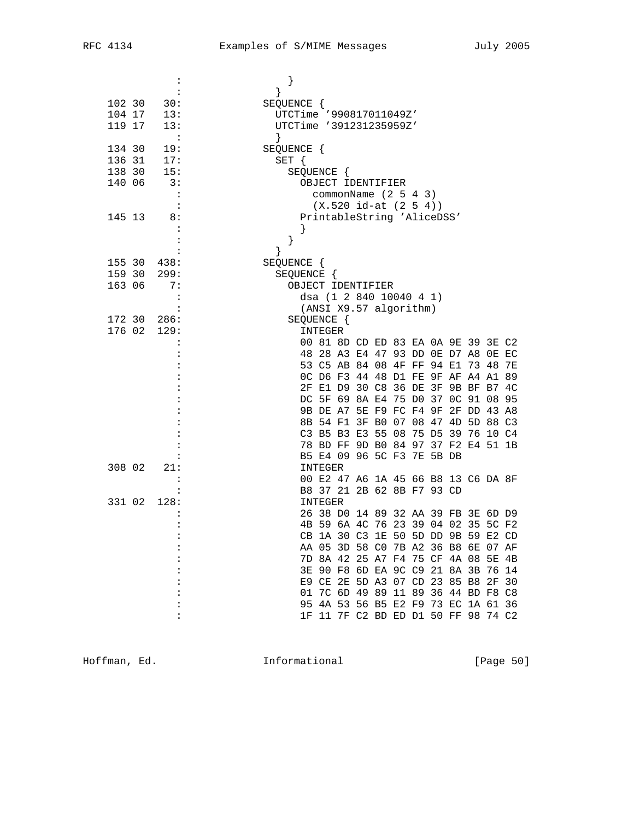| :                              | }                                                                          |
|--------------------------------|----------------------------------------------------------------------------|
|                                | }                                                                          |
| 102 30<br>30:                  | SEQUENCE {                                                                 |
| 104 17<br>13:<br>119 17<br>13: | UTCTime '990817011049Z'<br>UTCTime '391231235959Z'                         |
| $\sim$ 1.1                     | $\}$                                                                       |
| 134 30<br>19:                  | SEQUENCE {                                                                 |
| 136 31<br>17:                  | $SET \{$                                                                   |
| 138 30<br>15:                  | SEQUENCE {                                                                 |
| 140 06<br>3:                   | OBJECT IDENTIFIER                                                          |
| $\cdot$                        | commonName $(2 5 4 3)$                                                     |
|                                | $(X.520 id-at (2 5 4))$                                                    |
| 145 13<br>8:                   | PrintableString 'AliceDSS'                                                 |
|                                |                                                                            |
|                                | }                                                                          |
| 155 30<br>438:                 | ł<br>SEQUENCE {                                                            |
| 159 30<br>299:                 | SEQUENCE {                                                                 |
| 163 06<br>7:                   | OBJECT IDENTIFIER                                                          |
| :                              | dsa (1 2 840 10040 4 1)                                                    |
|                                | (ANSI X9.57 algorithm)                                                     |
| 172 30<br>286:                 | SEQUENCE {                                                                 |
| 176 02<br>129:                 | INTEGER                                                                    |
|                                | 00 81 8D CD ED 83 EA 0A 9E 39 3E C2                                        |
|                                | 48 28 A3 E4 47 93 DD 0E D7 A8 0E EC<br>53 C5 AB 84 08 4F FF 94 E1 73 48    |
|                                | 7E<br>OC D6 F3 44 48 D1 FE 9F AF A4 A1 89                                  |
|                                | 2F E1 D9 30 C8 36 DE 3F 9B BF B7 4C                                        |
|                                | DC 5F 69 8A E4 75 D0 37 OC 91 08 95                                        |
|                                | 9B DE A7 5E F9 FC F4 9F 2F DD 43 A8                                        |
|                                | 8B 54 F1 3F B0 07 08 47 4D 5D 88 C3                                        |
|                                | C3 B5 B3 E3 55 08 75 D5 39 76 10 C4                                        |
|                                | 78 BD FF 9D B0 84 97 37 F2 E4 51 1B                                        |
|                                | B5 E4 09 96 5C F3 7E 5B DB                                                 |
| 308 02<br>21:                  | INTEGER                                                                    |
| $\ddot{\cdot}$                 | 00 E2 47 A6 1A 45 66 B8 13 C6 DA 8F<br>B8 37 21 2B 62 8B F7 93 CD          |
| 128:<br>331 02                 | INTEGER                                                                    |
|                                | 26 38 D0 14 89 32 AA 39 FB 3E 6D D9                                        |
| $\ddot{\cdot}$                 | 4B 59 6A 4C 76 23 39 04 02 35 5C F2                                        |
|                                | CB 1A 30 C3 1E 50 5D DD 9B 59 E2 CD                                        |
|                                | AA 05 3D 58 C0 7B A2 36 B8 6E 07 AF                                        |
|                                | 7D 8A 42 25 A7 F4 75 CF 4A 08 5E 4B                                        |
|                                | 3E 90 F8 6D EA 9C C9 21 8A 3B 76 14                                        |
|                                | E9 CE 2E 5D A3 07 CD 23 85 B8 2F 30                                        |
|                                | 01 7C 6D 49 89 11 89 36 44 BD F8 C8<br>95 4A 53 56 B5 E2 F9 73 EC 1A 61 36 |
|                                | 1F 11 7F C2 BD ED D1 50 FF 98 74 C2                                        |
|                                |                                                                            |

Hoffman, Ed. 1nformational 1999 [Page 50]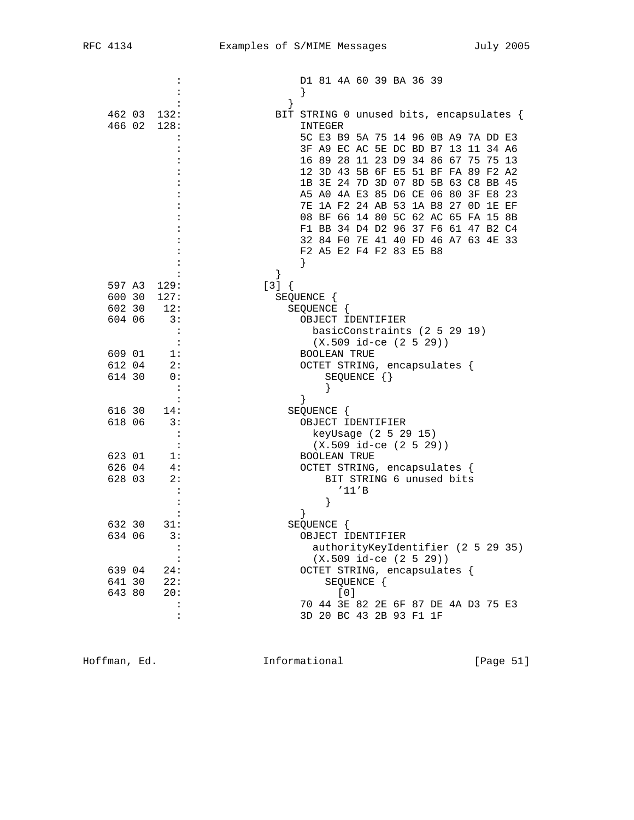|                            | D1 81 4A 60 39 BA 36 39                                 |
|----------------------------|---------------------------------------------------------|
|                            |                                                         |
| 462 03<br>132:             | BIT STRING 0 unused bits, encapsulates {                |
| 466 02<br>128:             | INTEGER                                                 |
|                            | 5C E3 B9 5A 75 14 96 0B A9 7A DD E3                     |
|                            | 3F A9 EC AC 5E DC BD B7 13 11 34 A6                     |
|                            | 16 89 28 11 23 D9 34 86 67 75 75 13                     |
|                            | 12 3D 43 5B 6F E5 51 BF FA 89 F2 A2                     |
|                            | 1B 3E 24 7D 3D 07 8D 5B 63 C8 BB 45                     |
|                            | A5 A0 4A E3 85 D6 CE 06 80 3F E8 23                     |
|                            | 7E 1A F2 24 AB 53 1A B8 27 OD 1E EF                     |
|                            | 08 BF 66 14 80 5C 62 AC 65 FA 15 8B                     |
|                            | F1 BB 34 D4 D2 96 37 F6 61 47 B2 C4                     |
|                            | 32 84 FO 7E 41 40 FD 46 A7 63 4E 33                     |
|                            | F2 A5 E2 F4 F2 83 E5 B8                                 |
|                            |                                                         |
| 597 A3 129:                | $[3] { }$                                               |
| 600 30<br>127:             | SEQUENCE {                                              |
| 12:<br>602 30              | SEQUENCE {                                              |
| 604 06<br>$\overline{3}$ : | OBJECT IDENTIFIER                                       |
|                            | basicConstraints (2 5 29 19)                            |
|                            | $(X.509$ id-ce $(2 5 29)$                               |
| 609 01<br>1:               | <b>BOOLEAN TRUE</b>                                     |
| 612 04<br>2:               | OCTET STRING, encapsulates {                            |
| 614 30<br>0:               | SEQUENCE {}                                             |
| :                          |                                                         |
|                            |                                                         |
| 616 30<br>14:              | SEQUENCE {                                              |
| 618 06<br>3:               | OBJECT IDENTIFIER                                       |
| :                          | keyUsage (2 5 29 15)                                    |
| $\ddot{\cdot}$             | $(X.509$ id-ce $(2 5 29))$                              |
| 623 01<br>1:               | <b>BOOLEAN TRUE</b>                                     |
| 626 04<br>4:               | OCTET STRING, encapsulates {                            |
| 628 03<br>2:               | BIT STRING 6 unused bits                                |
| :                          | '11'B                                                   |
|                            | }                                                       |
|                            |                                                         |
| 632 30<br>31:              | SEQUENCE {                                              |
| 634 06<br>3:               | OBJECT IDENTIFIER<br>authorityKeyIdentifier (2 5 29 35) |
| $\ddot{\cdot}$<br>:        | $(X.509$ id-ce $(2 5 29)$                               |
| 639 04<br>24:              | OCTET STRING, encapsulates {                            |
| 641 30<br>22:              | SEQUENCE {                                              |
| 20:<br>643 80              | [0]                                                     |
| $\ddot{\cdot}$             | 70 44 3E 82 2E 6F 87 DE 4A D3 75 E3                     |
| :                          | 3D 20 BC 43 2B 93 F1 1F                                 |
|                            |                                                         |

Hoffman, Ed. 1nformational 1999 [Page 51]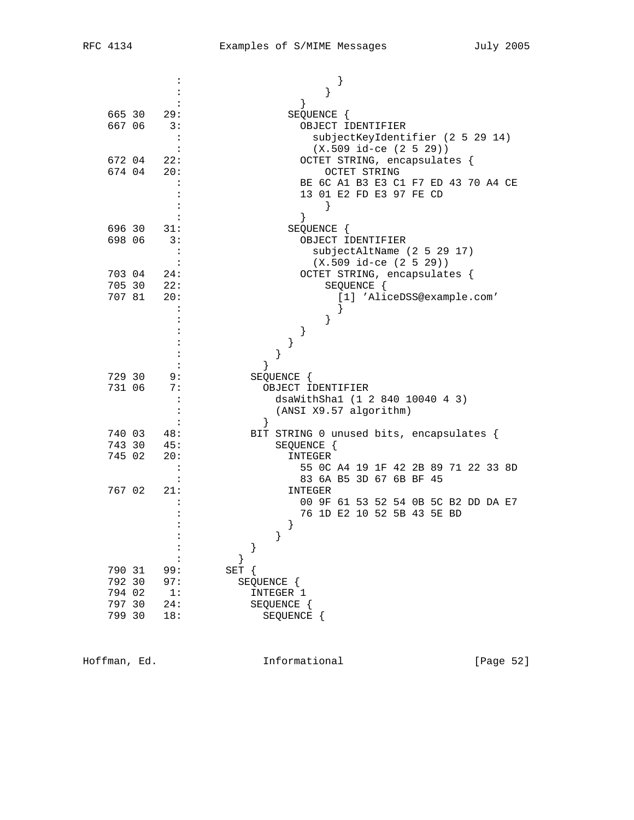| 665 30<br>29:           | }<br>SEQUENCE {                                                |
|-------------------------|----------------------------------------------------------------|
| 667 06<br>3:            | OBJECT IDENTIFIER                                              |
| $\ddot{\phantom{a}}$    | subjectKeyIdentifier (2 5 29 14)                               |
| $\ddot{\cdot}$          | $(X.509$ id-ce $(2 5 29))$                                     |
| 672 04<br>22:           | OCTET STRING, encapsulates {                                   |
| 674 04<br>20:           | OCTET STRING                                                   |
|                         | BE 6C A1 B3 E3 C1 F7 ED 43 70 A4 CE                            |
|                         | 13 01 E2 FD E3 97 FE CD                                        |
|                         | $\left\{ \right\}$                                             |
|                         |                                                                |
| 696 30<br>31:           | SEQUENCE {                                                     |
| 698 06<br>3:            | OBJECT IDENTIFIER<br>subjectAltName (2 5 29 17)                |
|                         | $(X.509 id-ce (2 5 29))$                                       |
| 703 04<br>24:           | OCTET STRING, encapsulates {                                   |
| 705 30 22:              | SEQUENCE {                                                     |
| 20:<br>707 81           | [1] 'AliceDSS@example.com'                                     |
|                         |                                                                |
|                         |                                                                |
|                         | }                                                              |
|                         | }                                                              |
|                         | }                                                              |
| 729 30<br>9:            | SEQUENCE {                                                     |
| 731 06<br>7:            | OBJECT IDENTIFIER                                              |
|                         | dsaWithSha1 (1 2 840 10040 4 3)                                |
| :                       | (ANSI X9.57 algorithm)                                         |
|                         | $\}$                                                           |
| 740 03<br>48:           | BIT STRING 0 unused bits, encapsulates {                       |
| 743 30<br>45:           | SEQUENCE {                                                     |
| 745 02<br>20:           | INTEGER                                                        |
|                         | 55 OC A4 19 1F 42 2B 89 71 22 33 8D<br>83 6A B5 3D 67 6B BF 45 |
| 767 02<br>21:           | <b>INTEGER</b>                                                 |
|                         | 00 9F 61 53 52 54 0B 5C B2 DD DA E7                            |
|                         | 76 1D E2 10 52 5B 43 5E BD                                     |
|                         | }                                                              |
|                         |                                                                |
|                         |                                                                |
|                         |                                                                |
| 790 31<br>99:           | SET {                                                          |
| 792 30<br>97:           | SEQUENCE {                                                     |
| 794 02<br>1:            | INTEGER 1                                                      |
| 797 30<br>24:<br>799 30 | SEQUENCE {                                                     |
| 18:                     | SEQUENCE {                                                     |

Hoffman, Ed. 1nformational 1999 [Page 52]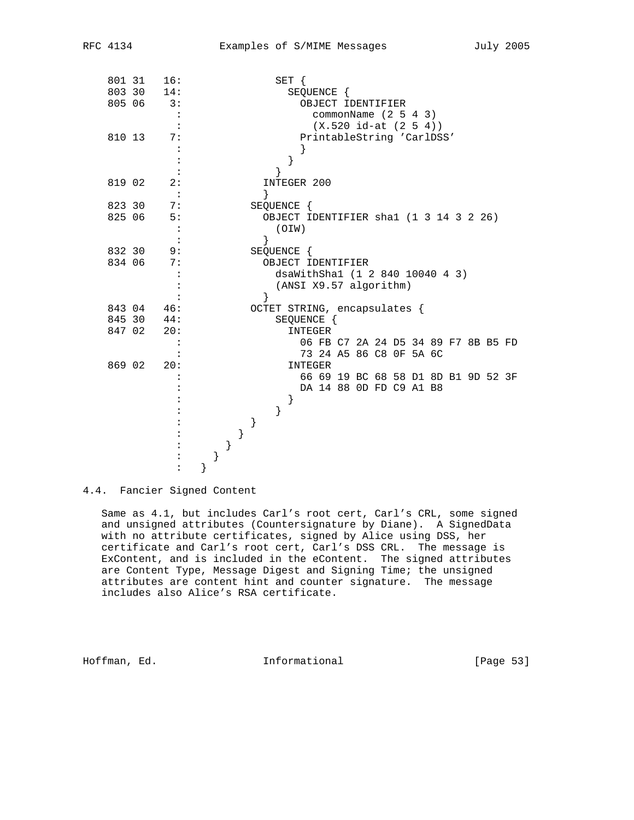| 801 31 |        | 16: |  |      |   | SET {                                  |                                     |  |  |  |  |  |
|--------|--------|-----|--|------|---|----------------------------------------|-------------------------------------|--|--|--|--|--|
| 803 30 |        | 14: |  |      |   | SEQUENCE {                             |                                     |  |  |  |  |  |
| 805 06 |        | 3:  |  |      |   |                                        | OBJECT IDENTIFIER                   |  |  |  |  |  |
|        |        |     |  |      |   |                                        | commonName $(2 5 4 3)$              |  |  |  |  |  |
|        |        |     |  |      |   |                                        | $(X.520 id-at (2 5 4))$             |  |  |  |  |  |
| 810 13 |        | 7:  |  |      |   |                                        | PrintableString 'CarlDSS'           |  |  |  |  |  |
|        |        |     |  |      |   |                                        |                                     |  |  |  |  |  |
|        |        |     |  |      |   |                                        |                                     |  |  |  |  |  |
|        |        |     |  |      |   |                                        |                                     |  |  |  |  |  |
| 819 02 |        | 2:  |  |      |   | INTEGER 200                            |                                     |  |  |  |  |  |
|        |        |     |  | ł    |   |                                        |                                     |  |  |  |  |  |
| 823 30 |        | 7:  |  |      |   | SEQUENCE {                             |                                     |  |  |  |  |  |
| 825 06 |        | 5:  |  |      |   | OBJECT IDENTIFIER shal (1 3 14 3 2 26) |                                     |  |  |  |  |  |
|        |        | :   |  |      |   | (OIW)                                  |                                     |  |  |  |  |  |
|        |        |     |  | $\}$ |   |                                        |                                     |  |  |  |  |  |
| 832 30 |        | 9:  |  |      |   | SEQUENCE {                             |                                     |  |  |  |  |  |
| 834 06 |        | 7:  |  |      |   | OBJECT IDENTIFIER                      |                                     |  |  |  |  |  |
|        |        |     |  |      |   | dsaWithShal (1 2 840 10040 4 3)        |                                     |  |  |  |  |  |
|        |        |     |  |      |   | (ANSI X9.57 algorithm)                 |                                     |  |  |  |  |  |
|        |        |     |  | ł    |   |                                        |                                     |  |  |  |  |  |
|        | 843 04 | 46: |  |      |   | OCTET STRING, encapsulates {           |                                     |  |  |  |  |  |
| 845 30 |        | 44: |  |      |   | SEQUENCE {                             |                                     |  |  |  |  |  |
| 847 02 |        | 20: |  |      |   | INTEGER                                |                                     |  |  |  |  |  |
|        |        |     |  |      |   |                                        | 06 FB C7 2A 24 D5 34 89 F7 8B B5 FD |  |  |  |  |  |
|        |        |     |  |      |   |                                        | 73 24 A5 86 C8 OF 5A 6C             |  |  |  |  |  |
| 869 02 |        | 20: |  |      |   | INTEGER                                |                                     |  |  |  |  |  |
|        |        |     |  |      |   |                                        | 66 69 19 BC 68 58 D1 8D B1 9D 52 3F |  |  |  |  |  |
|        |        |     |  |      |   |                                        | DA 14 88 OD FD C9 A1 B8             |  |  |  |  |  |
|        |        |     |  |      |   |                                        |                                     |  |  |  |  |  |
|        |        |     |  |      | } |                                        |                                     |  |  |  |  |  |
|        |        |     |  |      |   |                                        |                                     |  |  |  |  |  |
|        |        |     |  |      |   |                                        |                                     |  |  |  |  |  |
|        |        |     |  |      |   |                                        |                                     |  |  |  |  |  |
|        |        |     |  |      |   |                                        |                                     |  |  |  |  |  |
|        |        |     |  |      |   |                                        |                                     |  |  |  |  |  |

4.4. Fancier Signed Content

 Same as 4.1, but includes Carl's root cert, Carl's CRL, some signed and unsigned attributes (Countersignature by Diane). A SignedData with no attribute certificates, signed by Alice using DSS, her certificate and Carl's root cert, Carl's DSS CRL. The message is ExContent, and is included in the eContent. The signed attributes are Content Type, Message Digest and Signing Time; the unsigned attributes are content hint and counter signature. The message includes also Alice's RSA certificate.

Hoffman, Ed. 10. Informational 1.1 [Page 53]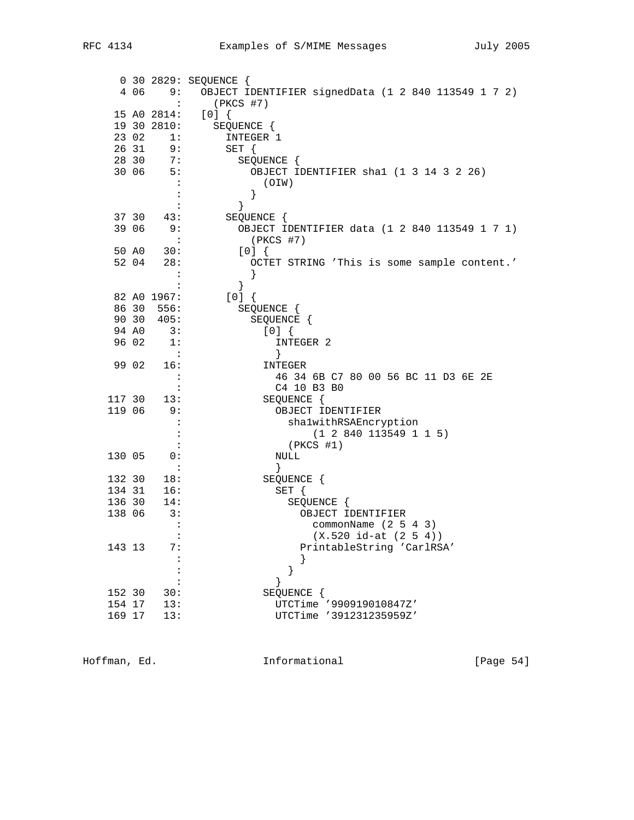|                  |       |                | 0 30 2829: SEQUENCE {                               |
|------------------|-------|----------------|-----------------------------------------------------|
|                  | 406   | 9:             | OBJECT IDENTIFIER signedData (1 2 840 113549 1 7 2) |
|                  |       | :              | $(PKCS$ #7)                                         |
|                  |       | 15 A0 2814:    | [0]                                                 |
|                  |       | 19 30 2810:    | SEQUENCE {                                          |
|                  | 23 02 | 1:             | INTEGER 1                                           |
|                  | 26 31 | 9:             | SET {                                               |
|                  | 28 30 | 7:             | SEQUENCE {                                          |
|                  | 30 06 | 5:             | OBJECT IDENTIFIER shal (1 3 14 3 2 26)              |
|                  |       | $\cdot$ :      | (OIW)                                               |
|                  |       | :<br>:         | }                                                   |
|                  | 37 30 | 43:            | $\}$<br>SEQUENCE {                                  |
|                  | 39 06 | 9:             | OBJECT IDENTIFIER data (1 2 840 113549 1 7 1)       |
|                  |       | $\ddot{\cdot}$ | $(PKCS$ #7)                                         |
|                  | 50 AO | 30:            | [0]                                                 |
|                  | 52 04 | 28:            | OCTET STRING 'This is some sample content.'         |
|                  |       | $\ddot{\cdot}$ | }                                                   |
|                  |       |                | }                                                   |
|                  |       | 82 A0 1967:    | $[0]$ {                                             |
|                  | 86 30 | 556:           | SEQUENCE {                                          |
|                  | 90 30 | 405:           | SEQUENCE {                                          |
|                  | 94 A0 | 3:             | [0]                                                 |
| 96 02            |       | -1:            | INTEGER 2                                           |
|                  |       | $\sim$ 1       | }                                                   |
| 99 02            |       | 16:            | INTEGER                                             |
|                  |       | $\ddot{\cdot}$ | 46 34 6B C7 80 00 56 BC 11 D3 6E 2E                 |
|                  |       | $\ddot{\cdot}$ | C4 10 B3 B0                                         |
| 117 30<br>119 06 |       | 13:<br>9:      | SEQUENCE {<br>OBJECT IDENTIFIER                     |
|                  |       | $\ddot{\cdot}$ | shalwithRSAEncryption                               |
|                  |       | :              | (1 2 840 113549 1 1 5)                              |
|                  |       |                | $(PKCS$ #1)                                         |
| 130 05           |       | 0:             | NULL                                                |
|                  |       | $\ddot{\cdot}$ | $\}$                                                |
| 132 30           |       | 18:            | SEQUENCE {                                          |
| 134 31           |       | 16:            | SET {                                               |
| 136 30           |       | 14:            | SEQUENCE {                                          |
| 138 06           |       | 3:             | OBJECT IDENTIFIER                                   |
|                  |       | $\ddot{\cdot}$ | commonName $(2 5 4 3)$                              |
|                  |       |                | $(X.520 id-at (2 5 4))$                             |
| 143 13           |       | 7 :            | PrintableString 'CarlRSA'                           |
|                  |       |                |                                                     |
|                  |       |                | }                                                   |
| 152 30           |       | 30:            | SEQUENCE {                                          |
| 154 17           |       | 13:            | UTCTime '990919010847Z'                             |
| 169 17           |       | 13:            | UTCTime '391231235959Z'                             |
|                  |       |                |                                                     |

Hoffman, Ed. 10. Informational 11. [Page 54]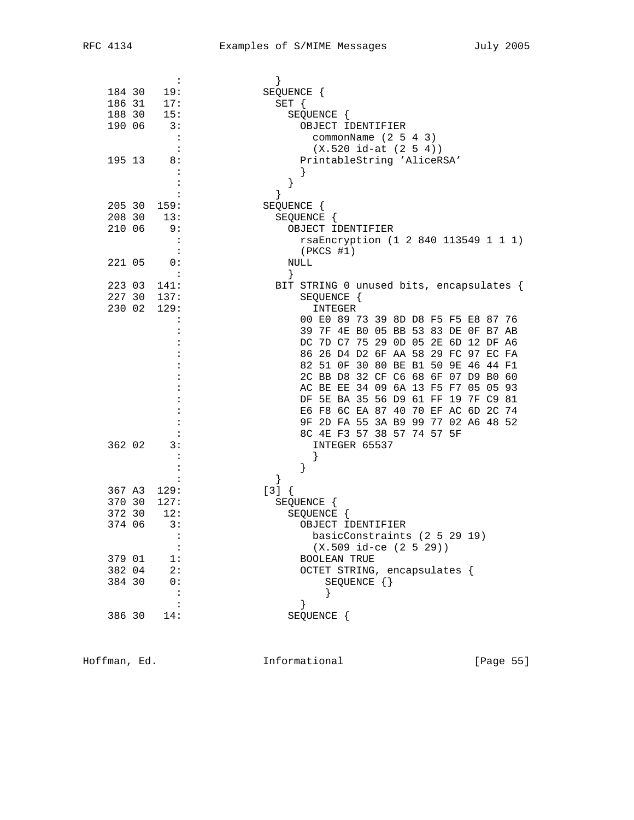|        | $\ddot{\phantom{a}}$ | }                                        |
|--------|----------------------|------------------------------------------|
| 184 30 | 19:                  | SEQUENCE {                               |
|        |                      |                                          |
| 186 31 | 17:                  | $SET \{$                                 |
| 188 30 | 15:                  | SEQUENCE {                               |
| 190 06 | 3:                   | OBJECT IDENTIFIER                        |
|        | $\mathbf{L}$         | commonName $(2 5 4 3)$                   |
|        |                      | $(X.520 id-at (2 5 4))$                  |
| 195 13 | 8:                   | PrintableString 'AliceRSA'               |
|        |                      |                                          |
|        |                      | }                                        |
|        |                      | $\}$                                     |
| 205 30 | 159:                 | SEQUENCE {                               |
| 208 30 | 13:                  | SEQUENCE {                               |
| 210 06 | 9:                   | OBJECT IDENTIFIER                        |
|        | ÷                    | rsaEncryption (1 2 840 113549 1 1 1)     |
|        |                      | (PKCS #1)                                |
| 221 05 | 0:                   | NULL                                     |
|        | $\cdot$ :            | $\}$                                     |
| 223 03 | 141:                 | BIT STRING 0 unused bits, encapsulates { |
| 227 30 | 137:                 |                                          |
|        |                      | SEQUENCE {                               |
| 230 02 | 129:                 | INTEGER                                  |
|        |                      | 00 E0 89 73 39 8D D8 F5 F5 E8 87 76      |
|        |                      | 39 7F 4E B0 05 BB 53 83 DE 0F B7 AB      |
|        |                      | DC 7D C7 75 29 0D 05 2E 6D 12 DF A6      |
|        |                      | 86 26 D4 D2 6F AA 58 29 FC 97 EC FA      |
|        |                      | 82 51 OF 30 80 BE B1 50 9E 46 44 F1      |
|        |                      | 2C BB D8 32 CF C6 68 6F 07 D9 B0 60      |
|        |                      | AC BE EE 34 09 6A 13 F5 F7 05 05 93      |
|        |                      | DF 5E BA 35 56 D9 61 FF 19 7F C9 81      |
|        |                      | E6 F8 6C EA 87 40 70 EF AC 6D 2C 74      |
|        |                      | 9F 2D FA 55 3A B9 99 77 02 A6 48 52      |
|        |                      | 8C 4E F3 57 38 57 74 57 5F               |
| 362 02 | 3:                   | INTEGER 65537                            |
|        |                      |                                          |
|        |                      | }                                        |
|        | :                    | }                                        |
| 367 A3 | 129:                 | $[3]$ {                                  |
| 370 30 | 127:                 | SEQUENCE {                               |
| 372 30 | 12:                  |                                          |
|        |                      | SEQUENCE {                               |
| 374 06 | 3:                   | OBJECT IDENTIFIER                        |
|        |                      | basicConstraints (2 5 29 19)             |
|        | :                    | $(X.509$ id-ce $(2 5 29)$                |
| 379 01 | 1:                   | <b>BOOLEAN TRUE</b>                      |
| 382 04 | 2:                   | OCTET STRING, encapsulates {             |
| 384 30 | 0:                   | SEQUENCE {}                              |
|        |                      |                                          |
|        |                      | $\}$                                     |
| 386 30 | 14:                  | SEQUENCE {                               |

Hoffman, Ed. 10. Informational 1.1 [Page 55]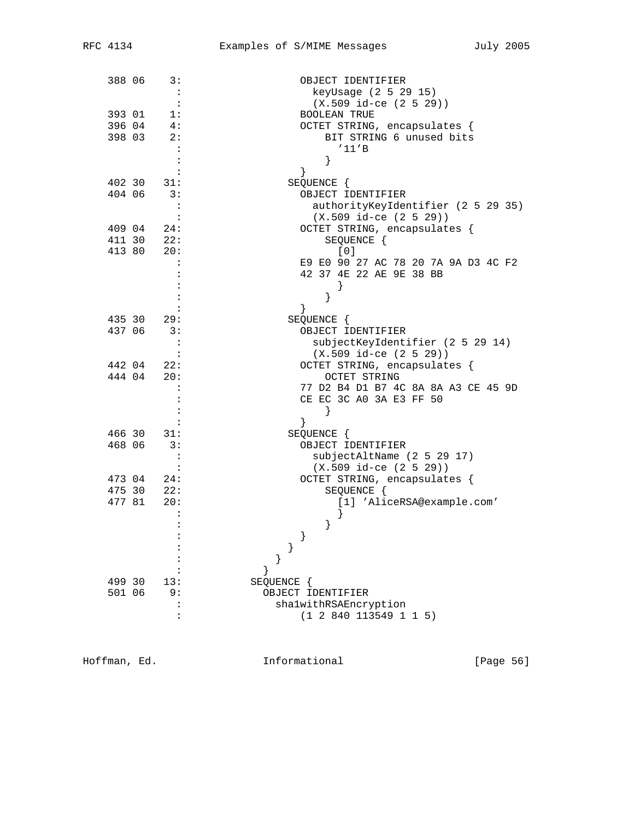| 388 06 | 3:                           | OBJECT IDENTIFIER                        |
|--------|------------------------------|------------------------------------------|
|        | $\cdot$ :                    | keyUsage (2 5 29 15)                     |
|        |                              | $(X.509$ id-ce $(2 5 29))$               |
| 393 01 | $\overline{1}$ :             | <b>BOOLEAN TRUE</b>                      |
| 396 04 | 4:                           | OCTET STRING, encapsulates {             |
| 398 03 | 2:                           | BIT STRING 6 unused bits                 |
|        | $\cdot$                      | '11'B                                    |
|        | :                            | }                                        |
|        |                              | }                                        |
|        | 402 30 31:                   | SEQUENCE {                               |
| 404 06 | 3:                           | OBJECT IDENTIFIER                        |
|        |                              | authorityKeyIdentifier (2 5 29 35)       |
|        |                              | $(X.509$ id-ce $(2 5 29)$                |
| 409 04 | 24:                          | OCTET STRING, encapsulates {             |
|        | 411 30 22:                   | SEQUENCE {                               |
| 413 80 | 20:                          | [0]                                      |
|        |                              | E9 E0 90 27 AC 78 20 7A 9A D3 4C F2      |
|        |                              | 42 37 4E 22 AE 9E 38 BB                  |
|        |                              |                                          |
|        |                              |                                          |
|        |                              | ł                                        |
|        | 435 30 29:                   | SEQUENCE {                               |
| 437 06 | $\overline{\phantom{a}}$ 3:  | OBJECT IDENTIFIER                        |
|        |                              | subjectKeyIdentifier (2 5 29 14)         |
|        |                              | $(X.509 id-ce (2 5 29))$                 |
|        | 442 04 22:                   | OCTET STRING, encapsulates {             |
| 444 04 | 20:                          | OCTET STRING                             |
|        |                              | 77 D2 B4 D1 B7 4C 8A 8A A3 CE 45 9D      |
|        |                              | CE EC 3C A0 3A E3 FF 50                  |
|        |                              | }                                        |
|        |                              | }                                        |
|        | 466 30 31:                   | SEQUENCE {                               |
| 468 06 | 3:                           | OBJECT IDENTIFIER                        |
|        |                              | subjectAltName (2 5 29 17)               |
|        |                              | $(X.509$ id-ce $(2 5 29))$               |
|        | 473 04 24:                   | OCTET STRING, encapsulates {             |
| 477 81 | $475$ 30 22:<br>$477$ 81 20: | SEQUENCE {<br>[1] 'AliceRSA@example.com' |
|        | 20:                          |                                          |
|        |                              |                                          |
|        |                              | }                                        |
|        |                              |                                          |
|        |                              |                                          |
|        |                              |                                          |
| 499 30 | 13:                          | SEQUENCE {                               |
| 501 06 | 9 :                          | OBJECT IDENTIFIER                        |
|        |                              | shalwithRSAEncryption                    |
|        |                              | (1 2 840 113549 1 1 5)                   |
|        |                              |                                          |

Hoffman, Ed. 1nformational 1999 [Page 56]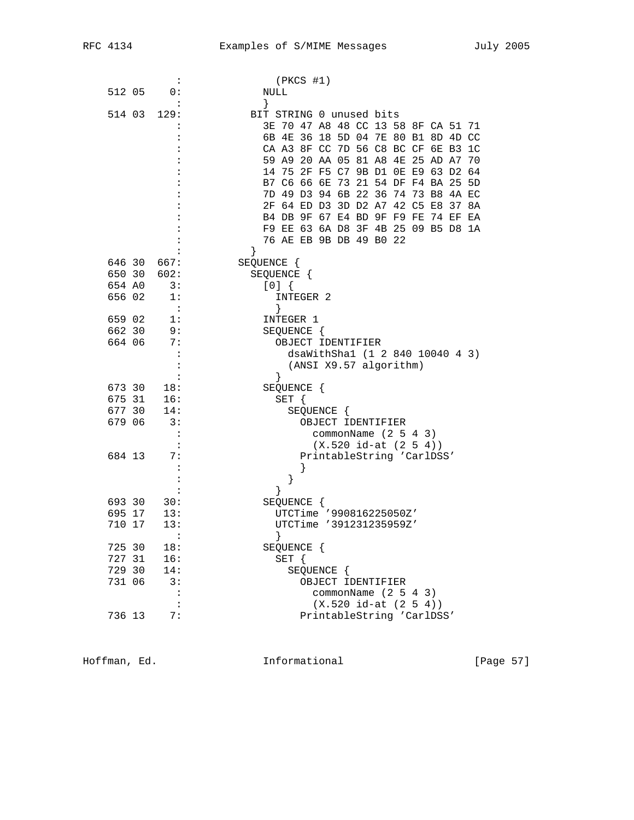|        |        | $\ddot{\cdot}$ | $(PKCS$ #1)                                        |
|--------|--------|----------------|----------------------------------------------------|
| 512 05 |        | 0:             | NULL                                               |
|        |        |                | }                                                  |
|        | 514 03 | 129:           | BIT STRING 0 unused bits                           |
|        |        |                | 3E 70 47 A8 48 CC 13 58 8F CA 51 71                |
|        |        |                | 6B 4E 36 18 5D 04 7E 80 B1 8D 4D CC                |
|        |        |                | CA A3 8F CC 7D 56 C8 BC CF 6E B3<br>1 <sup>C</sup> |
|        |        |                |                                                    |
|        |        |                | 59 A9 20 AA 05 81 A8<br>4E 25 AD A7<br>70          |
|        |        |                | 14 75 2F F5 C7 9B D1 0E E9 63 D2<br>64             |
|        |        |                | B7 C6 66 6E 73 21 54 DF F4 BA 25<br>5 <sub>D</sub> |
|        |        |                | 7D 49 D3 94 6B 22 36 74 73 B8 4A EC                |
|        |        |                | 2F 64 ED D3 3D D2 A7 42 C5 E8 37 8A                |
|        |        |                | B4 DB 9F 67 E4 BD 9F F9 FE 74 EF EA                |
|        |        |                | F9 EE 63 6A D8 3F 4B 25 09 B5 D8 1A                |
|        |        |                | 76 AE EB 9B DB 49 B0 22                            |
|        |        |                |                                                    |
|        |        | 646 30 667:    | SEQUENCE {                                         |
|        |        | 650 30 602:    | SEQUENCE {                                         |
| 654 AO |        | 3:             | $[0]$ {                                            |
| 656 02 |        | 1:             | INTEGER 2                                          |
|        |        | $\cdot$ :      | $\left\{ \right\}$                                 |
| 659 02 |        | 1:             | INTEGER 1                                          |
| 662 30 |        | 9:             | SEQUENCE {                                         |
| 664 06 |        | 7:             | OBJECT IDENTIFIER                                  |
|        |        |                | dsaWithSha1 (1 2 840 10040 4 3)                    |
|        |        |                | (ANSI X9.57 algorithm)                             |
|        |        |                | $\left\{ \right\}$                                 |
| 673 30 |        | 18:            | SEQUENCE {                                         |
|        | 675 31 | 16:            | SET {                                              |
| 677 30 |        | 14:            | SEQUENCE {                                         |
| 679 06 |        | 3:             | OBJECT IDENTIFIER                                  |
|        |        |                |                                                    |
|        |        |                | commonName $(2 5 4 3)$                             |
|        |        | $\mathbf{L}$   | $(X.520 id-at (2 5 4))$                            |
| 684 13 |        | 7:             | PrintableString 'CarlDSS'                          |
|        |        |                |                                                    |
|        |        |                | $\}$                                               |
|        |        |                | ł                                                  |
| 693 30 |        | 30:            | SEQUENCE {                                         |
| 695 17 |        | 13:            | UTCTime '990816225050Z'                            |
| 710 17 |        | 13:            | UTCTime '391231235959Z'                            |
|        |        | $\ddot{\cdot}$ |                                                    |
| 725 30 |        | 18:            | SEQUENCE {                                         |
| 727 31 |        | 16:            | SET {                                              |
| 729 30 |        | 14:            | SEQUENCE {                                         |
| 731 06 |        | 3:             | OBJECT IDENTIFIER                                  |
|        |        |                | commonName $(2 5 4 3)$                             |
|        |        | $\ddot{\cdot}$ | $(X.520 id-at (2 5 4))$                            |
| 736 13 |        | 7:             | PrintableString 'CarlDSS'                          |
|        |        |                |                                                    |

Hoffman, Ed. 1nformational 1999 [Page 57]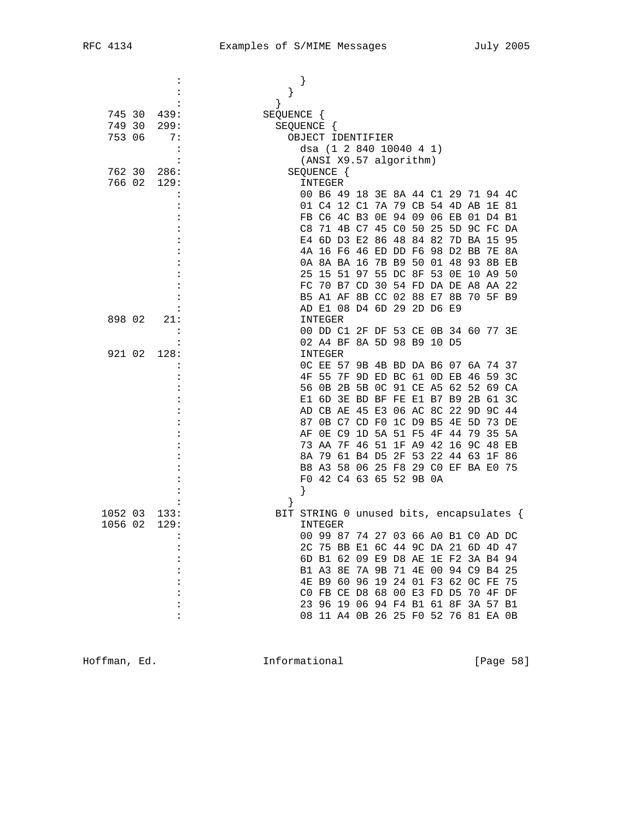|         |                      | }                                        |                                  |  |  |  |       |  |
|---------|----------------------|------------------------------------------|----------------------------------|--|--|--|-------|--|
|         |                      | }                                        |                                  |  |  |  |       |  |
|         |                      | $\}$                                     |                                  |  |  |  |       |  |
| 745 30  | 439:                 | SEQUENCE {                               |                                  |  |  |  |       |  |
| 749 30  | 299:                 | SEQUENCE {                               |                                  |  |  |  |       |  |
| 753 06  | 7 :                  | OBJECT IDENTIFIER                        |                                  |  |  |  |       |  |
|         |                      | dsa (1 2 840 10040 4 1)                  |                                  |  |  |  |       |  |
|         | $\ddot{\cdot}$       | (ANSI X9.57 algorithm)                   |                                  |  |  |  |       |  |
| 762 30  | 286:                 | SEQUENCE {                               |                                  |  |  |  |       |  |
| 766 02  | 129:                 | INTEGER                                  |                                  |  |  |  |       |  |
|         |                      | 00 B6 49 18 3E 8A 44 C1 29 71 94 4C      |                                  |  |  |  |       |  |
|         |                      | 01 C4 12 C1 7A 79 CB 54 4D AB            |                                  |  |  |  | 1E 81 |  |
|         |                      | FB C6 4C B3 0E 94 09 06 EB 01 D4 B1      |                                  |  |  |  |       |  |
|         |                      | C8 71 4B C7 45 C0 50 25 5D 9C FC DA      |                                  |  |  |  |       |  |
|         |                      | E4 6D D3 E2 86 48 84 82 7D BA 15 95      |                                  |  |  |  |       |  |
|         |                      | 4A 16 F6 46 ED DD F6 98 D2 BB 7E 8A      |                                  |  |  |  |       |  |
|         |                      | 0A 8A BA 16 7B B9 50 01 48 93 8B EB      |                                  |  |  |  |       |  |
|         |                      | 25 15 51 97 55 DC 8F 53 0E 10 A9 50      |                                  |  |  |  |       |  |
|         |                      | FC 70 B7 CD 30 54 FD DA DE A8 AA 22      |                                  |  |  |  |       |  |
|         |                      | B5 A1 AF 8B CC 02 88 E7 8B 70 5F B9      |                                  |  |  |  |       |  |
|         |                      | AD E1 08 D4 6D 29 2D D6 E9               |                                  |  |  |  |       |  |
| 898 02  | 21:                  | INTEGER                                  |                                  |  |  |  |       |  |
|         |                      | 00 DD C1 2F DF 53 CE 0B 34 60 77 3E      |                                  |  |  |  |       |  |
|         |                      | 02 A4 BF 8A 5D 98 B9 10 D5               |                                  |  |  |  |       |  |
| 921 02  | 128:                 | INTEGER                                  |                                  |  |  |  |       |  |
|         |                      | OC EE 57 9B 4B BD DA B6 07 6A 74 37      |                                  |  |  |  |       |  |
|         |                      | 4F 55 7F 9D ED BC 61 0D EB 46 59 3C      |                                  |  |  |  |       |  |
|         |                      | 56 OB 2B 5B OC 91 CE A5 62 52 69 CA      |                                  |  |  |  |       |  |
|         |                      | E1 6D 3E BD BF FE E1 B7 B9 2B 61 3C      |                                  |  |  |  |       |  |
|         |                      | AD CB AE 45 E3 06 AC 8C 22 9D 9C 44      |                                  |  |  |  |       |  |
|         |                      | 87                                       | 0B C7 CD F0 1C D9 B5 4E 5D 73 DE |  |  |  |       |  |
|         |                      | AF                                       | OE C9 1D 5A 51 F5 4F 44 79 35 5A |  |  |  |       |  |
|         |                      | 73 AA 7F 46 51 1F A9 42 16 9C 48 EB      |                                  |  |  |  |       |  |
|         |                      | 8A 79 61 B4 D5 2F 53 22 44 63 1F 86      |                                  |  |  |  |       |  |
|         |                      | B8 A3 58 06 25 F8 29 C0 EF BA E0 75      |                                  |  |  |  |       |  |
|         |                      | F0 42 C4 63 65 52 9B 0A                  |                                  |  |  |  |       |  |
|         |                      | ł                                        |                                  |  |  |  |       |  |
|         |                      |                                          |                                  |  |  |  |       |  |
| 1052 03 | 133:                 | BIT STRING 0 unused bits, encapsulates { |                                  |  |  |  |       |  |
| 1056 02 | 129:                 | INTEGER                                  |                                  |  |  |  |       |  |
|         |                      | 00 99 87 74 27 03 66 A0 B1 C0 AD DC      |                                  |  |  |  |       |  |
|         |                      | 2C 75 BB E1 6C 44 9C DA 21 6D 4D 47      |                                  |  |  |  |       |  |
|         |                      | 6D B1 62 09 E9 D8 AE 1E F2 3A B4 94      |                                  |  |  |  |       |  |
|         |                      | B1 A3 8E 7A 9B 71 4E 00 94 C9 B4 25      |                                  |  |  |  |       |  |
|         |                      | 4E B9 60 96 19 24 01 F3 62 0C FE 75      |                                  |  |  |  |       |  |
|         |                      | CO FB CE D8 68 00 E3 FD D5 70 4F DF      |                                  |  |  |  |       |  |
|         |                      | 23 96 19 06 94 F4 B1 61 8F 3A 57 B1      |                                  |  |  |  |       |  |
|         | $\ddot{\phantom{a}}$ | 08 11 A4 0B 26 25 F0 52 76 81 EA 0B      |                                  |  |  |  |       |  |

Hoffman, Ed. 1nformational 1999 [Page 58]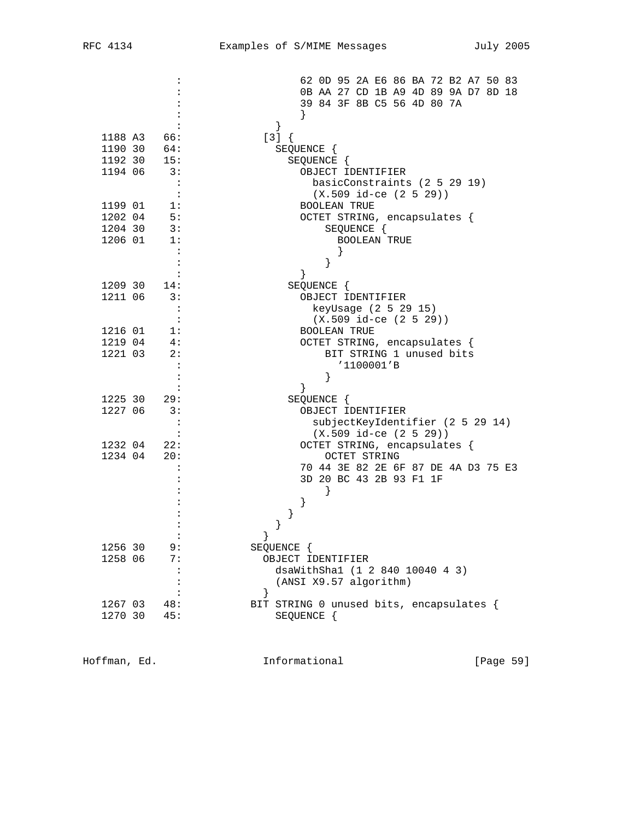|         |                      | 62 OD 95 2A E6 86 BA 72 B2 A7 50 83              |
|---------|----------------------|--------------------------------------------------|
|         |                      | 0B AA 27 CD 1B A9 4D 89 9A D7 8D 18              |
|         |                      | 39 84 3F 8B C5 56 4D 80 7A                       |
|         |                      |                                                  |
|         |                      | $\}$                                             |
| 1188 A3 | 66:                  | $[3] { }$                                        |
| 1190 30 | 64:                  | SEQUENCE {                                       |
| 1192 30 | 15:                  | SEQUENCE {                                       |
| 1194 06 | 3:                   | OBJECT IDENTIFIER                                |
|         | $\ddot{\cdot}$       | basicConstraints (2 5 29 19)                     |
|         |                      | $(X.509 id-ce (2 5 29))$                         |
| 1199 01 | 1:                   | <b>BOOLEAN TRUE</b>                              |
| 1202 04 | 5:                   | OCTET STRING, encapsulates {                     |
| 1204 30 | 3:                   | SEQUENCE {                                       |
| 1206 01 | 1:                   | <b>BOOLEAN TRUE</b>                              |
|         |                      |                                                  |
|         |                      | $\}$                                             |
|         |                      |                                                  |
| 1209 30 | 14:                  | SEQUENCE {                                       |
| 1211 06 | 3:                   | OBJECT IDENTIFIER                                |
|         | $\ddot{\cdot}$       | keyUsage (2 5 29 15)                             |
|         |                      | $(X.509$ id-ce $(2 5 29))$                       |
| 1216 01 | 1:                   | <b>BOOLEAN TRUE</b>                              |
| 1219 04 | 4:                   | OCTET STRING, encapsulates {                     |
| 1221 03 | 2:                   | BIT STRING 1 unused bits                         |
|         |                      | '1100001'B                                       |
|         |                      |                                                  |
|         |                      |                                                  |
| 1225 30 | 29:                  | SEQUENCE {                                       |
| 1227 06 | 3:                   | OBJECT IDENTIFIER                                |
|         |                      | subjectKeyIdentifier (2 5 29 14)                 |
|         |                      | $(X.509$ id-ce $(2 5 29))$                       |
| 1232 04 | 22:                  | OCTET STRING, encapsulates {                     |
| 1234 04 | 20:                  | <b>OCTET STRING</b>                              |
|         |                      | 70 44 3E 82 2E 6F 87 DE 4A D3 75 E3              |
|         |                      | 3D 20 BC 43 2B 93 F1 1F                          |
|         |                      |                                                  |
|         |                      |                                                  |
|         |                      | }                                                |
|         |                      |                                                  |
|         |                      |                                                  |
| 1256 30 | 9:<br>7:             | SEQUENCE {                                       |
| 1258 06 | :                    | OBJECT IDENTIFIER                                |
|         | $\ddot{\phantom{a}}$ | dsaWithSha1 (1 2 840 10040 4 3)                  |
|         |                      | (ANSI X9.57 algorithm)                           |
| 1267 03 | 48:                  | $\}$<br>BIT STRING 0 unused bits, encapsulates { |
| 1270 30 | 45:                  | SEQUENCE {                                       |
|         |                      |                                                  |
|         |                      |                                                  |

Hoffman, Ed. 1nformational 1999 [Page 59]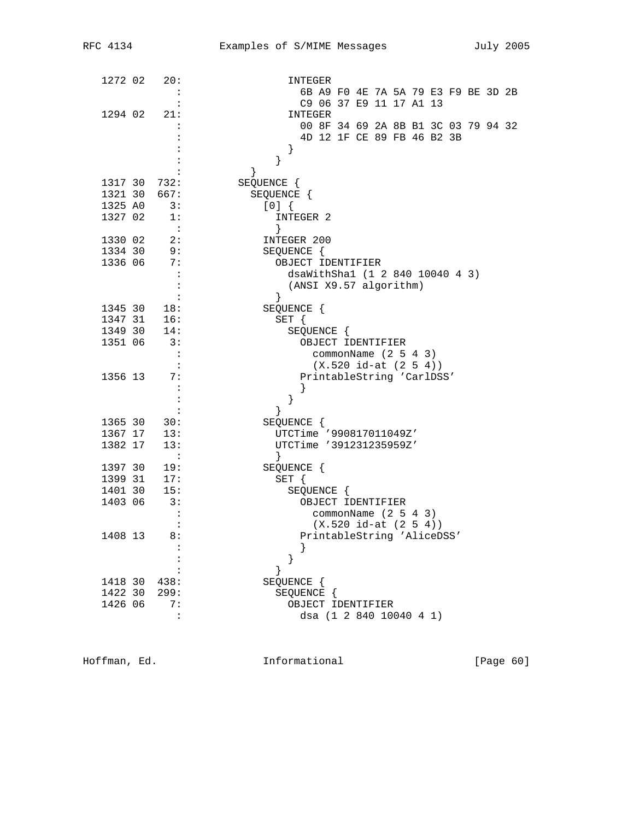| 1272 02            | 20:                               | INTEGER                             |
|--------------------|-----------------------------------|-------------------------------------|
|                    |                                   | 6B A9 F0 4E 7A 5A 79 E3 F9 BE 3D 2B |
| 1294 02            | 21:                               | C9 06 37 E9 11 17 A1 13<br>INTEGER  |
|                    |                                   | 00 8F 34 69 2A 8B B1 3C 03 79 94 32 |
|                    |                                   | 4D 12 1F CE 89 FB 46 B2 3B          |
|                    |                                   |                                     |
|                    |                                   | }                                   |
|                    |                                   |                                     |
|                    | 1317 30 732:                      | SEQUENCE {                          |
| 1321 30            | 667:                              | SEQUENCE {                          |
| 1325 AO<br>1327 02 | $\overline{\phantom{a}}$ 3:<br>1: | [0]<br>INTEGER 2                    |
|                    | $\overline{\phantom{a}}$ :        | }                                   |
| 1330 02            | 2:                                | INTEGER 200                         |
| 1334 30            | 9:                                | SEQUENCE {                          |
| 1336 06            | 7:                                | OBJECT IDENTIFIER                   |
|                    | $\cdot$ :                         | dsaWithSha1 (1 2 840 10040 4 3)     |
|                    |                                   | (ANSI X9.57 algorithm)<br>}         |
| 1345 30            | 18:                               | SEQUENCE {                          |
| 1347 31            | 16:                               | $SET \{$                            |
| 1349 30            | 14:                               | SEQUENCE {                          |
| 1351 06            | 3:                                | OBJECT IDENTIFIER                   |
|                    | $\mathbf{L}$                      | commonName $(2 5 4 3)$              |
|                    |                                   | $(X.520 id-at (2 5 4))$             |
| 1356 13            | 7:                                | PrintableString 'CarlDSS'           |
|                    | $\cdot$                           | }                                   |
|                    |                                   | $\}$                                |
| 1365 30            | 30:                               | SEQUENCE {                          |
| 1367 17            | 13:                               | UTCTime '990817011049Z'             |
| 1382 17            | 13:                               | UTCTime '391231235959Z'             |
|                    | $\sim$ $\sim$ $\sim$              | $\}$                                |
| 1397 30            | 19:<br>17:                        | SEQUENCE {                          |
| 1399 31<br>1401 30 | 15:                               | SET {<br>SEQUENCE {                 |
| 1403 06            | 3:                                | OBJECT IDENTIFIER                   |
|                    |                                   | commonName $(2 5 4 3)$              |
|                    |                                   | $(X.520 id-at (2 5 4))$             |
| 1408 13            | 8:                                | PrintableString 'AliceDSS'          |
|                    |                                   |                                     |
|                    |                                   |                                     |
|                    |                                   |                                     |
| 1418 30            | 438:                              | SEQUENCE {                          |
| 1422 30            | 299:                              | SEQUENCE {                          |
| 1426 06            | 7:<br>$\ddot{\phantom{a}}$        | OBJECT IDENTIFIER                   |
|                    |                                   | dsa (1 2 840 10040 4 1)             |

Hoffman, Ed. 1nformational 1999 [Page 60]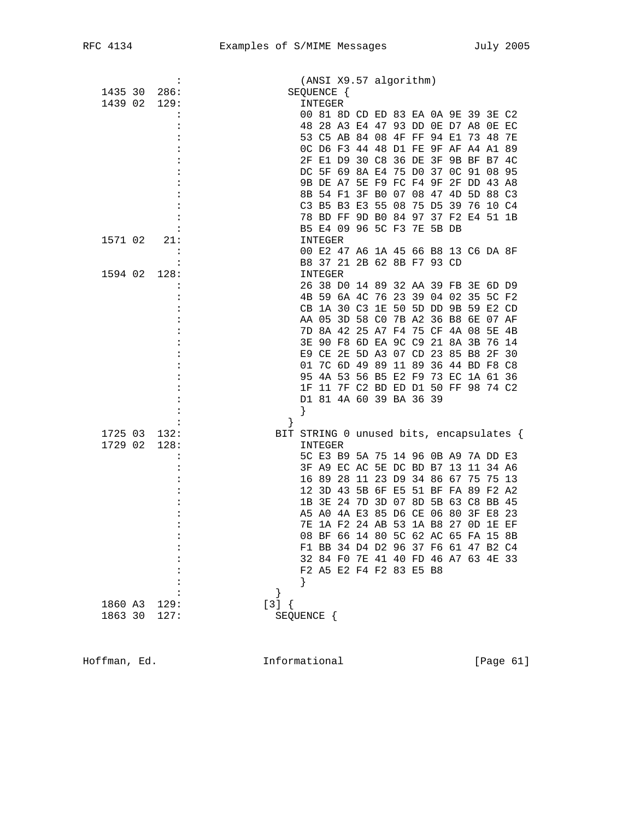|         | $\ddot{\cdot}$ | (ANSI X9.57 algorithm)                                                     |
|---------|----------------|----------------------------------------------------------------------------|
| 1435 30 | 286:           | SEQUENCE {                                                                 |
| 1439 02 | 129:           | INTEGER                                                                    |
|         |                | 00 81 8D CD ED 83 EA 0A 9E 39 3E C2                                        |
|         |                | 48 28 A3 E4 47 93 DD 0E D7 A8 0E EC                                        |
|         |                | 53 C5 AB 84 08 4F FF 94 E1 73 48 7E                                        |
|         |                | OC D6 F3 44 48 D1 FE 9F AF A4 A1 89                                        |
|         |                | 2F E1 D9 30 C8 36 DE 3F 9B BF B7 4C                                        |
|         |                | DC 5F 69 8A E4 75 D0 37 0C 91 08 95                                        |
|         |                | 9B DE A7 5E F9 FC F4 9F 2F DD 43 A8                                        |
|         |                | 8B 54 F1 3F B0 07 08 47 4D 5D 88 C3                                        |
|         |                | C3 B5 B3 E3 55 08 75 D5 39 76 10 C4                                        |
|         |                | 78 BD FF 9D B0 84 97 37 F2 E4 51 1B                                        |
|         |                | B5 E4 09 96 5C F3 7E 5B DB                                                 |
| 1571 02 | 21:            | INTEGER                                                                    |
|         |                | 00 E2 47 A6 1A 45 66 B8 13 C6 DA 8F                                        |
|         |                | B8 37 21 2B 62 8B F7 93 CD                                                 |
| 1594 02 | 128:           | INTEGER                                                                    |
|         | :              | 26 38 D0 14 89 32 AA 39 FB 3E 6D D9                                        |
|         |                | 4B 59 6A 4C 76 23 39 04 02 35 5C F2                                        |
|         |                | CB 1A 30 C3 1E 50 5D DD 9B 59 E2 CD                                        |
|         |                | AA 05 3D 58 CO 7B A2 36 B8 6E 07 AF                                        |
|         |                | 7D 8A 42 25 A7 F4 75 CF 4A 08 5E 4B                                        |
|         |                | 3E 90 F8 6D EA 9C C9 21 8A 3B 76 14                                        |
|         |                | E9 CE 2E 5D A3 07 CD 23 85 B8 2F 30                                        |
|         |                | 7C 6D 49 89 11 89 36 44 BD F8 C8<br>01                                     |
|         |                | 4A 53 56 B5 E2 F9 73 EC 1A 61 36<br>95<br>11 7F C2 BD ED D1 50 FF 98 74 C2 |
|         |                | 1F<br>D1 81 4A 60 39 BA 36 39                                              |
|         |                |                                                                            |
|         | :              | $\}$<br>$\left\{ \right\}$                                                 |
| 1725 03 | 132:           | BIT STRING 0 unused bits, encapsulates {                                   |
| 1729 02 | 128:           | INTEGER                                                                    |
|         |                | 5C E3 B9 5A 75 14 96 0B A9 7A DD E3                                        |
|         |                | 3F A9 EC AC 5E DC BD B7 13 11 34 A6                                        |
|         |                | 16 89 28 11 23 D9 34 86 67 75 75 13                                        |
|         |                | 12 3D 43 5B 6F E5 51 BF FA 89 F2 A2                                        |
|         |                | 1B 3E 24 7D 3D 07 8D 5B 63 C8 BB 45                                        |
|         |                | A5 A0 4A E3 85 D6 CE 06 80 3F E8 23                                        |
|         |                | 1A F2 24 AB 53 1A B8 27 OD 1E EF<br>7E                                     |
|         |                | 08 BF 66 14 80 5C 62 AC 65 FA 15 8B                                        |
|         | :              | F1 BB 34 D4 D2 96 37 F6 61 47 B2 C4                                        |
|         |                | 32 84 FO 7E 41 40 FD 46 A7 63 4E 33                                        |
|         |                | F2 A5 E2 F4 F2 83 E5 B8                                                    |
|         |                | }                                                                          |
|         |                | }                                                                          |
| 1860 A3 | 129:           | $[3] { }$                                                                  |
| 1863 30 | 127:           | SEQUENCE {                                                                 |
|         |                |                                                                            |

Hoffman, Ed. 1nformational 1999 [Page 61]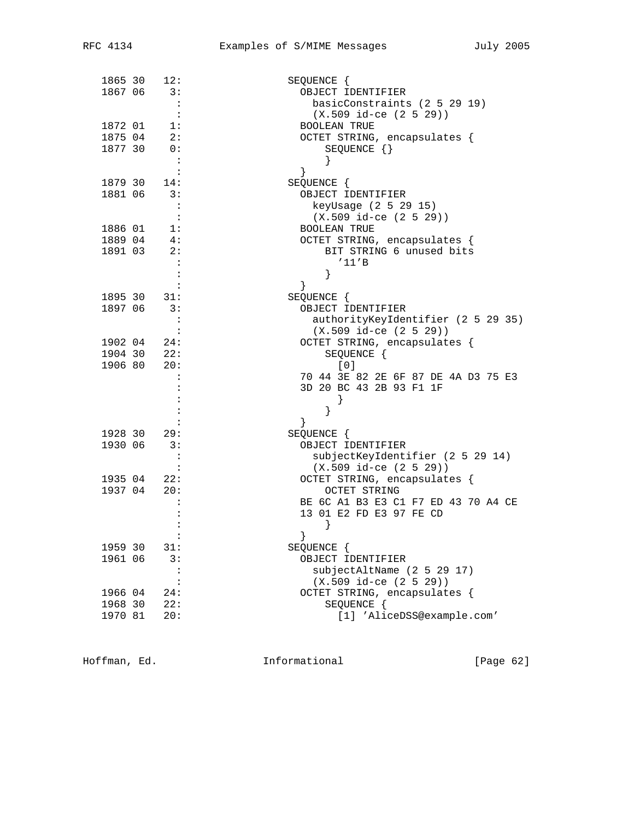| 1865 30 | 12:                         | SEQUENCE {                          |
|---------|-----------------------------|-------------------------------------|
| 1867 06 | 3:                          | OBJECT IDENTIFIER                   |
|         | $\ddot{\phantom{a}}$        | basicConstraints (2 5 29 19)        |
|         | $\mathbf{L}$                | $(X.509$ id-ce $(2 5 29)$           |
| 1872 01 | 1:                          | <b>BOOLEAN TRUE</b>                 |
| 1875 04 | 2:                          | OCTET STRING, encapsulates {        |
| 1877 30 | 0:                          | SEQUENCE {}                         |
|         | $\ddot{\phantom{a}}$        |                                     |
|         |                             | }                                   |
| 1879 30 | 14:                         | SEQUENCE {                          |
| 1881 06 | 3:                          | OBJECT IDENTIFIER                   |
|         | $\overline{\phantom{a}}$ :  | keyUsage (2 5 29 15)                |
|         | $\ddot{\phantom{1}}$ :      | $(X.509$ id-ce $(2 5 29)$           |
| 1886 01 | $\overline{\phantom{a}}$ 1: | <b>BOOLEAN TRUE</b>                 |
| 1889 04 | 4:                          | OCTET STRING, encapsulates {        |
| 1891 03 | 2:                          | BIT STRING 6 unused bits            |
|         |                             | '11'B                               |
|         |                             | }                                   |
|         | :                           | }                                   |
|         | 1895 30 31:                 | SEQUENCE {                          |
| 1897 06 | 3:                          | OBJECT IDENTIFIER                   |
|         |                             |                                     |
|         | :                           | authorityKeyIdentifier (2 5 29 35)  |
|         |                             | $(X.509$ id-ce $(2 5 29)$           |
| 1902 04 | 24:<br>$1904$ 30 22:        | OCTET STRING, encapsulates {        |
|         |                             | SEQUENCE {                          |
| 1906 80 | 20:                         | [0]                                 |
|         |                             | 70 44 3E 82 2E 6F 87 DE 4A D3 75 E3 |
|         |                             | 3D 20 BC 43 2B 93 F1 1F             |
|         |                             |                                     |
|         |                             |                                     |
|         |                             | ł                                   |
| 1928 30 | 29:                         | SEQUENCE {                          |
| 1930 06 | $\overline{\phantom{a}}$ 3: | OBJECT IDENTIFIER                   |
|         |                             | subjectKeyIdentifier (2 5 29 14)    |
|         |                             | $(X.509$ id-ce $(2 5 29))$          |
| 1935 04 | 22:                         | OCTET STRING, encapsulates {        |
| 1937 04 | 20:                         | OCTET STRING                        |
|         |                             | BE 6C A1 B3 E3 C1 F7 ED 43 70 A4 CE |
|         |                             | 13 01 E2 FD E3 97 FE CD             |
|         |                             |                                     |
|         |                             | $\}$                                |
| 1959 30 | 31:                         | SEQUENCE {                          |
| 1961 06 | 3:                          | OBJECT IDENTIFIER                   |
|         | :                           | subjectAltName (2 5 29 17)          |
|         | $\ddot{\cdot}$              | $(X.509$ id-ce $(2 5 29))$          |
| 1966 04 | 24:                         | OCTET STRING, encapsulates {        |
| 1968 30 | 22:                         | SEQUENCE {                          |
| 1970 81 | 20:                         | [1] 'AliceDSS@example.com'          |
|         |                             |                                     |

Hoffman, Ed. 1nformational 1999 [Page 62]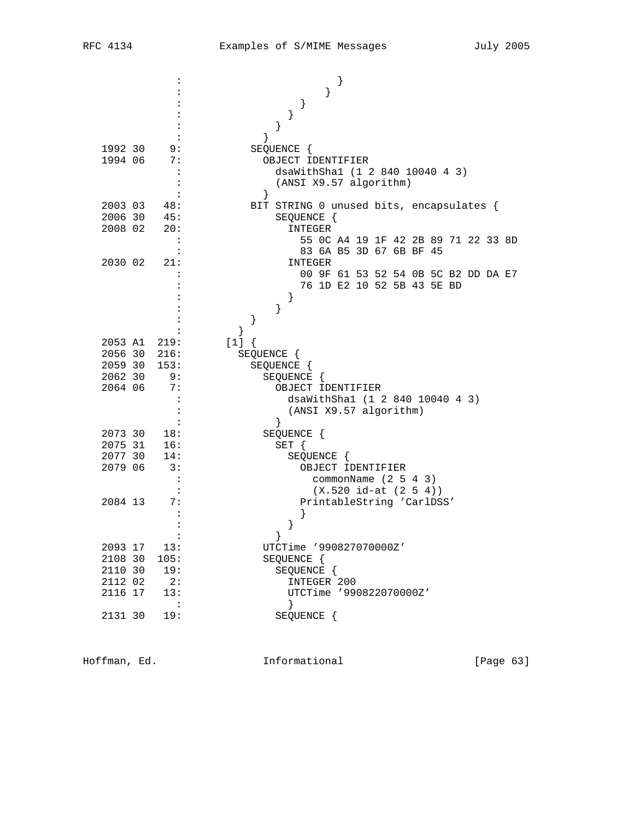|                    |                | ł                                                    |
|--------------------|----------------|------------------------------------------------------|
|                    |                | $\}$                                                 |
|                    |                | }<br>}                                               |
|                    |                | $\}$                                                 |
| 1992 30            | 9:             | SEQUENCE {                                           |
| 1994 06            | 7:             | OBJECT IDENTIFIER                                    |
|                    | $\ddot{\cdot}$ | dsaWithSha1 (1 2 840 10040 4 3)                      |
|                    |                | (ANSI X9.57 algorithm)                               |
|                    |                | }                                                    |
| 2003 03            | 48:            | BIT STRING 0 unused bits, encapsulates {             |
| 2006 30            | 45:            | SEQUENCE {                                           |
| 2008 02            | 20:            | INTEGER                                              |
|                    | $\ddot{\cdot}$ | 55 OC A4 19 1F 42 2B 89 71 22 33 8D                  |
| 2030 02            | 21:            | 83 6A B5 3D 67 6B BF 45                              |
|                    |                | INTEGER<br>00 9F 61 53 52 54 0B 5C B2 DD DA E7       |
|                    |                | 76 1D E2 10 52 5B 43 5E BD                           |
|                    |                | $\}$                                                 |
|                    |                | }                                                    |
|                    |                | }                                                    |
|                    |                | ł                                                    |
|                    | 2053 A1 219:   | $[1]$ {                                              |
|                    | 2056 30 216:   | SEQUENCE {                                           |
| 2059 30            | 153:           | SEQUENCE {                                           |
| 2062 30<br>2064 06 | 9:<br>7:       | SEQUENCE {                                           |
|                    |                | OBJECT IDENTIFIER<br>dsaWithSha1 (1 2 840 10040 4 3) |
|                    |                | (ANSI X9.57 algorithm)                               |
|                    |                | $\}$                                                 |
| 2073 30            | 18:            | SEQUENCE {                                           |
| 2075 31            | 16:            | $SET \{$                                             |
| 2077 30            | 14:            | SEQUENCE {                                           |
| 2079 06            | 3:             | OBJECT IDENTIFIER                                    |
|                    |                | commonName $(2 5 4 3)$                               |
|                    |                | $(X.520 id-at (2 5 4))$                              |
| 2084 13            | 7:             | PrintableString 'CarlDSS'                            |
|                    |                | $\}$                                                 |
|                    |                |                                                      |
| 2093 17            | 13:            | UTCTime '990827070000Z'                              |
| 2108 30            | 105:           | SEQUENCE {                                           |
| 2110 30            | 19:            | SEQUENCE {                                           |
| 2112 02            | 2:             | INTEGER 200                                          |
| 2116 17            | 13:            | UTCTime '990822070000Z'                              |
|                    |                |                                                      |
| 2131 30            | 19:            | SEQUENCE {                                           |
|                    |                |                                                      |

Hoffman, Ed. 1nformational [Page 63]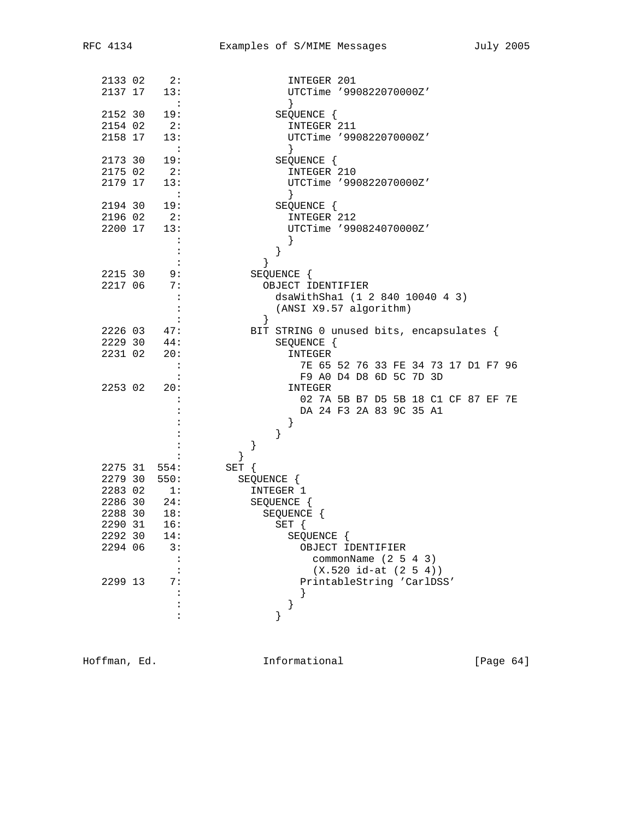| 2133 02 | 2:                         | INTEGER 201                              |
|---------|----------------------------|------------------------------------------|
| 2137 17 | 13:                        | UTCTime '990822070000Z'                  |
|         | $\sim$ :                   | $\}$                                     |
| 2152 30 | 19:                        | SEQUENCE {                               |
| 2154 02 | 2:                         | INTEGER 211                              |
| 2158 17 | 13:                        | UTCTime '990822070000Z'                  |
|         | $\sim$ $\sim$ $\sim$       |                                          |
| 2173 30 | 19:                        | SEQUENCE {                               |
| 2175 02 | 2:                         | INTEGER 210                              |
| 2179 17 | 13:                        | UTCTime '990822070000Z'                  |
|         | $\sim$ $\sim$              |                                          |
| 2194 30 | 19:                        | SEQUENCE {                               |
| 2196 02 | 2:                         | INTEGER 212                              |
| 2200 17 | 13:                        | UTCTime '990824070000Z'                  |
|         | $\ddot{\cdot}$             |                                          |
|         | $\ddot{\cdot}$             | }                                        |
|         |                            | }                                        |
| 2215 30 | 9:                         | SEQUENCE {                               |
| 2217 06 | 7:                         | OBJECT IDENTIFIER                        |
|         | $\cdot$                    | dsaWithSha1 (1 2 840 10040 4 3)          |
|         | $\ddot{\cdot}$             | (ANSI X9.57 algorithm)                   |
|         | $\ddot{\phantom{a}}$       | $\}$                                     |
| 2226 03 | 47:                        | BIT STRING 0 unused bits, encapsulates { |
| 2229 30 | 44:                        | SEQUENCE {                               |
| 2231 02 | 20:                        | INTEGER                                  |
|         | $\overline{\phantom{a}}$ : | 7E 65 52 76 33 FE 34 73 17 D1 F7 96      |
|         |                            | F9 A0 D4 D8 6D 5C 7D 3D                  |
| 2253 02 | 20:                        | INTEGER                                  |
|         |                            | 02 7A 5B B7 D5 5B 18 C1 CF 87 EF 7E      |
|         |                            | DA 24 F3 2A 83 9C 35 A1                  |
|         |                            | $\}$                                     |
|         |                            | $\}$                                     |
|         |                            | }                                        |
|         |                            | }                                        |
| 2275 31 | 554:                       | $SET \{$                                 |
| 2279 30 | 550:                       | SEQUENCE {                               |
| 2283 02 | 1:                         | INTEGER 1                                |
| 2286 30 | 24:                        | SEQUENCE {                               |
| 2288 30 | 18:                        | SEQUENCE {                               |
| 2290 31 | 16:                        | SET {                                    |
| 2292 30 | 14:                        | SEQUENCE {                               |
| 2294 06 | 3:                         | OBJECT IDENTIFIER                        |
|         | $\ddot{\cdot}$             | commonName $(2 5 4 3)$                   |
|         |                            | $(X.520 id-at (2 5 4))$                  |
| 2299 13 | 7:                         | PrintableString 'CarlDSS'                |
|         |                            | $\}$                                     |
|         |                            | $\}$                                     |
|         |                            | }                                        |
|         |                            |                                          |

Hoffman, Ed. 1nformational 1999 [Page 64]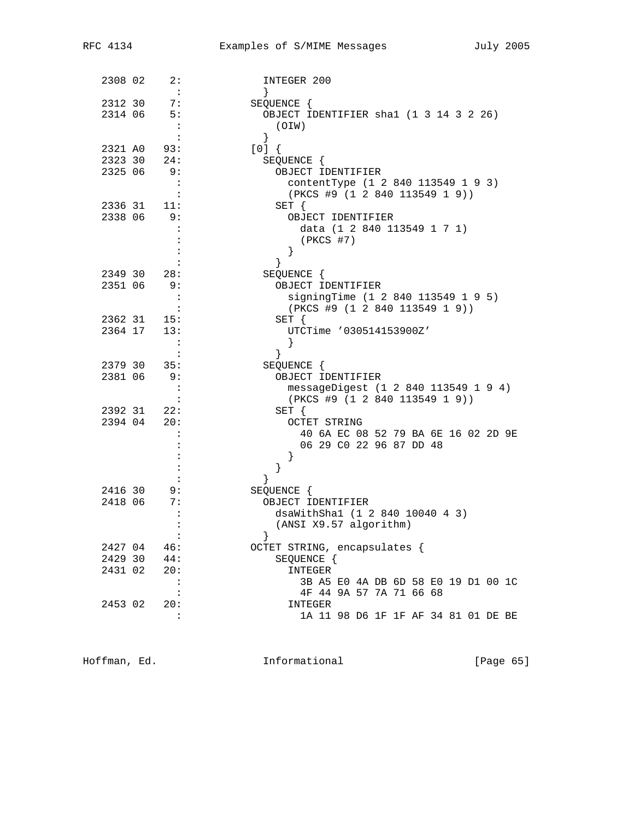| 2308 02 | 2:<br>$\mathbf{L}$   | INTEGER 200                            |
|---------|----------------------|----------------------------------------|
| 2312 30 | 7:                   | $\left\{ \right.$<br>SEQUENCE {        |
| 2314 06 | $-5:$                | OBJECT IDENTIFIER shal (1 3 14 3 2 26) |
|         | $\cdot$ :            | (OIW)                                  |
|         | $\colon$             | $\}$                                   |
| 2321 AO | 93:                  | [0]                                    |
| 2323 30 | 24:                  | SEQUENCE {                             |
| 2325 06 | 9:                   | OBJECT IDENTIFIER                      |
|         | $\ddot{\cdot}$       | contentType (1 2 840 113549 1 9 3)     |
|         |                      | (PKCS #9 (1 2 840 113549 1 9))         |
| 2336 31 | 11:                  | $SET \{$                               |
| 2338 06 | - 9:                 | OBJECT IDENTIFIER                      |
|         | :                    | data (1 2 840 113549 1 7 1)            |
|         |                      | (PKCS #7)                              |
|         |                      |                                        |
|         |                      | }<br>}                                 |
| 2349 30 | 28:                  |                                        |
| 2351 06 | 9:                   | SEQUENCE {<br>OBJECT IDENTIFIER        |
|         | $\ddot{\cdot}$       | signingTime (1 2 840 113549 1 9 5)     |
|         |                      | (PKCS #9 (1 2 840 113549 1 9))         |
| 2362 31 | 15:                  | $SET \{$                               |
| 2364 17 | 13:                  | UTCTime '030514153900Z'                |
|         | $\sim$ :             |                                        |
|         | $\ddot{\phantom{a}}$ | }<br>$\}$                              |
| 2379 30 | 35:                  | SEQUENCE {                             |
| 2381 06 | 9:                   | OBJECT IDENTIFIER                      |
|         | $\ddot{\cdot}$       | messageDigest (1 2 840 113549 1 9 4)   |
|         | $\ddot{\cdot}$       | (PKCS #9 (1 2 840 113549 1 9))         |
| 2392 31 | 22:                  | $SET \{$                               |
| 2394 04 | -20:                 | <b>OCTET STRING</b>                    |
|         |                      | 40 6A EC 08 52 79 BA 6E 16 02 2D 9E    |
|         |                      | 06 29 C0 22 96 87 DD 48                |
|         |                      |                                        |
|         |                      |                                        |
|         |                      | ł                                      |
| 2416 30 | 9:                   | SEQUENCE {                             |
| 2418 06 | 7:                   | OBJECT IDENTIFIER                      |
|         |                      | dsaWithShal (1 2 840 10040 4 3)        |
|         |                      | (ANSI X9.57 algorithm)                 |
|         |                      |                                        |
| 2427 04 | 46:                  | OCTET STRING, encapsulates {           |
| 2429 30 | 44:                  | SEQUENCE {                             |
| 2431 02 | 20:                  | INTEGER                                |
|         | $\ddot{\cdot}$       | 3B A5 E0 4A DB 6D 58 E0 19 D1 00 1C    |
|         | :                    | 4F 44 9A 57 7A 71 66 68                |
| 2453 02 | 20:                  | INTEGER                                |
|         | $\ddot{\cdot}$       | 1A 11 98 D6 1F 1F AF 34 81 01 DE BE    |
|         |                      |                                        |

Hoffman, Ed. 1nformational 1999 [Page 65]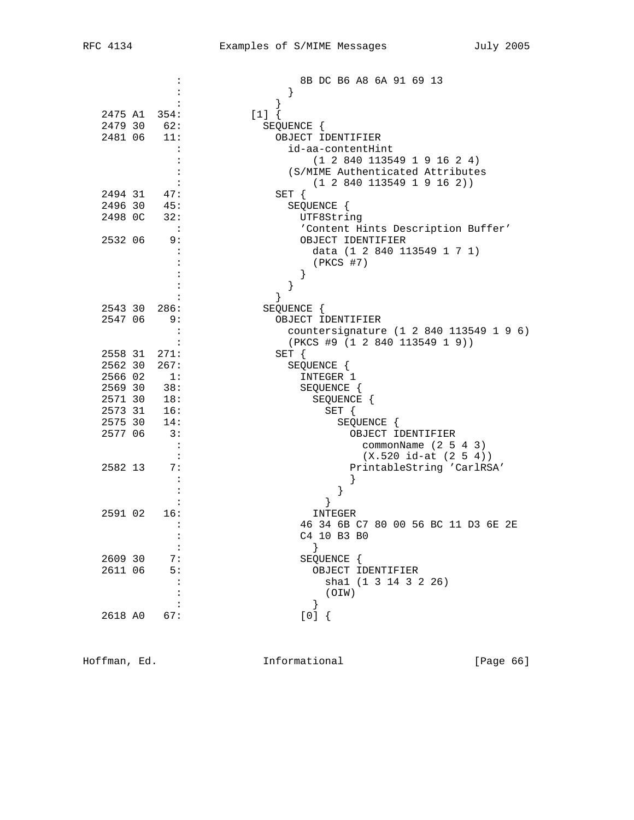|         |                              | 8B DC B6 A8 6A 91 69 13                                        |
|---------|------------------------------|----------------------------------------------------------------|
|         |                              | $\}$                                                           |
|         |                              |                                                                |
|         | 2475 A1 354:                 | $[1]$ {                                                        |
|         | 2479 30 62:<br>$2481$ 06 11: | SEQUENCE {                                                     |
|         |                              | OBJECT IDENTIFIER                                              |
|         |                              | id-aa-contentHint                                              |
|         |                              | (1 2 840 113549 1 9 16 2 4)                                    |
|         |                              | (S/MIME Authenticated Attributes<br>(1 2 840 113549 1 9 16 2)) |
|         | 2494 31 47:                  | $SET \{$                                                       |
|         | 2496 30 45:                  | SEQUENCE {                                                     |
| 2498 OC | 32:                          | UTF8String                                                     |
|         |                              | 'Content Hints Description Buffer'                             |
| 2532 06 | 9:                           | OBJECT IDENTIFIER                                              |
|         |                              | data (1 2 840 113549 1 7 1)                                    |
|         |                              | $(PKCS$ #7)                                                    |
|         |                              | $\}$                                                           |
|         |                              | $\}$                                                           |
|         |                              | }                                                              |
| 2543 30 | 286:                         | SEQUENCE {                                                     |
| 2547 06 | 9 :                          | OBJECT IDENTIFIER                                              |
|         |                              | countersignature (1 2 840 113549 1 9 6)                        |
|         | $\ddot{\cdot}$               | (PKCS #9 (1 2 840 113549 1 9))                                 |
| 2558 31 | 271:                         | $SET \{$                                                       |
| 2562 30 | 267:                         | SEQUENCE {                                                     |
| 2566 02 | 1:                           | INTEGER 1                                                      |
| 2569 30 | 38:                          | SEQUENCE {                                                     |
|         | 2571 30 18:<br>2573 31 16:   | SEQUENCE {                                                     |
|         |                              | SET {                                                          |
|         | 2575 30 14:                  | SEQUENCE {                                                     |
| 2577 06 | 3:                           | OBJECT IDENTIFIER                                              |
|         |                              | commonName $(2 5 4 3)$                                         |
|         | $\cdot$ :                    | $(X.520 id-at (2 5 4))$                                        |
| 2582 13 | 7:                           | PrintableString 'CarlRSA'                                      |
|         |                              | ł                                                              |
|         |                              |                                                                |
| 2591 02 | 16:                          | }<br>INTEGER                                                   |
|         |                              | 46 34 6B C7 80 00 56 BC 11 D3 6E 2E                            |
|         |                              | C4 10 B3 B0                                                    |
|         |                              | $\}$                                                           |
| 2609 30 | 7:                           | SEQUENCE {                                                     |
| 2611 06 | 5:                           | OBJECT IDENTIFIER                                              |
|         |                              | shal (1 3 14 3 2 26)                                           |
|         |                              | (OIW)                                                          |
|         |                              | }                                                              |
| 2618 AO | 67:                          | [0]                                                            |
|         |                              |                                                                |

Hoffman, Ed. 10. Informational 1.1 [Page 66]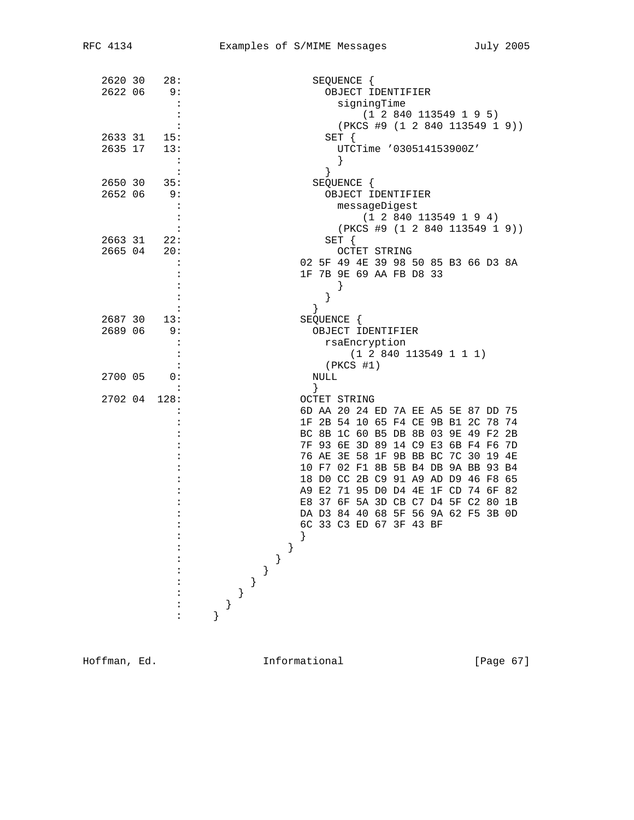| 2620 30<br>28:       | SEQUENCE {                             |
|----------------------|----------------------------------------|
| 2622 06<br>9:        | OBJECT IDENTIFIER                      |
| $\ddot{\phantom{a}}$ | signingTime                            |
|                      | (1 2 840 113549 1 9 5)                 |
|                      | (PKCS #9 (1 2 840 113549 1 9))         |
| 2633 31 15:          | $SET \{$                               |
| 2635 17<br>13:       | UTCTime '030514153900Z'                |
| :                    |                                        |
| $\ddot{\phantom{a}}$ | }                                      |
| 2650 30<br>35:       | SEQUENCE {                             |
| 2652 06<br>9:        | OBJECT IDENTIFIER                      |
|                      | messageDigest                          |
|                      | (1 2 840 113549 1 9 4)                 |
|                      | (PKCS #9 (1 2 840 113549 1 9))         |
| 2663 31 22:          | $SET \{$                               |
| 2665 04<br>20:       | <b>OCTET STRING</b>                    |
|                      | 02 5F 49 4E 39 98 50 85 B3 66 D3 8A    |
|                      | 1F 7B 9E 69 AA FB D8 33                |
|                      |                                        |
|                      | }                                      |
|                      |                                        |
| 2687 30<br>13:       | ł                                      |
| 2689 06<br>9:        | SEQUENCE {<br>OBJECT IDENTIFIER        |
|                      |                                        |
|                      | rsaEncryption                          |
|                      | (1 2 840 113549 1 1 1)                 |
|                      | $(PKCS$ #1)                            |
| 2700 05<br>0:        | NULL                                   |
|                      | }                                      |
| 2702 04<br>128:      | OCTET STRING                           |
|                      | 6D AA 20 24 ED 7A EE A5 5E 87 DD 75    |
|                      | 1F 2B 54 10 65 F4 CE 9B B1 2C 78 74    |
|                      | BC 8B 1C 60 B5 DB 8B 03 9E 49 F2 2B    |
|                      | 7F 93 6E 3D 89 14 C9 E3 6B F4 F6<br>7D |
|                      | 76 AE 3E 58 1F 9B BB BC 7C 30 19 4E    |
|                      | 10 F7 02 F1 8B 5B B4 DB 9A BB 93 B4    |
|                      | 18 DO CC 2B C9 91 A9 AD D9 46 F8 65    |
|                      | A9 E2 71 95 D0 D4 4E 1F CD 74 6F 82    |
|                      | E8 37 6F 5A 3D CB C7 D4 5F C2 80 1B    |
|                      | DA D3 84 40 68 5F 56 9A 62 F5 3B 0D    |
|                      | 6C 33 C3 ED 67 3F 43 BF                |
|                      | }                                      |
|                      |                                        |
|                      | $\}$                                   |
|                      | $\big\}$                               |
|                      |                                        |
|                      | $\}$                                   |
|                      | $\}$                                   |
|                      |                                        |
|                      |                                        |

Hoffman, Ed. 1nformational [Page 67]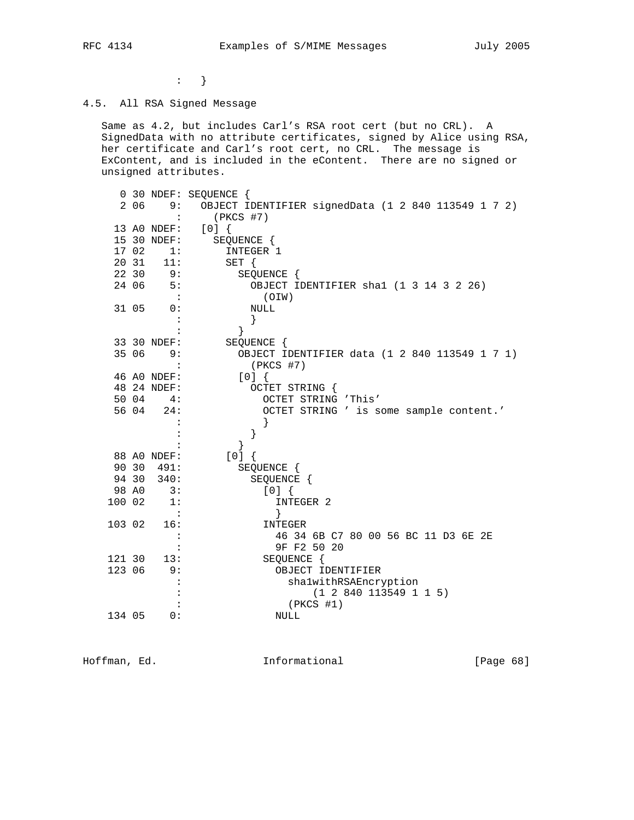$\cdot$  }

## 4.5. All RSA Signed Message

 Same as 4.2, but includes Carl's RSA root cert (but no CRL). A SignedData with no attribute certificates, signed by Alice using RSA, her certificate and Carl's root cert, no CRL. The message is ExContent, and is included in the eContent. There are no signed or unsigned attributes.

|        |       |                | 0 30 NDEF: SEQUENCE {                               |
|--------|-------|----------------|-----------------------------------------------------|
|        | 2 06  | 9:             | OBJECT IDENTIFIER signedData (1 2 840 113549 1 7 2) |
|        |       | $\ddot{\cdot}$ | $(PKCS$ #7)                                         |
|        |       | 13 AO NDEF:    | [0]                                                 |
|        |       | 15 30 NDEF:    | SEQUENCE {                                          |
|        | 17 02 | 1:             | INTEGER 1                                           |
|        | 20 31 | 11:            | SET {                                               |
|        | 22 30 | 9:             | SEQUENCE {                                          |
|        | 24 06 | 5:             | OBJECT IDENTIFIER shal (1 3 14 3 2 26)              |
|        |       |                | (OIW)                                               |
|        | 31 05 | 0:             | <b>NULL</b>                                         |
|        |       |                | }                                                   |
|        |       |                | $\left\{ \right.$                                   |
|        |       | 33 30 NDEF:    | SEQUENCE {                                          |
|        | 35 06 | 9:             | OBJECT IDENTIFIER data (1 2 840 113549 1 7 1)       |
|        |       | $\ddot{\cdot}$ | $(PKCS$ #7)                                         |
|        |       | 46 A0 NDEF:    | [0]                                                 |
|        |       | 48 24 NDEF:    | OCTET STRING {                                      |
|        | 50 04 | 4 :            | OCTET STRING 'This'                                 |
|        | 56 04 | 24:            | OCTET STRING ' is some sample content.'             |
|        |       |                |                                                     |
|        |       |                | }                                                   |
|        |       |                | }                                                   |
|        |       | 88 AO NDEF:    | $[0]$ {                                             |
|        |       | 90 30 491:     | SEQUENCE {                                          |
|        | 94 30 | 340:           | SEQUENCE {                                          |
|        | 98 AO | 3:             | [0]                                                 |
| 100 02 |       | 1:             | INTEGER 2                                           |
|        |       | $\sim$ :       | $\}$                                                |
| 103 02 |       | 16:            | INTEGER                                             |
|        |       | $\ddot{\cdot}$ | 46 34 6B C7 80 00 56 BC 11 D3 6E 2E                 |
|        |       | $\ddot{\cdot}$ | 9F F2 50 20                                         |
| 121 30 |       | 13:            | SEQUENCE {                                          |
| 123 06 |       | 9:             | OBJECT IDENTIFIER                                   |
|        |       | :              | shalwithRSAEncryption                               |
|        |       |                | (1 2 840 113549 1 1 5)                              |
|        |       |                | $(PKCS$ #1)                                         |
| 134 05 |       | 0:             | <b>NULL</b>                                         |

Hoffman, Ed. 10. Informational 1.1 [Page 68]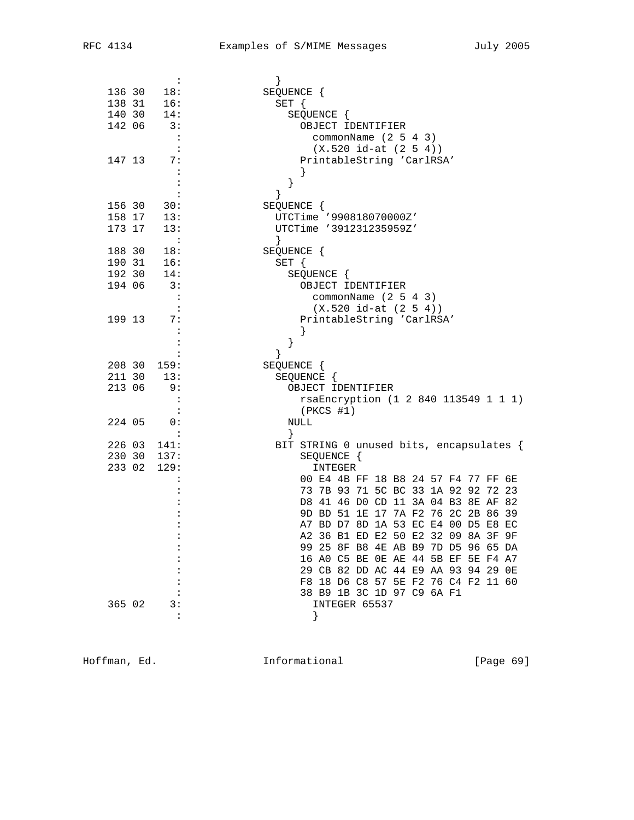| $\ddot{\phantom{a}}$                                                                |                                          |
|-------------------------------------------------------------------------------------|------------------------------------------|
| 18:<br>136 30                                                                       | SEQUENCE {                               |
| 138 31<br>16:                                                                       | $SET \{$                                 |
| 140 30<br>14:                                                                       | SEQUENCE {                               |
| 142 06<br>3:                                                                        | OBJECT IDENTIFIER                        |
| $\mathbf{L}$                                                                        | commonName $(2 5 4 3)$                   |
| :                                                                                   | $(X.520 id-at (2 5 4))$                  |
| 147 13<br>7 :                                                                       | PrintableString 'CarlRSA'                |
| :                                                                                   |                                          |
|                                                                                     |                                          |
|                                                                                     | }                                        |
|                                                                                     | }                                        |
| 156 30<br>30:                                                                       | SEQUENCE {                               |
| 158 17 13:                                                                          | UTCTime '990818070000Z'                  |
| 173 17<br>13:                                                                       | UTCTime '391231235959Z'                  |
| $\ddot{\cdot}$                                                                      | $\left\{ \right.$                        |
| 188 30<br>18:                                                                       | SEQUENCE {                               |
| $\begin{array}{ccccc} 190 & 31 & & 16 \colon \\ 192 & 30 & & 14 \colon \end{array}$ | SET {                                    |
|                                                                                     | SEQUENCE {                               |
| 3:<br>194 06                                                                        | OBJECT IDENTIFIER                        |
| $\cdot$ :                                                                           | commonName $(2 5 4 3)$                   |
| $\cdot$ :                                                                           | $(X.520 id-at (2 5 4))$                  |
| 199 13<br>7:                                                                        | PrintableString 'CarlRSA'                |
| $\ddot{\cdot}$                                                                      |                                          |
| :                                                                                   | $\}$                                     |
|                                                                                     | ł                                        |
| 208 30<br>159:                                                                      | SEQUENCE {                               |
| 211 30<br>13:                                                                       | SEQUENCE {                               |
| 213 06<br>9:                                                                        | OBJECT IDENTIFIER                        |
| $\ddot{\phantom{1}}$ :                                                              | rsaEncryption (1 2 840 113549 1 1 1)     |
| $\cdot$ :                                                                           | (PKCS #1)                                |
| 224 05<br>$\overline{\phantom{0}}$ 0 :                                              | NULL                                     |
| $\ddot{\cdot}$                                                                      | }                                        |
| 226 03<br>141:                                                                      | BIT STRING 0 unused bits, encapsulates { |
| 230 30<br>137:                                                                      | SEQUENCE {                               |
| 233 02<br>129:                                                                      | INTEGER                                  |
|                                                                                     | 00 E4 4B FF 18 B8 24 57 F4 77 FF 6E      |
|                                                                                     | 73 7B 93 71 5C BC 33 1A 92 92 72 23      |
|                                                                                     | D8 41 46 D0 CD 11 3A 04 B3 8E AF 82      |
|                                                                                     |                                          |
|                                                                                     | 9D BD 51 1E 17 7A F2 76 2C 2B 86 39      |
|                                                                                     | A7 BD D7 8D 1A 53 EC E4 00 D5 E8 EC      |
|                                                                                     | A2 36 B1 ED E2 50 E2 32 09 8A 3F 9F      |
| :                                                                                   | 99 25 8F B8 4E AB B9 7D D5 96 65 DA      |
|                                                                                     | 16 AO C5 BE OE AE 44 5B EF 5E F4 A7      |
|                                                                                     | 29 CB 82 DD AC 44 E9 AA 93 94 29 OE      |
|                                                                                     | F8 18 D6 C8 57 5E F2 76 C4 F2 11 60      |
|                                                                                     | 38 B9 1B 3C 1D 97 C9 6A F1               |
| 365 02<br>3:                                                                        | INTEGER 65537                            |
| :                                                                                   |                                          |

Hoffman, Ed. 1nformational 1999 [Page 69]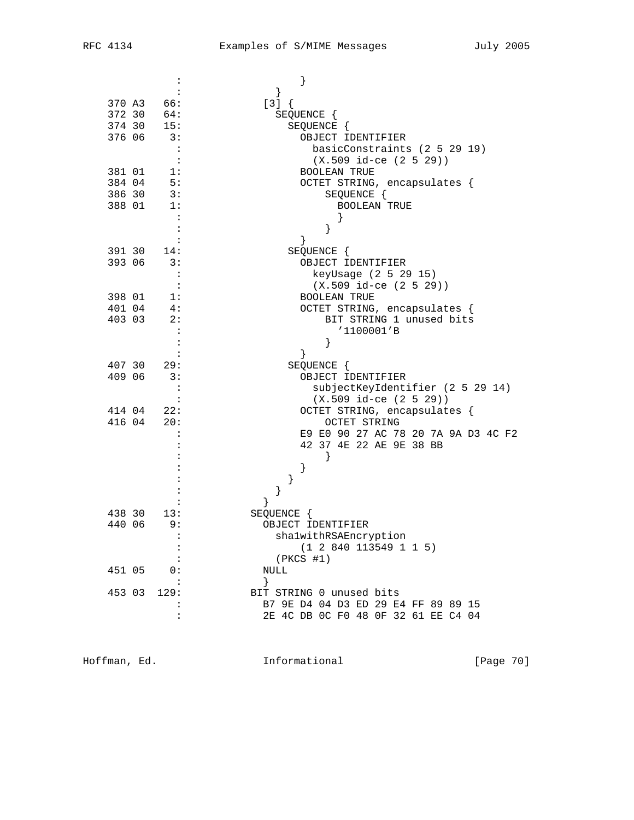| 370 A3<br>66:                                                       | }                                                   |
|---------------------------------------------------------------------|-----------------------------------------------------|
| 372 30<br>64:                                                       | $[3] { }$<br>SEQUENCE {                             |
| 374 30<br>15:                                                       | SEQUENCE {                                          |
| 376 06<br>3:                                                        | OBJECT IDENTIFIER                                   |
| $\cdot$ :                                                           | basicConstraints (2 5 29 19)                        |
|                                                                     | $(X.509$ id-ce $(2 5 29))$                          |
| 381 01<br>1:                                                        | <b>BOOLEAN TRUE</b>                                 |
| 384 04<br>5:                                                        | OCTET STRING, encapsulates {                        |
| 386 30<br>3:                                                        | SEQUENCE {                                          |
| 388 01<br>1:                                                        | <b>BOOLEAN TRUE</b>                                 |
|                                                                     |                                                     |
|                                                                     |                                                     |
|                                                                     |                                                     |
| 391 30<br>14:                                                       | SEQUENCE {                                          |
| 393 06<br>3:                                                        | OBJECT IDENTIFIER                                   |
|                                                                     | keyUsage (2 5 29 15)                                |
|                                                                     | $(X.509$ id-ce $(2 5 29))$                          |
| 398 01<br>$\overline{\phantom{a}}$ 1:<br>401 04<br>$\overline{4}$ : | <b>BOOLEAN TRUE</b><br>OCTET STRING, encapsulates { |
| 2:<br>403 03                                                        | BIT STRING 1 unused bits                            |
|                                                                     | '1100001'B                                          |
|                                                                     | }                                                   |
|                                                                     | $\left\{ \right\}$                                  |
| 407 30<br>29:                                                       | SEQUENCE {                                          |
| 409 06<br>3:                                                        | OBJECT IDENTIFIER                                   |
|                                                                     | subjectKeyIdentifier (2 5 29 14)                    |
|                                                                     | $(X.509$ id-ce $(2 5 29))$                          |
| 414 04<br>22:                                                       | OCTET STRING, encapsulates {                        |
| 416 04<br>20:                                                       | OCTET STRING                                        |
|                                                                     | E9 E0 90 27 AC 78 20 7A 9A D3 4C F2                 |
|                                                                     | 42 37 4E 22 AE 9E 38 BB<br>ł                        |
|                                                                     | }                                                   |
|                                                                     | }                                                   |
|                                                                     | }                                                   |
|                                                                     | }                                                   |
| 438 30<br>13:                                                       | SEQUENCE {                                          |
| 440 06<br>9 :                                                       | OBJECT IDENTIFIER                                   |
|                                                                     | shalwithRSAEncryption                               |
|                                                                     | (1 2 840 113549 1 1 5)                              |
|                                                                     | $(PKCS$ #1)                                         |
| 451 05<br>$\overline{0}$ :                                          | NULL                                                |
| 453 03<br>129:                                                      | $\}$<br>BIT STRING 0 unused bits                    |
|                                                                     | B7 9E D4 04 D3 ED 29 E4 FF 89 89 15                 |
| $\ddot{\cdot}$                                                      | 2E 4C DB 0C F0 48 0F 32 61 EE C4 04                 |
|                                                                     |                                                     |

Hoffman, Ed. 1nformational 1999 [Page 70]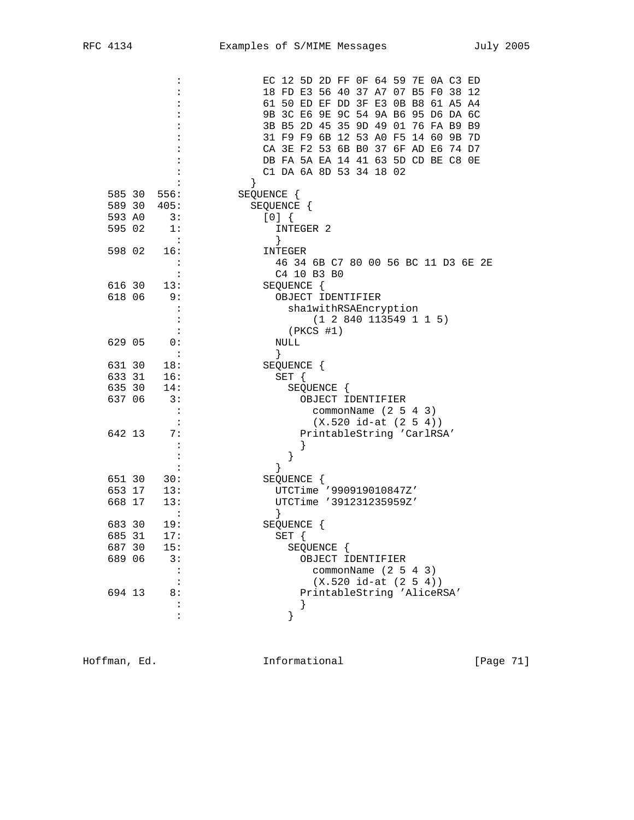|        |        | $\ddot{\cdot}$ | EC 12 5D 2D FF 0F 64 59 7E 0A C3 ED |
|--------|--------|----------------|-------------------------------------|
|        |        |                | 18 FD E3 56 40 37 A7 07 B5 F0 38 12 |
|        |        |                | 61 50 ED EF DD 3F E3 0B B8 61 A5 A4 |
|        |        |                | 9B 3C E6 9E 9C 54 9A B6 95 D6 DA 6C |
|        |        |                | 3B B5 2D 45 35 9D 49 01 76 FA B9 B9 |
|        |        |                | 31 F9 F9 6B 12 53 A0 F5 14 60 9B 7D |
|        |        |                | CA 3E F2 53 6B B0 37 6F AD E6 74 D7 |
|        |        |                | DB FA 5A EA 14 41 63 5D CD BE C8 OE |
|        |        |                | C1 DA 6A 8D 53 34 18 02             |
|        |        |                |                                     |
|        |        | 585 30 556:    | SEQUENCE {                          |
|        |        | 589 30 405:    | SEQUENCE {                          |
| 593 AO |        | 3:             | [0]                                 |
| 595 02 |        | 1:             | INTEGER 2                           |
|        |        | $\sim$ :       | }                                   |
| 598 02 |        | 16:            | INTEGER                             |
|        |        | $\ddot{\cdot}$ | 46 34 6B C7 80 00 56 BC 11 D3 6E 2E |
|        |        | :              | C4 10 B3 B0                         |
|        | 616 30 | 13:            | SEQUENCE {                          |
| 618 06 |        | 9:             | OBJECT IDENTIFIER                   |
|        |        |                | shalwithRSAEncryption               |
|        |        | :              | (1 2 840 113549 1 1 5)              |
|        |        |                | $(PKCS$ #1)                         |
| 629 05 |        | 0:             | NULL                                |
|        |        | $\cdot$ :      | $\}$                                |
| 631 30 |        | 18:            | SEQUENCE {                          |
| 633 31 |        | 16:            | SET {                               |
| 635 30 |        | 14:            | SEQUENCE {                          |
| 637 06 |        | 3:             | OBJECT IDENTIFIER                   |
|        |        | $\cdot$        | commonName $(2 5 4 3)$              |
|        |        |                | $(X.520 id-at (2 5 4))$             |
| 642 13 |        | 7 :            | PrintableString 'CarlRSA'           |
|        |        | :              |                                     |
|        |        |                | }                                   |
|        |        |                | }                                   |
|        | 651 30 | 30:            | SEQUENCE {                          |
|        | 653 17 | 13:            | UTCTime '990919010847Z'             |
| 668 17 |        | 13:            | UTCTime '391231235959Z'             |
|        |        | :              |                                     |
| 683 30 |        | 19:            | SEQUENCE {                          |
| 685 31 |        | 17:            | SET {                               |
| 687 30 |        | 15:            | SEQUENCE {                          |
| 689 06 |        | 3:             | OBJECT IDENTIFIER                   |
|        |        |                | commonName $(2 5 4 3)$              |
|        |        |                | $(X.520 id-at (2 5 4))$             |
| 694 13 |        | 8:             | PrintableString 'AliceRSA'          |
|        |        |                | ł                                   |
|        |        | $\ddot{\cdot}$ |                                     |

Hoffman, Ed. 1nformational 1999 [Page 71]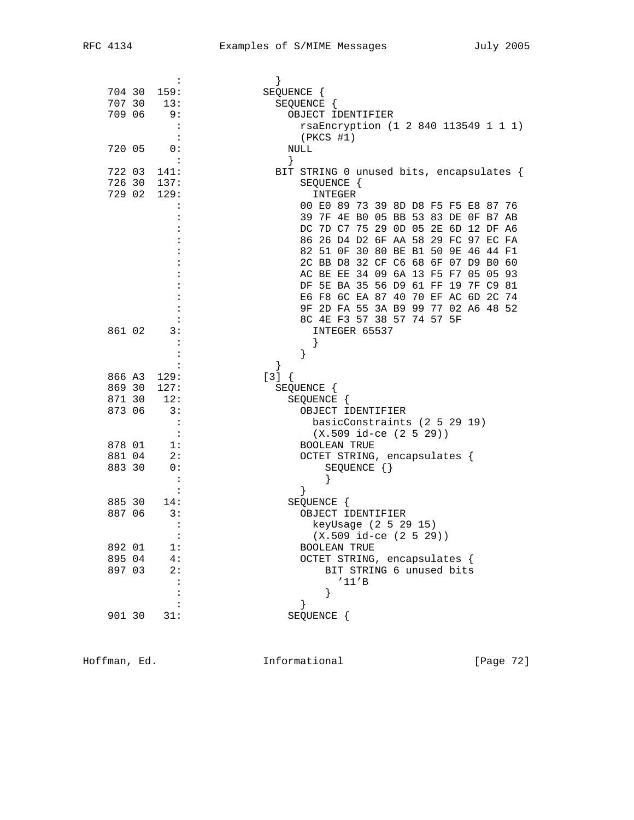|        | $\ddot{\phantom{a}}$       |                                          |
|--------|----------------------------|------------------------------------------|
| 704 30 | 159:                       | SEQUENCE {                               |
| 707 30 | 13:                        | SEQUENCE {                               |
| 709 06 | 9 :                        | OBJECT IDENTIFIER                        |
|        | $\ddot{\phantom{1}}$       | rsaEncryption (1 2 840 113549 1 1 1)     |
|        | $\overline{\phantom{a}}$ : | $(PKCS$ #1)                              |
|        |                            |                                          |
| 720 05 | 0:                         | NULL                                     |
|        |                            | }                                        |
| 722 03 | 141:                       | BIT STRING 0 unused bits, encapsulates { |
| 726 30 | 137:                       | SEQUENCE {                               |
| 729 02 | 129:                       | INTEGER                                  |
|        | :                          | 00 E0 89 73 39 8D D8 F5 F5 E8 87 76      |
|        |                            | 39 7F 4E B0 05 BB 53 83 DE OF B7 AB      |
|        |                            | DC 7D C7 75 29 0D 05 2E 6D 12 DF A6      |
|        |                            | 86 26 D4 D2 6F AA 58 29 FC 97 EC FA      |
|        |                            | 82 51 OF 30 80 BE B1 50 9E 46 44 F1      |
|        |                            | 2C BB D8 32 CF C6 68 6F 07 D9 B0 60      |
|        |                            | AC BE EE 34 09 6A 13 F5 F7 05 05 93      |
|        |                            | DF 5E BA 35 56 D9 61 FF 19 7F C9 81      |
|        |                            |                                          |
|        |                            | E6 F8 6C EA 87 40 70 EF AC 6D 2C 74      |
|        |                            | 9F 2D FA 55 3A B9 99 77 02 A6 48 52      |
|        |                            | 8C 4E F3 57 38 57 74 57 5F               |
| 861 02 | 3:                         | INTEGER 65537                            |
|        | $\ddot{\cdot}$             |                                          |
|        |                            | }                                        |
|        |                            | }                                        |
| 866 A3 | 129:                       | $[3] { }$                                |
| 869 30 | 127:                       | SEQUENCE {                               |
| 871 30 | 12:                        | SEQUENCE {                               |
| 873 06 | 3:                         | OBJECT IDENTIFIER                        |
|        | $\ddot{\cdot}$             | basicConstraints (2 5 29 19)             |
|        | $\cdot$ :                  | $(X.509$ id-ce $(2 5 29))$               |
| 878 01 | 1:                         | <b>BOOLEAN TRUE</b>                      |
| 881 04 | 2:                         |                                          |
| 883 30 |                            | OCTET STRING, encapsulates {             |
|        | 0:                         | $SEQUENCE$ $\{\}$                        |
|        | $\ddot{\cdot}$             |                                          |
|        |                            | ł                                        |
| 885 30 | 14:                        | SEQUENCE {                               |
| 887 06 | 3:                         | OBJECT IDENTIFIER                        |
|        |                            | keyUsage (2 5 29 15)                     |
|        | $\colon$                   | $(X.509$ id-ce $(2 5 29))$               |
| 892 01 | 1:                         | <b>BOOLEAN TRUE</b>                      |
| 895 04 | 4 :                        | OCTET STRING, encapsulates {             |
| 897 03 | 2:                         | BIT STRING 6 unused bits                 |
|        |                            | '11'B                                    |
|        |                            | }                                        |
|        |                            | }                                        |
| 901 30 | 31:                        | SEQUENCE {                               |
|        |                            |                                          |
|        |                            |                                          |

Hoffman, Ed. 1nformational 1999 [Page 72]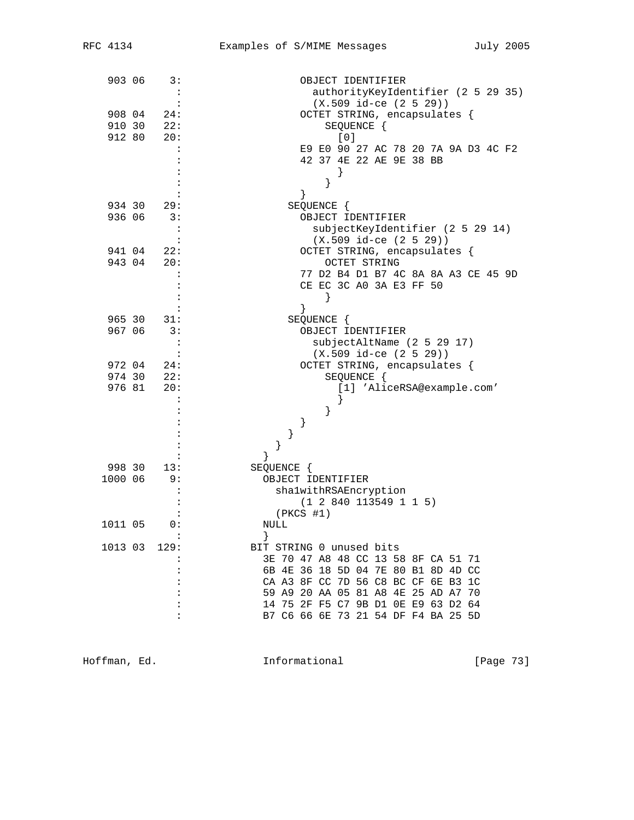| 903 06  |        | 3:                   | OBJECT IDENTIFIER                   |
|---------|--------|----------------------|-------------------------------------|
|         |        |                      | authorityKeyIdentifier (2 5 29 35)  |
|         |        |                      | $(X.509$ id-ce $(2 5 29))$          |
| 908 04  |        | 24:                  | OCTET STRING, encapsulates {        |
| 910 30  |        | 22:                  | SEQUENCE {                          |
| 912 80  |        | 20:                  | [0]                                 |
|         |        | $\ddot{\phantom{a}}$ | E9 E0 90 27 AC 78 20 7A 9A D3 4C F2 |
|         |        |                      | 42 37 4E 22 AE 9E 38 BB             |
|         |        |                      |                                     |
|         |        |                      |                                     |
|         |        |                      | }                                   |
| 934 30  |        | 29:                  | SEQUENCE {                          |
| 936 06  |        | 3:                   | OBJECT IDENTIFIER                   |
|         |        | $\ddot{\cdot}$       |                                     |
|         |        |                      | subjectKeyIdentifier (2 5 29 14)    |
|         |        |                      | $(X.509$ id-ce $(2 5 29))$          |
| 941 04  |        | 22:                  | OCTET STRING, encapsulates {        |
| 943 04  |        | 20:                  | <b>OCTET STRING</b>                 |
|         |        |                      | 77 D2 B4 D1 B7 4C 8A 8A A3 CE 45 9D |
|         |        |                      | CE EC 3C A0 3A E3 FF 50             |
|         |        |                      | $\}$                                |
|         |        |                      | $\}$                                |
| 965 30  |        | 31:                  | SEQUENCE {                          |
| 967 06  |        | 3:                   | OBJECT IDENTIFIER                   |
|         |        |                      | subjectAltName (2 5 29 17)          |
|         |        | $\ddot{\cdot}$       | $(X.509$ id-ce $(2 5 29)$           |
|         | 972 04 | 24:                  | OCTET STRING, encapsulates {        |
| 974 30  |        | 22:                  | SEQUENCE {                          |
| 976 81  |        | 20:                  | [1] 'AliceRSA@example.com'          |
|         |        |                      |                                     |
|         |        |                      | }                                   |
|         |        |                      | }                                   |
|         |        |                      | }                                   |
|         |        |                      | }                                   |
|         |        |                      | }                                   |
| 998 30  |        | 13:                  | SEQUENCE {                          |
| 1000 06 |        | 9:                   | OBJECT IDENTIFIER                   |
|         |        | $\ddot{\cdot}$       | shalwithRSAEncryption               |
|         |        |                      | (1 2 840 113549 1 1 5)              |
|         |        |                      | $(PKCS$ #1)                         |
| 1011 05 |        | 0:                   | NULL                                |
|         |        |                      |                                     |
| 1013 03 |        | 129:                 | BIT STRING 0 unused bits            |
|         |        | :                    | 3E 70 47 A8 48 CC 13 58 8F CA 51 71 |
|         |        |                      | 6B 4E 36 18 5D 04 7E 80 B1 8D 4D CC |
|         |        |                      | CA A3 8F CC 7D 56 C8 BC CF 6E B3 1C |
|         |        |                      | 59 A9 20 AA 05 81 A8 4E 25 AD A7 70 |
|         |        |                      | 14 75 2F F5 C7 9B D1 0E E9 63 D2 64 |
|         |        |                      |                                     |
|         |        |                      | B7 C6 66 6E 73 21 54 DF F4 BA 25 5D |

Hoffman, Ed. 1nformational 1999 [Page 73]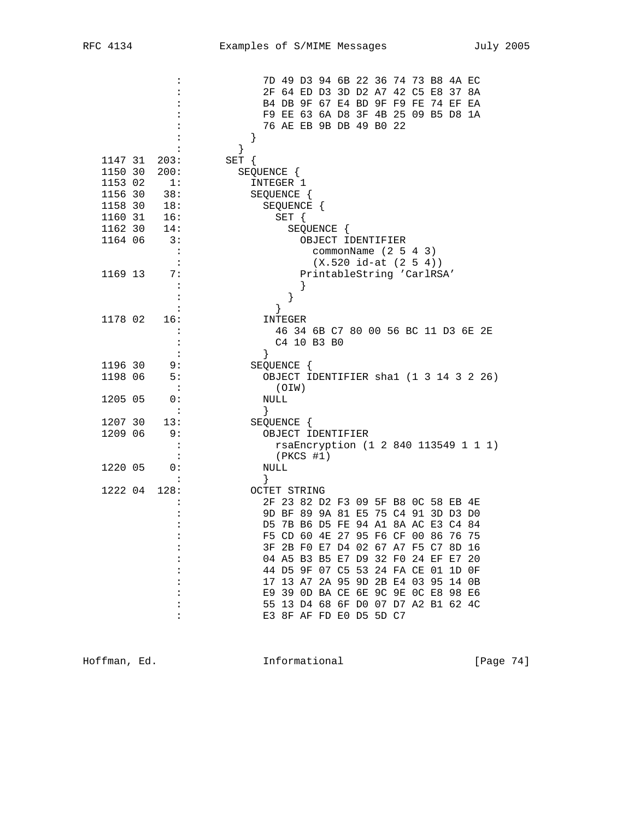| :                                      | 7D 49 D3 94 6B 22 36 74 73 B8 4A EC                                        |
|----------------------------------------|----------------------------------------------------------------------------|
|                                        | 2F 64 ED D3 3D D2 A7 42 C5 E8 37 8A                                        |
|                                        | B4 DB 9F 67 E4 BD 9F F9 FE 74 EF EA                                        |
|                                        | F9 EE 63 6A D8 3F 4B 25 09 B5 D8 1A                                        |
|                                        | 76 AE EB 9B DB 49 B0 22                                                    |
| :                                      | $\}$                                                                       |
|                                        | }                                                                          |
| 1147 31<br>203:                        | SET {                                                                      |
| 1150 30<br>200:                        | SEQUENCE {                                                                 |
| 1153 02<br>1:                          | INTEGER 1                                                                  |
| 1156 30<br>38:                         | SEQUENCE {                                                                 |
| 1158 30<br>18:                         | SEQUENCE {                                                                 |
| 16:<br>1160 31                         | $SET \{$                                                                   |
| 1162 30<br>14:                         | SEQUENCE {                                                                 |
| 1164 06<br>$\overline{\phantom{a}}$ 3: | OBJECT IDENTIFIER                                                          |
| $\cdot$ :                              | commonName $(2 5 4 3)$                                                     |
| $\cdot$ :                              | $(X.520 id-at (2 5 4))$                                                    |
| 1169 13<br>7 :                         | PrintableString 'CarlRSA'                                                  |
| $\cdot$ :                              | }                                                                          |
| :                                      | }                                                                          |
| $\ddot{\phantom{a}}$                   | $\left\{ \right.$                                                          |
| 1178 02<br>16:                         | INTEGER                                                                    |
| :                                      | 46 34 6B C7 80 00 56 BC 11 D3 6E 2E                                        |
| $\ddot{\cdot}$                         | C4 10 B3 B0                                                                |
|                                        | ł                                                                          |
| 1196 30<br>9:                          | SEQUENCE {                                                                 |
| 1198 06<br>5:                          | OBJECT IDENTIFIER shal (1 3 14 3 2 26)                                     |
| $\cdot$ :                              | (OIW)                                                                      |
| 1205 05<br>0:                          | NULL                                                                       |
| $\mathbf{L}$                           | $\}$                                                                       |
| 1207 30<br>13:                         | SEQUENCE {                                                                 |
| 1209 06<br>- 9:                        | OBJECT IDENTIFIER                                                          |
| ÷                                      | rsaEncryption (1 2 840 113549 1 1 1)                                       |
| :                                      | $(PKCS$ #1)                                                                |
| 1220 05<br>0 :                         | NULL                                                                       |
| :                                      | $\}$                                                                       |
| 1222 04<br>128:                        | <b>OCTET STRING</b>                                                        |
|                                        | 2F 23 82 D2 F3 09 5F B8 0C 58 EB 4E<br>9D BF 89 9A 81 E5 75 C4 91 3D D3 D0 |
|                                        | D5 7B B6 D5 FE 94 A1 8A AC E3 C4 84                                        |
| $\ddot{\cdot}$                         | F5 CD 60 4E 27 95 F6 CF 00 86 76 75                                        |
| :                                      | 3F 2B F0 E7 D4 02 67 A7 F5 C7 8D 16                                        |
|                                        | 04 A5 B3 B5 E7 D9 32 F0 24 EF E7 20                                        |
|                                        | 44 D5 9F 07 C5 53 24 FA CE 01 1D OF                                        |
|                                        | 17 13 A7 2A 95 9D 2B E4 03 95 14 0B                                        |
|                                        | E9 39 OD BA CE 6E 9C 9E OC E8 98 E6                                        |
|                                        | 55 13 D4 68 6F D0 07 D7 A2 B1 62 4C                                        |
| :                                      | E3 8F AF FD E0 D5 5D C7                                                    |
|                                        |                                                                            |

Hoffman, Ed. 1nformational 1999 [Page 74]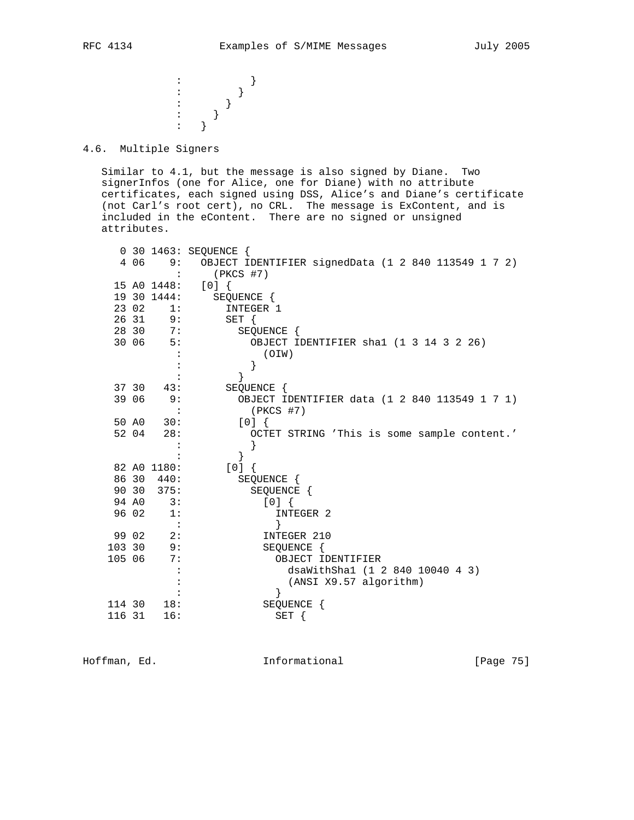$\hspace{1.6cm}\vdots$   $\hspace{1.6cm}\}$  $\vdots$  } : the state  $\{x_i\}$  is the state  $\{x_i\}$ : the state  $\{x_i\}$  is the state  $\{x_i\}$ : the state  $\{x_i\}$  is the state  $\{x_i\}$ 

4.6. Multiple Signers

 Similar to 4.1, but the message is also signed by Diane. Two signerInfos (one for Alice, one for Diane) with no attribute certificates, each signed using DSS, Alice's and Diane's certificate (not Carl's root cert), no CRL. The message is ExContent, and is included in the eContent. There are no signed or unsigned attributes.

|        |       |                        | 0 30 1463: SEQUENCE {                               |
|--------|-------|------------------------|-----------------------------------------------------|
|        | 4 0 6 | 9:                     | OBJECT IDENTIFIER signedData (1 2 840 113549 1 7 2) |
|        |       |                        | $(PKCS$ #7)                                         |
|        |       | 15 A0 1448:            | $[0]$ {                                             |
|        |       | 19 30 1444:            | SEQUENCE {                                          |
|        | 23 02 | 1:                     | INTEGER 1                                           |
|        | 26 31 | 9:                     | $SET \{$                                            |
|        | 28 30 | 7:                     | SEQUENCE {                                          |
|        | 30 06 | 5:                     | OBJECT IDENTIFIER shal (1 3 14 3 2 26)              |
|        |       |                        | (OIW)                                               |
|        |       |                        |                                                     |
|        |       |                        | <sup>}</sup>                                        |
|        | 37 30 | 43:                    | SEQUENCE {                                          |
|        | 39 06 | 9:                     | OBJECT IDENTIFIER data (1 2 840 113549 1 7 1)       |
|        |       |                        | $(PKCS$ #7)                                         |
|        | 50 AO | 30:                    | $[0]$ {                                             |
|        | 52 04 | 28:                    | OCTET STRING 'This is some sample content.'         |
|        |       |                        |                                                     |
|        |       |                        | }                                                   |
|        |       | 82 A0 1180:            | $[0]$ {                                             |
|        |       | 86 30 440:             | SEQUENCE {                                          |
|        | 90 30 | 375:                   | SEQUENCE {                                          |
|        | 94 AO | 3:                     | [0]                                                 |
|        | 96 02 | 1:                     | INTEGER 2                                           |
|        |       | $\ddot{\phantom{1}}$ : | ł                                                   |
|        | 99 02 | 2:                     | INTEGER 210                                         |
| 103 30 |       | 9:                     | SEQUENCE {                                          |
| 105 06 |       | 7:                     | OBJECT IDENTIFIER                                   |
|        |       |                        | dsaWithSha1 (1 2 840 10040 4 3)                     |
|        |       |                        | (ANSI X9.57 algorithm)                              |
|        |       |                        | $\mathcal{E}$                                       |
| 114 30 |       | 18:                    | SEQUENCE {                                          |
| 116 31 |       | 16:                    | SET {                                               |
|        |       |                        |                                                     |

Hoffman, Ed. 10. Informational 1.1 [Page 75]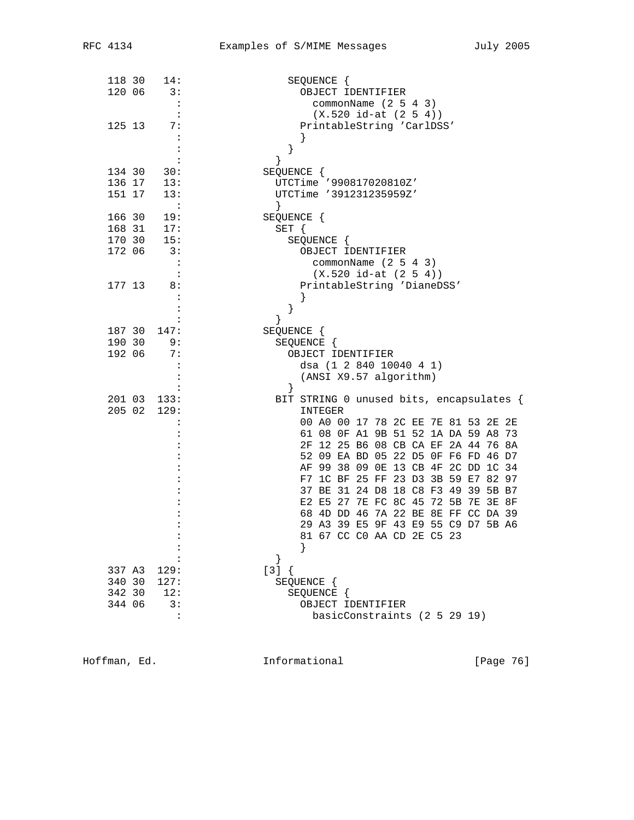| 118 30     | 14:                  | SEQUENCE {                                                                 |
|------------|----------------------|----------------------------------------------------------------------------|
| 120 06     | 3:                   | OBJECT IDENTIFIER                                                          |
|            | $\mathbf{L}$         | commonName $(2 5 4 3)$                                                     |
|            |                      | $(X.520 id-at (2 5 4))$                                                    |
| 125 13     | 7:                   | PrintableString 'CarlDSS'                                                  |
|            | $\ddot{\cdot}$       |                                                                            |
|            |                      | }                                                                          |
|            |                      | $\mathcal{F}$                                                              |
| 134 30     | 30:                  | SEQUENCE {                                                                 |
| 136 17 13: |                      | UTCTime '990817020810Z'                                                    |
| 151 17     | 13:                  | UTCTime '391231235959Z'                                                    |
|            | $\sim$ $-1$          |                                                                            |
| 166 30     | 19:                  | SEQUENCE {                                                                 |
| 168 31     | 17:                  | SET {                                                                      |
| 170 30     | 15:                  | SEQUENCE {                                                                 |
| 172 06     | 3:                   | OBJECT IDENTIFIER                                                          |
|            | $\ddot{\cdot}$       | commonName $(2 5 4 3)$                                                     |
|            |                      | $(X.520 id-at (2 5 4))$                                                    |
| 177 13     | 8:                   | PrintableString 'DianeDSS'                                                 |
|            | :                    | ł                                                                          |
|            | :                    | }                                                                          |
|            |                      | }                                                                          |
| 187 30     | 147:                 | SEQUENCE {                                                                 |
| 190 30     | 9:                   | SEQUENCE {                                                                 |
| 192 06     | 7:                   | OBJECT IDENTIFIER                                                          |
|            | $\cdot$ :            | dsa (1 2 840 10040 4 1)                                                    |
|            |                      | (ANSI X9.57 algorithm)                                                     |
|            |                      | $\}$                                                                       |
| 201 03     | 133:                 | BIT STRING 0 unused bits, encapsulates {                                   |
| 205 02     | 129:                 | INTEGER                                                                    |
|            |                      | 00 A0 00 17 78 2C EE 7E 81 53 2E 2E                                        |
|            |                      | 61 08 OF A1 9B 51 52 1A DA 59 A8 73                                        |
|            |                      | 2F 12 25 B6 08 CB CA EF 2A 44 76 8A                                        |
|            |                      | 52 09 EA BD 05 22 D5 0F F6 FD 46 D7<br>AF 99 38 09 0E 13 CB 4F 2C DD 1C 34 |
|            |                      | F7 1C BF 25 FF 23 D3 3B 59 E7 82 97                                        |
|            |                      | 37 BE 31 24 D8 18 C8 F3 49 39 5B B7                                        |
|            |                      | E2 E5 27 7E FC 8C 45 72 5B 7E 3E 8F                                        |
|            |                      | 68 4D DD 46 7A 22 BE 8E FF CC DA 39                                        |
|            |                      | 29 A3 39 E5 9F 43 E9 55 C9 D7 5B A6                                        |
|            |                      | 81 67 CC CO AA CD 2E C5 23                                                 |
|            |                      |                                                                            |
|            |                      |                                                                            |
| 337 A3     | 129:                 | $[3] { }$                                                                  |
| 340 30     | 127:                 | SEQUENCE {                                                                 |
| 342 30     | 12:                  | SEQUENCE {                                                                 |
| 344 06     | 3:                   | OBJECT IDENTIFIER                                                          |
|            | $\ddot{\phantom{a}}$ | basicConstraints (2 5 29 19)                                               |
|            |                      |                                                                            |

Hoffman, Ed. 1nformational 1999 [Page 76]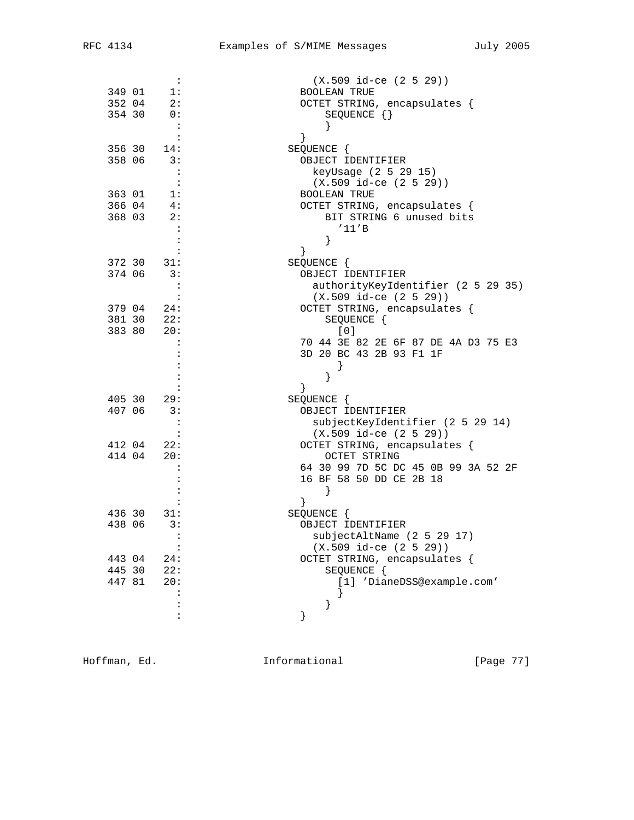|        | :                           | $(X.509$ id-ce $(2 5 29))$          |
|--------|-----------------------------|-------------------------------------|
| 349 01 | 1:                          | <b>BOOLEAN TRUE</b>                 |
| 352 04 | 2:                          | OCTET STRING, encapsulates {        |
| 354 30 | $\overline{0}$ :            | SEQUENCE $\{\}$                     |
|        | $\overline{\phantom{a}}$ :  |                                     |
|        | $\colon$                    | $\}$                                |
|        | 356 30 14:                  | SEQUENCE {                          |
| 358 06 | $\overline{\phantom{a}}$ 3: | OBJECT IDENTIFIER                   |
|        | $\ddot{\cdot}$              | keyUsage (2 5 29 15)                |
|        | $\cdot$ :                   | $(X.509$ id-ce $(2 5 29))$          |
| 363 01 | 1:                          | <b>BOOLEAN TRUE</b>                 |
|        |                             |                                     |
| 366 04 | 4:<br>2:                    | OCTET STRING, encapsulates {        |
| 368 03 |                             | BIT STRING 6 unused bits            |
|        |                             | '11'B                               |
|        |                             | $\left\{ \right\}$                  |
|        |                             |                                     |
| 372 30 | 31:                         | SEQUENCE {                          |
| 374 06 | 3:                          | OBJECT IDENTIFIER                   |
|        | :                           | authorityKeyIdentifier (2 5 29 35)  |
|        |                             | $(X.509$ id-ce $(2 5 29))$          |
| 379 04 | 24:                         | OCTET STRING, encapsulates {        |
| 381 30 | 22:                         | SEQUENCE {                          |
| 383 80 | 20:                         | [0]                                 |
|        | $\ddot{\cdot}$              | 70 44 3E 82 2E 6F 87 DE 4A D3 75 E3 |
|        |                             | 3D 20 BC 43 2B 93 F1 1F             |
|        |                             |                                     |
|        |                             | ł                                   |
|        |                             |                                     |
| 405 30 | 29:                         | SEQUENCE {                          |
| 407 06 | 3:                          | OBJECT IDENTIFIER                   |
|        | :                           | subjectKeyIdentifier (2 5 29 14)    |
|        | $\ddot{\cdot}$              | $(X.509$ id-ce $(2 5 29))$          |
| 412 04 | 22:                         | OCTET STRING, encapsulates {        |
| 414 04 | 20:                         |                                     |
|        |                             | OCTET STRING                        |
|        |                             | 64 30 99 7D 5C DC 45 0B 99 3A 52 2F |
|        |                             | 16 BF 58 50 DD CE 2B 18             |
|        |                             |                                     |
|        |                             |                                     |
| 436 30 | 31:                         | SEQUENCE {                          |
| 438 06 | 3:                          | OBJECT IDENTIFIER                   |
|        | $\ddot{\cdot}$              | subjectAltName (2 5 29 17)          |
|        | $\ddot{\cdot}$              | $(X.509$ id-ce $(2 5 29))$          |
| 443 04 | 24:                         | OCTET STRING, encapsulates {        |
| 445 30 | 22:                         | SEQUENCE {                          |
| 447 81 | 20:                         | [1] 'DianeDSS@example.com'          |
|        |                             |                                     |
|        |                             | }                                   |
|        | $\ddot{\cdot}$              |                                     |
|        |                             |                                     |

Hoffman, Ed. 1nformational 1999 [Page 77]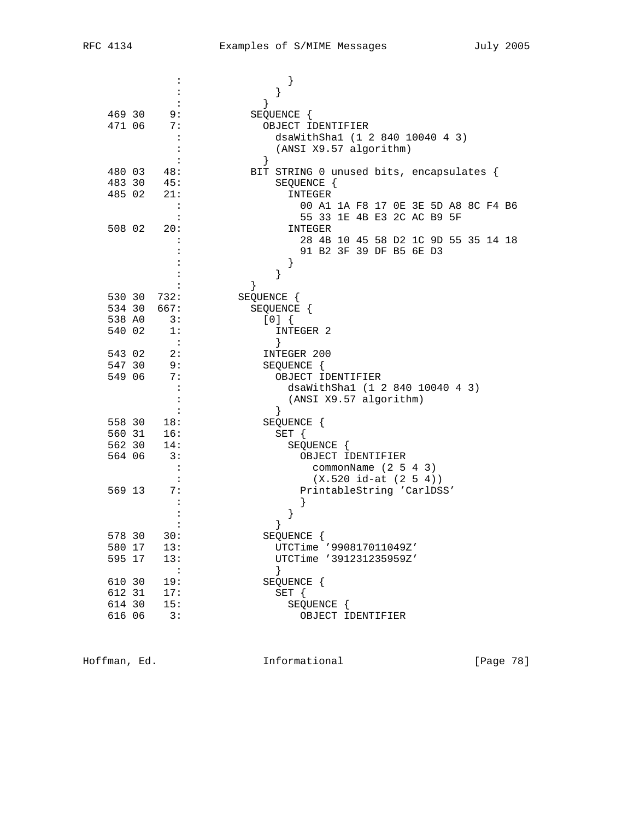|        |             | :                           | $\}$                                     |
|--------|-------------|-----------------------------|------------------------------------------|
|        |             |                             | $\}$                                     |
|        |             |                             | $\}$                                     |
| 469 30 |             | 9:                          | SEQUENCE {                               |
| 471 06 |             | 7:                          | OBJECT IDENTIFIER                        |
|        |             | $\ddot{\cdot}$              | dsaWithSha1 (1 2 840 10040 4 3)          |
|        |             |                             | (ANSI X9.57 algorithm)                   |
|        |             | :                           | $\}$                                     |
| 480 03 |             | 48:                         | BIT STRING 0 unused bits, encapsulates { |
| 483 30 |             | 45:                         | SEQUENCE {                               |
| 485 02 |             | 21:                         | INTEGER                                  |
|        |             | $\mathbf{L}$                | 00 A1 1A F8 17 OE 3E 5D A8 8C F4 B6      |
|        |             |                             | 55 33 1E 4B E3 2C AC B9 5F               |
| 508 02 |             | 20:                         | INTEGER                                  |
|        |             |                             | 28 4B 10 45 58 D2 1C 9D 55 35 14 18      |
|        |             |                             | 91 B2 3F 39 DF B5 6E D3                  |
|        |             |                             | $\}$                                     |
|        |             |                             | }                                        |
|        |             |                             | }                                        |
|        | 530 30 732: |                             | SEQUENCE {                               |
|        | 534 30 667: |                             | SEQUENCE {                               |
| 538 AO |             | $\overline{\phantom{a}}$ 3: | [0]                                      |
| 540 02 |             | 1:                          | INTEGER 2                                |
|        |             | $\sim$ :                    | }                                        |
| 543 02 |             | 2:                          | INTEGER 200                              |
| 547 30 |             | - 9 :                       | SEQUENCE {                               |
| 549 06 |             | 7:                          | OBJECT IDENTIFIER                        |
|        |             | $\ddot{\cdot}$              | dsaWithSha1 (1 2 840 10040 4 3)          |
|        |             | :                           | (ANSI X9.57 algorithm)                   |
|        |             |                             | }                                        |
| 558 30 |             | 18:                         | SEQUENCE {                               |
| 560 31 |             | $\frac{1}{16}$ :            | $SET \{$                                 |
| 562 30 |             | 14:                         | SEQUENCE {                               |
| 564 06 |             | 3:                          | OBJECT IDENTIFIER                        |
|        |             | $\ddot{\phantom{a}}$        | commonName $(2 5 4 3)$                   |
|        |             | $\mathbf{L}$                | $(X.520 id-at (2 5 4))$                  |
| 569 13 |             | 7:                          | PrintableString 'CarlDSS'                |
|        |             |                             |                                          |
|        |             |                             | }                                        |
|        |             |                             | }                                        |
| 578 30 |             | 30:                         | SEQUENCE {                               |
| 580 17 |             | 13:                         | UTCTime '990817011049Z'                  |
| 595 17 |             | 13:                         | UTCTime '391231235959Z'                  |
|        |             | $\ddot{\cdot}$              | $\}$                                     |
| 610 30 |             | 19:                         | SEQUENCE {                               |
| 612 31 |             | 17:                         | SET {                                    |
| 614 30 |             | 15:                         | SEQUENCE {                               |
| 616 06 |             | 3:                          | OBJECT IDENTIFIER                        |
|        |             |                             |                                          |

Hoffman, Ed. 1nformational 1999 [Page 78]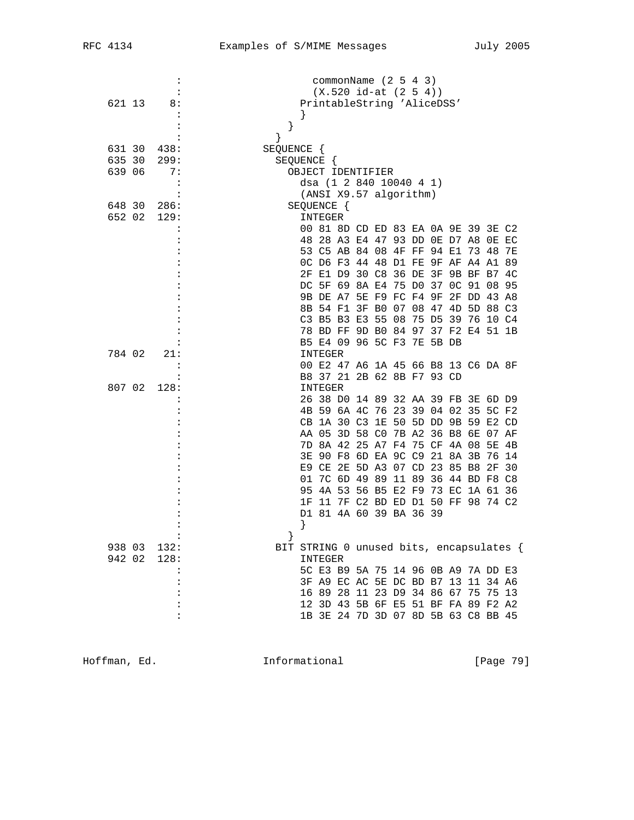|        | $\ddot{\cdot}$ | commonName $(2 5 4 3)$                   |
|--------|----------------|------------------------------------------|
|        |                | $(X.520 id-at (2 5 4))$                  |
| 621 13 | 8:             | PrintableString 'AliceDSS'               |
|        |                |                                          |
|        |                | }                                        |
|        |                | $\mathcal{F}$                            |
| 631 30 | 438:           | SEQUENCE {                               |
| 635 30 | 299:           | SEQUENCE {                               |
| 639 06 | 7 :            | OBJECT IDENTIFIER                        |
|        | :              | dsa (1 2 840 10040 4 1)                  |
|        |                | (ANSI X9.57 algorithm)                   |
| 648 30 | 286:           | SEQUENCE {                               |
| 652 02 | 129:           | INTEGER                                  |
|        |                | 00 81 8D CD ED 83 EA 0A 9E 39 3E C2      |
|        |                | 48 28 A3 E4 47 93 DD 0E D7 A8 0E EC      |
|        |                | 53 C5 AB 84 08 4F FF 94 E1 73 48 7E      |
|        |                | OC D6 F3 44 48 D1 FE 9F AF A4 A1 89      |
|        |                | 2F E1 D9 30 C8 36 DE 3F 9B BF B7 4C      |
|        |                | DC 5F 69 8A E4 75 D0 37 OC 91 08 95      |
|        |                | 9B DE A7 5E F9 FC F4 9F 2F DD 43 A8      |
|        |                | 8B 54 F1 3F B0 07 08 47 4D 5D 88 C3      |
|        |                | C3 B5 B3 E3 55 08 75 D5 39 76 10 C4      |
|        |                | 78 BD FF 9D B0 84 97 37 F2 E4 51 1B      |
|        |                | B5 E4 09 96 5C F3 7E 5B DB               |
| 784 02 | 21:            | INTEGER                                  |
|        |                | 00 E2 47 A6 1A 45 66 B8 13 C6 DA 8F      |
|        |                | B8 37 21 2B 62 8B F7 93 CD               |
| 807 02 | 128:           | INTEGER                                  |
|        |                | 26 38 D0 14 89 32 AA 39 FB 3E 6D D9      |
|        |                | 4B 59 6A 4C 76 23 39 04 02 35 5C F2      |
|        |                | CB 1A 30 C3 1E 50 5D DD 9B 59 E2 CD      |
|        |                | AA 05 3D 58 C0 7B A2 36 B8 6E 07 AF      |
|        |                | 7D 8A 42 25 A7 F4 75 CF 4A 08 5E 4B      |
|        |                | 3E 90 F8 6D EA 9C C9 21 8A 3B 76 14      |
|        |                | E9 CE 2E 5D A3 07 CD 23 85 B8 2F 30      |
|        |                | 01 7C 6D 49 89 11 89 36 44 BD F8 C8      |
|        |                | 95 4A 53 56 B5 E2 F9 73 EC 1A 61 36      |
|        |                | 1F 11 7F C2 BD ED D1 50 FF 98 74 C2      |
|        |                | D1 81 4A 60 39 BA 36 39                  |
|        |                | }                                        |
|        |                |                                          |
| 938 03 | 132:           | BIT STRING 0 unused bits, encapsulates { |
| 942 02 | 128:           | INTEGER                                  |
|        |                | 5C E3 B9 5A 75 14 96 0B A9 7A DD E3      |
|        |                | 3F A9 EC AC 5E DC BD B7 13 11 34 A6      |
|        |                | 16 89 28 11 23 D9 34 86 67 75 75 13      |
|        |                | 12 3D 43 5B 6F E5 51 BF FA 89 F2 A2      |
|        | :              | 1B 3E 24 7D 3D 07 8D 5B 63 C8 BB 45      |

Hoffman, Ed. 1nformational 1999 [Page 79]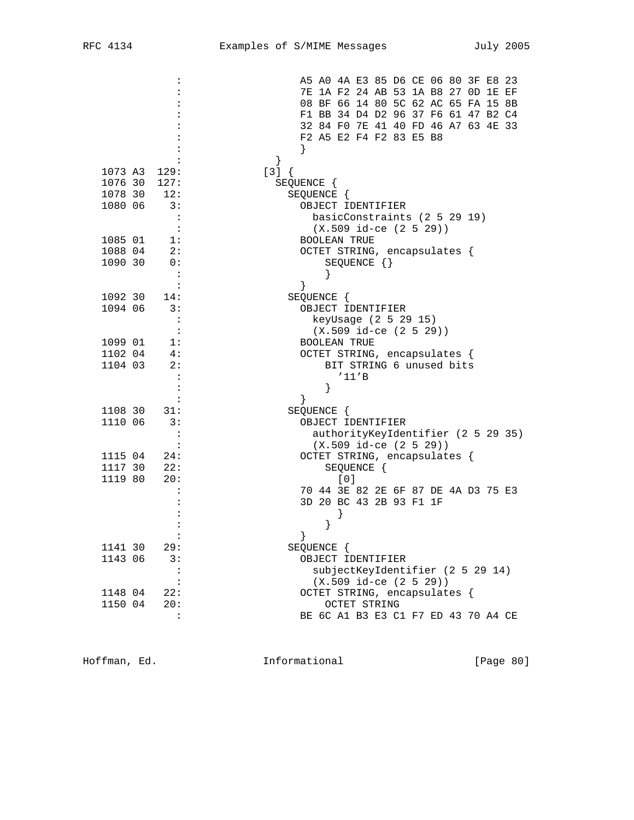|                           | A5 A0 4A E3 85 D6 CE 06 80 3F E8 23        |
|---------------------------|--------------------------------------------|
|                           | 7E 1A F2 24 AB 53 1A B8 27 OD 1E EF        |
|                           | 08 BF 66 14 80 5C 62 AC 65 FA 15 8B        |
|                           | F1 BB 34 D4 D2 96 37 F6 61 47 B2 C4        |
|                           | 32 84 FO 7E 41 40 FD 46 A7 63 4E 33        |
|                           | F2 A5 E2 F4 F2 83 E5 B8                    |
|                           |                                            |
|                           | $\left\{ \right\}$                         |
| 1073 A3<br>129:           | $[3] { }$                                  |
| 1076 30<br>127:           | SEQUENCE {                                 |
| 1078 30<br>12:            | SEQUENCE {                                 |
| 3:<br>1080 06             | OBJECT IDENTIFIER                          |
|                           | basicConstraints (2 5 29 19)               |
| :                         | $(X.509$ id-ce $(2 5 29)$                  |
| 1085 01<br>1:             | <b>BOOLEAN TRUE</b>                        |
| 1088 04<br>2:             | OCTET STRING, encapsulates {               |
| 1090 30<br>0:             | SEQUENCE $\{\}$                            |
|                           |                                            |
|                           |                                            |
| 1092 30<br>14:            | SEQUENCE {                                 |
| 1094 06<br>3:             | OBJECT IDENTIFIER                          |
| :                         | keyUsage (2 5 29 15)                       |
| $\ddot{\phantom{a}}$      | $(X.509$ id-ce $(2 5 29))$                 |
| 1099 01<br>1:             | <b>BOOLEAN TRUE</b>                        |
| 1102 04<br>4:             | OCTET STRING, encapsulates {               |
| 2:<br>1104 03             | BIT STRING 6 unused bits                   |
|                           | '11'B                                      |
|                           | }                                          |
|                           |                                            |
| 1108 30<br>31:            | SEQUENCE {                                 |
| 1110 06<br>3:             | OBJECT IDENTIFIER                          |
| :                         | authorityKeyIdentifier (2 5 29 35)         |
| :                         | $(X.509 id-ce (2 5 29))$                   |
| 1115 04<br>24:            | OCTET STRING, encapsulates {               |
| 1117 30<br>22:<br>1119 80 | SEQUENCE {                                 |
| 20:                       | [0]<br>70 44 3E 82 2E 6F 87 DE 4A D3 75 E3 |
|                           | 3D 20 BC 43 2B 93 F1 1F                    |
|                           |                                            |
|                           |                                            |
|                           | ł<br>$\}$                                  |
| 1141 30<br>29:            | SEQUENCE {                                 |
| 1143 06<br>3:             | OBJECT IDENTIFIER                          |
| $\ddot{\phantom{a}}$      | subjectKeyIdentifier (2 5 29 14)           |
| :                         | $(X.509$ id-ce $(2 5 29))$                 |
| 1148 04<br>22:            | OCTET STRING, encapsulates {               |
| 1150 04<br>20:            | OCTET STRING                               |
| $\ddot{\cdot}$            | BE 6C A1 B3 E3 C1 F7 ED 43 70 A4 CE        |
|                           |                                            |

Hoffman, Ed. 1nformational 1999 [Page 80]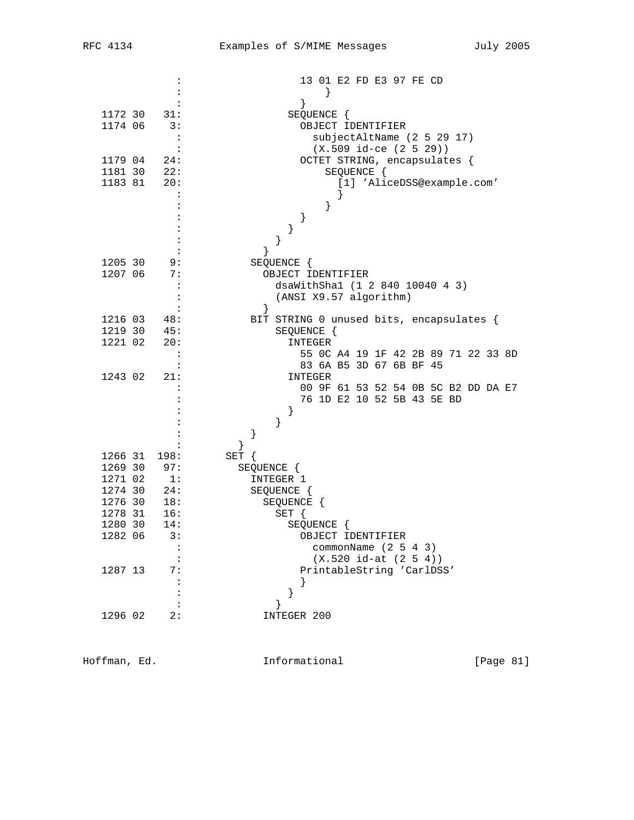|                                   | 13 01 E2 FD E3 97 FE CD                           |
|-----------------------------------|---------------------------------------------------|
|                                   |                                                   |
| 1172 30<br>31:                    | }                                                 |
| 1174 06<br>3:                     | SEQUENCE {<br>OBJECT IDENTIFIER                   |
| $\ddot{\phantom{a}}$              |                                                   |
|                                   | subjectAltName (2 5 29 17)                        |
| $\ddot{\cdot}$                    | $(X.509$ id-ce $(2 5 29))$                        |
| 1179 04<br>24:                    | OCTET STRING, encapsulates {                      |
| 1181 30<br>22:                    | SEQUENCE {                                        |
| 1183 81<br>20:                    | [1] 'AliceDSS@example.com'                        |
| $\ddot{\cdot}$                    |                                                   |
|                                   | }                                                 |
|                                   | $\}$                                              |
|                                   | }                                                 |
|                                   | $\}$                                              |
|                                   | }                                                 |
| 1205 30<br>9:                     | SEQUENCE {                                        |
| 1207 06<br>7:                     | OBJECT IDENTIFIER                                 |
| $\ddot{\phantom{a}}$              | dsaWithSha1 (1 2 840 10040 4 3)                   |
|                                   | (ANSI X9.57 algorithm)                            |
|                                   | $\left\{ \right\}$                                |
| 1216 03<br>48:                    | BIT STRING 0 unused bits, encapsulates {          |
| 1219 30<br>45:                    | SEQUENCE {                                        |
| 1221 02<br>20:                    | <b>INTEGER</b>                                    |
| $\ddot{\phantom{a}}$              | 55 OC A4 19 1F 42 2B 89 71 22 33 8D               |
|                                   | 83 6A B5 3D 67 6B BF 45                           |
| 1243 02<br>21:                    | INTEGER                                           |
|                                   | 00 9F 61 53 52 54 0B 5C B2 DD DA E7               |
|                                   | 76 1D E2 10 52 5B 43 5E BD                        |
|                                   | $\}$                                              |
|                                   | }                                                 |
|                                   | }                                                 |
|                                   | ł                                                 |
| 1266 31<br>198:<br>1269 30<br>97: | SET {                                             |
| 1271 02<br>$\overline{1}$ :       | SEQUENCE {<br>INTEGER 1                           |
| 1274 30<br>24:                    |                                                   |
| 1276 30<br>18:                    | SEQUENCE {                                        |
| 16:                               | SEQUENCE {                                        |
| 1278 31<br>14:                    | $SET \{$                                          |
| 1280 30<br>1282 06<br>3:          | SEQUENCE {                                        |
|                                   | OBJECT IDENTIFIER                                 |
| $\ddot{\phantom{a}}$              | commonName $(2 5 4 3)$<br>$(X.520 id-at (2 5 4))$ |
| 1287 13                           | PrintableString 'CarlDSS'                         |
| 7:                                |                                                   |
|                                   | $\}$                                              |
|                                   | }                                                 |
| 1296 02<br>2:                     | }                                                 |
|                                   | INTEGER 200                                       |

Hoffman, Ed. 1nformational 1999 [Page 81]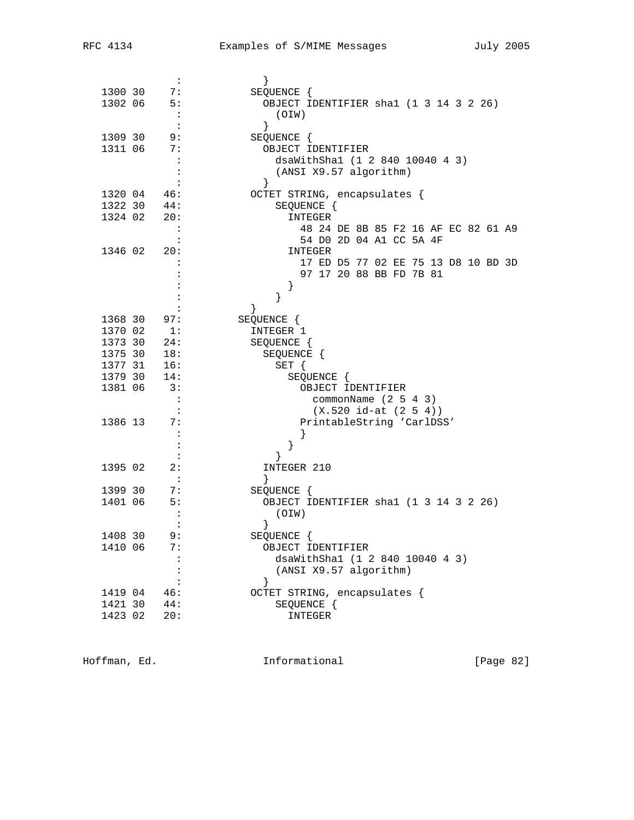|         | $\ddot{\cdot}$              | $\}$                                   |
|---------|-----------------------------|----------------------------------------|
| 1300 30 | 7:                          | SEQUENCE {                             |
| 1302 06 | 5:                          | OBJECT IDENTIFIER shal (1 3 14 3 2 26) |
|         | $\cdot$ :                   | (OIW)                                  |
|         | $\cdot$ :                   | $\}$                                   |
| 1309 30 | 9:                          | SEQUENCE {                             |
| 1311 06 | 7:                          | OBJECT IDENTIFIER                      |
|         | $\cdot$ :                   | dsaWithShal (1 2 840 10040 4 3)        |
|         |                             | (ANSI X9.57 algorithm)                 |
|         |                             | }                                      |
| 1320 04 | 46:                         | OCTET STRING, encapsulates {           |
| 1322 30 | 44:                         | SEQUENCE {                             |
| 1324 02 | 20:                         | INTEGER                                |
|         | $\sim$ 1                    | 48 24 DE 8B 85 F2 16 AF EC 82 61 A9    |
|         |                             | 54 D0 2D 04 A1 CC 5A 4F                |
| 1346 02 | 20:                         | INTEGER                                |
|         |                             | 17 ED D5 77 02 EE 75 13 D8 10 BD 3D    |
|         |                             | 97 17 20 88 BB FD 7B 81                |
|         |                             | }                                      |
|         |                             | }                                      |
|         |                             | $\left\{ \right.$                      |
| 1368 30 | 97:                         | SEQUENCE {                             |
| 1370 02 | 1:                          | INTEGER 1                              |
| 1373 30 |                             | SEQUENCE {                             |
| 1375 30 | 24:                         |                                        |
| 1377 31 | $\frac{18}{16}$ :           | SEQUENCE {                             |
|         | 14:                         | SET {                                  |
| 1379 30 |                             | SEQUENCE {                             |
| 1381 06 | $\overline{\phantom{a}}$ 3: | OBJECT IDENTIFIER                      |
|         | $\ddot{\cdot}$              | commonName $(2 5 4 3)$                 |
|         | $\cdot$ :                   | $(X.520 id-at (2 5 4))$                |
| 1386 13 | 7:                          | PrintableString 'CarlDSS'              |
|         | $\cdot$                     |                                        |
|         |                             | }                                      |
|         |                             |                                        |
| 1395 02 | 2:                          | INTEGER 210                            |
|         |                             | $\}$                                   |
| 1399 30 | 7:                          | SEQUENCE {                             |
| 1401 06 | 5:                          | OBJECT IDENTIFIER shal (1 3 14 3 2 26) |
|         |                             | (OIW)                                  |
|         |                             | }                                      |
| 1408 30 | 9:                          | SEQUENCE {                             |
| 1410 06 | 7:                          | OBJECT IDENTIFIER                      |
|         | :                           | dsaWithSha1 (1 2 840 10040 4 3)        |
|         | $\ddot{\cdot}$              | (ANSI X9.57 algorithm)                 |
|         | $\ddot{\phantom{a}}$        | ł                                      |
| 1419 04 | 46:                         | OCTET STRING, encapsulates {           |
| 1421 30 | 44:                         | SEQUENCE {                             |
| 1423 02 | 20:                         | INTEGER                                |
|         |                             |                                        |

Hoffman, Ed. 1nformational 1999 [Page 82]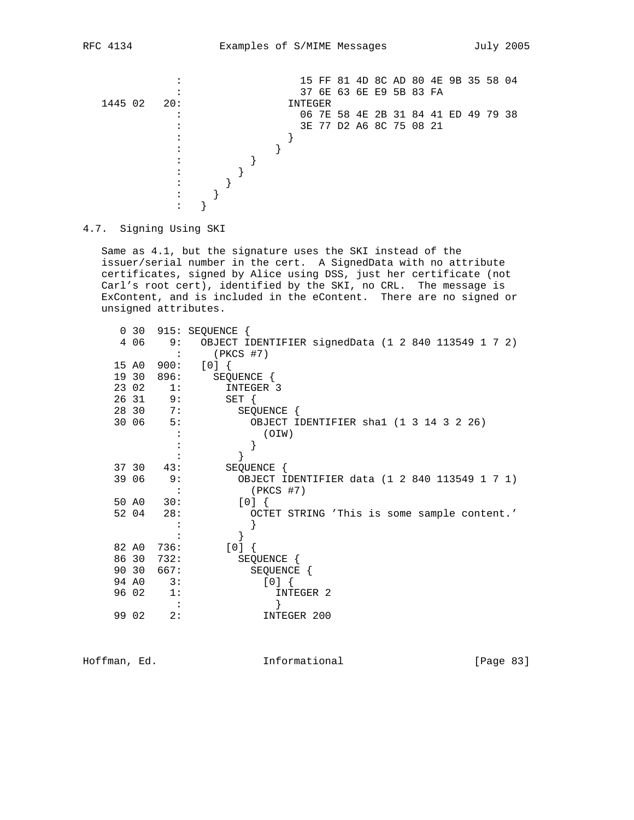

4.7. Signing Using SKI

 Same as 4.1, but the signature uses the SKI instead of the issuer/serial number in the cert. A SignedData with no attribute certificates, signed by Alice using DSS, just her certificate (not Carl's root cert), identified by the SKI, no CRL. The message is ExContent, and is included in the eContent. There are no signed or unsigned attributes.

| $\overline{0}$ | 30    |      | 915: SEQUENCE {                                     |
|----------------|-------|------|-----------------------------------------------------|
|                | 4 0 6 | 9:   | OBJECT IDENTIFIER signedData (1 2 840 113549 1 7 2) |
|                |       |      | $(PKCS$ #7)                                         |
|                | 15 AO | 900: | [0]                                                 |
|                | 19 30 | 896: | SEQUENCE {                                          |
|                | 23 02 | 1:   | INTEGER 3                                           |
|                | 26 31 | 9:   | $SET \{$                                            |
|                | 28 30 | 7:   | SEQUENCE {                                          |
|                | 30 06 | 5:   | OBJECT IDENTIFIER shal (1 3 14 3 2 26)              |
|                |       |      | (OIW)                                               |
|                |       |      |                                                     |
|                |       |      |                                                     |
|                | 37 30 | 43:  | SEQUENCE {                                          |
|                | 39 06 | 9:   | OBJECT IDENTIFIER data (1 2 840 113549 1 7 1)       |
|                |       |      | $(PKCS$ #7)                                         |
|                | 50 AO | 30:  | [0]                                                 |
|                | 52 04 | 28:  | OCTET STRING 'This is some sample content.'         |
|                |       |      |                                                     |
|                |       |      |                                                     |
|                | 82 AO | 736: | [0]                                                 |
|                | 86 30 | 732: | SEQUENCE {                                          |
|                | 90 30 | 667: | SEQUENCE {                                          |
|                | 94 AO | 3:   | $[0]$ {                                             |
|                | 96 02 | 1:   | INTEGER 2                                           |
|                |       |      |                                                     |
|                | 99 02 | 2:   | INTEGER 200                                         |
|                |       |      |                                                     |

Hoffman, Ed. 10. Informational 1.1 [Page 83]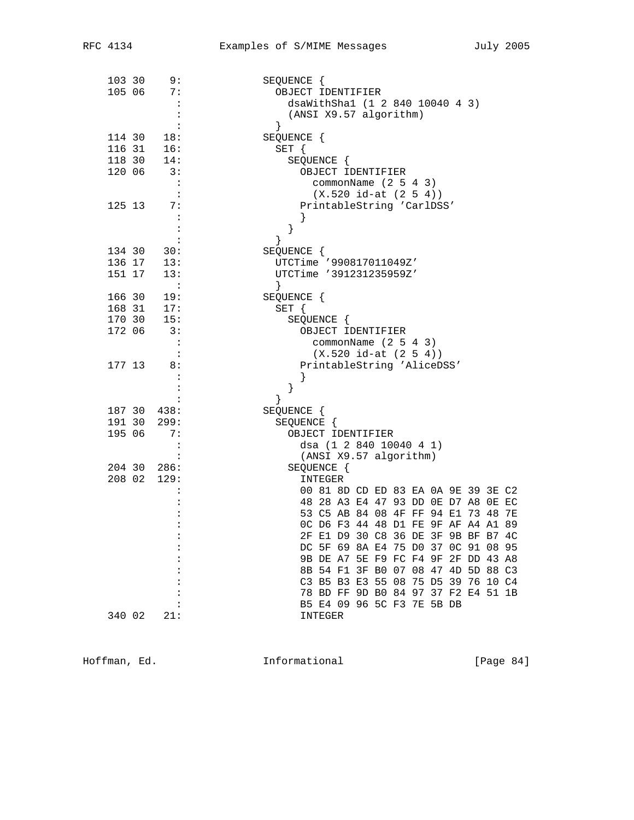| 103 30           | 9:                   | SEQUENCE {                                                                 |
|------------------|----------------------|----------------------------------------------------------------------------|
| 105 06           | 7:                   | OBJECT IDENTIFIER                                                          |
|                  | $\cdot$ :            | dsaWithShal (1 2 840 10040 4 3)                                            |
|                  | $\ddot{\phantom{a}}$ | (ANSI X9.57 algorithm)                                                     |
|                  | $\ddot{\cdot}$       | }                                                                          |
| 114 30           | 18:                  | SEQUENCE {                                                                 |
| 116 31           | 16:                  | $SET \{$                                                                   |
| 118 30<br>120 06 | 14:<br>3:            | SEQUENCE {                                                                 |
|                  | $\mathbf{r}$         | OBJECT IDENTIFIER<br>commonName $(2 5 4 3)$                                |
|                  | $\cdot$ :            | $(X.520 id-at (2 5 4))$                                                    |
| 125 13           | 7:                   | PrintableString 'CarlDSS'                                                  |
|                  | $\ddot{\cdot}$       |                                                                            |
|                  |                      | }                                                                          |
|                  |                      | $\}$                                                                       |
| 134 30           | 30:                  | SEQUENCE {                                                                 |
| 136 17           | 13:                  | UTCTime '990817011049Z'                                                    |
| 151 17           | 13:                  | UTCTime '391231235959Z'                                                    |
|                  | $\ddot{\cdot}$       | $\left\{ \right\}$                                                         |
| 166 30           | 19:                  | SEQUENCE {                                                                 |
| 168 31           | 17:<br>15:           | SET {                                                                      |
| 170 30           |                      | SEQUENCE {                                                                 |
| 172 06           | 3:                   | OBJECT IDENTIFIER                                                          |
|                  | $\cdot$ :            | commonName $(2 5 4 3)$                                                     |
|                  | $\cdot$ :            | $(X.520 id-at (2 5 4))$                                                    |
| 177 13           | 8:                   | PrintableString 'AliceDSS'                                                 |
|                  |                      | $\}$                                                                       |
|                  |                      | }                                                                          |
|                  | 187 30 438:          | SEQUENCE {                                                                 |
| 191 30           | 299:                 | SEQUENCE {                                                                 |
| 195 06           | 7:                   | OBJECT IDENTIFIER                                                          |
|                  |                      | dsa (1 2 840 10040 4 1)                                                    |
|                  | $\cdot$ :            | (ANSI X9.57 algorithm)                                                     |
|                  | 204 30 286:          | SEQUENCE {                                                                 |
|                  | 208 02 129:          | INTEGER                                                                    |
|                  |                      | 00 81 8D CD ED 83 EA 0A 9E 39 3E C2                                        |
|                  |                      | 48 28 A3 E4 47 93 DD 0E D7 A8 0E EC                                        |
|                  |                      | 53 C5 AB 84 08 4F FF 94 E1 73 48 7E                                        |
|                  |                      | OC D6 F3 44 48 D1 FE 9F AF A4 A1 89                                        |
|                  |                      | 2F E1 D9 30 C8 36 DE 3F 9B BF B7 4C                                        |
|                  |                      | DC 5F 69 8A E4 75 D0 37 0C 91 08 95                                        |
|                  |                      | 9B DE A7 5E F9 FC F4 9F 2F DD 43 A8<br>8B 54 F1 3F B0 07 08 47 4D 5D 88 C3 |
|                  |                      | C3 B5 B3 E3 55 08 75 D5 39 76 10 C4                                        |
|                  |                      | 78 BD FF 9D B0 84 97 37 F2 E4 51 1B                                        |
|                  |                      | B5 E4 09 96 5C F3 7E 5B DB                                                 |
| 340 02           | 21:                  | INTEGER                                                                    |
|                  |                      |                                                                            |

Hoffman, Ed. 1nformational 1999 [Page 84]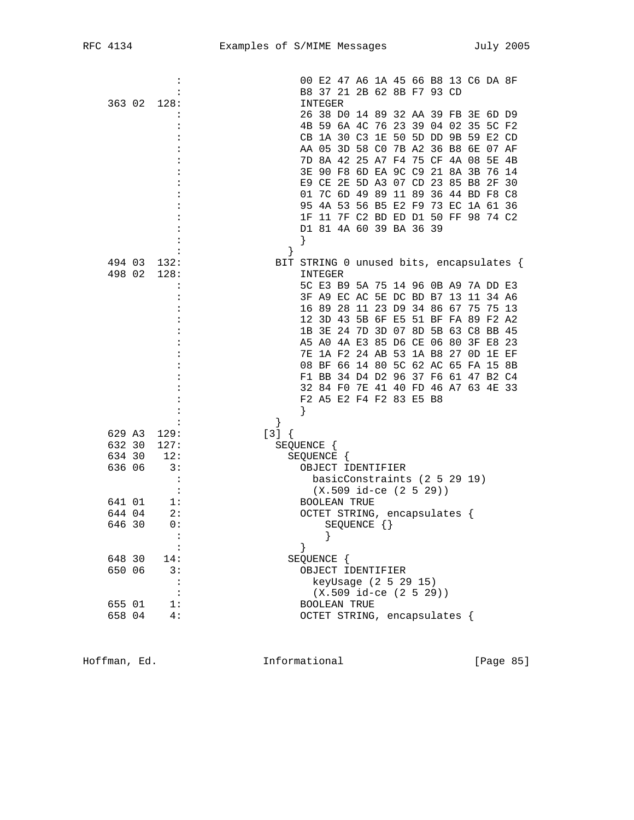| C 4134 |  |  |
|--------|--|--|
|        |  |  |

|                  |                | 00 E2 47 A6 1A 45 66 B8 13 C6 DA 8F                                        |  |
|------------------|----------------|----------------------------------------------------------------------------|--|
|                  |                | B8 37 21 2B 62 8B F7 93 CD                                                 |  |
| 363 02           | 128:           | INTEGER                                                                    |  |
|                  |                | 26 38 D0 14 89 32 AA 39 FB 3E 6D D9                                        |  |
|                  |                | 4B 59 6A 4C 76 23 39 04 02 35 5C F2                                        |  |
|                  |                | CB 1A 30 C3 1E 50 5D DD 9B 59 E2 CD                                        |  |
|                  |                | AA 05 3D 58 C0 7B A2 36 B8 6E 07 AF                                        |  |
|                  |                | 7D 8A 42 25 A7 F4 75 CF 4A 08 5E 4B                                        |  |
|                  |                | 90 F8 6D EA 9C C9 21 8A 3B 76 14<br>3E.                                    |  |
|                  |                | E9 CE 2E 5D A3 07 CD 23 85 B8 2F 30<br>01 7C 6D 49 89 11 89 36 44 BD F8 C8 |  |
|                  |                | 95 4A 53 56 B5 E2 F9 73 EC 1A 61 36                                        |  |
|                  |                | 1F 11 7F C2 BD ED D1 50 FF 98 74 C2                                        |  |
|                  |                | D1 81 4A 60 39 BA 36 39                                                    |  |
|                  |                | ł                                                                          |  |
|                  |                |                                                                            |  |
| 494 03           | 132:           | BIT STRING 0 unused bits, encapsulates {                                   |  |
| 498 02           | 128:           | INTEGER                                                                    |  |
|                  | :              | 5C E3 B9 5A 75 14 96 0B A9 7A DD E3                                        |  |
|                  |                | 3F A9 EC AC 5E DC BD B7 13<br>11 34 A6                                     |  |
|                  |                | 16 89 28 11 23 D9 34 86 67 75 75 13                                        |  |
|                  |                | 12 3D 43 5B 6F E5 51 BF FA 89 F2 A2                                        |  |
|                  |                | 1B 3E 24 7D 3D 07 8D 5B 63 C8 BB 45                                        |  |
|                  |                | A5 A0 4A E3 85 D6 CE 06 80<br>3F E8<br>23                                  |  |
|                  |                | 1A F2 24 AB 53 1A B8 27 OD 1E EF<br>7E                                     |  |
|                  |                | 08 BF 66 14 80 5C 62 AC 65 FA 15 8B                                        |  |
|                  |                | F1 BB 34 D4 D2 96 37 F6 61 47 B2 C4                                        |  |
|                  |                | 32 84 FO 7E 41 40 FD 46 A7 63 4E 33                                        |  |
|                  |                | F2 A5 E2 F4 F2 83 E5 B8                                                    |  |
|                  |                | ł                                                                          |  |
|                  |                | }                                                                          |  |
| 629 A3           | 129:           | $[3]$ {                                                                    |  |
| 632 30           | 127:<br>12:    | SEQUENCE {                                                                 |  |
| 634 30<br>636 06 | 3:             | SEQUENCE {<br>OBJECT IDENTIFIER                                            |  |
|                  | $\ddot{\cdot}$ | basicConstraints (2 5 29 19)                                               |  |
|                  | $\ddot{\cdot}$ | $(X.509$ id-ce $(2 5 29))$                                                 |  |
| 641 01           | 1:             | <b>BOOLEAN TRUE</b>                                                        |  |
| 644 04           | 2:             | OCTET STRING, encapsulates {                                               |  |
| 646 30           | 0:             | SEQUENCE $\{\}$                                                            |  |
|                  |                | $\}$                                                                       |  |
|                  | $\ddot{\cdot}$ | $\}$                                                                       |  |
| 648 30           | 14:            | SEQUENCE {                                                                 |  |
| 650 06           | 3:             | OBJECT IDENTIFIER                                                          |  |
|                  |                | keyUsage (2 5 29 15)                                                       |  |
|                  |                | $(X.509$ id-ce $(2 5 29)$                                                  |  |
| 655 01           | 1:             | <b>BOOLEAN TRUE</b>                                                        |  |
| 658 04           | 4:             | OCTET STRING, encapsulates {                                               |  |
|                  |                |                                                                            |  |

Hoffman, Ed. 10. Informational 1.1 [Page 85]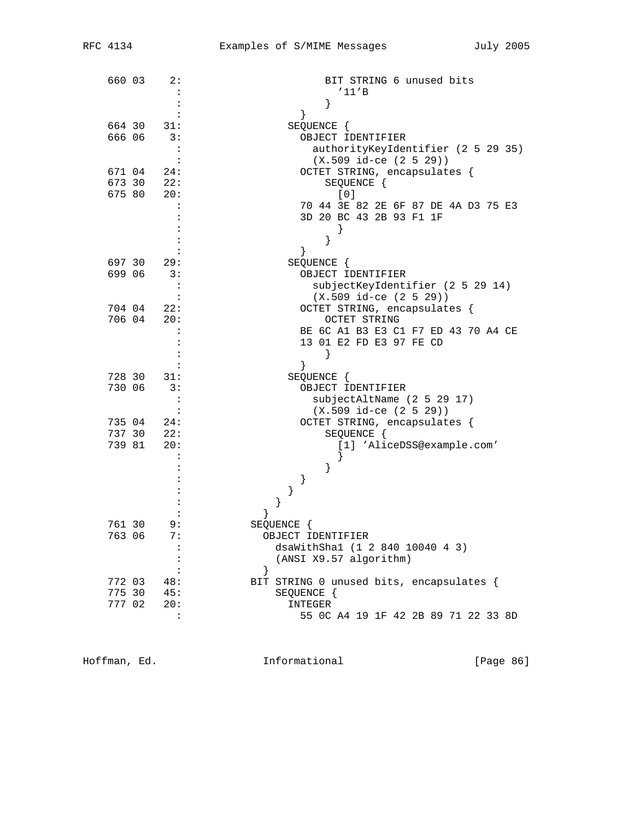| 660 03 | 2:             | BIT STRING 6 unused bits<br>'11'B        |
|--------|----------------|------------------------------------------|
|        |                |                                          |
|        |                | }                                        |
|        |                |                                          |
| 664 30 | 31:            | SEQUENCE {                               |
| 666 06 | 3:             | OBJECT IDENTIFIER                        |
|        | :              | authorityKeyIdentifier (2 5 29 35)       |
|        |                | $(X.509$ id-ce $(2 5 29))$               |
| 671 04 | 24:            | OCTET STRING, encapsulates {             |
| 673 30 | 22:            | SEQUENCE {                               |
| 675 80 | 20:            | [0]                                      |
|        | :              | 70 44 3E 82 2E 6F 87 DE 4A D3 75 E3      |
|        |                | 3D 20 BC 43 2B 93 F1 1F                  |
|        |                |                                          |
|        |                | }                                        |
|        |                |                                          |
| 697 30 | 29:            | SEQUENCE {                               |
| 699 06 | 3:             | OBJECT IDENTIFIER                        |
|        | :              | subjectKeyIdentifier (2 5 29 14)         |
|        |                | $(X.509$ id-ce $(2 5 29))$               |
| 704 04 | 22:            | OCTET STRING, encapsulates {             |
| 706 04 | 20:            | OCTET STRING                             |
|        |                | BE 6C A1 B3 E3 C1 F7 ED 43 70 A4 CE      |
|        |                | 13 01 E2 FD E3 97 FE CD                  |
|        |                | ł                                        |
|        |                |                                          |
| 728 30 | 31:            | SEQUENCE {                               |
| 730 06 | 3:             | OBJECT IDENTIFIER                        |
|        |                | subjectAltName (2 5 29 17)               |
|        | $\ddot{\cdot}$ | $(X.509$ id-ce $(2 5 29))$               |
| 735 04 | 24:            | OCTET STRING, encapsulates {             |
| 737 30 | 22:            | SEQUENCE {                               |
| 739 81 | 20:            | [1] 'AliceDSS@example.com'               |
|        |                |                                          |
|        |                |                                          |
|        |                | }                                        |
|        |                | }                                        |
|        |                | }                                        |
|        |                | }                                        |
|        |                |                                          |
| 761 30 | 9:             | SEQUENCE {                               |
| 763 06 | 7:             | OBJECT IDENTIFIER                        |
|        | $\ddot{\cdot}$ | dsaWithSha1 (1 2 840 10040 4 3)          |
|        |                | (ANSI X9.57 algorithm)                   |
|        |                | $\left\{ \right.$                        |
| 772 03 | 48:            | BIT STRING 0 unused bits, encapsulates { |
| 775 30 | 45:            | SEQUENCE {                               |
| 777 02 | 20:            | INTEGER                                  |
|        | $\ddot{\cdot}$ | 55 OC A4 19 1F 42 2B 89 71 22 33 8D      |

Hoffman, Ed. 1nformational 1999 [Page 86]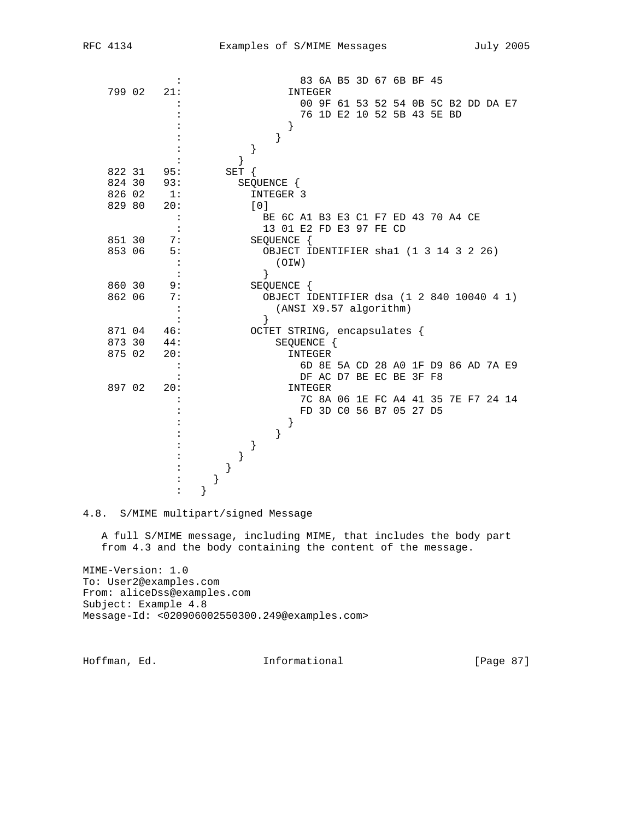|        |                |           |          |            |                                           |                        |         | 83 6A B5 3D 67 6B BF 45             |  |  |  |  |
|--------|----------------|-----------|----------|------------|-------------------------------------------|------------------------|---------|-------------------------------------|--|--|--|--|
| 799 02 | 21:            |           |          |            |                                           | INTEGER                |         |                                     |  |  |  |  |
|        |                |           |          |            |                                           |                        |         | 00 9F 61 53 52 54 0B 5C B2 DD DA E7 |  |  |  |  |
|        |                |           |          |            |                                           |                        |         | 76 1D E2 10 52 5B 43 5E BD          |  |  |  |  |
|        |                |           |          |            | $\left\{ \right\}$                        |                        |         |                                     |  |  |  |  |
|        |                |           |          |            | }                                         |                        |         |                                     |  |  |  |  |
|        |                |           |          | }          |                                           |                        |         |                                     |  |  |  |  |
|        |                |           |          |            |                                           |                        |         |                                     |  |  |  |  |
| 822 31 | 95:            |           | $SET \{$ |            |                                           |                        |         |                                     |  |  |  |  |
| 824 30 | 93:            |           |          | SEQUENCE { |                                           |                        |         |                                     |  |  |  |  |
| 826 02 | 1:             |           |          |            | INTEGER 3                                 |                        |         |                                     |  |  |  |  |
| 829 80 | 20:            |           |          | [0]        |                                           |                        |         |                                     |  |  |  |  |
|        |                |           |          |            | BE 6C A1 B3 E3 C1 F7 ED 43 70 A4 CE       |                        |         |                                     |  |  |  |  |
|        |                |           |          |            | 13 01 E2 FD E3 97 FE CD                   |                        |         |                                     |  |  |  |  |
| 851 30 | 7:             |           |          |            | SEQUENCE {                                |                        |         |                                     |  |  |  |  |
| 853 06 | 5:             |           |          |            | OBJECT IDENTIFIER shal (1 3 14 3 2 26)    |                        |         |                                     |  |  |  |  |
|        |                |           |          |            | (OIN)                                     |                        |         |                                     |  |  |  |  |
|        |                |           |          | ł          |                                           |                        |         |                                     |  |  |  |  |
| 860 30 | 9:             |           |          |            | SEQUENCE {                                |                        |         |                                     |  |  |  |  |
| 862 06 | 7:             |           |          |            | OBJECT IDENTIFIER dsa (1 2 840 10040 4 1) |                        |         |                                     |  |  |  |  |
|        | $\ddot{\cdot}$ |           |          |            |                                           | (ANSI X9.57 algorithm) |         |                                     |  |  |  |  |
|        |                |           |          | ł          |                                           |                        |         |                                     |  |  |  |  |
| 871 04 | 46:            |           |          |            | OCTET STRING, encapsulates {              |                        |         |                                     |  |  |  |  |
| 873 30 | 44:            |           |          |            |                                           | SEQUENCE {             |         |                                     |  |  |  |  |
| 875 02 | 20:            |           |          |            |                                           | INTEGER                |         |                                     |  |  |  |  |
|        | $\ddot{\cdot}$ |           |          |            |                                           |                        |         | 6D 8E 5A CD 28 A0 1F D9 86 AD 7A E9 |  |  |  |  |
|        |                |           |          |            |                                           |                        |         | DF AC D7 BE EC BE 3F F8             |  |  |  |  |
|        |                |           |          |            |                                           |                        | INTEGER |                                     |  |  |  |  |
| 897 02 | 20:            |           |          |            |                                           |                        |         |                                     |  |  |  |  |
|        |                |           |          |            |                                           |                        |         | 7C 8A 06 1E FC A4 41 35 7E F7 24 14 |  |  |  |  |
|        |                |           |          |            |                                           |                        |         | FD 3D CO 56 B7 05 27 D5             |  |  |  |  |
|        |                |           |          |            | }                                         |                        |         |                                     |  |  |  |  |
|        |                |           |          |            | }                                         |                        |         |                                     |  |  |  |  |
|        |                |           |          | }          |                                           |                        |         |                                     |  |  |  |  |
|        |                |           | $\}$     |            |                                           |                        |         |                                     |  |  |  |  |
|        |                |           | $\}$     |            |                                           |                        |         |                                     |  |  |  |  |
|        |                | $\}$<br>} |          |            |                                           |                        |         |                                     |  |  |  |  |

4.8. S/MIME multipart/signed Message

 A full S/MIME message, including MIME, that includes the body part from 4.3 and the body containing the content of the message.

MIME-Version: 1.0 To: User2@examples.com From: aliceDss@examples.com Subject: Example 4.8 Message-Id: <020906002550300.249@examples.com>

Hoffman, Ed. 1nformational [Page 87]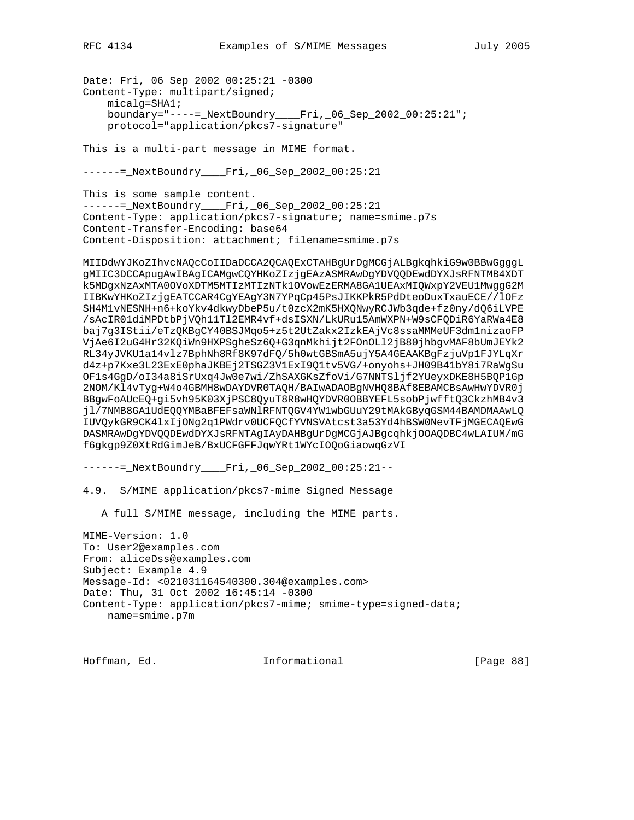Date: Fri, 06 Sep 2002 00:25:21 -0300 Content-Type: multipart/signed; micalg=SHA1; boundary="----=\_NextBoundry\_\_\_\_Fri,\_06\_Sep\_2002\_00:25:21"; protocol="application/pkcs7-signature"

This is a multi-part message in MIME format.

------ NextBoundry Fri, 06 Sep\_2002\_00:25:21

This is some sample content. ------=\_NextBoundry\_\_\_\_Fri,\_06\_Sep\_2002\_00:25:21 Content-Type: application/pkcs7-signature; name=smime.p7s Content-Transfer-Encoding: base64 Content-Disposition: attachment; filename=smime.p7s

MIIDdwYJKoZIhvcNAQcCoIIDaDCCA2QCAQExCTAHBgUrDgMCGjALBgkqhkiG9w0BBwGgggL gMIIC3DCCApugAwIBAgICAMgwCQYHKoZIzjgEAzASMRAwDgYDVQQDEwdDYXJsRFNTMB4XDT k5MDgxNzAxMTA0OVoXDTM5MTIzMTIzNTk1OVowEzERMA8GA1UEAxMIQWxpY2VEU1MwggG2M IIBKwYHKoZIzjgEATCCAR4CgYEAgY3N7YPqCp45PsJIKKPkR5PdDteoDuxTxauECE//lOFz SH4M1vNESNH+n6+koYkv4dkwyDbeP5u/t0zcX2mK5HXQNwyRCJWb3qde+fz0ny/dQ6iLVPE /sAcIR01diMPDtbPjVQh11Tl2EMR4vf+dsISXN/LkURu15AmWXPN+W9sCFQDiR6YaRWa4E8 baj7g3IStii/eTzQKBgCY40BSJMqo5+z5t2UtZakx2IzkEAjVc8ssaMMMeUF3dm1nizaoFP VjAe6I2uG4Hr32KQiWn9HXPSgheSz6Q+G3qnMkhijt2FOnOLl2jB80jhbgvMAF8bUmJEYk2 RL34yJVKU1a14vlz7BphNh8Rf8K97dFQ/5h0wtGBSmA5ujY5A4GEAAKBgFzjuVp1FJYLqXr d4z+p7Kxe3L23ExE0phaJKBEj2TSGZ3V1ExI9Q1tv5VG/+onyohs+JH09B41bY8i7RaWgSu OF1s4GgD/oI34a8iSrUxq4Jw0e7wi/ZhSAXGKsZfoVi/G7NNTSljf2YUeyxDKE8H5BQP1Gp 2NOM/Kl4vTyg+W4o4GBMH8wDAYDVR0TAQH/BAIwADAOBgNVHQ8BAf8EBAMCBsAwHwYDVR0j BBgwFoAUcEQ+gi5vh95K03XjPSC8QyuT8R8wHQYDVR0OBBYEFL5sobPjwfftQ3CkzhMB4v3 jl/7NMB8GA1UdEQQYMBaBFEFsaWNlRFNTQGV4YW1wbGUuY29tMAkGByqGSM44BAMDMAAwLQ IUVQykGR9CK4lxIjONg2q1PWdrv0UCFQCfYVNSVAtcst3a53Yd4hBSW0NevTFjMGECAQEwG DASMRAwDgYDVQQDEwdDYXJsRFNTAgIAyDAHBgUrDgMCGjAJBgcqhkjOOAQDBC4wLAIUM/mG f6gkgp9Z0XtRdGimJeB/BxUCFGFFJqwYRt1WYcIOQoGiaowqGzVI

------=\_NextBoundry\_\_\_\_Fri,\_06\_Sep\_2002\_00:25:21--

4.9. S/MIME application/pkcs7-mime Signed Message

A full S/MIME message, including the MIME parts.

MIME-Version: 1.0 To: User2@examples.com From: aliceDss@examples.com Subject: Example 4.9 Message-Id: <021031164540300.304@examples.com> Date: Thu, 31 Oct 2002 16:45:14 -0300 Content-Type: application/pkcs7-mime; smime-type=signed-data; name=smime.p7m

Hoffman, Ed. 10. Informational 1.1 [Page 88]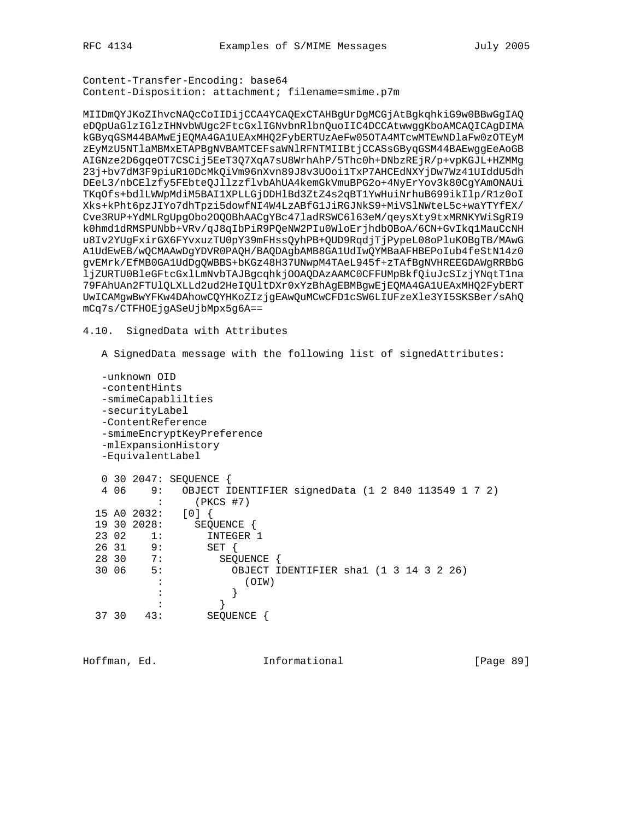Content-Transfer-Encoding: base64 Content-Disposition: attachment; filename=smime.p7m

MIIDmQYJKoZIhvcNAQcCoIIDijCCA4YCAQExCTAHBgUrDgMCGjAtBgkqhkiG9w0BBwGgIAQ eDQpUaGlzIGlzIHNvbWUgc2FtcGxlIGNvbnRlbnQuoIIC4DCCAtwwggKboAMCAQICAgDIMA kGByqGSM44BAMwEjEQMA4GA1UEAxMHQ2FybERTUzAeFw05OTA4MTcwMTEwNDlaFw0zOTEyM zEyMzU5NTlaMBMxETAPBgNVBAMTCEFsaWNlRFNTMIIBtjCCASsGByqGSM44BAEwggEeAoGB AIGNze2D6gqeOT7CSCij5EeT3Q7XqA7sU8WrhAhP/5Thc0h+DNbzREjR/p+vpKGJL+HZMMg 23j+bv7dM3F9piuR10DcMkQiVm96nXvn89J8v3UOoi1TxP7AHCEdNXYjDw7Wz41UIddU5dh DEeL3/nbCElzfy5FEbteQJllzzflvbAhUA4kemGkVmuBPG2o+4NyErYov3k80CgYAmONAUi TKqOfs+bdlLWWpMdiM5BAI1XPLLGjDDHlBd3ZtZ4s2qBT1YwHuiNrhuB699ikIlp/R1z0oI Xks+kPht6pzJIYo7dhTpzi5dowfNI4W4LzABfG1JiRGJNkS9+MiVSlNWteL5c+waYTYfEX/ Cve3RUP+YdMLRgUpgObo2OQOBhAACgYBc47ladRSWC6l63eM/qeysXty9txMRNKYWiSgRI9 k0hmd1dRMSPUNbb+VRv/qJ8qIbPiR9PQeNW2PIu0WloErjhdbOBoA/6CN+GvIkq1MauCcNH u8Iv2YUgFxirGX6FYvxuzTU0pY39mFHssQyhPB+QUD9RqdjTjPypeL08oPluKOBgTB/MAwG A1UdEwEB/wQCMAAwDgYDVR0PAQH/BAQDAgbAMB8GA1UdIwQYMBaAFHBEPoIub4feStN14z0 gvEMrk/EfMB0GA1UdDgQWBBS+bKGz48H37UNwpM4TAeL945f+zTAfBgNVHREEGDAWgRRBbG ljZURTU0BleGFtcGxlLmNvbTAJBgcqhkjOOAQDAzAAMC0CFFUMpBkfQiuJcSIzjYNqtT1na 79FAhUAn2FTUlQLXLLd2ud2HeIQUltDXr0xYzBhAgEBMBgwEjEQMA4GA1UEAxMHQ2FybERT UwICAMgwBwYFKw4DAhowCQYHKoZIzjgEAwQuMCwCFD1cSW6LIUFzeXle3YI5SKSBer/sAhQ mCq7s/CTFHOEjgASeUjbMpx5g6A==

4.10. SignedData with Attributes

A SignedData message with the following list of signedAttributes:

```
 -unknown OID
   -contentHints
   -smimeCapablilties
   -securityLabel
   -ContentReference
   -smimeEncryptKeyPreference
   -mlExpansionHistory
   -EquivalentLabel
   0 30 2047: SEQUENCE {
   4 06 9: OBJECT IDENTIFIER signedData (1 2 840 113549 1 7 2)
           : (PKCS #7)
 15 A0 2032: [0] {
 19 30 2028: SEQUENCE {
 23 02 1: INTEGER 1
 26 31 9: SET {
 28 30 7: SEQUENCE {
  30 06 5: OBJECT IDENTIFIER sha1 (1 3 14 3 2 26)
           : (OIW)
          :<br>: }
: the state \{x_i\} is the state \{x_i\} 37 30 43: SEQUENCE {
```
Hoffman, Ed. Informational [Page 89]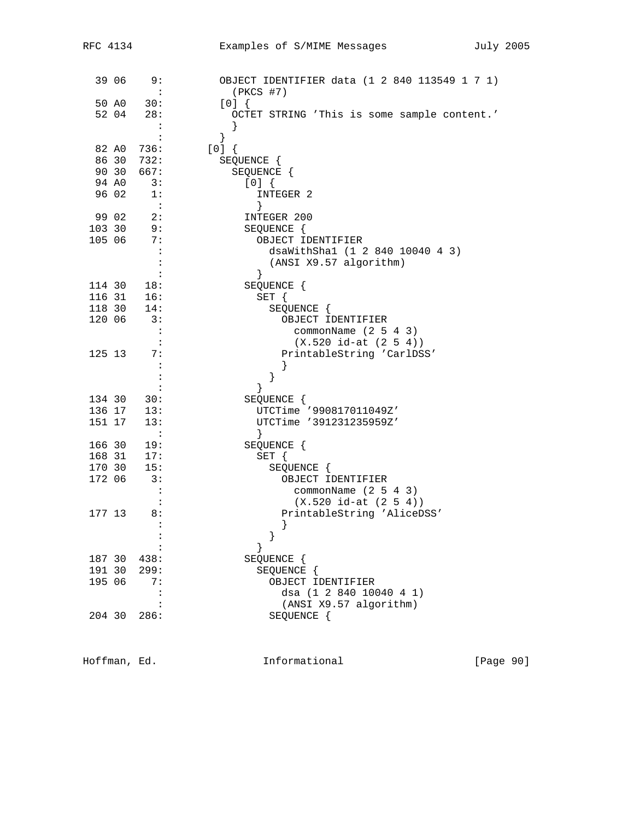| RFC 4134 |        |                             | Examples of S/MIME Messages                   | July 2005 |
|----------|--------|-----------------------------|-----------------------------------------------|-----------|
|          |        |                             |                                               |           |
|          |        | 39 06 9:                    | OBJECT IDENTIFIER data (1 2 840 113549 1 7 1) |           |
|          |        | $\sim$ $\sim$               | $(PKCS$ #7)                                   |           |
|          |        | 50 A0 30:                   | [0]                                           |           |
|          |        | 52 04 28:                   | OCTET STRING 'This is some sample content.'   |           |
|          |        | $\ddot{\cdot}$              | $\}$                                          |           |
|          |        | $\sim$ :                    | $\}$                                          |           |
|          |        | 82 A0 736:                  | [0]                                           |           |
|          |        | 86 30 732:                  | SEQUENCE {                                    |           |
|          |        | 90 30 667:                  | SEQUENCE {                                    |           |
|          | 94 AO  | 3:                          | [0]                                           |           |
|          | 96 02  | 1:                          | INTEGER 2                                     |           |
|          |        | $\sim 1$                    | }                                             |           |
|          | 99 02  | 2:                          | INTEGER 200                                   |           |
|          |        | 103 30 9:                   | SEQUENCE {                                    |           |
|          | 105 06 | 7:                          | OBJECT IDENTIFIER                             |           |
|          |        | $\cdot$ :                   | dsaWithSha1 (1 2 840 10040 4 3)               |           |
|          |        | $\mathbf{r}$                | (ANSI X9.57 algorithm)                        |           |
|          |        | $\sim$ :                    | $\}$                                          |           |
|          | 114 30 | 18:                         | SEQUENCE {                                    |           |
|          |        | $116$ $31$ $16:$            | $SET \{$                                      |           |
|          |        | 118 30 14:                  | SEQUENCE {                                    |           |
|          | 120 06 | $\overline{\phantom{a}}$ 3: | OBJECT IDENTIFIER                             |           |
|          |        | $\cdot$ :                   | commonName $(2 5 4 3)$                        |           |
|          |        | $\mathbf{L}$                | $(X.520 id-at (2 5 4))$                       |           |
|          | 125 13 | 7:<br>$\cdot$ :             | PrintableString 'CarlDSS'                     |           |
|          |        | $\colon$                    |                                               |           |
|          |        | $\ddot{\cdot}$              | $\}$                                          |           |
|          |        | 134 30 30:                  | SEQUENCE {                                    |           |
|          |        | 136 17 13:                  | UTCTime '990817011049Z'                       |           |
|          | 151 17 | 13:                         | UTCTime '391231235959Z'                       |           |
|          |        | $\sim$ $\sim$ $\sim$        | $\left\{ \right\}$                            |           |
|          | 166 30 | 19:                         | SEQUENCE {                                    |           |
|          | 168 31 | 17:                         | $SET \{$                                      |           |
|          | 170 30 | 15:                         | SEQUENCE {                                    |           |
| 172 06   |        | 3:                          | OBJECT IDENTIFIER                             |           |
|          |        | $\ddot{\phantom{a}}$        | commonName (2 5 4 3)                          |           |
|          |        |                             | $(X.520 id-at (2 5 4))$                       |           |
|          | 177 13 | 8:                          | PrintableString 'AliceDSS'                    |           |
|          |        |                             |                                               |           |
|          |        |                             |                                               |           |
|          |        |                             | }                                             |           |
|          | 187 30 | 438:                        | SEQUENCE {                                    |           |
|          | 191 30 | 299:                        | SEQUENCE {                                    |           |
|          | 195 06 | 7:                          | OBJECT IDENTIFIER                             |           |
|          |        | $\ddot{\cdot}$              | dsa (1 2 840 10040 4 1)                       |           |
|          |        |                             | (ANSI X9.57 algorithm)                        |           |
|          | 204 30 | 286:                        | SEQUENCE {                                    |           |
|          |        |                             |                                               |           |

Hoffman, Ed. 1nformational [Page 90]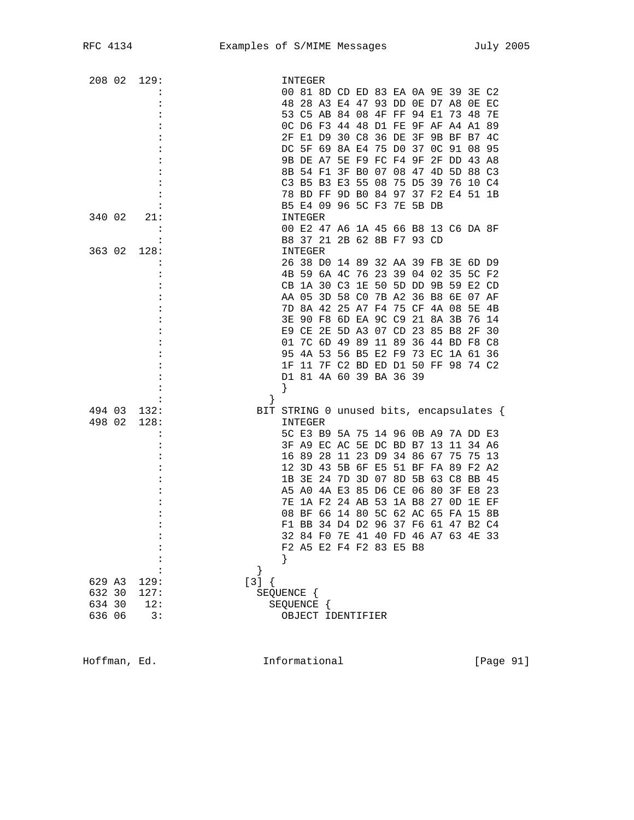| 208 02      | 129:                        | INTEGER                                            |
|-------------|-----------------------------|----------------------------------------------------|
|             |                             | 00 81 8D CD ED 83 EA 0A 9E 39 3E C2                |
|             |                             | 48 28 A3 E4 47 93 DD 0E D7 A8 0E EC                |
|             |                             | 53 C5 AB 84 08 4F FF 94 E1<br>73 48<br>7E          |
|             |                             | OC D6 F3 44 48 D1 FE 9F AF A4 A1 89                |
|             |                             | 2F E1 D9 30 C8<br>36 DE<br>3F<br>9B BF B7<br>4C    |
|             |                             | DC 5F 69 8A E4 75 D0<br>37 OC 91 08 95             |
|             |                             | 9B DE A7 5E F9 FC F4 9F<br>2F DD 43 A8             |
|             |                             | 3F B0 07 08 47 4D 5D 88 C3<br>8B 54 F1             |
|             |                             | C3 B5 B3 E3 55<br>08<br>75 D5<br>39 76 10 C4       |
|             |                             | 78 BD FF 9D B0 84 97 37 F2 E4 51 1B                |
|             |                             | B5 E4 09 96 5C F3 7E 5B DB                         |
| 340 02      | 21:                         | INTEGER                                            |
|             |                             | 00 E2 47 A6 1A 45 66 B8 13 C6 DA 8F                |
|             |                             | B8 37 21 2B 62 8B F7 93 CD                         |
| 363 02      | 128:                        | INTEGER                                            |
|             |                             | 26 38 D0 14 89 32 AA 39 FB 3E 6D D9                |
|             |                             | 4B 59 6A 4C 76 23 39 04 02 35 5C F2                |
|             |                             | CB 1A 30 C3 1E 50 5D DD 9B 59 E2 CD                |
|             |                             | AA 05 3D 58 CO 7B A2 36 B8 6E 07 AF                |
|             |                             | 7D 8A 42 25 A7 F4 75 CF<br>4A 08<br>5E<br>4B       |
|             |                             | 3E 90 F8 6D EA 9C C9 21<br>8A 3B<br>76 14          |
|             |                             | E9 CE 2E 5D A3 07 CD 23<br>85 B8<br>2F<br>- 30     |
|             |                             | 01 7C 6D 49 89<br>11 89<br>36 44 BD F8 C8          |
|             |                             | 95 4A 53 56 B5 E2 F9 73 EC 1A 61 36                |
|             |                             | 1F 11 7F C2 BD ED D1 50 FF 98 74 C2                |
|             |                             | D1 81 4A 60 39 BA 36 39                            |
|             |                             | }                                                  |
|             |                             | ł                                                  |
| 494 03      | 132:                        | BIT STRING 0 unused bits, encapsulates {           |
| 498 02      | 128:                        | INTEGER                                            |
|             |                             | 5C E3 B9 5A 75 14 96 0B A9 7A DD E3                |
|             |                             | 3F A9 EC AC 5E DC BD B7 13<br>11 34 A6             |
|             |                             | 11 23 D9 34 86 67<br>16 89<br>28<br>75<br>75<br>13 |
|             |                             | 12 3D 43<br>51 BF FA 89 F2 A2<br>5B 6F E5          |
|             |                             | 3E 24<br>3D 07<br>8D 5B 63 C8 BB 45<br>1B<br>7D    |
|             |                             | A5 A0 4A E3 85 D6 CE 06 80 3F E8<br>-23            |
|             |                             | 1A F2 24 AB<br>53 1A B8<br>27 OD 1E EF<br>7E       |
|             |                             | 5C 62 AC 65 FA 15<br>08 BF 66 14 80<br>8B          |
|             |                             | F1 BB 34 D4 D2 96 37 F6 61 47 B2 C4                |
|             |                             | 32 84 FO 7E 41 40 FD 46 A7 63 4E 33                |
|             |                             | F2 A5 E2 F4 F2 83 E5 B8                            |
|             |                             |                                                    |
|             |                             | }                                                  |
| 629 A3      | 129:                        | $[3] { }$                                          |
| 632 30 127: |                             | SEQUENCE {                                         |
| 634 30      | 12:                         | SEQUENCE {                                         |
| 636 06      | $\overline{\phantom{a}}$ 3: | OBJECT IDENTIFIER                                  |
|             |                             |                                                    |

Hoffman, Ed. 1nformational 1999 [Page 91]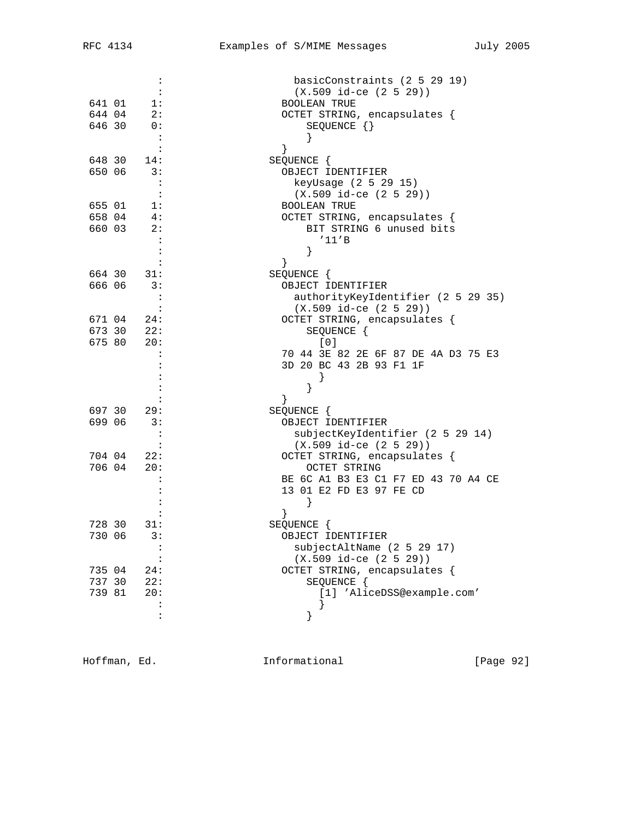|        | :                        | basicConstraints (2 5 29 19)        |
|--------|--------------------------|-------------------------------------|
|        |                          | $(X.509$ id-ce $(2 5 29))$          |
| 641 01 | 1:                       | <b>BOOLEAN TRUE</b>                 |
|        | 644 04 2:                | OCTET STRING, encapsulates {        |
|        | 646 30 0:                | SEQUENCE $\{\}$                     |
|        | $\mathbf{L}$             |                                     |
|        | $\mathbf{L}$             | }                                   |
|        | 648 30 14:               | SEQUENCE {                          |
| 650 06 | 3:                       | OBJECT IDENTIFIER                   |
|        |                          | keyUsage (2 5 29 15)                |
|        | $\cdot$ :                | $(X.509$ id-ce $(2 5 29)$           |
| 655 01 | 1:                       | <b>BOOLEAN TRUE</b>                 |
|        | 658 04 4:                | OCTET STRING, encapsulates {        |
|        | 660 03 2:                | BIT STRING 6 unused bits            |
|        |                          | '11'B                               |
|        |                          | }                                   |
|        |                          | }                                   |
|        | 664 30 31:               | SEQUENCE {                          |
| 666 06 | 3:                       | OBJECT IDENTIFIER                   |
|        | $\cdot$ :                | authorityKeyIdentifier (2 5 29 35)  |
|        |                          | $(X.509$ id-ce $(2 5 29))$          |
|        |                          |                                     |
|        | 671 04 24:               | OCTET STRING, encapsulates {        |
|        | 673 30 22:<br>675 80 20: | SEQUENCE {<br>[0]                   |
|        |                          | 70 44 3E 82 2E 6F 87 DE 4A D3 75 E3 |
|        |                          |                                     |
|        |                          | 3D 20 BC 43 2B 93 F1 1F             |
|        |                          |                                     |
|        |                          | $\}$                                |
|        |                          | }                                   |
|        | 697 30 29:               | SEQUENCE {                          |
| 699 06 | 3:                       | OBJECT IDENTIFIER                   |
|        | $\cdot$ :                | subjectKeyIdentifier (2 5 29 14)    |
|        |                          | $(X.509$ id-ce $(2 5 29)$           |
|        | 704 04 22:               | OCTET STRING, encapsulates {        |
| 706 04 | 20:                      | <b>OCTET STRING</b>                 |
|        |                          | BE 6C A1 B3 E3 C1 F7 ED 43 70 A4 CE |
|        |                          | 13 01 E2 FD E3 97 FE CD             |
|        |                          | $\left\{ \right\}$                  |
|        |                          |                                     |
|        | 728 30 31:               | SEQUENCE {                          |
| 730 06 | 3:                       | OBJECT IDENTIFIER                   |
|        |                          | subjectAltName (2 5 29 17)          |
|        |                          | $(X.509$ id-ce $(2 5 29))$          |
| 735 04 | 24:                      | OCTET STRING, encapsulates {        |
| 737 30 | 22:                      | SEQUENCE {                          |
| 739 81 | 20:                      | [1] 'AliceDSS@example.com'          |
|        |                          | ł                                   |
|        | $\ddot{\cdot}$           |                                     |

Hoffman, Ed. 1nformational 1998 [Page 92]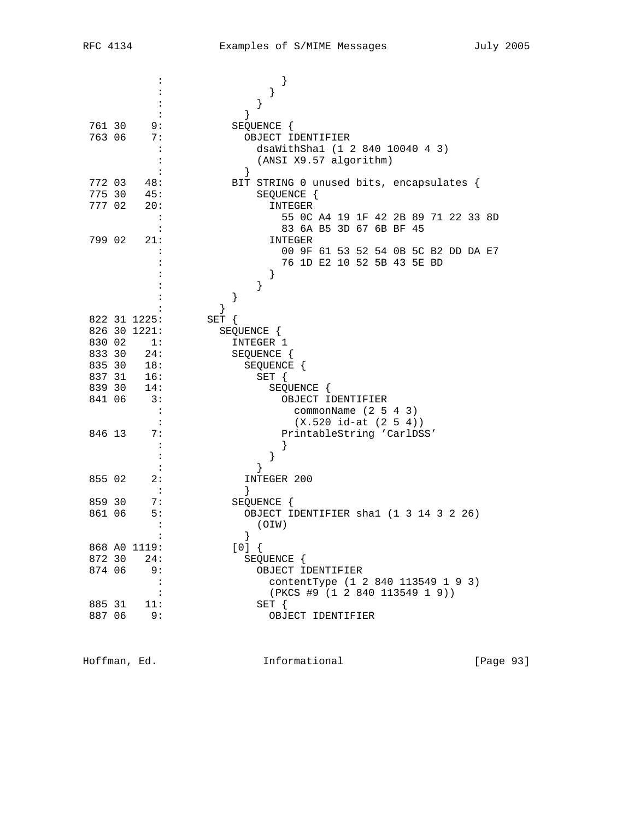|        | $\ddot{\phantom{a}}$ | $\}$                                     |
|--------|----------------------|------------------------------------------|
|        |                      | }                                        |
|        |                      | }                                        |
|        |                      | ł                                        |
| 761 30 | 9:                   | SEQUENCE {                               |
| 763 06 | 7 :                  | OBJECT IDENTIFIER                        |
|        | $\cdot$              | dsaWithSha1 (1 2 840 10040 4 3)          |
|        |                      | (ANSI X9.57 algorithm)                   |
|        |                      | $\left\{ \right.$                        |
| 772 03 | 48:                  | BIT STRING 0 unused bits, encapsulates { |
| 775 30 | 45:                  | SEQUENCE {                               |
| 777 02 | 20:                  | INTEGER                                  |
|        | $\ddot{\phantom{a}}$ | 55 OC A4 19 1F 42 2B 89 71 22 33 8D      |
|        |                      | 83 6A B5 3D 67 6B BF 45                  |
| 799 02 | 21:                  | INTEGER                                  |
|        |                      | 00 9F 61 53 52 54 0B 5C B2 DD DA E7      |
|        |                      | 76 1D E2 10 52 5B 43 5E BD               |
|        |                      | }                                        |
|        |                      | }                                        |
|        |                      | }                                        |
|        |                      | $\left\{ \right\}$                       |
|        | 822 31 1225:         | SET {                                    |
|        | 826 30 1221:         | SEQUENCE {                               |
| 830 02 | 1:                   | INTEGER 1                                |
| 833 30 | 24:                  | SEQUENCE {                               |
| 835 30 | 18:                  | SEQUENCE {                               |
| 837 31 | 16:                  | $SET \{$                                 |
| 839 30 | 14:                  | SEQUENCE {                               |
| 841 06 | 3:                   | OBJECT IDENTIFIER                        |
|        | $\ddot{\cdot}$       | commonName $(2 5 4 3)$                   |
|        | $\ddot{\cdot}$       | $(X.520 id-at (2 5 4))$                  |
| 846 13 | 7 :                  | PrintableString 'CarlDSS'                |
|        | :                    | ł                                        |
|        |                      |                                          |
|        |                      | }                                        |
| 855 02 | 2:<br>$\cdot$ :      | INTEGER 200<br><sup>}</sup>              |
| 859 30 | 7:                   | SEQUENCE {                               |
| 861 06 | 5:                   | OBJECT IDENTIFIER shal (1 3 14 3 2 26)   |
|        | $\ddot{\cdot}$       | (OIN)                                    |
|        |                      |                                          |
|        | 868 AO 1119:         | [0]                                      |
| 872 30 | 24:                  | SEQUENCE {                               |
| 874 06 | 9 :                  | OBJECT IDENTIFIER                        |
|        | $\ddot{\cdot}$       | contentType (1 2 840 113549 1 9 3)       |
|        | :                    | (PKCS #9 (1 2 840 113549 1 9))           |
| 885 31 | 11:                  | $SET \{$                                 |
| 887 06 | 9 :                  | OBJECT IDENTIFIER                        |
|        |                      |                                          |

Hoffman, Ed. 1nformational 1999 [Page 93]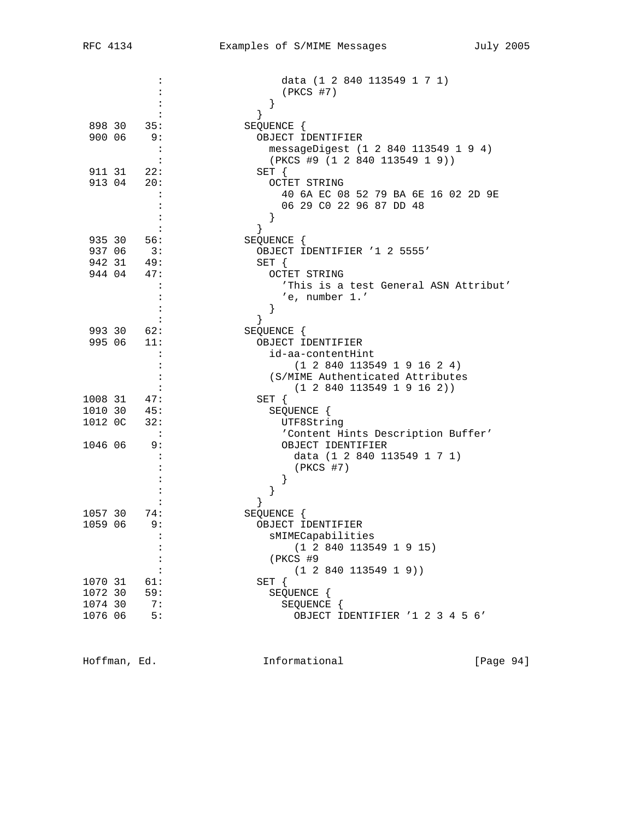|         |                            | data (1 2 840 113549 1 7 1)           |
|---------|----------------------------|---------------------------------------|
|         |                            | $(PKCS$ #7)                           |
|         |                            | $\}$                                  |
|         |                            | $\}$                                  |
|         | 898 30 35:                 | SEQUENCE {                            |
| 900 06  | 9:                         | OBJECT IDENTIFIER                     |
|         |                            | messageDigest (1 2 840 113549 1 9 4)  |
|         |                            | (PKCS #9 (1 2 840 113549 1 9))        |
|         | 911 31 22:                 | SET {                                 |
|         | 913 04 20:                 | <b>OCTET STRING</b>                   |
|         |                            | 40 6A EC 08 52 79 BA 6E 16 02 2D 9E   |
|         |                            | 06 29 C0 22 96 87 DD 48               |
|         |                            |                                       |
|         |                            | $\}$                                  |
|         | 935 30 56:                 | SEQUENCE {                            |
|         | 937 06 3:                  | OBJECT IDENTIFIER '1 2 5555'          |
|         | 942 31 49:                 | $SET \{$                              |
| 944 04  | 47:                        | OCTET STRING                          |
|         |                            | 'This is a test General ASN Attribut' |
|         |                            | 'e, number 1.'                        |
|         |                            |                                       |
|         |                            | }                                     |
|         | 993 30 62:                 | }                                     |
|         |                            | SEQUENCE {                            |
| 995 06  | 11:                        | OBJECT IDENTIFIER                     |
|         |                            | id-aa-contentHint                     |
|         | $\ddot{\cdot}$             | (1 2 840 113549 1 9 16 2 4)           |
|         | $\ddot{\cdot}$             | (S/MIME Authenticated Attributes      |
|         |                            | (1 2 840 113549 1 9 16 2))            |
|         | 1008 31 47:                | SET {                                 |
| 1010 30 | 45:                        | SEQUENCE {                            |
| 1012 OC | 32:                        | UTF8String                            |
|         | $\overline{\phantom{a}}$ : | 'Content Hints Description Buffer'    |
| 1046 06 | 9 :                        | OBJECT IDENTIFIER                     |
|         |                            | data (1 2 840 113549 1 7 1)           |
|         |                            | $(PKCS$ #7)                           |
|         |                            | $\left\{ \right\}$                    |
|         |                            | }                                     |
|         |                            | }                                     |
| 1057 30 | 74:                        | SEQUENCE {                            |
| 1059 06 | 9:                         | OBJECT IDENTIFIER                     |
|         |                            | sMIMECapabilities                     |
|         |                            | (1 2 840 113549 1 9 15)               |
|         |                            | (PKCS #9                              |
|         |                            | (1 2 840 113549 1 9))                 |
| 1070 31 | 61:                        | $SET \{$                              |
| 1072 30 | 59:                        | SEQUENCE {                            |
| 1074 30 | 7:                         | SEQUENCE {                            |
| 1076 06 | 5:                         | OBJECT IDENTIFIER '1 2 3 4 5 6'       |
|         |                            |                                       |

Hoffman, Ed. 10. Informational 1.1 [Page 94]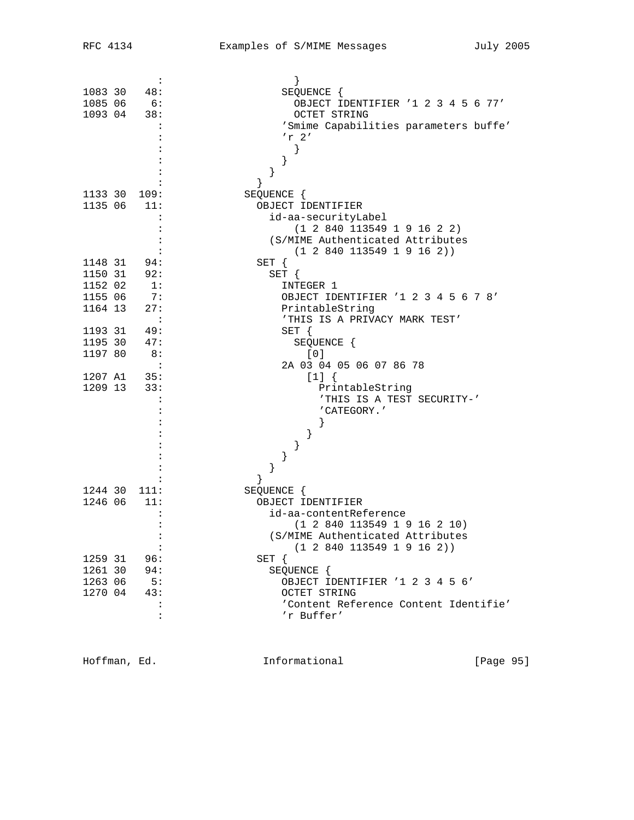|         | :                    |                                       |
|---------|----------------------|---------------------------------------|
| 1083 30 | 48:                  | SEQUENCE {                            |
|         | 1085 06 6:           | OBJECT IDENTIFIER '1 2 3 4 5 6 77'    |
| 1093 04 | 38:                  | <b>OCTET STRING</b>                   |
|         |                      | 'Smime Capabilities parameters buffe' |
|         |                      | $'r$ 2'                               |
|         |                      | ł                                     |
|         |                      | }                                     |
|         |                      |                                       |
|         |                      |                                       |
|         | 1133 30 109:         | SEQUENCE {                            |
| 1135 06 | 11:                  | OBJECT IDENTIFIER                     |
|         |                      | id-aa-securityLabel                   |
|         |                      | (1 2 840 113549 1 9 16 2 2)           |
|         |                      |                                       |
|         |                      | (S/MIME Authenticated Attributes      |
|         |                      | (1 2 840 113549 1 9 16 2))            |
|         | 1148 31 94:          | $SET \{$                              |
| 1150 31 | 92:                  | SET {                                 |
| 1152 02 | $\overline{1}$ :     | INTEGER 1                             |
| 1155 06 | 7:                   | OBJECT IDENTIFIER '1 2 3 4 5 6 7 8'   |
| 1164 13 | 27:                  | PrintableString                       |
|         |                      | 'THIS IS A PRIVACY MARK TEST'         |
| 1193 31 | - 49:                | SET {                                 |
| 1195 30 | 47:                  | SEQUENCE {                            |
| 1197 80 | 8:                   | [0]                                   |
|         |                      | 2A 03 04 05 06 07 86 78               |
|         | 1207 A1 35:          | $[1]$ {                               |
|         | 1209 13 33:          | PrintableString                       |
|         |                      | 'THIS IS A TEST SECURITY-'            |
|         |                      | 'CATEGORY.'                           |
|         |                      |                                       |
|         |                      |                                       |
|         |                      |                                       |
|         |                      |                                       |
|         |                      |                                       |
|         |                      | ł                                     |
| 1244 30 | 111:                 | SEQUENCE {                            |
| 1246 06 | 11:                  | OBJECT IDENTIFIER                     |
|         |                      | id-aa-contentReference                |
|         |                      | (1 2 840 113549 1 9 16 2 10)          |
|         |                      | (S/MIME Authenticated Attributes      |
|         |                      |                                       |
|         | $\ddot{\phantom{a}}$ | (1 2 840 113549 1 9 16 2))            |
| 1259 31 | 96:                  | $SET \{$                              |
| 1261 30 | 94:                  | SEQUENCE {                            |
| 1263 06 | 5:                   | OBJECT IDENTIFIER '1 2 3 4 5 6'       |
| 1270 04 | 43:                  | OCTET STRING                          |
|         | $\ddot{\phantom{a}}$ | 'Content Reference Content Identifie' |
|         | $\ddot{\cdot}$       | 'r Buffer'                            |

Hoffman, Ed. 10. Informational 1999 [Page 95]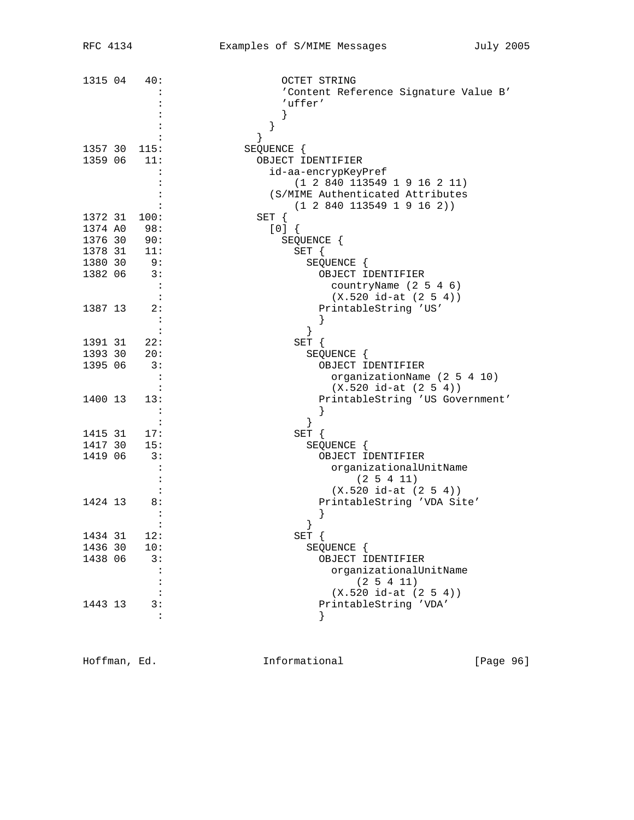| 1315 04      | 40:            | OCTET STRING                          |
|--------------|----------------|---------------------------------------|
|              |                | 'Content Reference Signature Value B' |
|              |                | 'uffer'                               |
|              |                |                                       |
|              |                |                                       |
|              |                | }                                     |
| 1357 30 115: |                | SEQUENCE {                            |
| 1359 06 11:  |                | OBJECT IDENTIFIER                     |
|              |                |                                       |
|              |                | id-aa-encrypKeyPref                   |
|              |                | (1 2 840 113549 1 9 16 2 11)          |
|              |                | (S/MIME Authenticated Attributes      |
|              |                | (1 2 840 113549 1 9 16 2))            |
| 1372 31      | 100:           | SET {                                 |
| 1374 A0 98:  |                | [0]                                   |
| 1376 30 90:  |                | SEQUENCE {                            |
| 1378 31 11:  |                | SET {                                 |
| 1380 30      | - 9 :          | SEQUENCE {                            |
| 1382 06      | 3:             | OBJECT IDENTIFIER                     |
|              |                | countryName (2 5 4 6)                 |
|              |                | $(X.520 id-at (2 5 4))$               |
| 1387 13      | 2:             | PrintableString 'US'                  |
|              |                |                                       |
|              |                |                                       |
| 1391 31      | 22:            | SET {                                 |
| 1393 30      | 20:            | SEQUENCE {                            |
| 1395 06      | 3:             | OBJECT IDENTIFIER                     |
|              |                | organizationName (2 5 4 10)           |
|              |                | $(X.520 id-at (2 5 4))$               |
| 1400 13      | 13:            | PrintableString 'US Government'       |
|              |                |                                       |
|              |                |                                       |
|              |                | }                                     |
| 1415 31      | 17:            | SET {                                 |
| 1417 30      | 15:            | SEQUENCE {                            |
| 1419 06      | 3:             | OBJECT IDENTIFIER                     |
|              |                | organizationalUnitName                |
|              |                | $(2\;5\;4\;11)$                       |
|              |                | $(X.520 id-at (2 5 4))$               |
| 1424 13      | 8 :            | PrintableString 'VDA Site'            |
|              |                |                                       |
|              |                |                                       |
| 1434 31      | 12:            | SET                                   |
| 1436 30      | 10:            | SEQUENCE {                            |
| 1438 06      | 3:             | OBJECT IDENTIFIER                     |
|              |                | organizationalUnitName                |
|              |                | (2 5 4 11)                            |
|              |                | $(X.520 id-at (2 5 4))$               |
| 1443 13      | 3:             | PrintableString 'VDA'                 |
|              | $\ddot{\cdot}$ |                                       |
|              |                |                                       |

Hoffman, Ed. 1nformational 1998 [Page 96]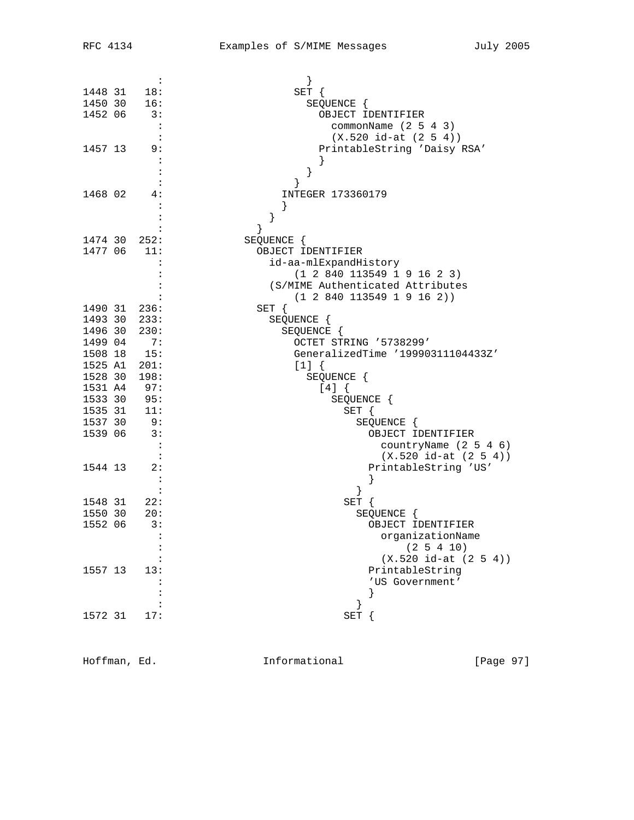|         | $\ddot{\cdot}$       |                                                             |
|---------|----------------------|-------------------------------------------------------------|
| 1448 31 | 18:                  | SET {                                                       |
| 1450 30 | 16:                  | SEQUENCE {                                                  |
| 1452 06 | 3:                   | OBJECT IDENTIFIER                                           |
|         | $\cdot$ :            | commonName $(2 5 4 3)$                                      |
|         | $\cdot$ :            | $(X.520 id-at (2 5 4))$                                     |
| 1457 13 | 9 :                  | PrintableString 'Daisy RSA'                                 |
|         |                      |                                                             |
|         |                      |                                                             |
|         |                      |                                                             |
| 1468 02 | 4 :                  | INTEGER 173360179                                           |
|         |                      |                                                             |
|         |                      | }                                                           |
|         |                      | }                                                           |
|         | 1474 30 252:         | SEQUENCE {                                                  |
|         | 1477 06 11:          | OBJECT IDENTIFIER                                           |
|         |                      | id-aa-mlExpandHistory                                       |
|         |                      | (1 2 840 113549 1 9 16 2 3)                                 |
|         |                      | (S/MIME Authenticated Attributes                            |
|         |                      | (1 2 840 113549 1 9 16 2))                                  |
|         | 1490 31 236:         | $SET \{$                                                    |
|         | 1493 30 233:         | SEQUENCE {                                                  |
| 1496 30 | 230:                 | SEQUENCE {                                                  |
|         | 1499 04 7:           |                                                             |
|         | 1508 18 15:          | OCTET STRING '5738299'<br>GeneralizedTime '19990311104433Z' |
|         | 1525 A1 201:         |                                                             |
| 1528 30 | 198:                 | $[1]$ {                                                     |
| 1531 A4 |                      | SEQUENCE {                                                  |
|         | 97:<br>1533 30 95:   | [4]<br>SEQUENCE {                                           |
|         | $1535$ 31 11:        | SET {                                                       |
| 1537 30 | 9:                   |                                                             |
| 1539 06 | 3:                   | SEQUENCE {                                                  |
|         | . .                  | OBJECT IDENTIFIER                                           |
|         | $\cdot$ :            | countryName $(2 5 4 6)$                                     |
|         | 2:                   | $(X.520 id-at (2 5 4))$                                     |
| 1544 13 | $\cdot$ :            | PrintableString 'US'                                        |
|         |                      |                                                             |
|         | 22:                  | ł<br>SET {                                                  |
| 1548 31 |                      |                                                             |
| 1550 30 | 20:                  | SEQUENCE {                                                  |
| 1552 06 | 3:<br>$\ddot{\cdot}$ | OBJECT IDENTIFIER                                           |
|         |                      | organizationName                                            |
|         |                      | (2 5 4 10)                                                  |
|         |                      | $(X.520 id-at (2 5 4))$                                     |
| 1557 13 | 13:                  | PrintableString                                             |
|         |                      | 'US Government'                                             |
|         |                      |                                                             |
|         |                      | }                                                           |
| 1572 31 | 17:                  | $\operatorname{SET}$                                        |

Hoffman, Ed. 1nformational 1999 [Page 97]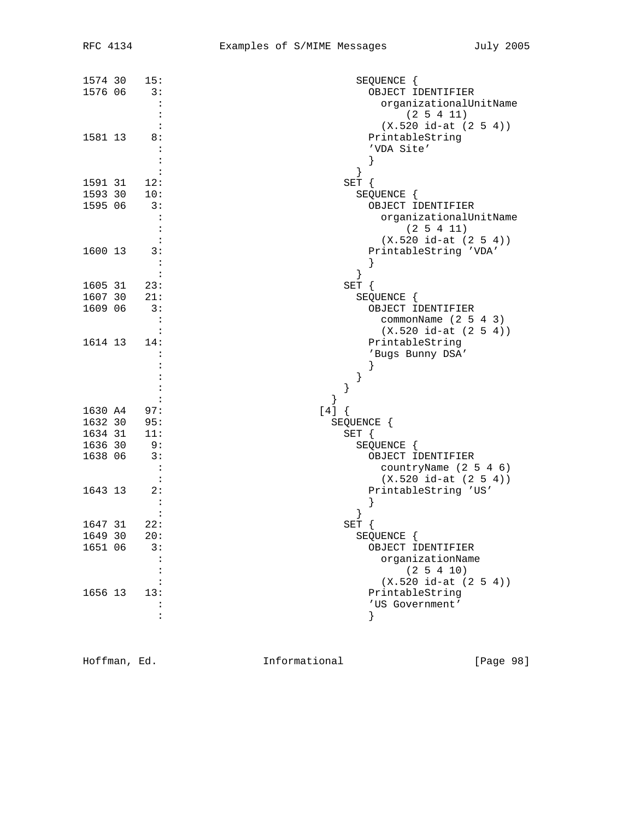| 1574 30 | 15:         | SEQUENCE {              |
|---------|-------------|-------------------------|
|         | 1576 06 3:  | OBJECT IDENTIFIER       |
|         |             |                         |
|         |             | organizationalUnitName  |
|         |             | $(2\;5\;4\;11)$         |
|         |             | $(X.520 id-at (2 5 4))$ |
| 1581 13 | 8:          | PrintableString         |
|         |             |                         |
|         |             | 'VDA Site'              |
|         |             | }                       |
|         |             |                         |
|         | 1591 31 12: | SET {                   |
| 1593 30 | 10:         | SEQUENCE {              |
|         |             |                         |
| 1595 06 | 3:          | OBJECT IDENTIFIER       |
|         |             | organizationalUnitName  |
|         |             | (2 5 4 11)              |
|         |             | $(X.520 id-at (2 5 4))$ |
| 1600 13 | 3:          | PrintableString 'VDA'   |
|         |             |                         |
|         |             |                         |
|         |             | ł                       |
|         | 1605 31 23: | SET {                   |
| 1607 30 | 21:         | SEQUENCE {              |
| 1609 06 | 3:          | OBJECT IDENTIFIER       |
|         |             |                         |
|         |             | commonName $(2 5 4 3)$  |
|         |             | $(X.520 id-at (2 5 4))$ |
| 1614 13 | 14:         | PrintableString         |
|         |             | 'Bugs Bunny DSA'        |
|         |             |                         |
|         |             |                         |
|         |             |                         |
|         |             |                         |
|         |             | }                       |
|         | 1630 A4 97: | [4]                     |
|         | 1632 30 95: | SEQUENCE {              |
| 1634 31 | 11:         |                         |
|         |             | SET {                   |
| 1636 30 | 9:          | SEQUENCE {              |
| 1638 06 | 3:          | OBJECT IDENTIFIER       |
|         |             | countryName (2 5 4 6)   |
|         |             | $(X.520 id-at (2 5 4))$ |
| 1643 13 | 2:          | PrintableString 'US'    |
|         |             |                         |
|         |             |                         |
|         |             |                         |
| 1647 31 | 22:         | SET {                   |
| 1649 30 | 20:         | SEQUENCE {              |
| 1651 06 | 3:          | OBJECT IDENTIFIER       |
|         |             |                         |
|         |             | organizationName        |
|         |             | (2 5 4 10)              |
|         |             | $(X.520 id-at (2 5 4))$ |
| 1656 13 | 13:         | PrintableString         |
|         |             | 'US Government'         |
|         |             |                         |
|         |             | }                       |

Hoffman, Ed. 1nformational 1998 [Page 98]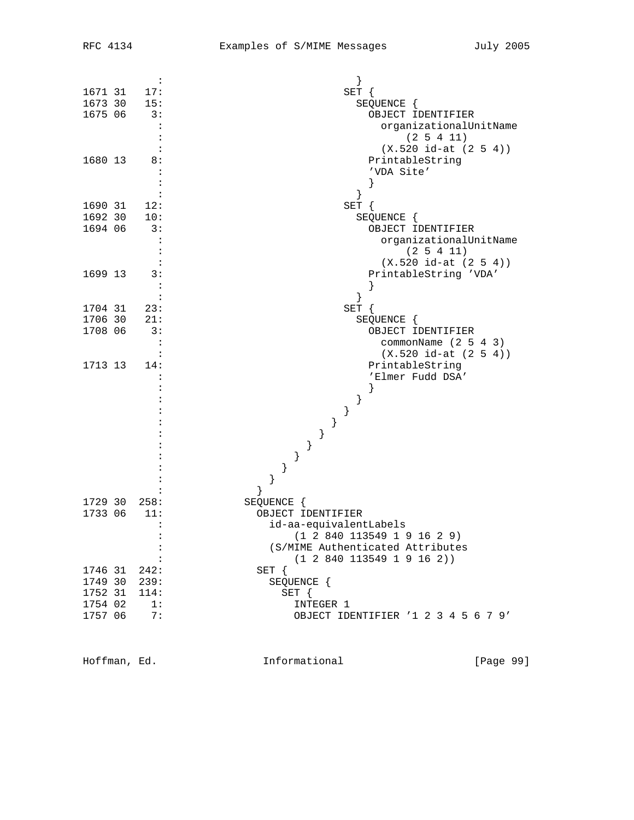|                 | $\ddot{\cdot}$ |                                     |
|-----------------|----------------|-------------------------------------|
| $1671$ 31 $17:$ |                | SET {                               |
| 1673 30 15:     |                | SEQUENCE {                          |
| 1675 06 3:      |                | OBJECT IDENTIFIER                   |
|                 | $\ddot{\cdot}$ | organizationalUnitName              |
|                 |                | (2 5 4 11)                          |
|                 |                | $(X.520 id-at (2 5 4))$             |
| 1680 13         | 8:             | PrintableString                     |
|                 |                | 'VDA Site'                          |
|                 |                | }                                   |
|                 |                | $\left\{ \right.$                   |
| 1690 31 12:     |                | SET {                               |
| 1692 30 10:     |                | SEQUENCE {                          |
| 1694 06         | 3:             | OBJECT IDENTIFIER                   |
|                 |                | organizationalUnitName              |
|                 |                | (2 5 4 11)                          |
|                 |                | $(X.520 id-at (2 5 4))$             |
| 1699 13         | 3:             | PrintableString 'VDA'               |
|                 |                |                                     |
|                 | :              |                                     |
| 1704 31         | 23:            | SET {                               |
| 1706 30         | 21:            | SEQUENCE {                          |
| 1708 06         | 3:             | OBJECT IDENTIFIER                   |
|                 |                | commonName $(2 5 4 3)$              |
|                 |                | $(X.520 id-at (2 5 4))$             |
| 1713 13         | 14:            | PrintableString                     |
|                 |                | 'Elmer Fudd DSA'                    |
|                 |                |                                     |
|                 |                | $\}$                                |
|                 |                | }                                   |
|                 |                | }                                   |
|                 |                | }                                   |
|                 |                | }                                   |
|                 |                |                                     |
|                 |                | }                                   |
|                 |                |                                     |
| 1729 30         | 258:           | SEQUENCE {                          |
| 1733 06         | 11:            | OBJECT IDENTIFIER                   |
|                 |                | id-aa-equivalentLabels              |
|                 |                | (1 2 840 113549 1 9 16 2 9)         |
|                 | :              | (S/MIME Authenticated Attributes    |
|                 |                | (1 2 840 113549 1 9 16 2))          |
| 1746 31 242:    |                | SET {                               |
| 1749 30 239:    |                | SEQUENCE {                          |
| 1752 31         | 114:           | SET {                               |
| 1754 02         | 1:             | INTEGER 1                           |
| 1757 06         | 7:             | OBJECT IDENTIFIER '1 2 3 4 5 6 7 9' |
|                 |                |                                     |

Hoffman, Ed. 1nformational 1991 [Page 99]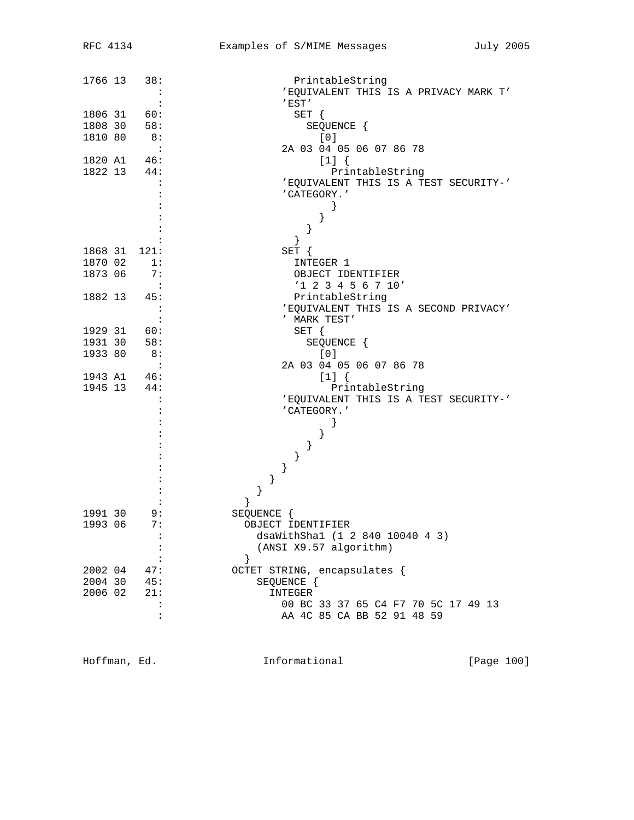| 1766 13 | 38:                        | PrintableString                       |
|---------|----------------------------|---------------------------------------|
|         |                            | 'EQUIVALENT THIS IS A PRIVACY MARK T' |
|         |                            | $^{\prime}$ EST $^{\prime}$           |
| 1806 31 | 60:                        | SET {                                 |
| 1808 30 | 58:                        | SEQUENCE {                            |
| 1810 80 | 8:                         | [0]                                   |
|         | $\overline{\phantom{a}}$ : | 2A 03 04 05 06 07 86 78               |
|         | 1820 A1 46:                | $[1]$ {                               |
|         | 1822 13 44:                | PrintableString                       |
|         |                            | 'EQUIVALENT THIS IS A TEST SECURITY-' |
|         |                            | 'CATEGORY.'                           |
|         |                            | $\}$                                  |
|         |                            |                                       |
|         |                            | }                                     |
|         |                            | }                                     |
|         | 1868 31 121:               |                                       |
|         |                            | SET {                                 |
| 1870 02 | 1:                         | INTEGER 1                             |
| 1873 06 | 7:                         | OBJECT IDENTIFIER                     |
|         |                            | $'1$ 2 3 4 5 6 7 10'                  |
|         | 1882 13 45:                | PrintableString                       |
|         |                            | 'EQUIVALENT THIS IS A SECOND PRIVACY' |
|         |                            | ' MARK TEST'                          |
| 1929 31 | 60:                        | SET {                                 |
| 1931 30 | 58:                        | SEQUENCE {                            |
| 1933 80 | 8:                         | [0]                                   |
|         | $\cdot$ :                  | 2A 03 04 05 06 07 86 78               |
|         | 1943 A1 46:                | $[1]$ {                               |
|         | 1945 13 44:                | PrintableString                       |
|         |                            | 'EQUIVALENT THIS IS A TEST SECURITY-' |
|         |                            | 'CATEGORY.'                           |
|         |                            | }                                     |
|         |                            | }                                     |
|         |                            | ł                                     |
|         |                            |                                       |
|         |                            | }                                     |
|         |                            | $\}$                                  |
|         |                            | }                                     |
|         |                            | }                                     |
| 1991 30 | 9:                         | SEQUENCE {                            |
| 1993 06 | 7:                         | OBJECT IDENTIFIER                     |
|         | $\colon$                   | dsaWithSha1 (1 2 840 10040 4 3)       |
|         | :                          | (ANSI X9.57 algorithm)                |
|         |                            | }                                     |
| 2002 04 | 47:                        | OCTET STRING, encapsulates {          |
| 2004 30 | 45:                        | SEQUENCE {                            |
| 2006 02 | 21:                        | INTEGER                               |
|         |                            | 00 BC 33 37 65 C4 F7 70 5C 17 49 13   |
|         | :                          |                                       |
|         |                            | AA 4C 85 CA BB 52 91 48 59            |

Hoffman, Ed. 100 Informational 111 [Page 100]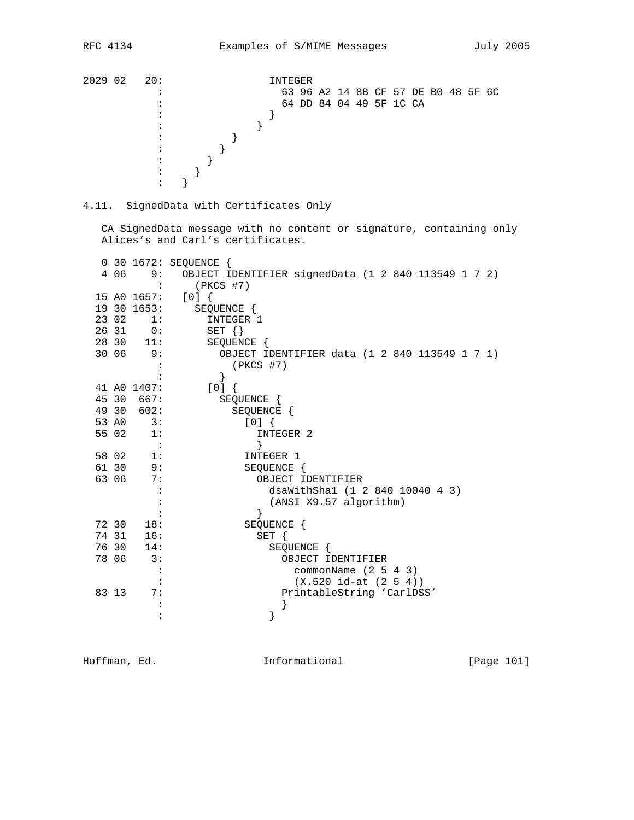2029 02 20: INTEGER : 63 96 A2 14 8B CF 57 DE B0 48 5F 6C :<br>
54 DD 84 04 49 5F 1C CA<br>
54 DD 84 04 49 5F 1C CA  $\vdots$  }  $\hspace{1.6cm}\vdots$   $\hspace{1.6cm}\}$  $\begin{array}{ccc} \vdots & \qquad & \vdots \\ \vdots & \qquad & \ddots \end{array}$  $\begin{array}{ccccc} \vdots &&&\vdots\\ \vdots&&&\vdots\\ \end{array}$  $\begin{array}{ccccc} \vdots &&&\vdots\\ \vdots&&&\vdots \end{array}$  $\begin{array}{c} \begin{array}{c} \cdot \\ \cdot \end{array} \\ \cdot \end{array}$  $\cdots$  }

4.11. SignedData with Certificates Only

 CA SignedData message with no content or signature, containing only Alices's and Carl's certificates.

|       |             | 0 30 1672: SEQUENCE {                               |
|-------|-------------|-----------------------------------------------------|
| 4 0 6 | 9:          | OBJECT IDENTIFIER signedData (1 2 840 113549 1 7 2) |
|       |             | $(PKCS$ #7)                                         |
|       | 15 AO 1657: | [0]                                                 |
|       | 19 30 1653: | SEQUENCE {                                          |
|       | 23 02 1:    | INTEGER 1                                           |
|       | 26 31 0:    | SET $\{\}$                                          |
|       | 28 30 11:   | SEOUENCE {                                          |
|       | $3006$ 9:   | OBJECT IDENTIFIER data (1 2 840 113549 1 7 1)       |
|       |             | $(PKCS$ #7)                                         |
|       |             | $\}$                                                |
|       | 41 AO 1407: | [0]                                                 |
|       | 45 30 667:  | SEQUENCE {                                          |
|       | 49 30 602:  | SEQUENCE {                                          |
|       | 53 A0 3:    | [0]                                                 |
| 55 02 | 1:          | INTEGER 2                                           |
|       | $\sim$ 1.   |                                                     |
|       | 58 02 1:    | INTEGER 1                                           |
|       | 61 30 9:    | SEQUENCE {                                          |
| 63 06 | 7:          | OBJECT IDENTIFIER                                   |
|       |             | dsaWithSha1 (1 2 840 10040 4 3)                     |
|       |             | (ANSI X9.57 algorithm)                              |
|       |             |                                                     |
|       | 72 30 18:   | SEQUENCE {                                          |
|       | 74 31 16:   | $SET \{$                                            |
|       | 76 30 14:   | SEQUENCE {                                          |
| 78 06 | 3:          | OBJECT IDENTIFIER                                   |
|       | $\ddots$    | commonName $(2 5 4 3)$                              |
|       |             | $(X.520 id-at (2 5 4))$                             |
| 83 13 | 7:          | PrintableString 'CarlDSS'                           |
|       |             |                                                     |
|       |             | }                                                   |

Hoffman, Ed. 101 Informational 1999 [Page 101]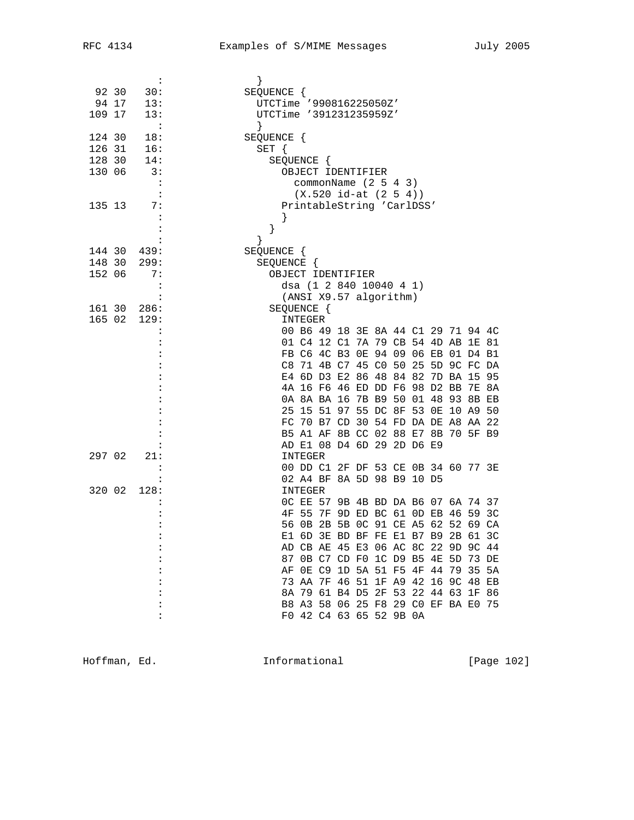|        |       | $\ddot{\phantom{a}}$ |                                        |
|--------|-------|----------------------|----------------------------------------|
|        | 92 30 | 30:                  | SEQUENCE {                             |
|        |       | 94 17 13:            | UTCTime '990816225050Z'                |
| 109 17 |       | 13:                  | UTCTime '391231235959Z'                |
|        |       | $\sim$ :             | $\left\{ \right\}$                     |
| 124 30 |       | 18:                  | SEQUENCE {                             |
| 126 31 |       | 16:                  | $SET \{$                               |
|        |       | 128 30 14:           | SEQUENCE {                             |
| 130 06 |       | 3:                   | OBJECT IDENTIFIER                      |
|        |       |                      | commonName $(2 5 4 3)$                 |
|        |       |                      | $(X.520 id-at (2 5 4))$                |
| 135 13 |       | 7:                   | PrintableString 'CarlDSS'              |
|        |       |                      |                                        |
|        |       |                      | }                                      |
|        |       |                      |                                        |
|        |       | 144 30 439:          | SEQUENCE {                             |
|        |       | 148 30 299:          | SEQUENCE {                             |
| 152 06 |       | 7:                   | OBJECT IDENTIFIER                      |
|        |       | $\ddot{\cdot}$       | dsa (1 2 840 10040 4 1)                |
|        |       |                      | (ANSI X9.57 algorithm)                 |
|        |       | 161 30 286:          | SEOUENCE {                             |
|        |       | 165 02 129:          | INTEGER                                |
|        |       |                      | 00 B6 49 18 3E 8A 44 C1 29 71 94 4C    |
|        |       |                      | 01 C4 12 C1 7A 79 CB 54 4D AB 1E 81    |
|        |       |                      | FB C6 4C B3 OE 94 09 06 EB 01 D4 B1    |
|        |       |                      | C8 71 4B C7 45 C0 50 25 5D 9C FC DA    |
|        |       |                      | E4 6D D3 E2 86 48 84 82 7D BA 15 95    |
|        |       |                      | 4A 16 F6 46 ED DD F6 98 D2 BB 7E 8A    |
|        |       |                      | 0A 8A BA 16 7B B9 50 01 48 93 8B EB    |
|        |       |                      | 25 15 51 97 55 DC 8F 53 0E 10 A9 50    |
|        |       |                      | FC 70 B7 CD 30 54 FD DA DE A8 AA 22    |
|        |       |                      | B5 A1 AF 8B CC 02 88 E7 8B 70 5F B9    |
|        |       |                      | AD E1 08 D4 6D 29 2D D6 E9             |
| 297 02 |       | 21:                  | INTEGER                                |
|        |       |                      | 00 DD C1 2F DF 53 CE 0B 34 60 77 3E    |
|        |       |                      | 02 A4 BF 8A 5D 98 B9 10 D5             |
| 320 02 |       | 128:                 | INTEGER                                |
|        |       |                      | OC EE 57 9B 4B BD DA B6 07 6A 74 37    |
|        |       |                      | 4F 55 7F 9D ED BC 61 0D EB 46 59 3C    |
|        |       |                      | 56 OB 2B 5B OC 91 CE A5 62 52 69 CA    |
|        |       |                      | E1 6D 3E BD BF FE E1 B7 B9 2B 61 3C    |
|        |       |                      | AD CB AE 45 E3 06 AC 8C 22 9D 9C 44    |
|        |       |                      | 0B C7 CD F0 1C D9 B5 4E 5D 73 DE<br>87 |
|        |       |                      | OE C9 1D 5A 51 F5 4F 44 79 35 5A<br>ΑF |
|        |       |                      | 73 AA 7F 46 51 1F A9 42 16 9C 48 EB    |
|        |       |                      | 8A 79 61 B4 D5 2F 53 22 44 63 1F 86    |
|        |       |                      | B8 A3 58 06 25 F8 29 C0 EF BA E0 75    |
|        |       |                      | F0 42 C4 63 65 52 9B 0A                |
|        |       |                      |                                        |

Hoffman, Ed. 1021 Informational 1999 [Page 102]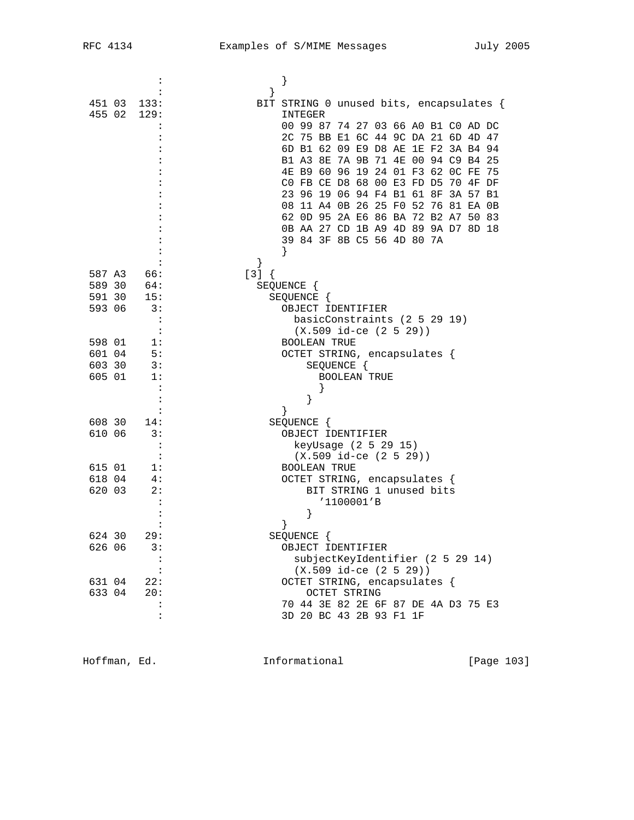|        | $\ddot{\phantom{a}}$        |                                          |
|--------|-----------------------------|------------------------------------------|
|        |                             |                                          |
|        | 451 03 133:                 | BIT STRING 0 unused bits, encapsulates { |
|        | 455 02 129:                 | INTEGER                                  |
|        |                             | 00 99 87 74 27 03 66 A0 B1 C0 AD DC      |
|        |                             | 2C 75 BB E1 6C 44 9C DA 21 6D 4D 47      |
|        |                             | 6D B1 62 09 E9 D8 AE 1E F2 3A B4 94      |
|        |                             | B1 A3 8E 7A 9B 71 4E 00 94 C9 B4 25      |
|        |                             | 4E B9 60 96 19 24 01 F3 62 OC FE 75      |
|        |                             | CO FB CE D8 68 00 E3 FD D5 70 4F DF      |
|        |                             | 23 96 19 06 94 F4 B1 61 8F 3A 57 B1      |
|        |                             | 08 11 A4 0B 26 25 F0 52 76 81 EA 0B      |
|        |                             | 62 OD 95 2A E6 86 BA 72 B2 A7 50 83      |
|        |                             | 0B AA 27 CD 1B A9 4D 89 9A D7 8D 18      |
|        |                             | 39 84 3F 8B C5 56 4D 80 7A               |
|        |                             | ł                                        |
|        |                             | $\}$                                     |
|        | 587 A3 66:                  |                                          |
|        | 589 30 64:                  | $[3]$ {                                  |
|        | 591 30 15:                  | SEQUENCE {                               |
|        |                             | SEQUENCE {                               |
| 593 06 | $\overline{\phantom{a}}$ 3: | OBJECT IDENTIFIER                        |
|        | $\cdot$ :                   | basicConstraints (2 5 29 19)             |
|        | $\cdot$ :                   | $(X.509$ id-ce $(2 5 29)$                |
| 598 01 | 1:                          | <b>BOOLEAN TRUE</b>                      |
| 601 04 | 5:                          | OCTET STRING, encapsulates {             |
| 603 30 | 3:                          | SEQUENCE {                               |
| 605 01 | 1:                          | <b>BOOLEAN TRUE</b>                      |
|        | $\cdot$ :                   |                                          |
|        | $\colon$                    | }                                        |
|        | :                           | ł                                        |
|        | 608 30 14:                  | SEQUENCE {                               |
| 610 06 | $\overline{\phantom{a}3:}$  | OBJECT IDENTIFIER                        |
|        | $\ddot{\cdot}$              | keyUsage (2 5 29 15)                     |
|        | $\cdot$ :                   | $(X.509$ id-ce $(2 5 29))$               |
| 615 01 | 1:                          | <b>BOOLEAN TRUE</b>                      |
| 618 04 | 4:                          | OCTET STRING, encapsulates {             |
| 620 03 | 2:                          | BIT STRING 1 unused bits                 |
|        |                             | '1100001'B                               |
|        |                             | }                                        |
|        |                             |                                          |
| 624 30 | 29:                         | SEQUENCE {                               |
| 626 06 | 3:                          | OBJECT IDENTIFIER                        |
|        | :                           | subjectKeyIdentifier (2 5 29 14)         |
|        |                             | $(X.509$ id-ce $(2 5 29)$                |
| 631 04 | 22:                         | OCTET STRING, encapsulates {             |
| 633 04 | 20:                         | <b>OCTET STRING</b>                      |
|        |                             | 70 44 3E 82 2E 6F 87 DE 4A D3 75 E3      |
|        | :                           | 3D 20 BC 43 2B 93 F1 1F                  |
|        |                             |                                          |

Hoffman, Ed. 10. Informational 1999 [Page 103]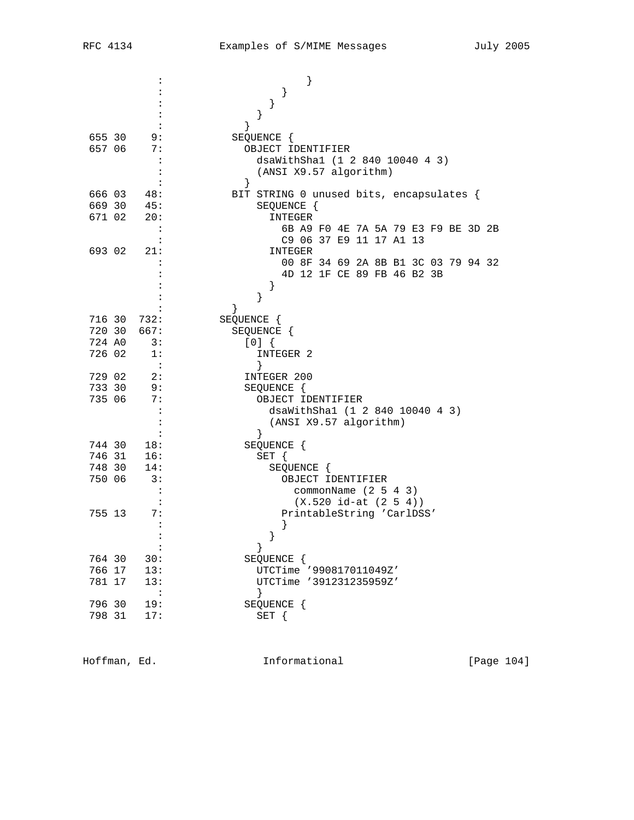|                  |                | }                                                         |
|------------------|----------------|-----------------------------------------------------------|
|                  |                |                                                           |
|                  |                | $\}$                                                      |
|                  |                | }                                                         |
|                  |                | }                                                         |
| 655 30           | 9:             | SEQUENCE {                                                |
| 657 06           | 7 :            | OBJECT IDENTIFIER                                         |
|                  | $\cdot$        | dsaWithSha1 (1 2 840 10040 4 3)                           |
|                  |                | (ANSI X9.57 algorithm)                                    |
|                  |                | }                                                         |
| 666 03           | 48:            | BIT STRING 0 unused bits, encapsulates {                  |
| 669 30           | 45:            | SEQUENCE {                                                |
| 671 02           | 20:            | INTEGER                                                   |
|                  |                | 6B A9 F0 4E 7A 5A 79 E3 F9 BE 3D 2B                       |
|                  |                | C9 06 37 E9 11 17 A1 13                                   |
| 693 02           | 21:            | INTEGER                                                   |
|                  |                | 00 8F 34 69 2A 8B B1 3C 03 79 94 32                       |
|                  |                | 4D 12 1F CE 89 FB 46 B2 3B                                |
|                  |                | }                                                         |
|                  |                | }                                                         |
|                  |                |                                                           |
| 716 30           | 732:           | SEQUENCE {                                                |
| 720 30           | 667:           | SEQUENCE {                                                |
| 724 AO           | 3:             | [0]                                                       |
| 726 02           | 1:             | INTEGER 2                                                 |
|                  | $\sim$ :       | $\left\{ \right\}$                                        |
| 729 02           | 2:             | INTEGER 200                                               |
| 733 30<br>735 06 | 9:<br>7:       | SEQUENCE {                                                |
|                  |                | OBJECT IDENTIFIER                                         |
|                  |                | dsaWithSha1 (1 2 840 10040 4 3)<br>(ANSI X9.57 algorithm) |
|                  |                | $\}$                                                      |
| 744 30           | 18:            | SEQUENCE {                                                |
| 746 31           | 16:            | $SET \{$                                                  |
| 748 30           | 14:            | SEQUENCE {                                                |
| 750 06           | 3:             | OBJECT IDENTIFIER                                         |
|                  |                | commonName $(2 5 4 3)$                                    |
|                  |                | $(X.520 id-at (2 5 4))$                                   |
| 755 13           | 7:             | PrintableString 'CarlDSS'                                 |
|                  |                |                                                           |
|                  |                | $\}$                                                      |
|                  | $\ddot{\cdot}$ |                                                           |
| 764 30           | 30:            | SEQUENCE {                                                |
| 766 17           | 13:            | UTCTime '990817011049Z'                                   |
| 781 17           | 13:            | UTCTime '391231235959Z'                                   |
|                  |                |                                                           |
| 796 30           | 19:            | SEQUENCE {                                                |
| 798 31           | 17:            | SET                                                       |
|                  |                |                                                           |

Hoffman, Ed. 104 Informational 1999 [Page 104]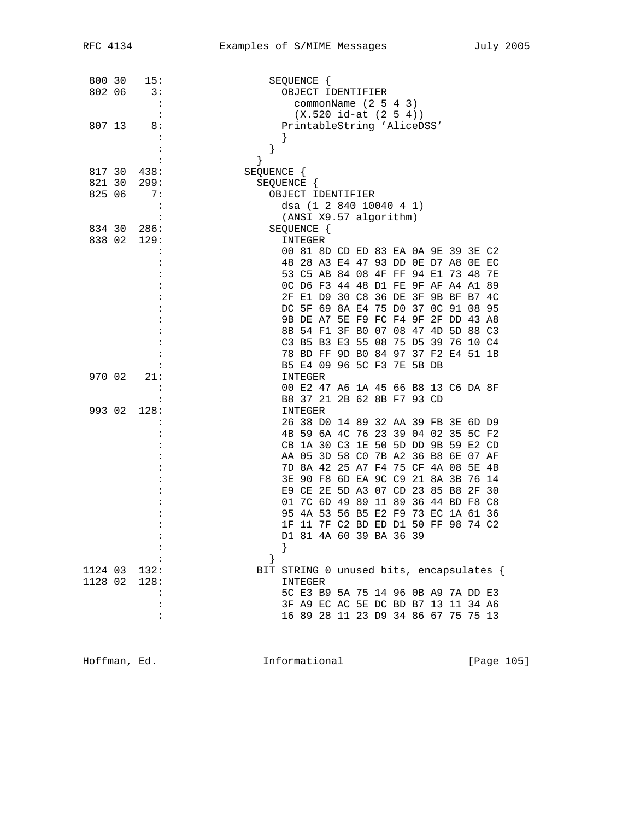| 800 30  | 15:                  | SEQUENCE {                                           |
|---------|----------------------|------------------------------------------------------|
| 802 06  | 3:                   | OBJECT IDENTIFIER                                    |
|         | :                    |                                                      |
|         | :                    | commonName $(2\ 5\ 4\ 3)$<br>$(X.520 id-at (2 5 4))$ |
| 807 13  | 8:                   | PrintableString 'AliceDSS'                           |
|         | $\ddot{\cdot}$       |                                                      |
|         | $\ddot{\cdot}$       | ł<br>}                                               |
|         | :                    | $\}$                                                 |
| 817 30  | 438:                 | SEQUENCE {                                           |
| 821 30  | 299:                 | SEQUENCE {                                           |
| 825 06  | 7:                   | OBJECT IDENTIFIER                                    |
|         | :                    | dsa (1 2 840 10040 4 1)                              |
|         | $\ddot{\cdot}$       | (ANSI X9.57 algorithm)                               |
| 834 30  | 286:                 | SEQUENCE {                                           |
| 838 02  | 129:                 | INTEGER                                              |
|         |                      | 00 81 8D CD ED 83 EA 0A 9E 39 3E C2                  |
|         |                      | 48 28 A3 E4 47 93 DD 0E D7 A8 0E EC                  |
|         |                      | 53 C5 AB 84 08 4F FF 94 E1<br>7348<br>7E             |
|         |                      | OC D6 F3 44 48 D1 FE 9F AF A4 A1 89                  |
|         |                      | 2F E1 D9 30 C8 36 DE 3F 9B BF B7<br>4C               |
|         |                      | DC 5F 69 8A E4 75 D0 37 OC 91 08 95                  |
|         |                      | 9B DE A7 5E F9 FC F4 9F<br>2F DD 43 A8               |
|         |                      | 8B 54 F1 3F B0 07 08 47 4D 5D 88 C3                  |
|         |                      | C3 B5 B3 E3 55 08 75 D5 39 76 10 C4                  |
|         |                      | 78 BD FF 9D B0 84 97 37 F2 E4 51 1B                  |
|         |                      | B5 E4 09 96 5C F3 7E 5B DB                           |
| 970 02  | 21:                  | INTEGER                                              |
|         | $\ddot{\phantom{a}}$ | 00 E2 47 A6 1A 45 66 B8 13 C6 DA 8F                  |
|         | $\ddot{\cdot}$       | B8 37 21 2B 62 8B F7 93 CD                           |
| 993 02  | 128:                 | <b>INTEGER</b>                                       |
|         |                      | 26 38 D0 14 89 32 AA 39 FB 3E 6D D9                  |
|         |                      | 4B 59 6A 4C 76 23 39 04 02 35 5C F2                  |
|         |                      | CB 1A 30 C3 1E 50 5D DD 9B 59 E2 CD                  |
|         |                      | AA 05 3D 58 CO 7B A2 36 B8 6E<br>07 AF               |
|         |                      | 7D 8A 42 25 A7 F4 75 CF 4A 08<br>5 E<br>4B           |
|         |                      | 3E 90 F8 6D EA 9C C9 21 8A 3B<br>76 14               |
|         |                      | E9 CE 2E 5D A3 07 CD 23 85 B8<br>2F<br>30            |
|         |                      | 01 7C 6D 49 89 11 89 36 44 BD F8 C8                  |
|         |                      | 95 4A 53 56 B5 E2 F9 73 EC 1A 61 36                  |
|         |                      | 1F 11 7F C2 BD ED D1 50 FF 98 74 C2                  |
|         |                      | D1 81 4A 60 39 BA 36 39                              |
|         |                      | ł                                                    |
|         |                      | }                                                    |
| 1124 03 | 132:                 | BIT STRING 0 unused bits, encapsulates {             |
| 1128 02 | 128:                 | INTEGER                                              |

 : 5C E3 B9 5A 75 14 96 0B A9 7A DD E3 : 3F A9 EC AC 5E DC BD B7 13 11 34 A6 :<br>3F A9 EC AC 5E DC BD B7 13 11 34 A6<br>16 89 28 11 23 D9 34 86 67 75 75 13

Hoffman, Ed. 105 Informational 111 [Page 105]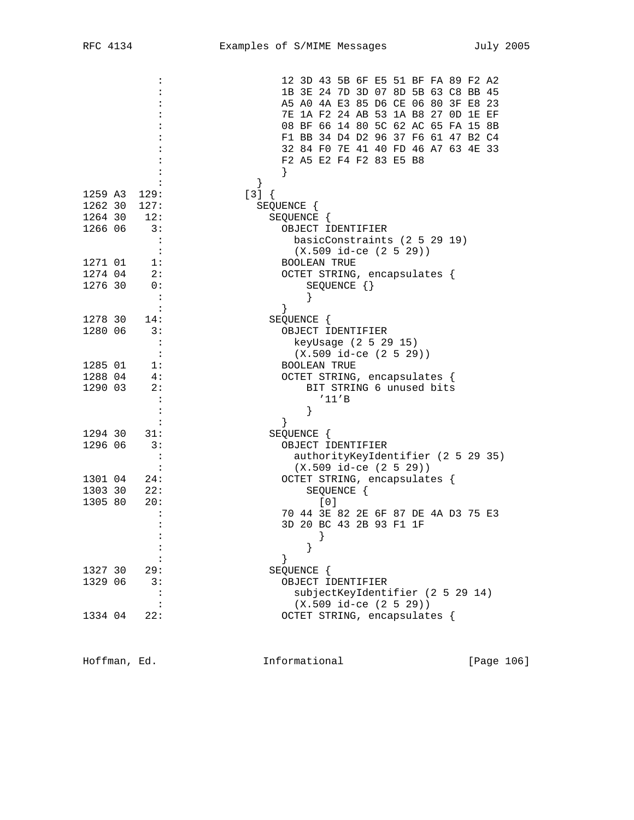|         |         | 12 3D 43 5B 6F E5 51 BF FA 89 F2 A2                   |
|---------|---------|-------------------------------------------------------|
|         |         | 1B 3E 24 7D 3D 07 8D 5B 63 C8 BB 45                   |
|         |         | A5 A0 4A E3 85 D6 CE 06 80 3F E8 23                   |
|         |         | 7E 1A F2 24 AB 53 1A B8 27 0D 1E EF                   |
|         |         | 08 BF 66 14 80 5C 62 AC 65 FA 15 8B                   |
|         |         | F1 BB 34 D4 D2 96 37 F6 61 47 B2 C4                   |
|         |         | 32 84 F0 7E 41 40 FD 46 A7 63 4E 33                   |
|         |         | F2 A5 E2 F4 F2 83 E5 B8                               |
|         |         |                                                       |
| 1259 A3 | 129:    | ł<br>$[3]$ {                                          |
| 1262 30 | 127:    | SEQUENCE {                                            |
| 1264 30 | 12:     | SEQUENCE {                                            |
| 1266 06 | 3:      | OBJECT IDENTIFIER                                     |
|         |         | basicConstraints (2 5 29 19)                          |
|         |         | $(X.509$ id-ce $(2 5 29))$                            |
| 1271 01 | 1:      | <b>BOOLEAN TRUE</b>                                   |
| 1274 04 | 2:      | OCTET STRING, encapsulates {                          |
| 1276 30 | 0:      | SEQUENCE $\{\}$                                       |
|         |         |                                                       |
|         |         |                                                       |
| 1278 30 | 14:     | SEQUENCE {                                            |
| 1280 06 | 3:      | OBJECT IDENTIFIER                                     |
|         |         | keyUsage (2 5 29 15)                                  |
|         | $\cdot$ | $(X.509$ id-ce $(2 5 29))$                            |
| 1285 01 | 1:      | <b>BOOLEAN TRUE</b>                                   |
| 1288 04 | -4:     | OCTET STRING, encapsulates {                          |
| 1290 03 | 2:      | BIT STRING 6 unused bits<br>'11'B                     |
|         |         |                                                       |
|         |         |                                                       |
| 1294 30 | 31:     | SEQUENCE {                                            |
| 1296 06 | 3:      | OBJECT IDENTIFIER                                     |
|         |         | authorityKeyIdentifier (2 5 29 35)                    |
|         |         | $(X.509$ id-ce $(2 5 29))$                            |
| 1301 04 | 24:     | OCTET STRING, encapsulates {                          |
| 1303 30 | 22:     | SEQUENCE {                                            |
| 1305 80 | 20:     | [0]                                                   |
|         |         | 70 44 3E 82 2E 6F 87 DE 4A D3 75 E3                   |
|         |         | 3D 20 BC 43 2B 93 F1 1F                               |
|         |         |                                                       |
|         |         |                                                       |
|         |         |                                                       |
| 1327 30 | 29:     | SEQUENCE {                                            |
| 1329 06 | 3:      | OBJECT IDENTIFIER<br>subjectKeyIdentifier (2 5 29 14) |
|         |         | $(X.509$ id-ce $(2 5 29))$                            |
| 1334 04 | 22:     | OCTET STRING, encapsulates {                          |
|         |         |                                                       |

Hoffman, Ed. 108 and 108 Informational 105 [Page 106]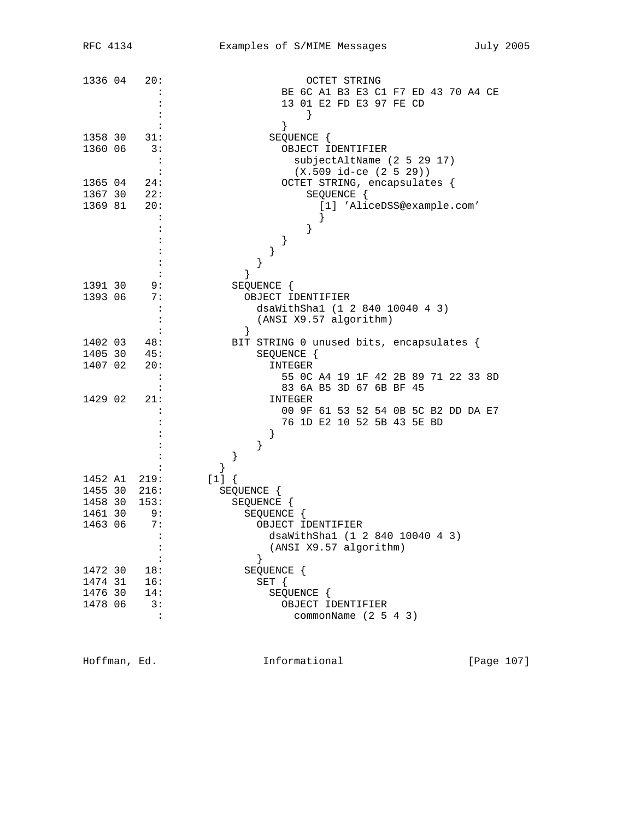| 1336 04 | 20:                  | <b>OCTET STRING</b>                      |
|---------|----------------------|------------------------------------------|
|         |                      | BE 6C A1 B3 E3 C1 F7 ED 43 70 A4 CE      |
|         |                      | 13 01 E2 FD E3 97 FE CD                  |
|         |                      | }                                        |
|         |                      |                                          |
|         |                      | }                                        |
| 1358 30 | 31:                  | SEQUENCE {                               |
| 1360 06 | 3:                   | OBJECT IDENTIFIER                        |
|         | $\ddot{\cdot}$       | subjectAltName (2 5 29 17)               |
|         | :                    | $(X.509$ id-ce $(2 5 29))$               |
| 1365 04 | 24:                  | OCTET STRING, encapsulates {             |
| 1367 30 | 22:                  | SEQUENCE {                               |
|         |                      |                                          |
| 1369 81 | 20:                  | [1] 'AliceDSS@example.com'               |
|         | :                    |                                          |
|         |                      | }                                        |
|         |                      | }                                        |
|         |                      | }                                        |
|         |                      | }                                        |
|         |                      | $\}$                                     |
|         |                      |                                          |
| 1391 30 | 9:                   | SEQUENCE {                               |
| 1393 06 | 7:                   | OBJECT IDENTIFIER                        |
|         | $\ddot{\cdot}$       | dsaWithShal (1 2 840 10040 4 3)          |
|         |                      | (ANSI X9.57 algorithm)                   |
|         |                      | $\}$                                     |
| 1402 03 | 48:                  | BIT STRING 0 unused bits, encapsulates { |
| 1405 30 | 45:                  | SEQUENCE {                               |
|         |                      |                                          |
| 1407 02 | 20:                  | INTEGER                                  |
|         | $\ddot{\cdot}$       | 55 OC A4 19 1F 42 2B 89 71 22 33 8D      |
|         |                      | 83 6A B5 3D 67 6B BF 45                  |
| 1429 02 | 21:                  | INTEGER                                  |
|         | $\ddot{\phantom{a}}$ | 00 9F 61 53 52 54 0B 5C B2 DD DA E7      |
|         |                      | 76 1D E2 10 52 5B 43 5E BD               |
|         |                      | }                                        |
|         |                      | }                                        |
|         |                      |                                          |
|         |                      |                                          |
|         |                      | }                                        |
| 1452 A1 | 219:                 | $[1]$ {                                  |
| 1455 30 | 216:                 | SEQUENCE {                               |
| 1458 30 | 153:                 | SEQUENCE {                               |
| 1461 30 | 9:                   | SEQUENCE {                               |
| 1463 06 | 7:                   | OBJECT IDENTIFIER                        |
|         | $\colon$             | dsaWithSha1 (1 2 840 10040 4 3)          |
|         |                      |                                          |
|         | :                    | (ANSI X9.57 algorithm)                   |
|         | :                    | <sup>}</sup>                             |
| 1472 30 | 18:                  | SEQUENCE {                               |
| 1474 31 | 16:                  | $SET \{$                                 |
| 1476 30 | 14:                  | SEQUENCE {                               |
| 1478 06 | 3:                   | OBJECT IDENTIFIER                        |
|         | $\ddot{\phantom{a}}$ | commonName $(2 5 4 3)$                   |
|         |                      |                                          |

Hoffman, Ed. 1071 1nformational 111 [Page 107]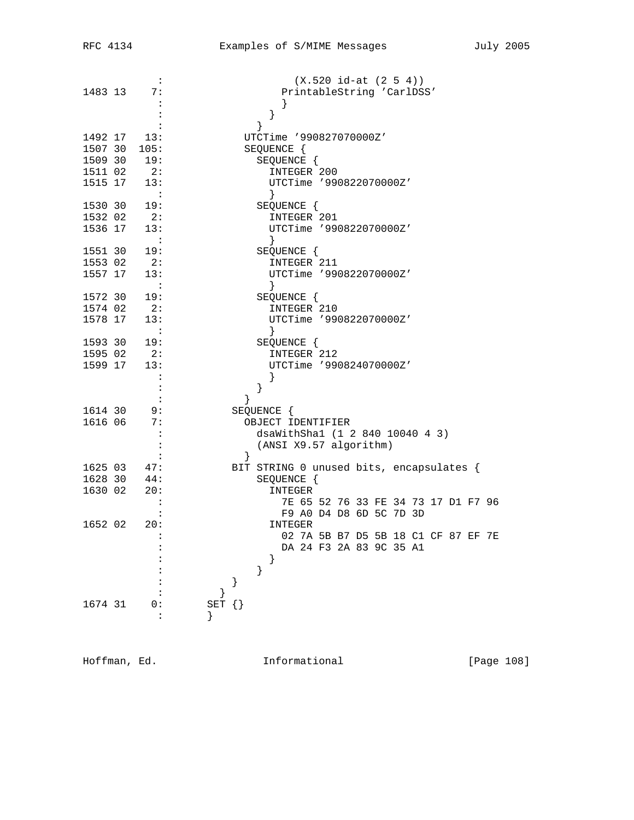| 1483 13                       | $\ddot{\cdot}$<br>7:                                                        | $(X.520 id-at (2 5 4))$<br>PrintableString 'CarlDSS'<br>}                                                                                   |
|-------------------------------|-----------------------------------------------------------------------------|---------------------------------------------------------------------------------------------------------------------------------------------|
| 1515 17                       | 1492 17 13:<br>1507 30 105:<br>1509 30 19:<br>1511 02 2:<br>13:<br>$\sim$ 1 | UTCTime '990827070000Z'<br>SEQUENCE {<br>SEQUENCE {<br>INTEGER 200<br>UTCTime '990822070000Z'<br>$\}$                                       |
| 1530 30                       | 19:<br>1532 02 2:<br>1536 17 13:<br>$\sim$ $\sim$ $\sim$                    | SEQUENCE {<br>INTEGER 201<br>UTCTime '990822070000Z'                                                                                        |
| 1551 30<br>1553 02<br>1557 17 | 19:<br>2:<br>13:<br>$\sim$ 1                                                | SEQUENCE {<br>INTEGER 211<br>UTCTime '990822070000Z'<br>$\}$                                                                                |
| 1578 17                       | 1572 30 19:<br>1574 02 2:<br>13:<br>$\sim$ 100 $\pm$                        | SEQUENCE {<br>INTEGER 210<br>UTCTime '990822070000Z'<br>$\}$                                                                                |
|                               | 1593 30 19:<br>1595 02 2:<br>1599 17 13:                                    | SEQUENCE {<br>INTEGER 212<br>UTCTime '990824070000Z'                                                                                        |
| 1614 30<br>1616 06            | 9:<br>7:                                                                    | }<br>}<br>SEQUENCE {<br>OBJECT IDENTIFIER<br>dsaWithSha1 (1 2 840 10040 4 3)                                                                |
| 1630 02                       | 1625 03 47:<br>1628 30 44:<br>20:                                           | (ANSI X9.57 algorithm)<br>BIT STRING 0 unused bits, encapsulates {<br>SEQUENCE {<br>INTEGER                                                 |
| 1652 02                       | 20:                                                                         | 7E 65 52 76 33 FE 34 73 17 D1 F7 96<br>F9 A0 D4 D8 6D 5C 7D 3D<br>INTEGER<br>02 7A 5B B7 D5 5B 18 C1 CF 87 EF 7E<br>DA 24 F3 2A 83 9C 35 A1 |
|                               |                                                                             | }<br>}<br>}                                                                                                                                 |
| 1674 31                       | 0:                                                                          | SET $\{\}$                                                                                                                                  |

Hoffman, Ed. 108 Informational 111 [Page 108]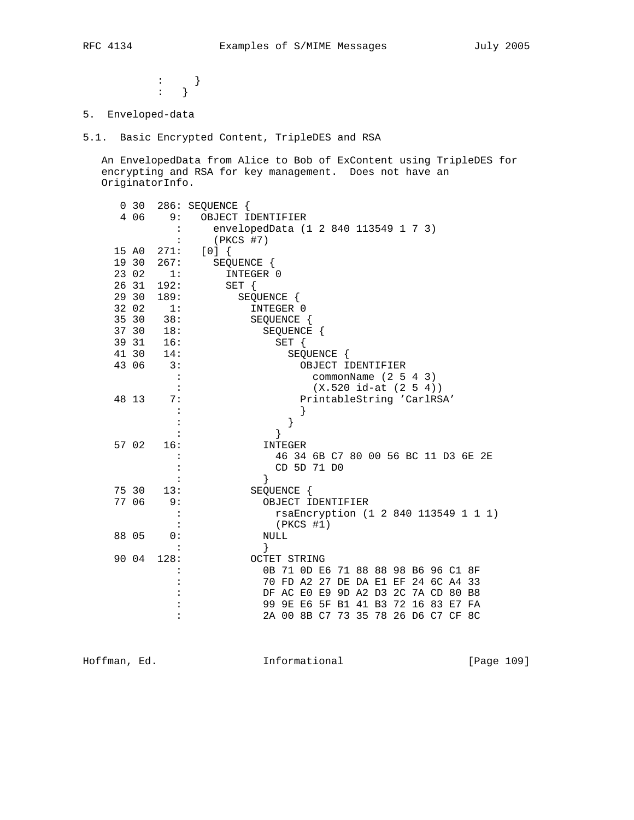: the state  $\{x_i\}$  is the state  $\{x_i\}$  $\cdots$  }

5. Enveloped-data

5.1. Basic Encrypted Content, TripleDES and RSA

 An EnvelopedData from Alice to Bob of ExContent using TripleDES for encrypting and RSA for key management. Does not have an OriginatorInfo.

|       | 0 <sub>30</sub> |                             | 286: SEQUENCE {                                                            |
|-------|-----------------|-----------------------------|----------------------------------------------------------------------------|
|       | 4 06            | 9:                          | OBJECT IDENTIFIER                                                          |
|       |                 |                             | envelopedData (1 2 840 113549 1 7 3)                                       |
|       |                 |                             | $(PKCS$ #7)                                                                |
| 15 A0 |                 | 271:                        | [0]                                                                        |
| 19 30 |                 | 267:                        | SEQUENCE {                                                                 |
| 23 02 |                 | 1:                          | INTEGER 0                                                                  |
| 26 31 |                 | 192:                        | SET {                                                                      |
| 29 30 |                 | 189:                        | SEQUENCE {                                                                 |
| 32 02 |                 | 1:                          | INTEGER 0                                                                  |
| 35 30 |                 | 38:                         | SEQUENCE {                                                                 |
| 37 30 |                 | 18:                         | SEQUENCE {                                                                 |
| 39 31 |                 | 16:                         | SET {                                                                      |
| 41 30 |                 | 14:                         | SEQUENCE {                                                                 |
| 43 06 |                 | $\overline{\phantom{a}}$ 3: | OBJECT IDENTIFIER                                                          |
|       |                 |                             | commonName $(2 5 4 3)$                                                     |
|       |                 |                             | $(X.520 id-at (2 5 4))$                                                    |
| 48 13 |                 | 7:                          | PrintableString 'CarlRSA'                                                  |
|       |                 |                             |                                                                            |
|       |                 |                             | }                                                                          |
|       |                 |                             | }                                                                          |
| 57 02 |                 | 16:                         | INTEGER                                                                    |
|       |                 |                             | 46 34 6B C7 80 00 56 BC 11 D3 6E 2E                                        |
|       |                 |                             | CD 5D 71 D0                                                                |
|       |                 |                             | }                                                                          |
| 75 30 |                 | 13:                         | SEQUENCE {                                                                 |
| 77 06 |                 | 9:                          | OBJECT IDENTIFIER                                                          |
|       |                 |                             | rsaEncryption (1 2 840 113549 1 1 1)                                       |
|       |                 |                             | $(PKCS$ #1)                                                                |
| 88 05 |                 | 0:                          | <b>NULL</b>                                                                |
|       |                 |                             | }                                                                          |
| 90 04 |                 | 128:                        | <b>OCTET STRING</b>                                                        |
|       |                 |                             | 0B 71 0D E6 71 88 88 98 B6 96 C1 8F                                        |
|       |                 |                             | 70 FD A2 27 DE DA E1 EF 24 6C A4 33<br>DF AC E0 E9 9D A2 D3 2C 7A CD 80 B8 |
|       |                 |                             | 99 9E E6 5F B1 41 B3 72 16 83 E7 FA                                        |
|       |                 |                             | 2A 00 8B C7 73 35 78 26 D6 C7 CF 8C                                        |
|       |                 |                             |                                                                            |

Hoffman, Ed. 1991 and Informational 1997 [Page 109]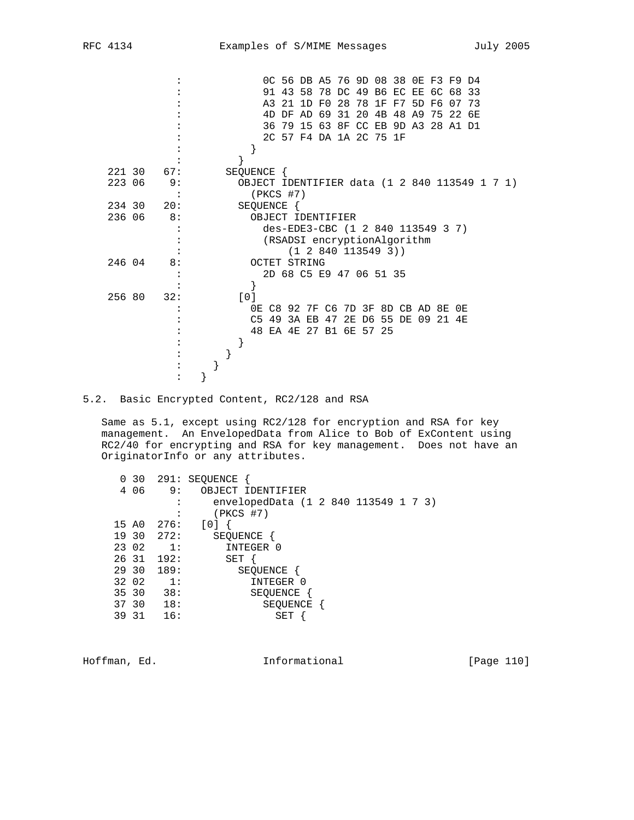|  | RFM | 1 |
|--|-----|---|
|--|-----|---|

|        |     |  |            |             |  |              |                   |                         | OC 56 DB A5 76 9D 08 38 OE F3 F9 D4 |  |  |                                               |
|--------|-----|--|------------|-------------|--|--------------|-------------------|-------------------------|-------------------------------------|--|--|-----------------------------------------------|
|        |     |  |            |             |  |              |                   |                         | 91 43 58 78 DC 49 B6 EC EE 6C 68 33 |  |  |                                               |
|        |     |  |            |             |  |              |                   |                         | A3 21 1D F0 28 78 1F F7 5D F6 07 73 |  |  |                                               |
|        |     |  |            |             |  |              |                   |                         | 4D DF AD 69 31 20 4B 48 A9 75 22 6E |  |  |                                               |
|        |     |  |            |             |  |              |                   |                         | 36 79 15 63 8F CC EB 9D A3 28 A1 D1 |  |  |                                               |
|        |     |  |            |             |  |              |                   | 2C 57 F4 DA 1A 2C 75 1F |                                     |  |  |                                               |
|        |     |  |            |             |  |              |                   |                         |                                     |  |  |                                               |
|        |     |  |            |             |  |              |                   |                         |                                     |  |  |                                               |
| 221 30 | 67: |  | SEQUENCE { |             |  |              |                   |                         |                                     |  |  |                                               |
| 223 06 | 9:  |  |            |             |  |              |                   |                         |                                     |  |  | OBJECT IDENTIFIER data (1 2 840 113549 1 7 1) |
|        |     |  |            | $(PKCS$ #7) |  |              |                   |                         |                                     |  |  |                                               |
| 234 30 | 20: |  | SEQUENCE { |             |  |              |                   |                         |                                     |  |  |                                               |
| 236 06 | 8:  |  |            |             |  |              | OBJECT IDENTIFIER |                         |                                     |  |  |                                               |
|        |     |  |            |             |  |              |                   |                         | des-EDE3-CBC (1 2 840 113549 3 7)   |  |  |                                               |
|        |     |  |            |             |  |              |                   |                         | (RSADSI encryptionAlgorithm         |  |  |                                               |
|        |     |  |            |             |  |              |                   | (1 2 840 113549 3))     |                                     |  |  |                                               |
| 246 04 | 8:  |  |            |             |  | OCTET STRING |                   |                         |                                     |  |  |                                               |
|        |     |  |            |             |  |              |                   | 2D 68 C5 E9 47 06 51 35 |                                     |  |  |                                               |
|        |     |  |            |             |  |              |                   |                         |                                     |  |  |                                               |
| 256 80 | 32: |  | [0]        |             |  |              |                   |                         |                                     |  |  |                                               |
|        |     |  |            |             |  |              |                   |                         | 0E C8 92 7F C6 7D 3F 8D CB AD 8E 0E |  |  |                                               |
|        |     |  |            |             |  |              |                   |                         | C5 49 3A EB 47 2E D6 55 DE 09 21 4E |  |  |                                               |
|        |     |  |            |             |  |              |                   | 48 EA 4E 27 B1 6E 57 25 |                                     |  |  |                                               |
|        |     |  |            |             |  |              |                   |                         |                                     |  |  |                                               |
|        |     |  |            |             |  |              |                   |                         |                                     |  |  |                                               |
|        |     |  |            |             |  |              |                   |                         |                                     |  |  |                                               |
|        |     |  |            |             |  |              |                   |                         |                                     |  |  |                                               |
|        |     |  |            |             |  |              |                   |                         |                                     |  |  |                                               |

5.2. Basic Encrypted Content, RC2/128 and RSA

 Same as 5.1, except using RC2/128 for encryption and RSA for key management. An EnvelopedData from Alice to Bob of ExContent using RC2/40 for encrypting and RSA for key management. Does not have an OriginatorInfo or any attributes.

|       | 0 30  |                  | 291: SEQUENCE                        |  |  |  |
|-------|-------|------------------|--------------------------------------|--|--|--|
|       | 406   | 9:               | OBJECT IDENTIFIER                    |  |  |  |
|       |       |                  | envelopedData (1 2 840 113549 1 7 3) |  |  |  |
|       |       |                  | $(PKCS$ #7)                          |  |  |  |
|       | 15 AO | 276:             | [0]                                  |  |  |  |
|       | 19 30 | 272:             | SEQUENCE                             |  |  |  |
|       | 23 02 | $\overline{1}$ : | INTEGER 0                            |  |  |  |
|       | 26 31 | 192:             | SET                                  |  |  |  |
|       | 29 30 | 189:             | SEQUENCE                             |  |  |  |
|       | 32 02 | 1:               | INTEGER 0                            |  |  |  |
|       | 35 30 | 38:              | SEQUENCE                             |  |  |  |
|       | 37 30 | 18:              | SEQUENCE                             |  |  |  |
| 39 31 |       | 16:              | SET                                  |  |  |  |
|       |       |                  |                                      |  |  |  |

Hoffman, Ed. 10 1nformational 1999 [Page 110]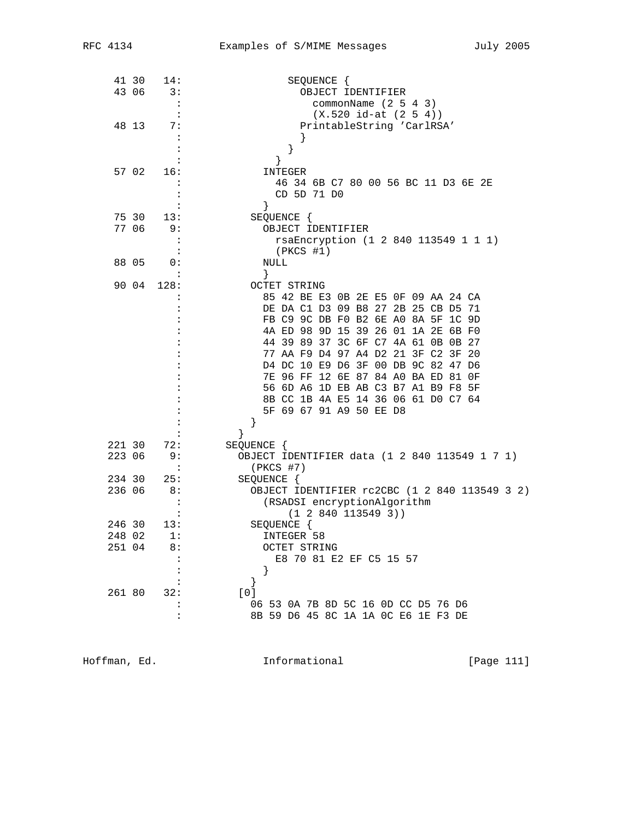|        | 41 30 | 14:                  | SEQUENCE {                                                   |
|--------|-------|----------------------|--------------------------------------------------------------|
| 43 06  |       | 3:                   | OBJECT IDENTIFIER                                            |
|        |       | $\ddot{\cdot}$       | commonName (2 5 4 3)                                         |
|        |       | $\ddot{\cdot}$       | $(X.520 id-at (2 5 4))$                                      |
| 48 13  |       | 7:                   | PrintableString 'CarlRSA'                                    |
|        |       |                      |                                                              |
|        |       | $\ddot{\cdot}$       | $\}$                                                         |
|        |       |                      | $\}$                                                         |
| 57 02  |       | 16:                  | INTEGER                                                      |
|        |       |                      | 46 34 6B C7 80 00 56 BC 11 D3 6E 2E                          |
|        |       |                      | CD 5D 71 D0                                                  |
|        |       |                      | $\}$                                                         |
|        | 75 30 | 13:                  | SEQUENCE {                                                   |
| 77 06  |       | 9:                   | OBJECT IDENTIFIER                                            |
|        |       | $\ddot{\cdot}$       | rsaEncryption (1 2 840 113549 1 1 1)                         |
|        |       | $\ddot{\cdot}$       | $(PKCS$ #1)                                                  |
| 88 05  |       | 0:                   | NULL                                                         |
|        |       |                      | }                                                            |
| 90 04  |       | 128:                 | OCTET STRING                                                 |
|        |       |                      | 85 42 BE E3 0B 2E E5 0F 09 AA 24 CA                          |
|        |       |                      | DE DA C1 D3 09 B8 27 2B 25 CB D5 71                          |
|        |       |                      | FB C9 9C DB F0 B2 6E A0 8A 5F 1C 9D                          |
|        |       |                      | 4A ED 98 9D 15 39 26 01 1A 2E 6B F0                          |
|        |       |                      | 44 39 89 37 3C 6F C7 4A 61 0B 0B 27                          |
|        |       |                      | 77 AA F9 D4 97 A4 D2 21 3F C2 3F 20                          |
|        |       |                      | D4 DC 10 E9 D6 3F 00 DB 9C 82 47 D6                          |
|        |       |                      | 7E 96 FF 12 6E 87 84 A0 BA ED 81 OF                          |
|        |       |                      | 56 6D A6 1D EB AB C3 B7 A1 B9 F8 5F                          |
|        |       |                      | 8B CC 1B 4A E5 14 36 06 61 D0 C7 64                          |
|        |       |                      | 5F 69 67 91 A9 50 EE D8                                      |
|        |       |                      | }                                                            |
|        |       |                      | $\}$                                                         |
| 221 30 |       | 72:                  |                                                              |
| 223 06 |       | 9 :                  | SEQUENCE {                                                   |
|        |       | $\ddot{\phantom{a}}$ | OBJECT IDENTIFIER data (1 2 840 113549 1 7 1)<br>$(PKCS$ #7) |
| 234 30 |       |                      |                                                              |
|        |       | 25:                  | SEQUENCE {                                                   |
| 236 06 |       | 8:<br>$\ddot{\cdot}$ | OBJECT IDENTIFIER rc2CBC (1 2 840 113549 3 2)                |
|        |       |                      | (RSADSI encryptionAlgorithm                                  |
|        |       |                      | (1 2 840 113549 3))                                          |
| 246 30 |       | 13:                  | SEQUENCE {                                                   |
| 248 02 |       | 1:                   | INTEGER 58                                                   |
| 251 04 |       | 8:                   | OCTET STRING                                                 |
|        |       |                      | E8 70 81 E2 EF C5 15 57                                      |
|        |       |                      | }                                                            |
|        |       |                      | }                                                            |
| 261 80 |       | 32:                  | [0]                                                          |
|        |       |                      | 06 53 0A 7B 8D 5C 16 0D CC D5 76 D6                          |
|        |       |                      | 8B 59 D6 45 8C 1A 1A 0C E6 1E F3 DE                          |

Hoffman, Ed. 11 Communicational 11 (Page 111)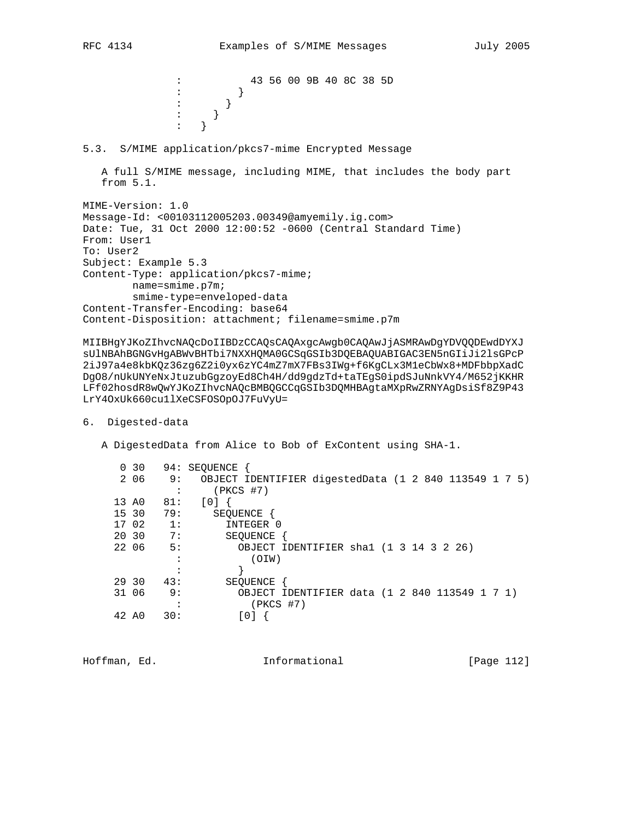: 43 56 00 9B 40 8C 38 5D  $\vdots$  } : the state  $\{x_i\}$  is the state  $\{x_i\}$ : the state  $\{x_i\}$  is the state  $\{x_i\}$  : } 5.3. S/MIME application/pkcs7-mime Encrypted Message A full S/MIME message, including MIME, that includes the body part from 5.1. MIME-Version: 1.0 Message-Id: <00103112005203.00349@amyemily.ig.com> Date: Tue, 31 Oct 2000 12:00:52 -0600 (Central Standard Time) From: User1 To: User2 Subject: Example 5.3 Content-Type: application/pkcs7-mime; name=smime.p7m; smime-type=enveloped-data Content-Transfer-Encoding: base64 Content-Disposition: attachment; filename=smime.p7m

MIIBHgYJKoZIhvcNAQcDoIIBDzCCAQsCAQAxgcAwgb0CAQAwJjASMRAwDgYDVQQDEwdDYXJ sUlNBAhBGNGvHgABWvBHTbi7NXXHQMA0GCSqGSIb3DQEBAQUABIGAC3EN5nGIiJi2lsGPcP 2iJ97a4e8kbKQz36zg6Z2i0yx6zYC4mZ7mX7FBs3IWg+f6KgCLx3M1eCbWx8+MDFbbpXadC DgO8/nUkUNYeNxJtuzubGgzoyEd8Ch4H/dd9gdzTd+taTEgS0ipdSJuNnkVY4/M652jKKHR LFf02hosdR8wQwYJKoZIhvcNAQcBMBQGCCqGSIb3DQMHBAgtaMXpRwZRNYAgDsiSf8Z9P43 LrY4OxUk660cu1lXeCSFOSOpOJ7FuVyU=

## 6. Digested-data

A DigestedData from Alice to Bob of ExContent using SHA-1.

|       | $0\quad30$ |                  | 94: SEOUENCE                                          |
|-------|------------|------------------|-------------------------------------------------------|
|       | 2 06       | 9 :              | OBJECT IDENTIFIER digestedData (1 2 840 113549 1 7 5) |
|       |            |                  | (PKCS #7)                                             |
| 13 AO |            | 81:              | [0]                                                   |
|       | 15 30      | 79:              | SEOUENCE                                              |
|       | 17 02      | $\overline{1}$ : | INTEGER 0                                             |
| 20 30 |            | 7:               | SEOUENCE                                              |
| 22 06 |            | 5:               | OBJECT IDENTIFIER shal (1 3 14 3 2 26)                |
|       |            |                  | (OIW)                                                 |
|       |            |                  |                                                       |
|       | 29 30      | 43:              | SEOUENCE                                              |
| 31 06 |            | 9:               | OBJECT IDENTIFIER data (1 2 840 113549 1 7 1)         |
|       |            |                  | $(PKCS$ #7)                                           |
| 42 AO |            | 30:              |                                                       |
|       |            |                  |                                                       |

Hoffman, Ed. Informational [Page 112]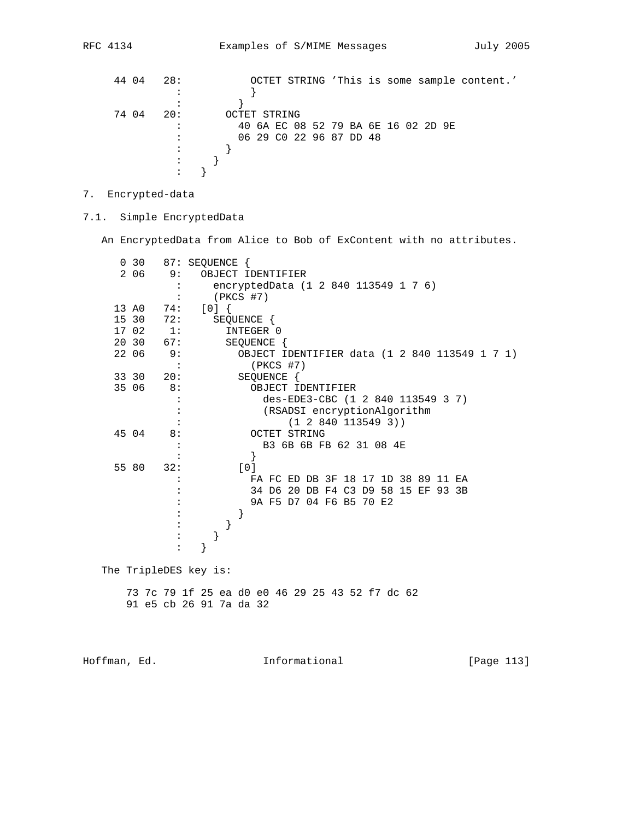| 44 04 | 28: |              |                         |  |  |  |  |                                     | OCTET STRING 'This is some sample content.' |  |
|-------|-----|--------------|-------------------------|--|--|--|--|-------------------------------------|---------------------------------------------|--|
|       |     |              |                         |  |  |  |  |                                     |                                             |  |
|       |     |              |                         |  |  |  |  |                                     |                                             |  |
| 7404  | 20: | OCTET STRING |                         |  |  |  |  |                                     |                                             |  |
|       |     |              |                         |  |  |  |  | 40 6A EC 08 52 79 BA 6E 16 02 2D 9E |                                             |  |
|       |     |              | 06 29 C0 22 96 87 DD 48 |  |  |  |  |                                     |                                             |  |
|       |     |              |                         |  |  |  |  |                                     |                                             |  |
|       |     |              |                         |  |  |  |  |                                     |                                             |  |
|       |     |              |                         |  |  |  |  |                                     |                                             |  |

7. Encrypted-data

7.1. Simple EncryptedData

An EncryptedData from Alice to Bob of ExContent with no attributes.

| 0 <sub>30</sub> |                | 87: SEQUENCE {                                  |
|-----------------|----------------|-------------------------------------------------|
| 2 0 6           | 9:             | OBJECT IDENTIFIER                               |
|                 |                | encryptedData (1 2 840 113549 1 7 6)            |
|                 |                | (PKCS #7)                                       |
| 13 A0 74:       |                | [0]                                             |
| 15 30           | 72:            | SEQUENCE {                                      |
| 17 02           | 1:             | INTEGER 0                                       |
| 20 30           | 67:            | SEQUENCE {                                      |
| 22 06           | 9:             | OBJECT IDENTIFIER data (1 2 840 113549 1 7 1)   |
|                 | $\ddot{\cdot}$ | $(PKCS$ #7)                                     |
| 33 30           | 20:            | SEQUENCE {                                      |
| 35 06           | 8:             | OBJECT IDENTIFIER                               |
|                 |                | des-EDE3-CBC (1 2 840 113549 3 7)               |
|                 |                | (RSADSI encryptionAlgorithm                     |
|                 |                | (1 2 840 113549 3))                             |
| 45 04           | 8:             | OCTET STRING                                    |
|                 |                | B3 6B 6B FB 62 31 08 4E                         |
|                 |                |                                                 |
| 55 80           | 32:            | [0]                                             |
|                 |                | FA FC ED DB 3F 18 17 1D 38 89 11 EA             |
|                 |                | 34 D6 20 DB F4 C3 D9 58 15 EF 93 3B             |
|                 |                | 9A F5 D7 04 F6 B5 70 E2                         |
|                 |                |                                                 |
|                 |                |                                                 |
|                 |                |                                                 |
|                 |                |                                                 |
|                 |                |                                                 |
|                 |                | The TripleDES key is:                           |
|                 |                | 73 7c 79 1f 25 ea d0 e0 46 29 25 43 52 f7 dc 62 |
|                 |                | 91 e5 cb 26 91 7a da 32                         |
|                 |                |                                                 |

Hoffman, Ed. 113 Informational 1999 [Page 113]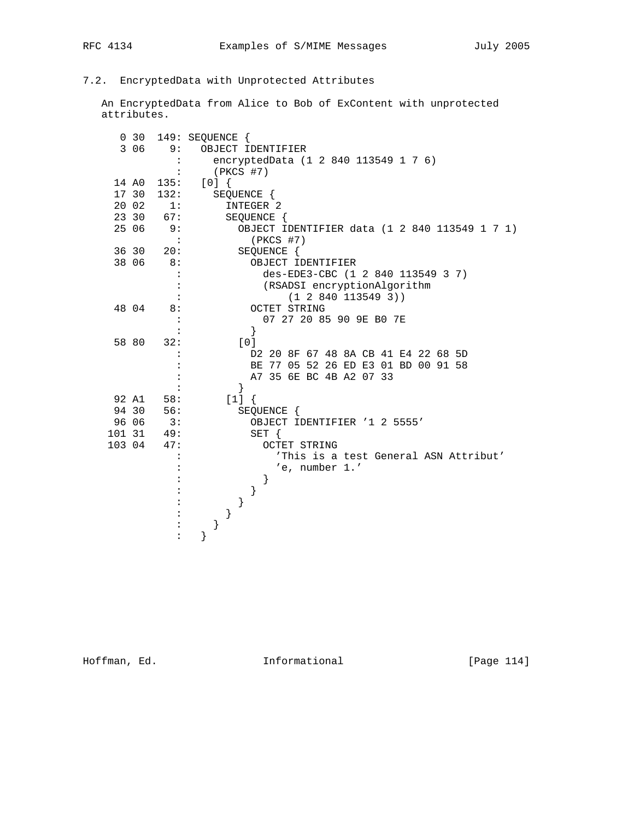## 7.2. EncryptedData with Unprotected Attributes

 An EncryptedData from Alice to Bob of ExContent with unprotected attributes.

|        | 0, 30 |                | 149: SEQUENCE {                               |
|--------|-------|----------------|-----------------------------------------------|
|        | 3 0 6 | 9:             | OBJECT IDENTIFIER                             |
|        |       |                | encryptedData (1 2 840 113549 1 7 6)          |
|        |       | $\ddot{\cdot}$ | (PKCS #7)                                     |
|        | 14 AO | 135:           | [0]                                           |
|        | 17 30 | 132:           | SEQUENCE {                                    |
|        | 20 02 | 1:             | INTEGER 2                                     |
|        | 23 30 | 67:            | SEQUENCE {                                    |
|        | 25 06 | 9:             | OBJECT IDENTIFIER data (1 2 840 113549 1 7 1) |
|        |       | $\sim$ :       | $(PKCS$ #7)                                   |
|        | 36 30 | 20:            | SEQUENCE {                                    |
|        | 38 06 | 8:             | OBJECT IDENTIFIER                             |
|        |       |                | des-EDE3-CBC (1 2 840 113549 3 7)             |
|        |       | $\ddot{\cdot}$ | (RSADSI encryptionAlgorithm                   |
|        |       |                | (1 2 840 113549 3))                           |
|        | 48 04 | 8:             | <b>OCTET STRING</b>                           |
|        |       |                | 07 27 20 85 90 9E B0 7E                       |
|        |       |                | }                                             |
|        | 58 80 | 32:            | [0]                                           |
|        |       |                | D2 20 8F 67 48 8A CB 41 E4 22 68 5D           |
|        |       |                | 77 05 52 26 ED E3 01 BD 00 91 58<br>BE        |
|        |       |                | A7 35 6E BC 4B A2 07 33                       |
|        |       |                | $\}$                                          |
|        | 92 A1 | 58:            | $[1]$ {                                       |
|        | 94 30 | 56:            | SEQUENCE {                                    |
|        | 96 06 | 3:             | OBJECT IDENTIFIER '1 2 5555'                  |
| 101 31 |       | 49:            | $SET \{$                                      |
| 103 04 |       | 47:            | OCTET STRING                                  |
|        |       |                | 'This is a test General ASN Attribut'         |
|        |       |                | 'e, number 1.'                                |
|        |       |                | ł                                             |
|        |       |                |                                               |
|        |       |                |                                               |
|        |       |                |                                               |
|        |       |                | }                                             |
|        |       |                |                                               |

Hoffman, Ed. 114 Informational 1999 [Page 114]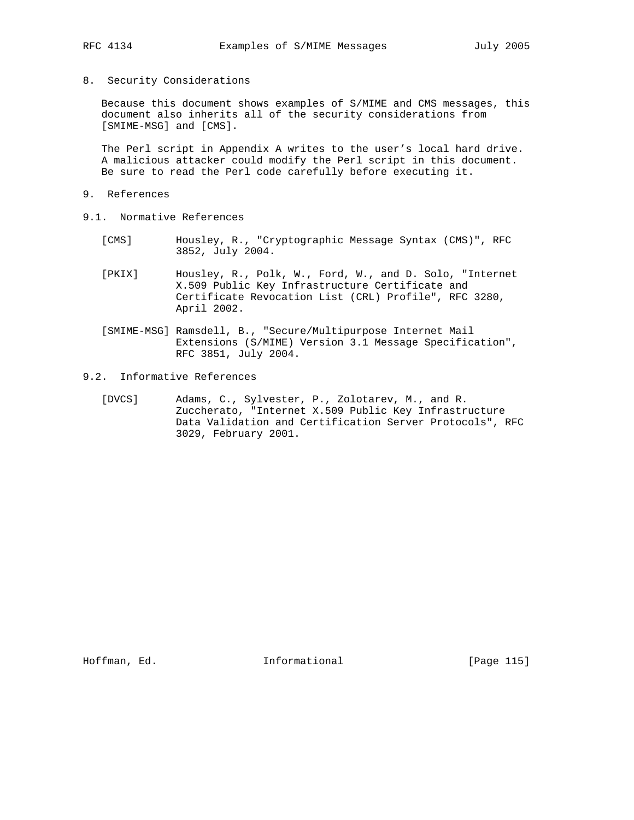8. Security Considerations

 Because this document shows examples of S/MIME and CMS messages, this document also inherits all of the security considerations from [SMIME-MSG] and [CMS].

The Perl script in Appendix A writes to the user's local hard drive. A malicious attacker could modify the Perl script in this document. Be sure to read the Perl code carefully before executing it.

- 9. References
- 9.1. Normative References
	- [CMS] Housley, R., "Cryptographic Message Syntax (CMS)", RFC 3852, July 2004.
	- [PKIX] Housley, R., Polk, W., Ford, W., and D. Solo, "Internet X.509 Public Key Infrastructure Certificate and Certificate Revocation List (CRL) Profile", RFC 3280, April 2002.
	- [SMIME-MSG] Ramsdell, B., "Secure/Multipurpose Internet Mail Extensions (S/MIME) Version 3.1 Message Specification", RFC 3851, July 2004.
- 9.2. Informative References
	- [DVCS] Adams, C., Sylvester, P., Zolotarev, M., and R. Zuccherato, "Internet X.509 Public Key Infrastructure Data Validation and Certification Server Protocols", RFC 3029, February 2001.

Hoffman, Ed. 115 Informational 1999 [Page 115]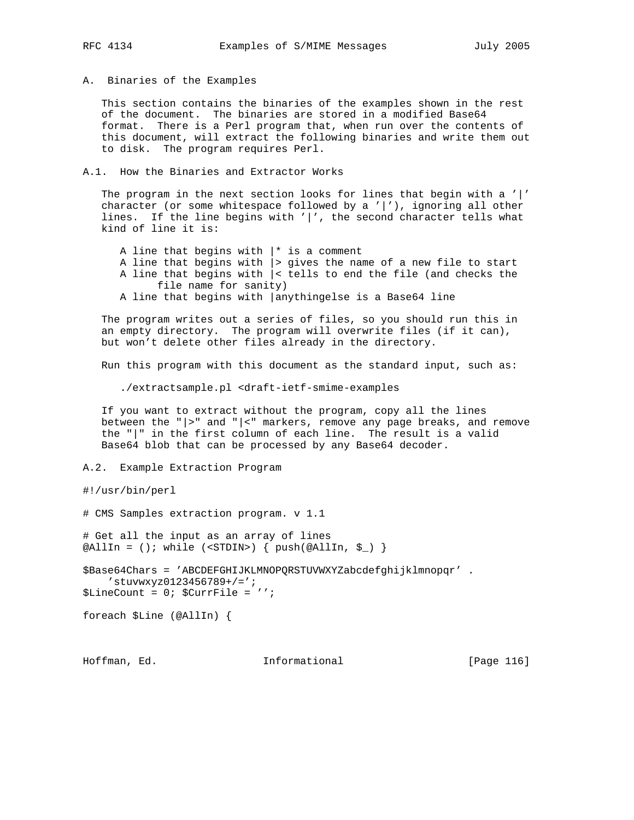A. Binaries of the Examples

 This section contains the binaries of the examples shown in the rest of the document. The binaries are stored in a modified Base64 format. There is a Perl program that, when run over the contents of this document, will extract the following binaries and write them out to disk. The program requires Perl.

A.1. How the Binaries and Extractor Works

 The program in the next section looks for lines that begin with a '|' character (or some whitespace followed by a '|'), ignoring all other lines. If the line begins with '|', the second character tells what kind of line it is:

A line that begins with  $|*$  is a comment A line that begins with |> gives the name of a new file to start A line that begins with |< tells to end the file (and checks the file name for sanity) A line that begins with |anythingelse is a Base64 line

 The program writes out a series of files, so you should run this in an empty directory. The program will overwrite files (if it can), but won't delete other files already in the directory.

Run this program with this document as the standard input, such as:

./extractsample.pl <draft-ietf-smime-examples

 If you want to extract without the program, copy all the lines between the "|>" and "|<" markers, remove any page breaks, and remove the "|" in the first column of each line. The result is a valid Base64 blob that can be processed by any Base64 decoder.

A.2. Example Extraction Program

#!/usr/bin/perl

# CMS Samples extraction program. v 1.1

# Get all the input as an array of lines @AllIn = (); while (<STDIN>) { push(@AllIn,  $\zeta$ ) }

\$Base64Chars = 'ABCDEFGHIJKLMNOPQRSTUVWXYZabcdefghijklmnopqr' . 'stuvwxyz0123456789+/='; \$LineCount = 0; \$CurrFile = '';

foreach \$Line (@AllIn) {

Hoffman, Ed. 116 Informational 1999 [Page 116]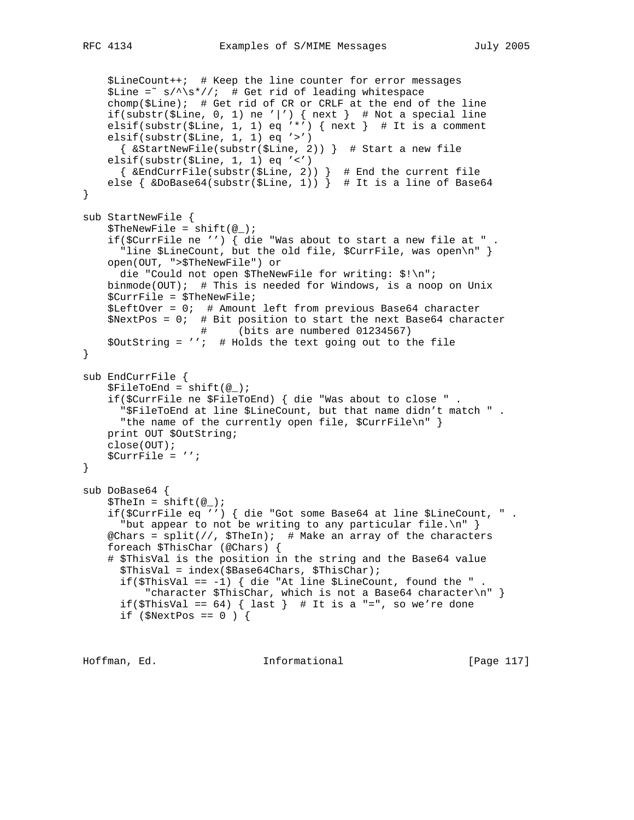```
 $LineCount++; # Keep the line counter for error messages
    $Line = ^s /^s / ^s*//; # Get rid of leading whitespacechomp(\t{Since }; # Get rid of CR or CRLF at the end of the line
    if(substr($Line, 0, 1) ne '|') { next } # Not a special line
     elsif(substr($Line, 1, 1) eq '*') { next } # It is a comment
     elsif(substr($Line, 1, 1) eq '>')
      { &StartNewFile(substr($Line, 2)) } # Start a new file
     elsif(substr($Line, 1, 1) eq '<')
      { &EndCurrFile(substr($Line, 2)) } # End the current file
    else \{ \&DoBase64(substr(\$Line, 1)) \} # It is a line of Base64
}
sub StartNewFile {
    $The NewFile = shift(<math>\omega</math>);
     if($CurrFile ne '') { die "Was about to start a new file at " .
      "line $LineCount, but the old file, $CurrFile, was open\n" }
     open(OUT, ">$TheNewFile") or
      die "Could not open $TheNewFile for writing: $!\n";
     binmode(OUT); # This is needed for Windows, is a noop on Unix
     $CurrFile = $TheNewFile;
     $LeftOver = 0; # Amount left from previous Base64 character
     $NextPos = 0; # Bit position to start the next Base64 character
                  # (bits are numbered 01234567)
     $OutString = ''; # Holds the text going out to the file
}
sub EndCurrFile {
    $FileToEnd = shift(@);
     if($CurrFile ne $FileToEnd) { die "Was about to close " .
       "$FileToEnd at line $LineCount, but that name didn't match " .
      "the name of the currently open file, $CurrFile\n" }
    print OUT $OutString;
     close(OUT);
     $CurrFile = '';
}
sub DoBase64 {
    $TheIn = shift(\omega_); if($CurrFile eq '') { die "Got some Base64 at line $LineCount, " .
      "but appear to not be writing to any particular file.\n\cdot" }
    @Chars = split///, $TheIn): # Make an array of the characters
     foreach $ThisChar (@Chars) {
     # $ThisVal is the position in the string and the Base64 value
       $ThisVal = index($Base64Chars, $ThisChar);
      if($ThisVal == -1) { die "At line $LineCount, found the ".
           "character $ThisChar, which is not a Base64 character\n" }
      if($ThisVal == 64) { last } # It is a "=", so we're done
      if (\text{SNextPos} == 0) {
```
Hoffman, Ed. 117 Informational 1999 [Page 117]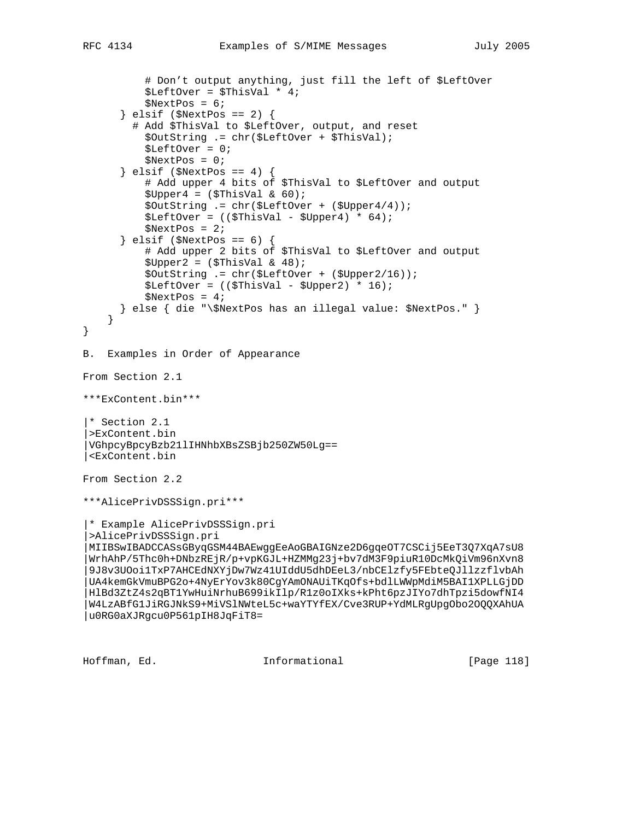```
 # Don't output anything, just fill the left of $LeftOver
           $LeftOver = $ThisVal * 4;
          $NextPos = 6; } elsif ($NextPos == 2) {
         # Add $ThisVal to $LeftOver, output, and reset
           $OutString .= chr($LeftOver + $ThisVal);
           $LeftOver = 0;
           $NextPos = 0;
      \} elsif ($NextPos == 4) {
           # Add upper 4 bits of $ThisVal to $LeftOver and output
          $Upper4 = ($ThisVal & 60); $OutString .= chr($LeftOver + ($Upper4/4));
          $LeftOver = (($ThisVal - $Upper4) * 64); $NextPos = 2;
       } elsif ($NextPos == 6) {
           # Add upper 2 bits of $ThisVal to $LeftOver and output
          $Upper2 = ($ThisVal & 48); $OutString .= chr($LeftOver + ($Upper2/16));
          $LeftOver = (($ThisVal - $Upper2) * 16);$NextPos = 4; } else { die "\$NextPos has an illegal value: $NextPos." }
     }
}
B. Examples in Order of Appearance
From Section 2.1
***ExContent.bin***
|* Section 2.1
|>ExContent.bin
|VGhpcyBpcyBzb21lIHNhbXBsZSBjb250ZW50Lg==
|<ExContent.bin
From Section 2.2
***AlicePrivDSSSign.pri***
 |* Example AlicePrivDSSSign.pri
 |>AlicePrivDSSSign.pri
 |MIIBSwIBADCCASsGByqGSM44BAEwggEeAoGBAIGNze2D6gqeOT7CSCij5EeT3Q7XqA7sU8
 |WrhAhP/5Thc0h+DNbzREjR/p+vpKGJL+HZMMg23j+bv7dM3F9piuR10DcMkQiVm96nXvn8
 |9J8v3UOoi1TxP7AHCEdNXYjDw7Wz41UIddU5dhDEeL3/nbCElzfy5FEbteQJllzzflvbAh
 |UA4kemGkVmuBPG2o+4NyErYov3k80CgYAmONAUiTKqOfs+bdlLWWpMdiM5BAI1XPLLGjDD
|HlBd3ZtZ4s2qBT1YwHuiNrhuB699ikIlp/R1z0oIXks+kPht6pzJIYo7dhTpzi5dowfNI4
 |W4LzABfG1JiRGJNkS9+MiVSlNWteL5c+waYTYfEX/Cve3RUP+YdMLRgUpgObo2OQQXAhUA
|u0RG0aXJRgcu0P561pIH8JqFiT8=
```
Hoffman, Ed. Informational [Page 118]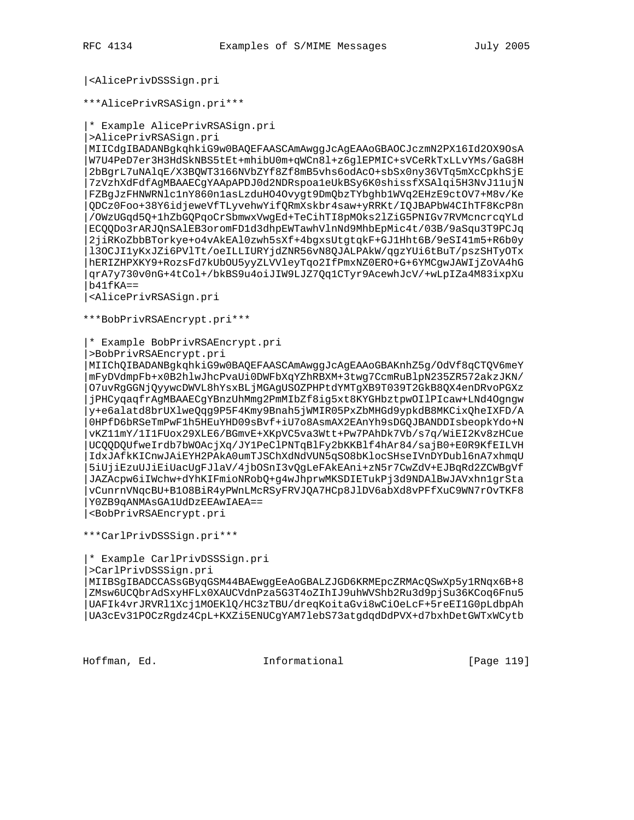## |<AlicePrivDSSSign.pri

\*\*\*AlicePrivRSASign.pri\*\*\*

|\* Example AlicePrivRSASign.pri

|>AlicePrivRSASign.pri

|MIICdgIBADANBgkqhkiG9w0BAQEFAASCAmAwggJcAgEAAoGBAOCJczmN2PX16Id2OX9OsA |W7U4PeD7er3H3HdSkNBS5tEt+mhibU0m+qWCn8l+z6glEPMIC+sVCeRkTxLLvYMs/GaG8H |2bBgrL7uNAlqE/X3BQWT3166NVbZYf8Zf8mB5vhs6odAcO+sbSx0ny36VTq5mXcCpkhSjE |7zVzhXdFdfAgMBAAECgYAApAPDJ0d2NDRspoa1eUkBSy6K0shissfXSAlqi5H3NvJ11ujN |FZBgJzFHNWRNlc1nY860n1asLzduHO4Ovygt9DmQbzTYbghb1WVq2EHzE9ctOV7+M8v/Ke |QDCz0Foo+38Y6idjeweVfTLyvehwYifQRmXskbr4saw+yRRKt/IQJBAPbW4CIhTF8KcP8n |/OWzUGqd5Q+1hZbGQPqoCrSbmwxVwgEd+TeCihTI8pMOks2lZiG5PNIGv7RVMcncrcqYLd |ECQQDo3rARJQnSAlEB3oromFD1d3dhpEWTawhVlnNd9MhbEpMic4t/03B/9aSqu3T9PCJq |2jiRKoZbbBTorkye+o4vAkEAl0zwh5sXf+4bgxsUtgtqkF+GJ1Hht6B/9eSI41m5+R6b0y |l3OCJI1yKxJZi6PVlTt/oeILLIURYjdZNR56vN8QJALPAkW/qgzYUi6tBuT/pszSHTyOTx |hERIZHPXKY9+RozsFd7kUbOU5yyZLVVleyTqo2IfPmxNZ0ERO+G+6YMCgwJAWIjZoVA4hG |qrA7y730v0nG+4tCol+/bkBS9u4oiJIW9LJZ7Qq1CTyr9AcewhJcV/+wLpIZa4M83ixpXu  $b41fKA =$ 

|<AlicePrivRSASign.pri

\*\*\*BobPrivRSAEncrypt.pri\*\*\*

|\* Example BobPrivRSAEncrypt.pri

|>BobPrivRSAEncrypt.pri

|MIIChQIBADANBgkqhkiG9w0BAQEFAASCAmAwggJcAgEAAoGBAKnhZ5g/OdVf8qCTQV6meY |mFyDVdmpFb+x0B2hlwJhcPvaUi0DWFbXqYZhRBXM+3twg7CcmRuBlpN235ZR572akzJKN/ |O7uvRgGGNjQyywcDWVL8hYsxBLjMGAgUSOZPHPtdYMTgXB9T039T2GkB8QX4enDRvoPGXz |jPHCyqaqfrAgMBAAECgYBnzUhMmg2PmMIbZf8ig5xt8KYGHbztpwOIlPIcaw+LNd4Ogngw |y+e6alatd8brUXlweQqg9P5F4Kmy9Bnah5jWMIR05PxZbMHGd9ypkdB8MKCixQheIXFD/A |0HPfD6bRSeTmPwF1h5HEuYHD09sBvf+iU7o8AsmAX2EAnYh9sDGQJBANDDIsbeopkYdo+N |vKZ11mY/1I1FUox29XLE6/BGmvE+XKpVC5va3Wtt+Pw7PAhDk7Vb/s7q/WiEI2Kv8zHCue |UCQQDQUfweIrdb7bWOAcjXq/JY1PeClPNTqBlFy2bKKBlf4hAr84/sajB0+E0R9KfEILVH |IdxJAfkKICnwJAiEYH2PAkA0umTJSChXdNdVUN5qSO8bKlocSHseIVnDYDubl6nA7xhmqU |5iUjiEzuUJiEiUacUgFJlaV/4jbOSnI3vQgLeFAkEAni+zN5r7CwZdV+EJBqRd2ZCWBgVf |JAZAcpw6iIWchw+dYhKIFmioNRobQ+g4wJhprwMKSDIETukPj3d9NDAlBwJAVxhn1grSta |vCunrnVNqcBU+B1O8BiR4yPWnLMcRSyFRVJQA7HCp8JlDV6abXd8vPFfXuC9WN7rOvTKF8 |Y0ZB9qANMAsGA1UdDzEEAwIAEA==

|<BobPrivRSAEncrypt.pri

\*\*\*CarlPrivDSSSign.pri\*\*\*

|\* Example CarlPrivDSSSign.pri

|>CarlPrivDSSSign.pri

|MIIBSgIBADCCASsGByqGSM44BAEwggEeAoGBALZJGD6KRMEpcZRMAcQSwXp5y1RNqx6B+8 |ZMsw6UCQbrAdSxyHFLx0XAUCVdnPza5G3T4oZIhIJ9uhWVShb2Ru3d9pjSu36KCoq6Fnu5 |UAFIk4vrJRVRl1Xcj1MOEKlQ/HC3zTBU/dreqKoitaGvi8wCiOeLcF+5reEI1G0pLdbpAh |UA3cEv31POCzRgdz4CpL+KXZi5ENUCgYAM7lebS73atgdqdDdPVX+d7bxhDetGWTxWCytb

Hoffman, Ed. 19 and 10 Informational 19 [Page 119]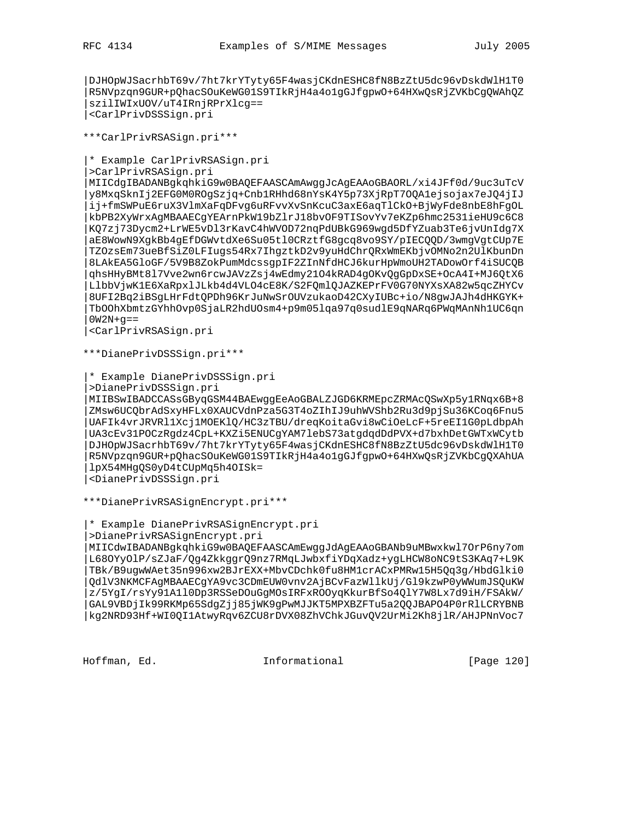|DJHOpWJSacrhbT69v/7ht7krYTyty65F4wasjCKdnESHC8fN8BzZtU5dc96vDskdWlH1T0 |R5NVpzqn9GUR+pQhacSOuKeWG01S9TIkRjH4a4o1gGJfgpwO+64HXwQsRjZVKbCgQWAhQZ |szilIWIxUOV/uT4IRnjRPrXlcg== |<CarlPrivDSSSign.pri

\*\*\*CarlPrivRSASign.pri\*\*\*

|\* Example CarlPrivRSASign.pri

|>CarlPrivRSASign.pri

|MIICdgIBADANBgkqhkiG9w0BAQEFAASCAmAwggJcAgEAAoGBAORL/xi4JFf0d/9uc3uTcV |y8MxqSknIj2EFG0M0ROgSzjq+Cnb1RHhd68nYsK4Y5p73XjRpT7OQA1ejsojax7eJQ4jIJ |ij+fmSWPuE6ruX3VlmXaFqDFvg6uRFvvXvSnKcuC3axE6aqTlCkO+BjWyFde8nbE8hFgOL |kbPB2XyWrxAgMBAAECgYEArnPkW19bZlrJ18bvOF9TISovYv7eKZp6hmc2531ieHU9c6C8 |KQ7zj73Dycm2+LrWE5vDl3rKavC4hWVOD72nqPdUBkG969wgd5DfYZuab3Te6jvUnIdg7X |aE8WowN9XgkBb4gEfDGWvtdXe6Su05tl0CRztfG8gcq8vo9SY/pIECQQD/3wmgVgtCUp7E |TZOzsEm73ueBfSiZ0LFIugs54Rx7IhgztkD2v9yuHdChrQRxWmEKbjvOMNo2n2UlKbunDn |8LAkEA5GloGF/5V9B8ZokPumMdcssgpIF2ZInNfdHCJ6kurHpWmoUH2TADowOrf4iSUCQB |qhsHHyBMt8l7Vve2wn6rcwJAVzZsj4wEdmy21O4kRAD4gOKvQgGpDxSE+OcA4I+MJ6QtX6 |LlbbVjwK1E6XaRpxlJLkb4d4VLO4cE8K/S2FQmlQJAZKEPrFV0G70NYXsXA82w5qcZHYCv |8UFI2Bq2iBSgLHrFdtQPDh96KrJuNwSrOUVzukaoD42CXyIUBc+io/N8gwJAJh4dHKGYK+ |TbOOhXbmtzGYhhOvp0SjaLR2hdUOsm4+p9m05lqa97q0sudlE9qNARq6PWqMAnNh1UC6qn  $0W2N+q==$ 

|<CarlPrivRSASign.pri

\*\*\*DianePrivDSSSign.pri\*\*\*

|\* Example DianePrivDSSSign.pri

|>DianePrivDSSSign.pri

|MIIBSwIBADCCASsGByqGSM44BAEwggEeAoGBALZJGD6KRMEpcZRMAcQSwXp5y1RNqx6B+8 |ZMsw6UCQbrAdSxyHFLx0XAUCVdnPza5G3T4oZIhIJ9uhWVShb2Ru3d9pjSu36KCoq6Fnu5 |UAFIk4vrJRVRl1Xcj1MOEKlQ/HC3zTBU/dreqKoitaGvi8wCiOeLcF+5reEI1G0pLdbpAh |UA3cEv31POCzRgdz4CpL+KXZi5ENUCgYAM7lebS73atgdqdDdPVX+d7bxhDetGWTxWCytb |DJHOpWJSacrhbT69v/7ht7krYTyty65F4wasjCKdnESHC8fN8BzZtU5dc96vDskdWlH1T0 |R5NVpzqn9GUR+pQhacSOuKeWG01S9TIkRjH4a4o1gGJfgpwO+64HXwQsRjZVKbCgQXAhUA |lpX54MHgQS0yD4tCUpMq5h4OISk=

|<DianePrivDSSSign.pri

\*\*\*DianePrivRSASignEncrypt.pri\*\*\*

|\* Example DianePrivRSASignEncrypt.pri

|>DianePrivRSASignEncrypt.pri

|MIICdwIBADANBgkqhkiG9w0BAQEFAASCAmEwggJdAgEAAoGBANb9uMBwxkwl7OrP6ny7om |L68OYyOlP/sZJaF/Qg4ZkkggrQ9nz7RMqLJwbxfiYDqXadz+ygLHCW8oNC9tS3KAq7+L9K |TBk/B9ugwWAet35n996xw2BJrEXX+MbvCDchk0fu8HM1crACxPMRw15H5Qq3g/HbdGlki0 |QdlV3NKMCFAgMBAAECgYA9vc3CDmEUW0vnv2AjBCvFazWllkUj/Gl9kzwP0yWWumJSQuKW |z/5YgI/rsYy91A1l0Dp3RSSeDOuGgMOsIRFxROOyqKkurBfSo4QlY7W8Lx7d9iH/FSAkW/ |GAL9VBDjIk99RKMp65SdgZjj85jWK9gPwMJJKT5MPXBZFTu5a2QQJBAPO4P0rRlLCRYBNB |kg2NRD93Hf+WI0QI1AtwyRqv6ZCU8rDVX08ZhVChkJGuvQV2UrMi2Kh8jlR/AHJPNnVoc7

Hoffman, Ed. Informational [Page 120]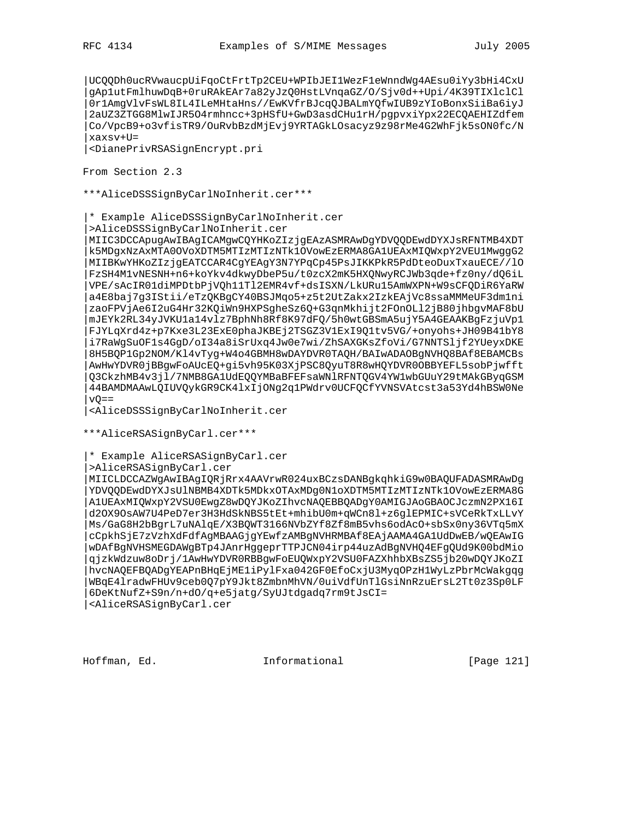|UCQQDh0ucRVwaucpUiFqoCtFrtTp2CEU+WPIbJEI1WezF1eWnndWg4AEsu0iYy3bHi4CxU |gAp1utFmlhuwDqB+0ruRAkEAr7a82yJzQ0HstLVnqaGZ/O/Sjv0d++Upi/4K39TIXlclCl |0r1AmgVlvFsWL8IL4ILeMHtaHns//EwKVfrBJcqQJBALmYQfwIUB9zYIoBonxSiiBa6iyJ |2aUZ3ZTGG8MlwIJR5O4rmhncc+3pHSfU+GwD3asdCHu1rH/pgpvxiYpx22ECQAEHIZdfem |Co/VpcB9+o3vfisTR9/OuRvbBzdMjEvj9YRTAGkLOsacyz9z98rMe4G2WhFjk5sON0fc/N |xaxsv+U=

|<DianePrivRSASignEncrypt.pri

From Section 2.3

\*\*\*AliceDSSSignByCarlNoInherit.cer\*\*\*

|\* Example AliceDSSSignByCarlNoInherit.cer

|>AliceDSSSignByCarlNoInherit.cer

|MIIC3DCCApugAwIBAgICAMgwCQYHKoZIzjgEAzASMRAwDgYDVQQDEwdDYXJsRFNTMB4XDT |k5MDgxNzAxMTA0OVoXDTM5MTIzMTIzNTk1OVowEzERMA8GA1UEAxMIQWxpY2VEU1MwggG2 |MIIBKwYHKoZIzjgEATCCAR4CgYEAgY3N7YPqCp45PsJIKKPkR5PdDteoDuxTxauECE//lO |FzSH4M1vNESNH+n6+koYkv4dkwyDbeP5u/t0zcX2mK5HXQNwyRCJWb3qde+fz0ny/dQ6iL |VPE/sAcIR01diMPDtbPjVQh11Tl2EMR4vf+dsISXN/LkURu15AmWXPN+W9sCFQDiR6YaRW |a4E8baj7g3IStii/eTzQKBgCY40BSJMqo5+z5t2UtZakx2IzkEAjVc8ssaMMMeUF3dm1ni |zaoFPVjAe6I2uG4Hr32KQiWn9HXPSgheSz6Q+G3qnMkhijt2FOnOLl2jB80jhbgvMAF8bU |mJEYk2RL34yJVKU1a14vlz7BphNh8Rf8K97dFQ/5h0wtGBSmA5ujY5A4GEAAKBgFzjuVp1 |FJYLqXrd4z+p7Kxe3L23ExE0phaJKBEj2TSGZ3V1ExI9Q1tv5VG/+onyohs+JH09B41bY8 |i7RaWgSuOF1s4GgD/oI34a8iSrUxq4Jw0e7wi/ZhSAXGKsZfoVi/G7NNTSljf2YUeyxDKE |8H5BQP1Gp2NOM/Kl4vTyg+W4o4GBMH8wDAYDVR0TAQH/BAIwADAOBgNVHQ8BAf8EBAMCBs |AwHwYDVR0jBBgwFoAUcEQ+gi5vh95K03XjPSC8QyuT8R8wHQYDVR0OBBYEFL5sobPjwfft |Q3CkzhMB4v3jl/7NMB8GA1UdEQQYMBaBFEFsaWNlRFNTQGV4YW1wbGUuY29tMAkGByqGSM |44BAMDMAAwLQIUVQykGR9CK4lxIjONg2q1PWdrv0UCFQCfYVNSVAtcst3a53Yd4hBSW0Ne  $vQ=-$ 

|<AliceDSSSignByCarlNoInherit.cer

\*\*\*AliceRSASignByCarl.cer\*\*\*

|\* Example AliceRSASignByCarl.cer

|>AliceRSASignByCarl.cer

|MIICLDCCAZWgAwIBAgIQRjRrx4AAVrwR024uxBCzsDANBgkqhkiG9w0BAQUFADASMRAwDg |YDVQQDEwdDYXJsUlNBMB4XDTk5MDkxOTAxMDg0N1oXDTM5MTIzMTIzNTk1OVowEzERMA8G |A1UEAxMIQWxpY2VSU0EwgZ8wDQYJKoZIhvcNAQEBBQADgY0AMIGJAoGBAOCJczmN2PX16I |d2OX9OsAW7U4PeD7er3H3HdSkNBS5tEt+mhibU0m+qWCn8l+z6glEPMIC+sVCeRkTxLLvY |Ms/GaG8H2bBgrL7uNAlqE/X3BQWT3166NVbZYf8Zf8mB5vhs6odAcO+sbSx0ny36VTq5mX |cCpkhSjE7zVzhXdFdfAgMBAAGjgYEwfzAMBgNVHRMBAf8EAjAAMA4GA1UdDwEB/wQEAwIG |wDAfBgNVHSMEGDAWgBTp4JAnrHggeprTTPJCN04irp44uzAdBgNVHQ4EFgQUd9K00bdMio |qjzkWdzuw8oDrj/1AwHwYDVR0RBBgwFoEUQWxpY2VSU0FAZXhhbXBsZS5jb20wDQYJKoZI |hvcNAQEFBQADgYEAPnBHqEjME1iPylFxa042GF0EfoCxjU3MyqOPzH1WyLzPbrMcWakgqg |WBqE4lradwFHUv9ceb0Q7pY9Jkt8ZmbnMhVN/0uiVdfUnTlGsiNnRzuErsL2Tt0z3Sp0LF |6DeKtNufZ+S9n/n+dO/q+e5jatg/SyUJtdgadq7rm9tJsCI= |<AliceRSASignByCarl.cer

Hoffman, Ed. 1997 and Informational 1999 [Page 121]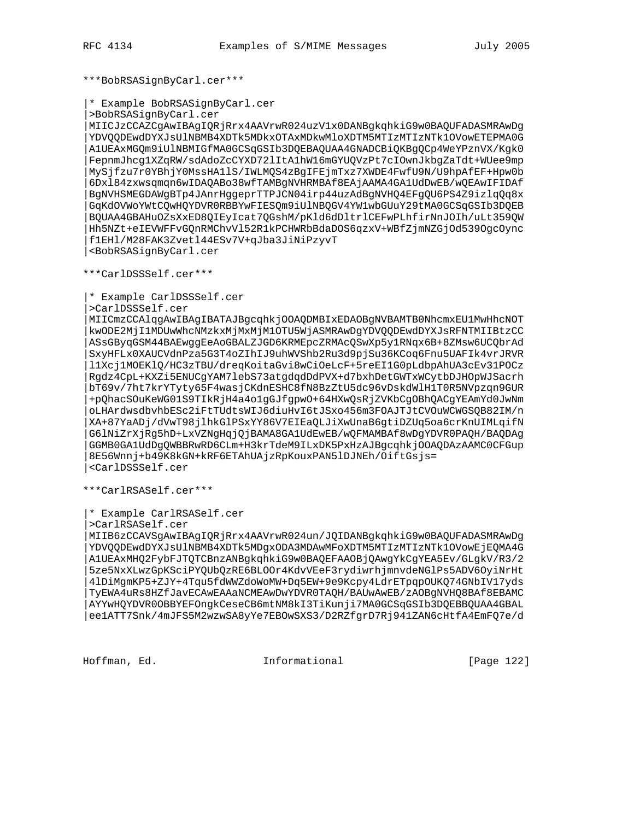\*\*\*BobRSASignByCarl.cer\*\*\*

```
|* Example BobRSASignByCarl.cer
```
|>BobRSASignByCarl.cer

|MIICJzCCAZCgAwIBAgIQRjRrx4AAVrwR024uzV1x0DANBgkqhkiG9w0BAQUFADASMRAwDg |YDVQQDEwdDYXJsUlNBMB4XDTk5MDkxOTAxMDkwMloXDTM5MTIzMTIzNTk1OVowETEPMA0G |A1UEAxMGQm9iUlNBMIGfMA0GCSqGSIb3DQEBAQUAA4GNADCBiQKBgQCp4WeYPznVX/Kgk0 |FepnmJhcg1XZqRW/sdAdoZcCYXD72lItA1hW16mGYUQVzPt7cIOwnJkbgZaTdt+WUee9mp |MySjfzu7r0YBhjY0MssHA1lS/IWLMQS4zBgIFEjmTxz7XWDE4FwfU9N/U9hpAfEF+Hpw0b |6Dxl84zxwsqmqn6wIDAQABo38wfTAMBgNVHRMBAf8EAjAAMA4GA1UdDwEB/wQEAwIFIDAf |BgNVHSMEGDAWgBTp4JAnrHggeprTTPJCN04irp44uzAdBgNVHQ4EFgQU6PS4Z9izlqQq8x |GqKdOVWoYWtCQwHQYDVR0RBBYwFIESQm9iUlNBQGV4YW1wbGUuY29tMA0GCSqGSIb3DQEB |BQUAA4GBAHuOZsXxED8QIEyIcat7QGshM/pKld6dDltrlCEFwPLhfirNnJOIh/uLt359QW |Hh5NZt+eIEVWFFvGQnRMChvVl52R1kPCHWRbBdaDOS6qzxV+WBfZjmNZGjOd539OgcOync |f1EHl/M28FAK3Zvetl44ESv7V+qJba3JiNiPzyvT |<BobRSASignByCarl.cer

\*\*\*CarlDSSSelf.cer\*\*\*

|\* Example CarlDSSSelf.cer

|>CarlDSSSelf.cer

|MIICmzCCAlqgAwIBAgIBATAJBgcqhkjOOAQDMBIxEDAOBgNVBAMTB0NhcmxEU1MwHhcNOT |kwODE2MjI1MDUwWhcNMzkxMjMxMjM1OTU5WjASMRAwDgYDVQQDEwdDYXJsRFNTMIIBtzCC |ASsGByqGSM44BAEwggEeAoGBALZJGD6KRMEpcZRMAcQSwXp5y1RNqx6B+8ZMsw6UCQbrAd |SxyHFLx0XAUCVdnPza5G3T4oZIhIJ9uhWVShb2Ru3d9pjSu36KCoq6Fnu5UAFIk4vrJRVR |l1Xcj1MOEKlQ/HC3zTBU/dreqKoitaGvi8wCiOeLcF+5reEI1G0pLdbpAhUA3cEv31POCz |Rgdz4CpL+KXZi5ENUCgYAM7lebS73atgdqdDdPVX+d7bxhDetGWTxWCytbDJHOpWJSacrh |bT69v/7ht7krYTyty65F4wasjCKdnESHC8fN8BzZtU5dc96vDskdWlH1T0R5NVpzqn9GUR |+pQhacSOuKeWG01S9TIkRjH4a4o1gGJfgpwO+64HXwQsRjZVKbCgOBhQACgYEAmYd0JwNm |oLHArdwsdbvhbESc2iFtTUdtsWIJ6diuHvI6tJSxo456m3FOAJTJtCVOuWCWGSQB82IM/n |XA+87YaADj/dVwT98jlhkGlPSxYY86V7EIEaQLJiXwUnaB6gtiDZUq5oa6crKnUIMLqifN |G6lNiZrXjRg5hD+LxVZNgHqjQjBAMA8GA1UdEwEB/wQFMAMBAf8wDgYDVR0PAQH/BAQDAg |GGMB0GA1UdDgQWBBRwRD6CLm+H3krTdeM9ILxDK5PxHzAJBgcqhkjOOAQDAzAAMC0CFGup |8E56Wnnj+b49K8kGN+kRF6ETAhUAjzRpKouxPAN5lDJNEh/OiftGsjs= |<CarlDSSSelf.cer

\*\*\*CarlRSASelf.cer\*\*\*

```
|* Example CarlRSASelf.cer
```
|>CarlRSASelf.cer

|MIIB6zCCAVSgAwIBAgIQRjRrx4AAVrwR024un/JQIDANBgkqhkiG9w0BAQUFADASMRAwDg |YDVQQDEwdDYXJsUlNBMB4XDTk5MDgxODA3MDAwMFoXDTM5MTIzMTIzNTk1OVowEjEQMA4G |A1UEAxMHQ2FybFJTQTCBnzANBgkqhkiG9w0BAQEFAAOBjQAwgYkCgYEA5Ev/GLgkV/R3/2 |5ze5NxXLwzGpKSciPYQUbQzRE6BLOOr4KdvVEeF3rydiwrhjmnvdeNGlPs5ADV6OyiNrHt |4lDiMgmKP5+ZJY+4Tqu5fdWWZdoWoMW+Dq5EW+9e9Kcpy4LdrETpqpOUKQ74GNbIV17yds |TyEWA4uRs8HZfJavECAwEAAaNCMEAwDwYDVR0TAQH/BAUwAwEB/zAOBgNVHQ8BAf8EBAMC |AYYwHQYDVR0OBBYEFOngkCeseCB6mtNM8kI3TiKunji7MA0GCSqGSIb3DQEBBQUAA4GBAL |ee1ATT7Snk/4mJFS5M2wzwSA8yYe7EBOwSXS3/D2RZfgrD7Rj941ZAN6cHtfA4EmFQ7e/d

Hoffman, Ed. Informational [Page 122]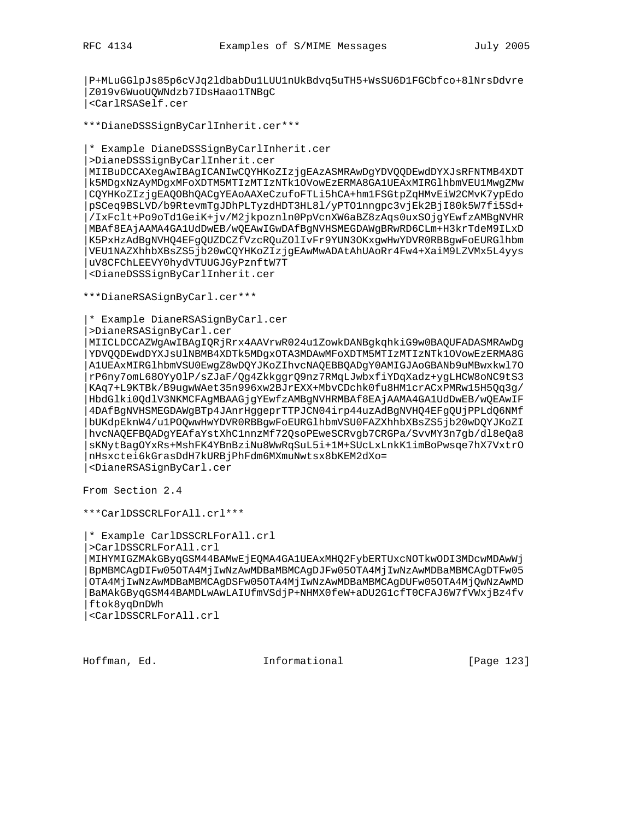|P+MLuGGlpJs85p6cVJq2ldbabDu1LUU1nUkBdvq5uTH5+WsSU6D1FGCbfco+8lNrsDdvre |Z019v6WuoUQWNdzb7IDsHaao1TNBgC |<CarlRSASelf.cer

\*\*\*DianeDSSSignByCarlInherit.cer\*\*\*

|\* Example DianeDSSSignByCarlInherit.cer

|>DianeDSSSignByCarlInherit.cer

|MIIBuDCCAXegAwIBAgICANIwCQYHKoZIzjgEAzASMRAwDgYDVQQDEwdDYXJsRFNTMB4XDT |k5MDgxNzAyMDgxMFoXDTM5MTIzMTIzNTk1OVowEzERMA8GA1UEAxMIRGlhbmVEU1MwgZMw |CQYHKoZIzjgEAQOBhQACgYEAoAAXeCzufoFTLi5hCA+hm1FSGtpZqHMvEiW2CMvK7ypEdo |pSCeq9BSLVD/b9RtevmTgJDhPLTyzdHDT3HL8l/yPTO1nngpc3vjEk2BjI80k5W7fi5Sd+ |/IxFclt+Po9oTd1GeiK+jv/M2jkpoznln0PpVcnXW6aBZ8zAqs0uxSOjgYEwfzAMBgNVHR |MBAf8EAjAAMA4GA1UdDwEB/wQEAwIGwDAfBgNVHSMEGDAWgBRwRD6CLm+H3krTdeM9ILxD |K5PxHzAdBgNVHQ4EFgQUZDCZfVzcRQuZOlIvFr9YUN3OKxgwHwYDVR0RBBgwFoEURGlhbm |VEU1NAZXhhbXBsZS5jb20wCQYHKoZIzjgEAwMwADAtAhUAoRr4Fw4+XaiM9LZVMx5L4yys |uV8CFChLEEVY0hydVTUUGJGyPznftW7T |<DianeDSSSignByCarlInherit.cer

\*\*\*DianeRSASignByCarl.cer\*\*\*

|\* Example DianeRSASignByCarl.cer

|>DianeRSASignByCarl.cer

|MIICLDCCAZWgAwIBAgIQRjRrx4AAVrwR024u1ZowkDANBgkqhkiG9w0BAQUFADASMRAwDg |YDVQQDEwdDYXJsUlNBMB4XDTk5MDgxOTA3MDAwMFoXDTM5MTIzMTIzNTk1OVowEzERMA8G |A1UEAxMIRGlhbmVSU0EwgZ8wDQYJKoZIhvcNAQEBBQADgY0AMIGJAoGBANb9uMBwxkwl7O |rP6ny7omL68OYyOlP/sZJaF/Qg4ZkkggrQ9nz7RMqLJwbxfiYDqXadz+ygLHCW8oNC9tS3 |KAq7+L9KTBk/B9ugwWAet35n996xw2BJrEXX+MbvCDchk0fu8HM1crACxPMRw15H5Qq3g/ |HbdGlki0QdlV3NKMCFAgMBAAGjgYEwfzAMBgNVHRMBAf8EAjAAMA4GA1UdDwEB/wQEAwIF |4DAfBgNVHSMEGDAWgBTp4JAnrHggeprTTPJCN04irp44uzAdBgNVHQ4EFgQUjPPLdQ6NMf |bUKdpEknW4/u1POQwwHwYDVR0RBBgwFoEURGlhbmVSU0FAZXhhbXBsZS5jb20wDQYJKoZI |hvcNAQEFBQADgYEAfaYstXhC1nnzMf72QsoPEweSCRvgb7CRGPa/SvvMY3n7gb/dl8eQa8 |sKNytBagOYxRs+MshFK4YBnBziNu8WwRqSuL5i+1M+SUcLxLnkK1imBoPwsqe7hX7VxtrO |nHsxctei6kGrasDdH7kURBjPhFdm6MXmuNwtsx8bKEM2dXo= |<DianeRSASignByCarl.cer

From Section 2.4

\*\*\*CarlDSSCRLForAll.crl\*\*\*

|\* Example CarlDSSCRLForAll.crl

|>CarlDSSCRLForAll.crl

|MIHYMIGZMAkGByqGSM44BAMwEjEQMA4GA1UEAxMHQ2FybERTUxcNOTkwODI3MDcwMDAwWj |BpMBMCAgDIFw05OTA4MjIwNzAwMDBaMBMCAgDJFw05OTA4MjIwNzAwMDBaMBMCAgDTFw05 |OTA4MjIwNzAwMDBaMBMCAgDSFw05OTA4MjIwNzAwMDBaMBMCAgDUFw05OTA4MjQwNzAwMD |BaMAkGByqGSM44BAMDLwAwLAIUfmVSdjP+NHMX0feW+aDU2G1cfT0CFAJ6W7fVWxjBz4fv |ftok8yqDnDWh

|<CarlDSSCRLForAll.crl

Hoffman, Ed. Informational [Page 123]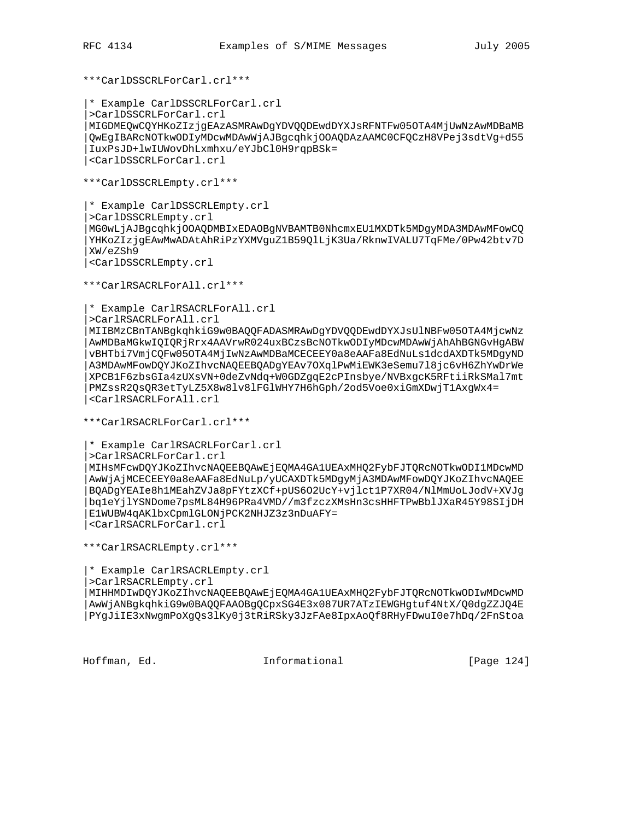\*\*\*CarlDSSCRLForCarl.crl\*\*\*

|\* Example CarlDSSCRLForCarl.crl |>CarlDSSCRLForCarl.crl |MIGDMEQwCQYHKoZIzjgEAzASMRAwDgYDVQQDEwdDYXJsRFNTFw05OTA4MjUwNzAwMDBaMB |QwEgIBARcNOTkwODIyMDcwMDAwWjAJBgcqhkjOOAQDAzAAMC0CFQCzH8VPej3sdtVg+d55 |IuxPsJD+lwIUWovDhLxmhxu/eYJbCl0H9rqpBSk= |<CarlDSSCRLForCarl.crl

\*\*\*CarlDSSCRLEmpty.crl\*\*\*

|\* Example CarlDSSCRLEmpty.crl |>CarlDSSCRLEmpty.crl |MG0wLjAJBgcqhkjOOAQDMBIxEDAOBgNVBAMTB0NhcmxEU1MXDTk5MDgyMDA3MDAwMFowCQ |YHKoZIzjgEAwMwADAtAhRiPzYXMVguZ1B59QlLjK3Ua/RknwIVALU7TqFMe/0Pw42btv7D |XW/eZSh9 |<CarlDSSCRLEmpty.crl

\*\*\*CarlRSACRLForAll.crl\*\*\*

|\* Example CarlRSACRLForAll.crl

|>CarlRSACRLForAll.crl

|MIIBMzCBnTANBgkqhkiG9w0BAQQFADASMRAwDgYDVQQDEwdDYXJsUlNBFw05OTA4MjcwNz |AwMDBaMGkwIQIQRjRrx4AAVrwR024uxBCzsBcNOTkwODIyMDcwMDAwWjAhAhBGNGvHgABW |vBHTbi7VmjCQFw05OTA4MjIwNzAwMDBaMCECEEY0a8eAAFa8EdNuLs1dcdAXDTk5MDgyND |A3MDAwMFowDQYJKoZIhvcNAQEEBQADgYEAv7OXqlPwMiEWK3eSemu7l8jc6vH6ZhYwDrWe |XPCB1F6zbsGIa4zUXsVN+0deZvNdq+W0GDZgqE2cPInsbye/NVBxgcK5RFtiiRkSMal7mt |PMZssR2QsQR3etTyLZ5X8w8lv8lFGlWHY7H6hGph/2od5Voe0xiGmXDwjT1AxgWx4= |<CarlRSACRLForAll.crl

\*\*\*CarlRSACRLForCarl.crl\*\*\*

|\* Example CarlRSACRLForCarl.crl

|>CarlRSACRLForCarl.crl

|MIHsMFcwDQYJKoZIhvcNAQEEBQAwEjEQMA4GA1UEAxMHQ2FybFJTQRcNOTkwODI1MDcwMD |AwWjAjMCECEEY0a8eAAFa8EdNuLp/yUCAXDTk5MDgyMjA3MDAwMFowDQYJKoZIhvcNAQEE |BQADgYEAIe8h1MEahZVJa8pFYtzXCf+pUS6O2UcY+vjlct1P7XR04/NlMmUoLJodV+XVJg |bq1eYjlYSNDome7psML84H96PRa4VMD//m3fzczXMsHn3csHHFTPwBblJXaR45Y98SIjDH |E1WUBW4qAKlbxCpmlGLONjPCK2NHJZ3z3nDuAFY= |<CarlRSACRLForCarl.crl

\*\*\*CarlRSACRLEmpty.crl\*\*\*

|\* Example CarlRSACRLEmpty.crl |>CarlRSACRLEmpty.crl

|MIHHMDIwDQYJKoZIhvcNAQEEBQAwEjEQMA4GA1UEAxMHQ2FybFJTQRcNOTkwODIwMDcwMD |AwWjANBgkqhkiG9w0BAQQFAAOBgQCpxSG4E3x087UR7ATzIEWGHgtuf4NtX/Q0dgZZJQ4E |PYgJiIE3xNwgmPoXgQs3lKy0j3tRiRSky3JzFAe8IpxAoQf8RHyFDwuI0e7hDq/2FnStoa

Hoffman, Ed. Informational [Page 124]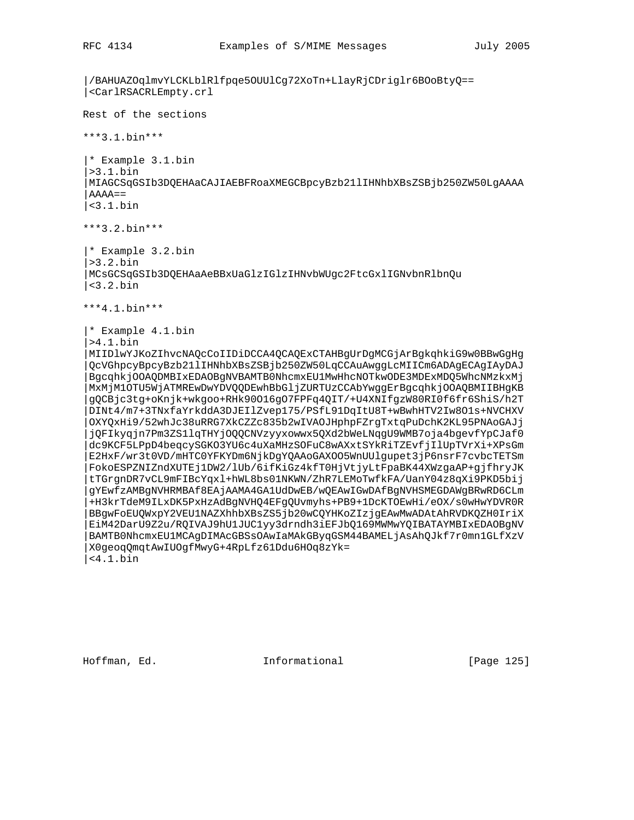```
|/BAHUAZOqlmvYLCKLblRlfpqe5OUUlCg72XoTn+LlayRjCDriglr6BOoBtyQ==
|<CarlRSACRLEmpty.crl
Rest of the sections
***3.1.bin***
|* Example 3.1.bin
|>3.1.bin
|MIAGCSqGSIb3DQEHAaCAJIAEBFRoaXMEGCBpcyBzb21lIHNhbXBsZSBjb250ZW50LgAAAA
|AAAA==
|<3.1.bin
***3.2.bin***
|* Example 3.2.bin
|>3.2.bin
|MCsGCSqGSIb3DQEHAaAeBBxUaGlzIGlzIHNvbWUgc2FtcGxlIGNvbnRlbnQu
|<3.2.bin
***4.1.bin***
|* Example 4.1.bin
|>4.1.bin
|MIIDlwYJKoZIhvcNAQcCoIIDiDCCA4QCAQExCTAHBgUrDgMCGjArBgkqhkiG9w0BBwGgHg
 |QcVGhpcyBpcyBzb21lIHNhbXBsZSBjb250ZW50LqCCAuAwggLcMIICm6ADAgECAgIAyDAJ
 |BgcqhkjOOAQDMBIxEDAOBgNVBAMTB0NhcmxEU1MwHhcNOTkwODE3MDExMDQ5WhcNMzkxMj
 |MxMjM1OTU5WjATMREwDwYDVQQDEwhBbGljZURTUzCCAbYwggErBgcqhkjOOAQBMIIBHgKB
 |gQCBjc3tg+oKnjk+wkgoo+RHk90O16gO7FPFq4QIT/+U4XNIfgzW80RI0f6fr6ShiS/h2T
 |DINt4/m7+3TNxfaYrkddA3DJEIlZvep175/PSfL91DqItU8T+wBwhHTV2Iw8O1s+NVCHXV
 |OXYQxHi9/52whJc38uRRG7XkCZZc835b2wIVAOJHphpFZrgTxtqPuDchK2KL95PNAoGAJj
 |jQFIkyqjn7Pm3ZS1lqTHYjOQQCNVzyyxowwx5QXd2bWeLNqgU9WMB7oja4bgevfYpCJaf0
 |dc9KCF5LPpD4beqcySGKO3YU6c4uXaMHzSOFuC8wAXxtSYkRiTZEvfjIlUpTVrXi+XPsGm
 |E2HxF/wr3t0VD/mHTC0YFKYDm6NjkDgYQAAoGAXOO5WnUUlgupet3jP6nsrF7cvbcTETSm
 |FokoESPZNIZndXUTEj1DW2/lUb/6ifKiGz4kfT0HjVtjyLtFpaBK44XWzgaAP+gjfhryJK
 |tTGrgnDR7vCL9mFIBcYqxl+hWL8bs01NKWN/ZhR7LEMoTwfkFA/UanY04z8qXi9PKD5bij
|gYEwfzAMBgNVHRMBAf8EAjAAMA4GA1UdDwEB/wQEAwIGwDAfBgNVHSMEGDAWgBRwRD6CLm
 |+H3krTdeM9ILxDK5PxHzAdBgNVHQ4EFgQUvmyhs+PB9+1DcKTOEwHi/eOX/s0wHwYDVR0R
 |BBgwFoEUQWxpY2VEU1NAZXhhbXBsZS5jb20wCQYHKoZIzjgEAwMwADAtAhRVDKQZH0IriX
 |EiM42DarU9Z2u/RQIVAJ9hU1JUC1yy3drndh3iEFJbQ169MWMwYQIBATAYMBIxEDAOBgNV
 |BAMTB0NhcmxEU1MCAgDIMAcGBSsOAwIaMAkGByqGSM44BAMELjAsAhQJkf7r0mn1GLfXzV
 |X0geoqQmqtAwIUOgfMwyG+4RpLfz61Ddu6HOq8zYk=
|<4.1.bin
```
Hoffman, Ed. Informational [Page 125]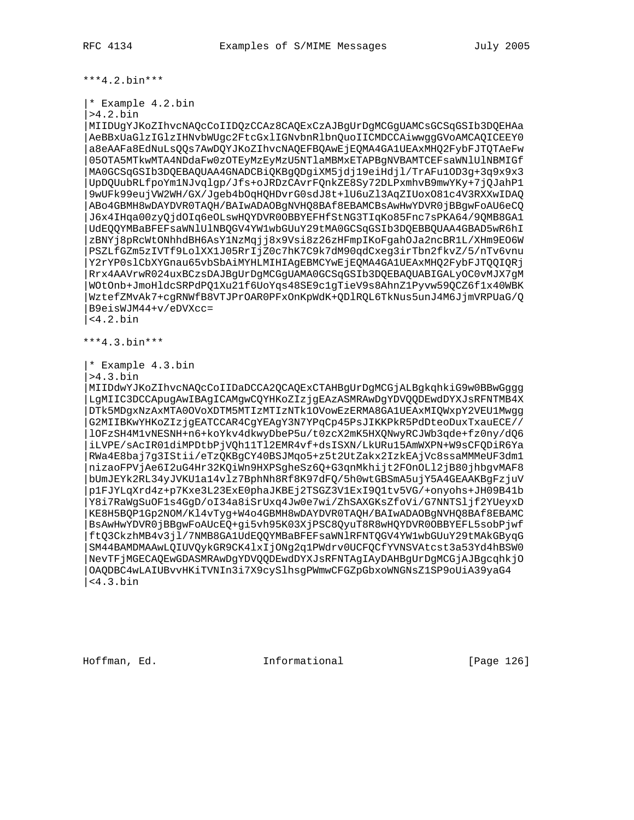\*\*\*4.2.bin\*\*\*

```
|* Example 4.2.bin
```
|>4.2.bin

|MIIDUgYJKoZIhvcNAQcCoIIDQzCCAz8CAQExCzAJBgUrDgMCGgUAMCsGCSqGSIb3DQEHAa |AeBBxUaGlzIGlzIHNvbWUgc2FtcGxlIGNvbnRlbnQuoIICMDCCAiwwggGVoAMCAQICEEY0 |a8eAAFa8EdNuLsQQs7AwDQYJKoZIhvcNAQEFBQAwEjEQMA4GA1UEAxMHQ2FybFJTQTAeFw |05OTA5MTkwMTA4NDdaFw0zOTEyMzEyMzU5NTlaMBMxETAPBgNVBAMTCEFsaWNlUlNBMIGf |MA0GCSqGSIb3DQEBAQUAA4GNADCBiQKBgQDgiXM5jdj19eiHdjl/TrAFu1OD3g+3q9x9x3 |UpDQUubRLfpoYm1NJvqlgp/Jfs+oJRDzCAvrFQnkZE8Sy72DLPxmhvB9mwYKy+7jQJahP1 |9wUFk99eujVW2WH/GX/Jgeb4bOqHQHDvrG0sdJ8t+lU6uZl3AqZIUoxO81c4V3RXXwIDAQ |ABo4GBMH8wDAYDVR0TAQH/BAIwADAOBgNVHQ8BAf8EBAMCBsAwHwYDVR0jBBgwFoAU6eCQ |J6x4IHqa00zyQjdOIq6eOLswHQYDVR0OBBYEFHfStNG3TIqKo85Fnc7sPKA64/9QMB8GA1 |UdEQQYMBaBFEFsaWNlUlNBQGV4YW1wbGUuY29tMA0GCSqGSIb3DQEBBQUAA4GBAD5wR6hI |zBNYj8pRcWtONhhdBH6AsY1NzMqjj8x9Vsi8z26zHFmpIKoFgahOJa2ncBR1L/XHm9EO6W |PSZLfGZm5zIVTf9LolXX1J05RrIjZ0c7hK7C9k7dM90qdCxeg3irTbn2fkvZ/5/nTv6vnu |Y2rYP0slCbXYGnau65vbSbAiMYHLMIHIAgEBMCYwEjEQMA4GA1UEAxMHQ2FybFJTQQIQRj |Rrx4AAVrwR024uxBCzsDAJBgUrDgMCGgUAMA0GCSqGSIb3DQEBAQUABIGALyOC0vMJX7gM |WOtOnb+JmoHldcSRPdPQ1Xu21f6UoYqs48SE9c1gTieV9s8AhnZ1Pyvw59QCZ6f1x40WBK |WztefZMvAk7+cgRNWfB8VTJPrOAR0PFxOnKpWdK+QDlRQL6TkNus5unJ4M6JjmVRPUaG/Q |B9eisWJM44+v/eDVXcc= |<4.2.bin

\*\*\*4.3.bin\*\*\*

|\* Example 4.3.bin

|>4.3.bin

|MIIDdwYJKoZIhvcNAQcCoIIDaDCCA2QCAQExCTAHBgUrDgMCGjALBgkqhkiG9w0BBwGggg |LgMIIC3DCCApugAwIBAgICAMgwCQYHKoZIzjgEAzASMRAwDgYDVQQDEwdDYXJsRFNTMB4X |DTk5MDgxNzAxMTA0OVoXDTM5MTIzMTIzNTk1OVowEzERMA8GA1UEAxMIQWxpY2VEU1Mwgg |G2MIIBKwYHKoZIzjgEATCCAR4CgYEAgY3N7YPqCp45PsJIKKPkR5PdDteoDuxTxauECE// |lOFzSH4M1vNESNH+n6+koYkv4dkwyDbeP5u/t0zcX2mK5HXQNwyRCJWb3qde+fz0ny/dQ6 |iLVPE/sAcIR01diMPDtbPjVQh11Tl2EMR4vf+dsISXN/LkURu15AmWXPN+W9sCFQDiR6Ya |RWa4E8baj7g3IStii/eTzQKBgCY40BSJMqo5+z5t2UtZakx2IzkEAjVc8ssaMMMeUF3dm1 |nizaoFPVjAe6I2uG4Hr32KQiWn9HXPSgheSz6Q+G3qnMkhijt2FOnOLl2jB80jhbgvMAF8 |bUmJEYk2RL34yJVKU1a14vlz7BphNh8Rf8K97dFQ/5h0wtGBSmA5ujY5A4GEAAKBgFzjuV |p1FJYLqXrd4z+p7Kxe3L23ExE0phaJKBEj2TSGZ3V1ExI9Q1tv5VG/+onyohs+JH09B41b |Y8i7RaWgSuOF1s4GgD/oI34a8iSrUxq4Jw0e7wi/ZhSAXGKsZfoVi/G7NNTSljf2YUeyxD |KE8H5BQP1Gp2NOM/Kl4vTyg+W4o4GBMH8wDAYDVR0TAQH/BAIwADAOBgNVHQ8BAf8EBAMC |BsAwHwYDVR0jBBgwFoAUcEQ+gi5vh95K03XjPSC8QyuT8R8wHQYDVR0OBBYEFL5sobPjwf |ftQ3CkzhMB4v3jl/7NMB8GA1UdEQQYMBaBFEFsaWNlRFNTQGV4YW1wbGUuY29tMAkGByqG |SM44BAMDMAAwLQIUVQykGR9CK4lxIjONg2q1PWdrv0UCFQCfYVNSVAtcst3a53Yd4hBSW0 |NevTFjMGECAQEwGDASMRAwDgYDVQQDEwdDYXJsRFNTAgIAyDAHBgUrDgMCGjAJBgcqhkjO |OAQDBC4wLAIUBvvHKiTVNIn3i7X9cySlhsgPWmwCFGZpGbxoWNGNsZ1SP9oUiA39yaG4  $<$ 4.3.bin

Hoffman, Ed. Informational [Page 126]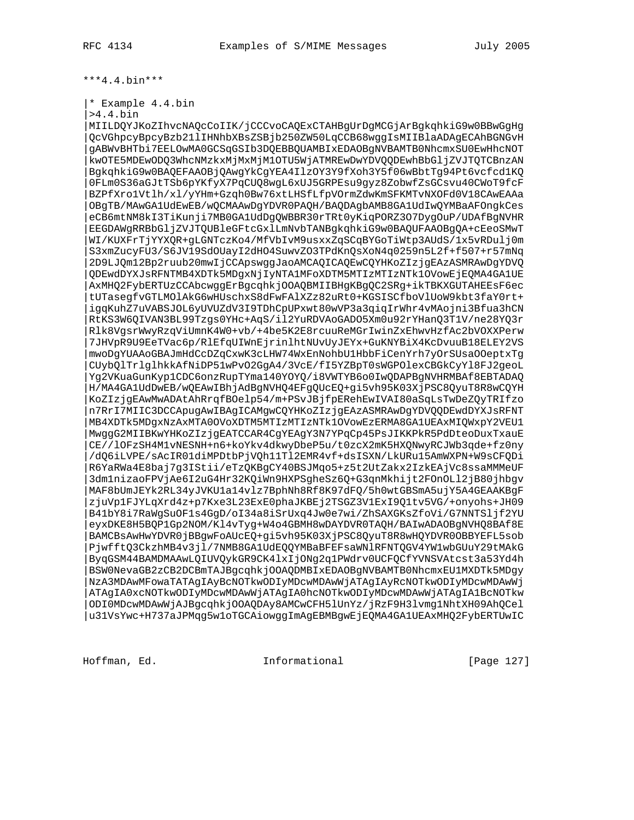\*\*\*4.4.bin\*\*\*

|\* Example 4.4.bin

|>4.4.bin

|MIILDQYJKoZIhvcNAQcCoIIK/jCCCvoCAQExCTAHBgUrDgMCGjArBgkqhkiG9w0BBwGgHg |QcVGhpcyBpcyBzb21lIHNhbXBsZSBjb250ZW50LqCCB68wggIsMIIBlaADAgECAhBGNGvH |gABWvBHTbi7EELOwMA0GCSqGSIb3DQEBBQUAMBIxEDAOBgNVBAMTB0NhcmxSU0EwHhcNOT |kwOTE5MDEwODQ3WhcNMzkxMjMxMjM1OTU5WjATMREwDwYDVQQDEwhBbGljZVJTQTCBnzAN |BgkqhkiG9w0BAQEFAAOBjQAwgYkCgYEA4IlzOY3Y9fXoh3Y5f06wBbtTg94Pt6vcfcd1KQ |0FLm0S36aGJtTSb6pYKfyX7PqCUQ8wgL6xUJ5GRPEsu9gyz8ZobwfZsGCsvu40CWoT9fcF |BZPfXro1Vtlh/xl/yYHm+Gzqh0Bw76xtLHSfLfpVOrmZdwKmSFKMTvNXOFd0V18CAwEAAa |OBgTB/MAwGA1UdEwEB/wQCMAAwDgYDVR0PAQH/BAQDAgbAMB8GA1UdIwQYMBaAFOngkCes |eCB6mtNM8kI3TiKunji7MB0GA1UdDgQWBBR30rTRt0yKiqPORZ3O7DygOuP/UDAfBgNVHR |EEGDAWgRRBbGljZVJTQUBleGFtcGxlLmNvbTANBgkqhkiG9w0BAQUFAAOBgQA+cEeoSMwT |WI/KUXFrTjYYXQR+gLGNTczKo4/MfVbIvM9usxxZqSCqBYGoTiWtp3AUdS/1x5vRDulj0m |S3xmZucyFU3/S6JV19SdOUayI2dHO4SuwvZO3TPdKnQsXoN4q0259n5L2f+f507+r57mNq |2D9LJQm12Bp2ruub20mwIjCCApswggJaoAMCAQICAQEwCQYHKoZIzjgEAzASMRAwDgYDVQ |QDEwdDYXJsRFNTMB4XDTk5MDgxNjIyNTA1MFoXDTM5MTIzMTIzNTk1OVowEjEQMA4GA1UE |AxMHQ2FybERTUzCCAbcwggErBgcqhkjOOAQBMIIBHgKBgQC2SRg+ikTBKXGUTAHEEsF6ec |tUTasegfvGTLMOlAkG6wHUschxS8dFwFAlXZz82uRt0+KGSISCfboVlUoW9kbt3faY0rt+ |igqKuhZ7uVABSJOL6yUVUZdV3I9TDhCpUPxwt80wVP3a3qiqIrWhr4vMAojni3Bfua3hCN |RtKS3W6QIVAN3BL99Tzgs0YHc+AqS/il2YuRDVAoGADO5Xm0u92rYHanQ3T1V/ne28YQ3r |Rlk8VgsrWwyRzqViUmnK4W0+vb/+4be5K2E8rcuuReMGrIwinZxEhwvHzfAc2bVOXXPerw |7JHVpR9U9EeTVac6p/RlEfqUIWnEjrinlhtNUvUyJEYx+GuKNYBiX4KcDvuuB18ELEY2VS |mwoDgYUAAoGBAJmHdCcDZqCxwK3cLHW74WxEnNohbU1HbbFiCenYrh7yOrSUsaOOeptxTg |CUybQlTrlglhkkAfNiDP51wPvO2GgA4/3VcE/fI5YZBpT0sWGPOlexCBGkCyYl8FJ2geoL |Yg2VKuaGunKyp1CDC6onzRupTYma140YOYQ/i8VWTYB6o0IwQDAPBgNVHRMBAf8EBTADAQ |H/MA4GA1UdDwEB/wQEAwIBhjAdBgNVHQ4EFgQUcEQ+gi5vh95K03XjPSC8QyuT8R8wCQYH |KoZIzjgEAwMwADAtAhRrqfBOelp54/m+PSvJBjfpERehEwIVAI80aSqLsTwDeZQyTRIfzo |n7RrI7MIIC3DCCApugAwIBAgICAMgwCQYHKoZIzjgEAzASMRAwDgYDVQQDEwdDYXJsRFNT |MB4XDTk5MDgxNzAxMTA0OVoXDTM5MTIzMTIzNTk1OVowEzERMA8GA1UEAxMIQWxpY2VEU1 |MwggG2MIIBKwYHKoZIzjgEATCCAR4CgYEAgY3N7YPqCp45PsJIKKPkR5PdDteoDuxTxauE |CE//lOFzSH4M1vNESNH+n6+koYkv4dkwyDbeP5u/t0zcX2mK5HXQNwyRCJWb3qde+fz0ny |/dQ6iLVPE/sAcIR01diMPDtbPjVQh11Tl2EMR4vf+dsISXN/LkURu15AmWXPN+W9sCFQDi |R6YaRWa4E8baj7g3IStii/eTzQKBgCY40BSJMqo5+z5t2UtZakx2IzkEAjVc8ssaMMMeUF |3dm1nizaoFPVjAe6I2uG4Hr32KQiWn9HXPSgheSz6Q+G3qnMkhijt2FOnOLl2jB80jhbgv |MAF8bUmJEYk2RL34yJVKU1a14vlz7BphNh8Rf8K97dFQ/5h0wtGBSmA5ujY5A4GEAAKBgF |zjuVp1FJYLqXrd4z+p7Kxe3L23ExE0phaJKBEj2TSGZ3V1ExI9Q1tv5VG/+onyohs+JH09 |B41bY8i7RaWgSuOF1s4GgD/oI34a8iSrUxq4Jw0e7wi/ZhSAXGKsZfoVi/G7NNTSljf2YU |eyxDKE8H5BQP1Gp2NOM/Kl4vTyg+W4o4GBMH8wDAYDVR0TAQH/BAIwADAOBgNVHQ8BAf8E |BAMCBsAwHwYDVR0jBBgwFoAUcEQ+gi5vh95K03XjPSC8QyuT8R8wHQYDVR0OBBYEFL5sob |PjwfftQ3CkzhMB4v3jl/7NMB8GA1UdEQQYMBaBFEFsaWNlRFNTQGV4YW1wbGUuY29tMAkG |ByqGSM44BAMDMAAwLQIUVQykGR9CK4lxIjONg2q1PWdrv0UCFQCfYVNSVAtcst3a53Yd4h |BSW0NevaGB2zCB2DCBmTAJBgcqhkjOOAQDMBIxEDAOBgNVBAMTB0NhcmxEU1MXDTk5MDgy |NzA3MDAwMFowaTATAgIAyBcNOTkwODIyMDcwMDAwWjATAgIAyRcNOTkwODIyMDcwMDAwWj |ATAgIA0xcNOTkwODIyMDcwMDAwWjATAgIA0hcNOTkwODIyMDcwMDAwWjATAgIA1BcNOTkw |ODI0MDcwMDAwWjAJBgcqhkjOOAQDAy8AMCwCFH5lUnYz/jRzF9H3lvmg1NhtXH09AhQCel |u31VsYwc+H737aJPMqg5w1oTGCAiowggImAgEBMBgwEjEQMA4GA1UEAxMHQ2FybERTUwIC

Hoffman, Ed. Informational [Page 127]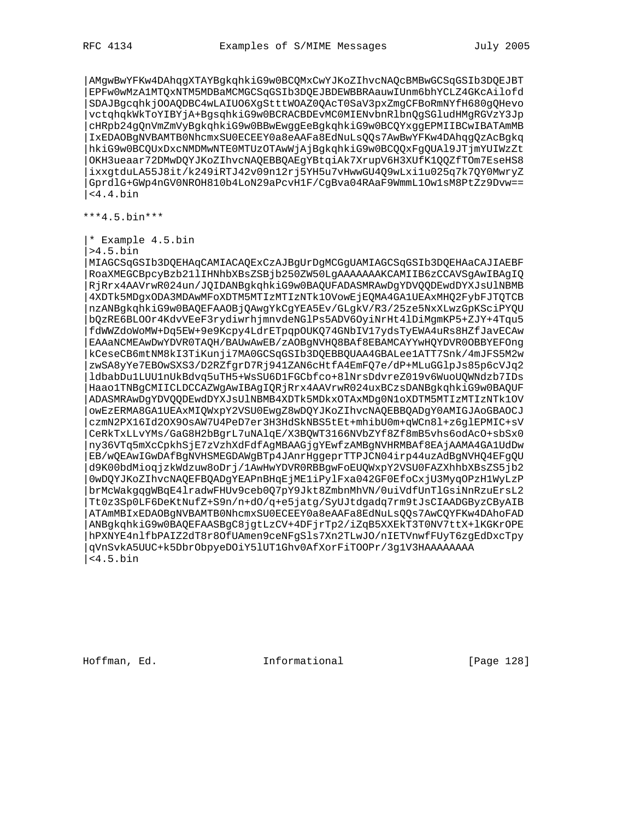|AMgwBwYFKw4DAhqgXTAYBgkqhkiG9w0BCQMxCwYJKoZIhvcNAQcBMBwGCSqGSIb3DQEJBT |EPFw0wMzA1MTQxNTM5MDBaMCMGCSqGSIb3DQEJBDEWBBRAauwIUnm6bhYCLZ4GKcAilofd |SDAJBgcqhkjOOAQDBC4wLAIUO6XgStttWOAZ0QAcT0SaV3pxZmgCFBoRmNYfH680gQHevo |vctqhqkWkToYIBYjA+BgsqhkiG9w0BCRACBDEvMC0MIENvbnRlbnQgSGludHMgRGVzY3Jp |cHRpb24gQnVmZmVyBgkqhkiG9w0BBwEwggEeBgkqhkiG9w0BCQYxggEPMIIBCwIBATAmMB |IxEDAOBgNVBAMTB0NhcmxSU0ECEEY0a8eAAFa8EdNuLsQQs7AwBwYFKw4DAhqgQzAcBgkq |hkiG9w0BCQUxDxcNMDMwNTE0MTUzOTAwWjAjBgkqhkiG9w0BCQQxFgQUAl9JTjmYUIWzZt |OKH3ueaar72DMwDQYJKoZIhvcNAQEBBQAEgYBtqiAk7XrupV6H3XUfK1QQZfTOm7EseHS8 |ixxgtduLA55J8it/k249iRTJ42v09n12rj5YH5u7vHwwGU4Q9wLxi1u025q7k7QY0MwryZ |GprdlG+GWp4nGV0NROH810b4LoN29aPcvH1F/CgBva04RAaF9WmmL1Ow1sM8PtZz9Dvw== |<4.4.bin

\*\*\*4.5.bin\*\*\*

|\* Example 4.5.bin

|>4.5.bin

|MIAGCSqGSIb3DQEHAqCAMIACAQExCzAJBgUrDgMCGgUAMIAGCSqGSIb3DQEHAaCAJIAEBF |RoaXMEGCBpcyBzb21lIHNhbXBsZSBjb250ZW50LgAAAAAAAKCAMIIB6zCCAVSgAwIBAgIQ |RjRrx4AAVrwR024un/JQIDANBgkqhkiG9w0BAQUFADASMRAwDgYDVQQDEwdDYXJsUlNBMB |4XDTk5MDgxODA3MDAwMFoXDTM5MTIzMTIzNTk1OVowEjEQMA4GA1UEAxMHQ2FybFJTQTCB |nzANBgkqhkiG9w0BAQEFAAOBjQAwgYkCgYEA5Ev/GLgkV/R3/25ze5NxXLwzGpKSciPYQU |bQzRE6BLOOr4KdvVEeF3rydiwrhjmnvdeNGlPs5ADV6OyiNrHt4lDiMgmKP5+ZJY+4Tqu5 |fdWWZdoWoMW+Dq5EW+9e9Kcpy4LdrETpqpOUKQ74GNbIV17ydsTyEWA4uRs8HZfJavECAw |EAAaNCMEAwDwYDVR0TAQH/BAUwAwEB/zAOBgNVHQ8BAf8EBAMCAYYwHQYDVR0OBBYEFOng |kCeseCB6mtNM8kI3TiKunji7MA0GCSqGSIb3DQEBBQUAA4GBALee1ATT7Snk/4mJFS5M2w |zwSA8yYe7EBOwSXS3/D2RZfgrD7Rj941ZAN6cHtfA4EmFQ7e/dP+MLuGGlpJs85p6cVJq2 |ldbabDu1LUU1nUkBdvq5uTH5+WsSU6D1FGCbfco+8lNrsDdvreZ019v6WuoUQWNdzb7IDs |Haao1TNBgCMIICLDCCAZWgAwIBAgIQRjRrx4AAVrwR024uxBCzsDANBgkqhkiG9w0BAQUF |ADASMRAwDgYDVQQDEwdDYXJsUlNBMB4XDTk5MDkxOTAxMDg0N1oXDTM5MTIzMTIzNTk1OV |owEzERMA8GA1UEAxMIQWxpY2VSU0EwgZ8wDQYJKoZIhvcNAQEBBQADgY0AMIGJAoGBAOCJ |czmN2PX16Id2OX9OsAW7U4PeD7er3H3HdSkNBS5tEt+mhibU0m+qWCn8l+z6glEPMIC+sV |CeRkTxLLvYMs/GaG8H2bBgrL7uNAlqE/X3BQWT3166NVbZYf8Zf8mB5vhs6odAcO+sbSx0 |ny36VTq5mXcCpkhSjE7zVzhXdFdfAgMBAAGjgYEwfzAMBgNVHRMBAf8EAjAAMA4GA1UdDw |EB/wQEAwIGwDAfBgNVHSMEGDAWgBTp4JAnrHggeprTTPJCN04irp44uzAdBgNVHQ4EFgQU |d9K00bdMioqjzkWdzuw8oDrj/1AwHwYDVR0RBBgwFoEUQWxpY2VSU0FAZXhhbXBsZS5jb2 |0wDQYJKoZIhvcNAQEFBQADgYEAPnBHqEjME1iPylFxa042GF0EfoCxjU3MyqOPzH1WyLzP |brMcWakgqgWBqE4lradwFHUv9ceb0Q7pY9Jkt8ZmbnMhVN/0uiVdfUnTlGsiNnRzuErsL2 |Tt0z3Sp0LF6DeKtNufZ+S9n/n+dO/q+e5jatg/SyUJtdgadq7rm9tJsCIAADGByzCByAIB |ATAmMBIxEDAOBgNVBAMTB0NhcmxSU0ECEEY0a8eAAFa8EdNuLsQQs7AwCQYFKw4DAhoFAD |ANBgkqhkiG9w0BAQEFAASBgC8jgtLzCV+4DFjrTp2/iZqB5XXEkT3T0NV7ttX+lKGKrOPE |hPXNYE4nlfbPAIZ2dT8r8OfUAmen9ceNFgSls7Xn2TLwJO/nIETVnwfFUyT6zgEdDxcTpy |qVnSvkA5UUC+k5DbrObpyeDOiY5lUT1Ghv0AfXorFiTOOPr/3g1V3HAAAAAAAA  $<$ 4.5.bin

Hoffman, Ed. 1999 and Informational 1999 [Page 128]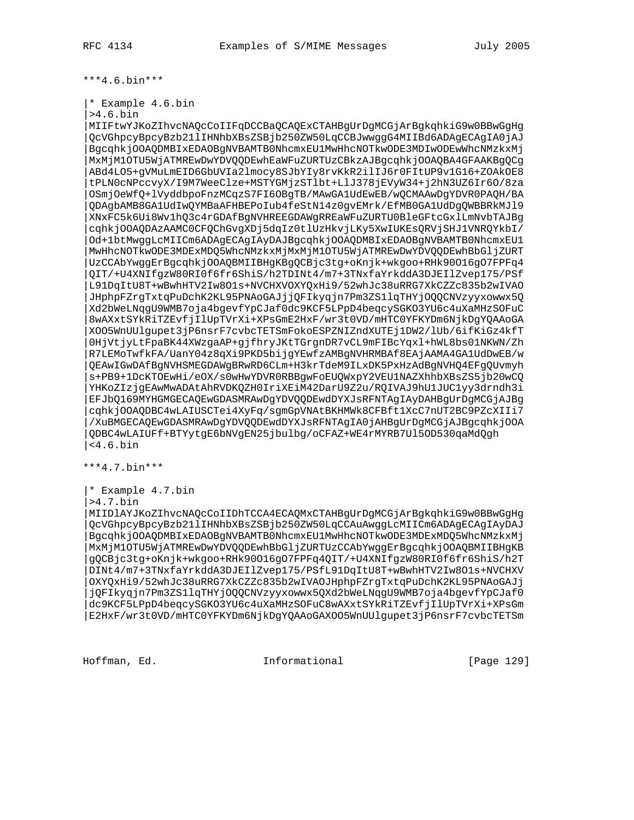\*\*\*4.6.bin\*\*\*

|\* Example 4.6.bin

|>4.6.bin

|MIIFtwYJKoZIhvcNAQcCoIIFqDCCBaQCAQExCTAHBgUrDgMCGjArBgkqhkiG9w0BBwGgHg |QcVGhpcyBpcyBzb21lIHNhbXBsZSBjb250ZW50LqCCBJwwggG4MIIBd6ADAgECAgIA0jAJ |BgcqhkjOOAQDMBIxEDAOBgNVBAMTB0NhcmxEU1MwHhcNOTkwODE3MDIwODEwWhcNMzkxMj |MxMjM1OTU5WjATMREwDwYDVQQDEwhEaWFuZURTUzCBkzAJBgcqhkjOOAQBA4GFAAKBgQCg |ABd4LO5+gVMuLmEID6GbUVIa2lmocy8SJbYIy8rvKkR2ilIJ6r0FItUP9v1G16+ZOAkOE8 |tPLN0cNPccvyX/I9M7WeeClze+MSTYGMjzSTlbt+LlJ378jEVyW34+j2hN3UZ6Ir6O/8za |OSmjOeWfQ+lVyddbpoFnzMCqzS7FI6OBgTB/MAwGA1UdEwEB/wQCMAAwDgYDVR0PAQH/BA |QDAgbAMB8GA1UdIwQYMBaAFHBEPoIub4feStN14z0gvEMrk/EfMB0GA1UdDgQWBBRkMJl9 |XNxFC5k6Ui8Wv1hQ3c4rGDAfBgNVHREEGDAWgRREaWFuZURTU0BleGFtcGxlLmNvbTAJBg |cqhkjOOAQDAzAAMC0CFQChGvgXDj5dqIz0tlUzHkvjLKy5XwIUKEsQRVjSHJ1VNRQYkbI/ |Od+1btMwggLcMIICm6ADAgECAgIAyDAJBgcqhkjOOAQDMBIxEDAOBgNVBAMTB0NhcmxEU1 |MwHhcNOTkwODE3MDExMDQ5WhcNMzkxMjMxMjM1OTU5WjATMREwDwYDVQQDEwhBbGljZURT |UzCCAbYwggErBgcqhkjOOAQBMIIBHgKBgQCBjc3tg+oKnjk+wkgoo+RHk90O16gO7FPFq4 |QIT/+U4XNIfgzW80RI0f6fr6ShiS/h2TDINt4/m7+3TNxfaYrkddA3DJEIlZvep175/PSf |L91DqItU8T+wBwhHTV2Iw8O1s+NVCHXVOXYQxHi9/52whJc38uRRG7XkCZZc835b2wIVAO |JHphpFZrgTxtqPuDchK2KL95PNAoGAJjjQFIkyqjn7Pm3ZS1lqTHYjOQQCNVzyyxowwx5Q |Xd2bWeLNqgU9WMB7oja4bgevfYpCJaf0dc9KCF5LPpD4beqcySGKO3YU6c4uXaMHzSOFuC |8wAXxtSYkRiTZEvfjIlUpTVrXi+XPsGmE2HxF/wr3t0VD/mHTC0YFKYDm6NjkDgYQAAoGA |XOO5WnUUlgupet3jP6nsrF7cvbcTETSmFokoESPZNIZndXUTEj1DW2/lUb/6ifKiGz4kfT |0HjVtjyLtFpaBK44XWzgaAP+gjfhryJKtTGrgnDR7vCL9mFIBcYqxl+hWL8bs01NKWN/Zh |R7LEMoTwfkFA/UanY04z8qXi9PKD5bijgYEwfzAMBgNVHRMBAf8EAjAAMA4GA1UdDwEB/w |QEAwIGwDAfBgNVHSMEGDAWgBRwRD6CLm+H3krTdeM9ILxDK5PxHzAdBgNVHQ4EFgQUvmyh |s+PB9+1DcKTOEwHi/eOX/s0wHwYDVR0RBBgwFoEUQWxpY2VEU1NAZXhhbXBsZS5jb20wCQ |YHKoZIzjgEAwMwADAtAhRVDKQZH0IriXEiM42DarU9Z2u/RQIVAJ9hU1JUC1yy3drndh3i |EFJbQ169MYHGMGECAQEwGDASMRAwDgYDVQQDEwdDYXJsRFNTAgIAyDAHBgUrDgMCGjAJBg |cqhkjOOAQDBC4wLAIUSCTei4XyFq/sgmGpVNAtBKHMWk8CFBft1XcC7nUT2BC9PZcXIIi7 |/XuBMGECAQEwGDASMRAwDgYDVQQDEwdDYXJsRFNTAgIA0jAHBgUrDgMCGjAJBgcqhkjOOA |QDBC4wLAIUFf+BTYytgE6bNVgEN25jbulbg/oCFAZ+WE4rMYRB7Ul5OD530qaMdQgh |<4.6.bin

\*\*\*4.7.bin\*\*\*

|\* Example 4.7.bin

|>4.7.bin

|MIIDlAYJKoZIhvcNAQcCoIIDhTCCA4ECAQMxCTAHBgUrDgMCGjArBgkqhkiG9w0BBwGgHg |QcVGhpcyBpcyBzb21lIHNhbXBsZSBjb250ZW50LqCCAuAwggLcMIICm6ADAgECAgIAyDAJ |BgcqhkjOOAQDMBIxEDAOBgNVBAMTB0NhcmxEU1MwHhcNOTkwODE3MDExMDQ5WhcNMzkxMj |MxMjM1OTU5WjATMREwDwYDVQQDEwhBbGljZURTUzCCAbYwggErBgcqhkjOOAQBMIIBHgKB |gQCBjc3tg+oKnjk+wkgoo+RHk90O16gO7FPFq4QIT/+U4XNIfgzW80RI0f6fr6ShiS/h2T |DINt4/m7+3TNxfaYrkddA3DJEIlZvep175/PSfL91DqItU8T+wBwhHTV2Iw8O1s+NVCHXV |OXYQxHi9/52whJc38uRRG7XkCZZc835b2wIVAOJHphpFZrgTxtqPuDchK2KL95PNAoGAJj |jQFIkyqjn7Pm3ZS1lqTHYjOQQCNVzyyxowwx5QXd2bWeLNqgU9WMB7oja4bgevfYpCJaf0 |dc9KCF5LPpD4beqcySGKO3YU6c4uXaMHzSOFuC8wAXxtSYkRiTZEvfjIlUpTVrXi+XPsGm |E2HxF/wr3t0VD/mHTC0YFKYDm6NjkDgYQAAoGAXOO5WnUUlgupet3jP6nsrF7cvbcTETSm

Hoffman, Ed. Informational [Page 129]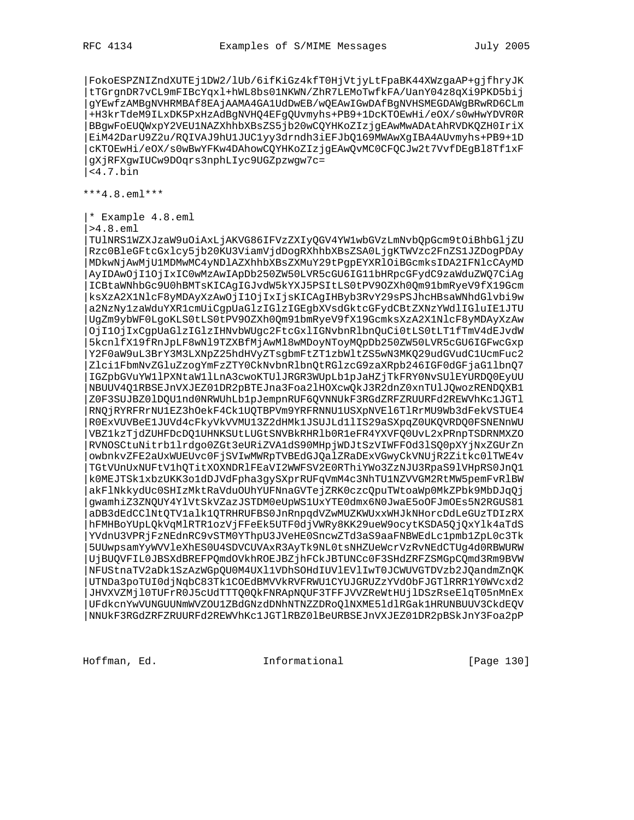|FokoESPZNIZndXUTEj1DW2/lUb/6ifKiGz4kfT0HjVtjyLtFpaBK44XWzgaAP+gjfhryJK |tTGrgnDR7vCL9mFIBcYqxl+hWL8bs01NKWN/ZhR7LEMoTwfkFA/UanY04z8qXi9PKD5bij |gYEwfzAMBgNVHRMBAf8EAjAAMA4GA1UdDwEB/wQEAwIGwDAfBgNVHSMEGDAWgBRwRD6CLm |+H3krTdeM9ILxDK5PxHzAdBgNVHQ4EFgQUvmyhs+PB9+1DcKTOEwHi/eOX/s0wHwYDVR0R |BBgwFoEUQWxpY2VEU1NAZXhhbXBsZS5jb20wCQYHKoZIzjgEAwMwADAtAhRVDKQZH0IriX |EiM42DarU9Z2u/RQIVAJ9hU1JUC1yy3drndh3iEFJbQ169MWAwXgIBA4AUvmyhs+PB9+1D |cKTOEwHi/eOX/s0wBwYFKw4DAhowCQYHKoZIzjgEAwQvMC0CFQCJw2t7VvfDEgBl8Tf1xF |gXjRFXgwIUCw9DOqrs3nphLIyc9UGZpzwgw7c= |<4.7.bin

\*\*\*4.8.eml\*\*\*

|\* Example 4.8.eml

|>4.8.eml

|TUlNRS1WZXJzaW9uOiAxLjAKVG86IFVzZXIyQGV4YW1wbGVzLmNvbQpGcm9tOiBhbGljZU |Rzc0BleGFtcGxlcy5jb20KU3ViamVjdDogRXhhbXBsZSA0LjgKTWVzc2FnZS1JZDogPDAy |MDkwNjAwMjU1MDMwMC4yNDlAZXhhbXBsZXMuY29tPgpEYXRlOiBGcmksIDA2IFNlcCAyMD |AyIDAwOjI1OjIxIC0wMzAwIApDb250ZW50LVR5cGU6IG11bHRpcGFydC9zaWduZWQ7CiAg |ICBtaWNhbGc9U0hBMTsKICAgIGJvdW5kYXJ5PSItLS0tPV9OZXh0Qm91bmRyeV9fX19Gcm |ksXzA2X1NlcF8yMDAyXzAwOjI1OjIxIjsKICAgIHByb3RvY29sPSJhcHBsaWNhdGlvbi9w |a2NzNy1zaWduYXR1cmUiCgpUaGlzIGlzIGEgbXVsdGktcGFydCBtZXNzYWdlIGluIE1JTU |UgZm9ybWF0LgoKLS0tLS0tPV9OZXh0Qm91bmRyeV9fX19GcmksXzA2X1NlcF8yMDAyXzAw |OjI1OjIxCgpUaGlzIGlzIHNvbWUgc2FtcGxlIGNvbnRlbnQuCi0tLS0tLT1fTmV4dEJvdW |5kcnlfX19fRnJpLF8wNl9TZXBfMjAwMl8wMDoyNToyMQpDb250ZW50LVR5cGU6IGFwcGxp |Y2F0aW9uL3BrY3M3LXNpZ25hdHVyZTsgbmFtZT1zbWltZS5wN3MKQ29udGVudC1UcmFuc2 |Zlci1FbmNvZGluZzogYmFzZTY0CkNvbnRlbnQtRGlzcG9zaXRpb246IGF0dGFjaG1lbnQ7 |IGZpbGVuYW1lPXNtaW1lLnA3cwoKTUlJRGR3WUpLb1pJaHZjTkFRY0NvSUlEYURDQ0EyUU |NBUUV4Q1RBSEJnVXJEZ01DR2pBTEJna3Foa2lHOXcwQkJ3R2dnZ0xnTUlJQwozRENDQXB1 |Z0F3SUJBZ0lDQU1nd0NRWUhLb1pJempnRUF6QVNNUkF3RGdZRFZRUURFd2REWVhKc1JGTl |RNQjRYRFRrNU1EZ3hOekF4Ck1UQTBPVm9YRFRNNU1USXpNVEl6TlRrMU9Wb3dFekVSTUE4 |R0ExVUVBeE1JUVd4cFkyVkVVMU13Z2dHMk1JSUJLd1lIS29aSXpqZ0UKQVRDQ0FSNENnWU |VBZ1kzTjdZUHFDcDQ1UHNKSUtLUGtSNVBkRHRlb0R1eFR4YXVFQ0UvL2xPRnpTSDRNMXZO |RVNOSCtuNitrb1lrdgo0ZGt3eURiZVA1dS90MHpjWDJtSzVIWFFOd3lSQ0pXYjNxZGUrZn |owbnkvZFE2aUxWUEUvc0FjSVIwMWRpTVBEdGJQalZRaDExVGwyCkVNUjR2Zitkc0lTWE4v |TGtVUnUxNUFtV1hQTitXOXNDRlFEaVI2WWFSV2E0RThiYWo3ZzNJU3RpaS9lVHpRS0JnQ1 |k0MEJTSk1xbzUKK3o1dDJVdFpha3gySXprRUFqVmM4c3NhTU1NZVVGM2RtMW5pemFvRlBW |akFlNkkydUc0SHIzMktRaVduOUhYUFNnaGVTejZRK0czcQpuTWtoaWp0MkZPbk9MbDJqQj |gwamhiZ3ZNQUY4YlVtSkVZazJSTDM0eUpWS1UxYTE0dmx6N0JwaE5oOFJmOEs5N2RGUS81 |aDB3dEdCClNtQTV1alk1QTRHRUFBS0JnRnpqdVZwMUZKWUxxWHJkNHorcDdLeGUzTDIzRX |hFMHBoYUpLQkVqMlRTR1ozVjFFeEk5UTF0djVWRy8KK29ueW9ocytKSDA5QjQxYlk4aTdS |YVdnU3VPRjFzNEdnRC9vSTM0YThpU3JVeHE0SncwZTd3aS9aaFNBWEdLc1pmb1ZpL0c3Tk |5UUwpsamYyWVVleXhES0U4SDVCUVAxR3AyTk9NL0tsNHZUeWcrVzRvNEdCTUg4d0RBWURW |UjBUQVFIL0JBSXdBREFPQmdOVkhROEJBZjhFCkJBTUNCc0F3SHdZRFZSMGpCQmd3Rm9BVW |NFUStnaTV2aDk1SzAzWGpQU0M4UXl1VDhSOHdIUVlEVlIwT0JCWUVGTDVzb2JQandmZnQK |UTNDa3poTUI0djNqbC83Tk1COEdBMVVkRVFRWU1CYUJGRUZzYVdObFJGTlRRR1Y0WVcxd2 |JHVXVZMjl0TUFrR0J5cUdTTTQ0QkFNRApNQUF3TFFJVVZReWtHUjlDSzRseElqT05nMnEx |UFdkcnYwVUNGUUNmWVZOU1ZBdGNzdDNhNTNZZDRoQlNXME5ldlRGak1HRUNBUUV3CkdEQV |NNUkF3RGdZRFZRUURFd2REWVhKc1JGTlRBZ0lBeURBSEJnVXJEZ01DR2pBSkJnY3Foa2pP

Hoffman, Ed. 1999 and Informational 1999 [Page 130]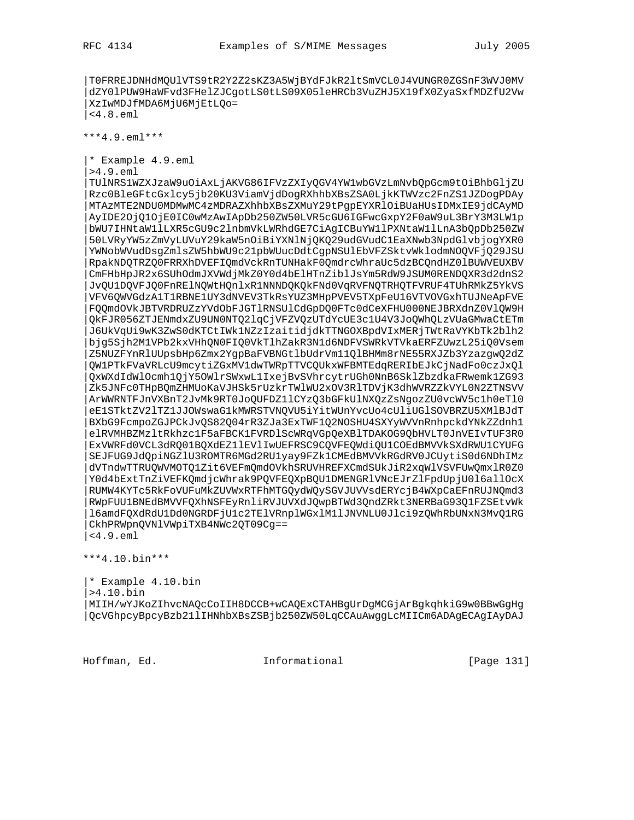|T0FRREJDNHdMQUlVTS9tR2Y2Z2sKZ3A5WjBYdFJkR2ltSmVCL0J4VUNGR0ZGSnF3WVJ0MV |dZY0lPUW9HaWFvd3FHelZJCgotLS0tLS09X05leHRCb3VuZHJ5X19fX0ZyaSxfMDZfU2Vw |XzIwMDJfMDA6MjU6MjEtLQo= |<4.8.eml

\*\*\*4.9.eml\*\*\*

|\* Example 4.9.eml

|>4.9.eml

|TUlNRS1WZXJzaW9uOiAxLjAKVG86IFVzZXIyQGV4YW1wbGVzLmNvbQpGcm9tOiBhbGljZU |Rzc0BleGFtcGxlcy5jb20KU3ViamVjdDogRXhhbXBsZSA0LjkKTWVzc2FnZS1JZDogPDAy |MTAzMTE2NDU0MDMwMC4zMDRAZXhhbXBsZXMuY29tPgpEYXRlOiBUaHUsIDMxIE9jdCAyMD |AyIDE2OjQ1OjE0IC0wMzAwIApDb250ZW50LVR5cGU6IGFwcGxpY2F0aW9uL3BrY3M3LW1p |bWU7IHNtaW1lLXR5cGU9c2lnbmVkLWRhdGE7CiAgICBuYW1lPXNtaW1lLnA3bQpDb250ZW |50LVRyYW5zZmVyLUVuY29kaW5nOiBiYXNlNjQKQ29udGVudC1EaXNwb3NpdGlvbjogYXR0 |YWNobWVudDsgZmlsZW5hbWU9c21pbWUucDdtCgpNSUlEbVFZSktvWklodmNOQVFjQ29JSU |RpakNDQTRZQ0FRRXhDVEFIQmdVckRnTUNHakF0QmdrcWhraUc5dzBCQndHZ0lBUWVEUXBV |CmFHbHpJR2x6SUhOdmJXVWdjMkZ0Y0d4bElHTnZiblJsYm5RdW9JSUM0RENDQXR3d2dnS2 |JvQU1DQVFJQ0FnRElNQWtHQnlxR1NNNDQKQkFNd0VqRVFNQTRHQTFVRUF4TUhRMkZ5YkVS |VFV6QWVGdzA1T1RBNE1UY3dNVEV3TkRsYUZ3MHpPVEV5TXpFeU16VTVOVGxhTUJNeApFVE |FQQmdOVkJBTVRDRUZzYVdObFJGTlRNSUlCdGpDQ0FTc0dCeXFHU000NEJBRXdnZ0VlQW9H |QkFJR056ZTJENmdxZU9UN0NTQ2lqCjVFZVQzUTdYcUE3c1U4V3JoQWhQLzVUaGMwaCtETm |J6UkVqUi9wK3ZwS0dKTCtIWk1NZzIzaitidjdkTTNGOXBpdVIxMERjTWtRaVYKbTk2blh2 |bjg5Sjh2M1VPb2kxVHhQN0FIQ0VkTlhZakR3N1d6NDFVSWRkVTVkaERFZUwzL25iQ0Vsem |Z5NUZFYnRlUUpsbHp6Zmx2YgpBaFVBNGtlbUdrVm11QlBHMm8rNE55RXJZb3YzazgwQ2dZ |QW1PTkFVaVRLcU9mcytiZGxMV1dwTWRpTTVCQUkxWFBMTEdqRERIbEJkCjNadFo0czJxQl |QxWXdIdWlOcmh1QjY5OWlrSWxwL1IxejBvSVhrcytrUGh0NnB6SklZbzdkaFRwemk1ZG93 |Zk5JNFc0THpBQmZHMUoKaVJHSk5rUzkrTWlWU2xOV3RlTDVjK3dhWVRZZkVYL0N2ZTNSVV |ArWWRNTFJnVXBnT2JvMk9RT0JoQUFDZ1lCYzQ3bGFkUlNXQzZsNgozZU0vcWV5c1h0eTl0 |eE1STktZV2lTZ1JJOWswaG1kMWRSTVNQVU5iYitWUnYvcUo4cUliUGlSOVBRZU5XMlBJdT |BXbG9FcmpoZGJPCkJvQS82Q04rR3ZJa3ExTWF1Q2NOSHU4SXYyWVVnRnhpckdYNkZZdnh1 |elRVMHBZMzltRkhzc1F5aFBCK1FVRDlScWRqVGpQeXBlTDAKOG9QbHVLT0JnVEIvTUF3R0 |ExVWRFd0VCL3dRQ01BQXdEZ1lEVlIwUEFRSC9CQVFEQWdiQU1COEdBMVVkSXdRWU1CYUFG |SEJFUG9JdQpiNGZlU3ROMTR6MGd2RU1yay9FZk1CMEdBMVVkRGdRV0JCUytiS0d6NDhIMz |dVTndwTTRUQWVMOTQ1Zit6VEFmQmdOVkhSRUVHREFXCmdSUkJiR2xqWlVSVFUwQmxlR0Z0 |Y0d4bExtTnZiVEFKQmdjcWhrak9PQVFEQXpBQU1DMENGRlVNcEJrZlFpdUpjU0l6allOcX |RUMW4KYTc5RkFoVUFuMkZUVWxRTFhMTGQydWQySGVJUVVsdERYcjB4WXpCaEFnRUJNQmd3 |RWpFUU1BNEdBMVVFQXhNSFEyRnliRVJUVXdJQwpBTWd3QndZRkt3NERBaG93Q1FZSEtvWk |l6amdFQXdRdU1Dd0NGRDFjU1c2TElVRnplWGxlM1lJNVNLU0Jlci9zQWhRbUNxN3MvQ1RG |CkhPRWpnQVNlVWpiTXB4NWc2QT09Cg== |<4.9.eml

\*\*\*4.10.bin\*\*\*

|\* Example 4.10.bin |>4.10.bin |MIIH/wYJKoZIhvcNAQcCoIIH8DCCB+wCAQExCTAHBgUrDgMCGjArBgkqhkiG9w0BBwGgHg |QcVGhpcyBpcyBzb21lIHNhbXBsZSBjb250ZW50LqCCAuAwggLcMIICm6ADAgECAgIAyDAJ

Hoffman, Ed. 1999 and Informational 1999 [Page 131]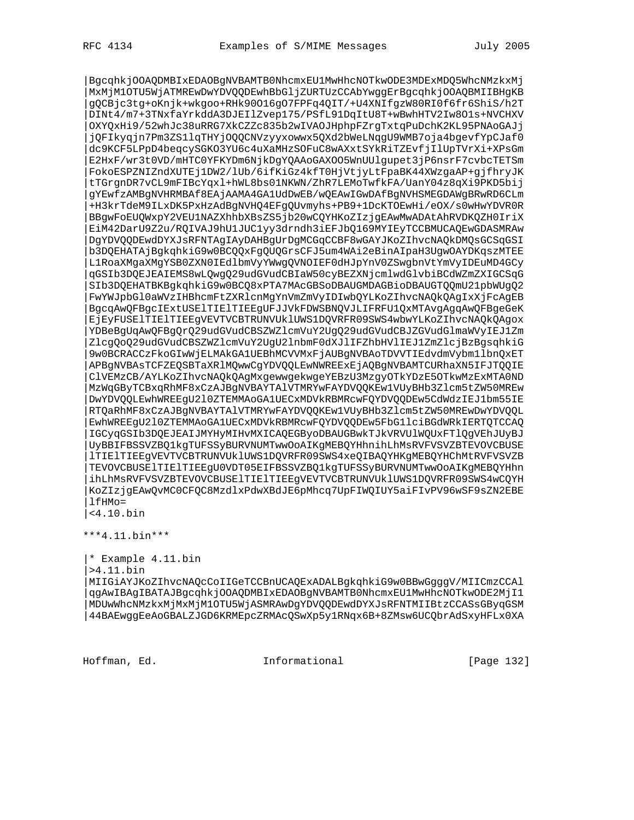|BgcqhkjOOAQDMBIxEDAOBgNVBAMTB0NhcmxEU1MwHhcNOTkwODE3MDExMDQ5WhcNMzkxMj |MxMjM1OTU5WjATMREwDwYDVQQDEwhBbGljZURTUzCCAbYwggErBgcqhkjOOAQBMIIBHgKB |gQCBjc3tg+oKnjk+wkgoo+RHk90O16gO7FPFq4QIT/+U4XNIfgzW80RI0f6fr6ShiS/h2T |DINt4/m7+3TNxfaYrkddA3DJEIlZvep175/PSfL91DqItU8T+wBwhHTV2Iw8O1s+NVCHXV |OXYQxHi9/52whJc38uRRG7XkCZZc835b2wIVAOJHphpFZrgTxtqPuDchK2KL95PNAoGAJj |jQFIkyqjn7Pm3ZS1lqTHYjOQQCNVzyyxowwx5QXd2bWeLNqgU9WMB7oja4bgevfYpCJaf0 |dc9KCF5LPpD4beqcySGKO3YU6c4uXaMHzSOFuC8wAXxtSYkRiTZEvfjIlUpTVrXi+XPsGm |E2HxF/wr3t0VD/mHTC0YFKYDm6NjkDgYQAAoGAXOO5WnUUlgupet3jP6nsrF7cvbcTETSm |FokoESPZNIZndXUTEj1DW2/lUb/6ifKiGz4kfT0HjVtjyLtFpaBK44XWzgaAP+gjfhryJK |tTGrgnDR7vCL9mFIBcYqxl+hWL8bs01NKWN/ZhR7LEMoTwfkFA/UanY04z8qXi9PKD5bij |gYEwfzAMBgNVHRMBAf8EAjAAMA4GA1UdDwEB/wQEAwIGwDAfBgNVHSMEGDAWgBRwRD6CLm |+H3krTdeM9ILxDK5PxHzAdBgNVHQ4EFgQUvmyhs+PB9+1DcKTOEwHi/eOX/s0wHwYDVR0R |BBgwFoEUQWxpY2VEU1NAZXhhbXBsZS5jb20wCQYHKoZIzjgEAwMwADAtAhRVDKQZH0IriX |EiM42DarU9Z2u/RQIVAJ9hU1JUC1yy3drndh3iEFJbQ169MYIEyTCCBMUCAQEwGDASMRAw |DgYDVQQDEwdDYXJsRFNTAgIAyDAHBgUrDgMCGqCCBF8wGAYJKoZIhvcNAQkDMQsGCSqGSI |b3DQEHATAjBgkqhkiG9w0BCQQxFgQUQGrsCFJ5um4WAi2eBinAIpaH3UgwOAYDKqszMTEE |L1RoaXMgaXMgYSB0ZXN0IEdlbmVyYWwgQVNOIEF0dHJpYnV0ZSwgbnVtYmVyIDEuMD4GCy |qGSIb3DQEJEAIEMS8wLQwgQ29udGVudCBIaW50cyBEZXNjcmlwdGlvbiBCdWZmZXIGCSqG |SIb3DQEHATBKBgkqhkiG9w0BCQ8xPTA7MAcGBSoDBAUGMDAGBioDBAUGTQQmU21pbWUgQ2 |FwYWJpbGl0aWVzIHBhcmFtZXRlcnMgYnVmZmVyIDIwbQYLKoZIhvcNAQkQAgIxXjFcAgEB |BgcqAwQFBgcIExtUSElTIElTIEEgUFJJVkFDWSBNQVJLIFRFU1QxMTAvgAgqAwQFBgeGeK |EjEyFUSElTIElTIEEgVEVTVCBTRUNVUklUWS1DQVRFR09SWS4wbwYLKoZIhvcNAQkQAgox |YDBeBgUqAwQFBgQrQ29udGVudCBSZWZlcmVuY2UgQ29udGVudCBJZGVudGlmaWVyIEJ1Zm |ZlcgQoQ29udGVudCBSZWZlcmVuY2UgU2lnbmF0dXJlIFZhbHVlIEJ1ZmZlcjBzBgsqhkiG |9w0BCRACCzFkoGIwWjELMAkGA1UEBhMCVVMxFjAUBgNVBAoTDVVTIEdvdmVybm1lbnQxET |APBgNVBAsTCFZEQSBTaXRlMQwwCgYDVQQLEwNWREExEjAQBgNVBAMTCURhaXN5IFJTQQIE |ClVEMzCB/AYLKoZIhvcNAQkQAgMxgewwgekwgeYEBzU3MzgyOTkYDzE5OTkwMzExMTA0ND |MzWqGByTCBxqRhMF8xCzAJBgNVBAYTAlVTMRYwFAYDVQQKEw1VUyBHb3Zlcm5tZW50MREw |DwYDVQQLEwhWREEgU2l0ZTEMMAoGA1UECxMDVkRBMRcwFQYDVQQDEw5CdWdzIEJ1bm55IE |RTQaRhMF8xCzAJBgNVBAYTAlVTMRYwFAYDVQQKEw1VUyBHb3Zlcm5tZW50MREwDwYDVQQL |EwhWREEgU2l0ZTEMMAoGA1UECxMDVkRBMRcwFQYDVQQDEw5FbG1lciBGdWRkIERTQTCCAQ |IGCyqGSIb3DQEJEAIJMYHyMIHvMXICAQEGByoDBAUGBwkTJkVRVUlWQUxFTlQgVEhJUyBJ |UyBBIFBSSVZBQ1kgTUFSSyBURVNUMTwwOoAIKgMEBQYHhnihLhMsRVFVSVZBTEVOVCBUSE |lTIElTIEEgVEVTVCBTRUNVUklUWS1DQVRFR09SWS4xeQIBAQYHKgMEBQYHChMtRVFVSVZB |TEVOVCBUSElTIElTIEEgU0VDT05EIFBSSVZBQ1kgTUFSSyBURVNUMTwwOoAIKgMEBQYHhn |ihLhMsRVFVSVZBTEVOVCBUSElTIElTIEEgVEVTVCBTRUNVUklUWS1DQVRFR09SWS4wCQYH |KoZIzjgEAwQvMC0CFQC8MzdlxPdwXBdJE6pMhcq7UpFIWQIUY5aiFIvPV96wSF9sZN2EBE |lfHMo= |<4.10.bin

\*\*\*4.11.bin\*\*\*

|\* Example 4.11.bin

|>4.11.bin

|MIIGiAYJKoZIhvcNAQcCoIIGeTCCBnUCAQExADALBgkqhkiG9w0BBwGgggV/MIICmzCCAl |qgAwIBAgIBATAJBgcqhkjOOAQDMBIxEDAOBgNVBAMTB0NhcmxEU1MwHhcNOTkwODE2MjI1 |MDUwWhcNMzkxMjMxMjM1OTU5WjASMRAwDgYDVQQDEwdDYXJsRFNTMIIBtzCCASsGByqGSM |44BAEwggEeAoGBALZJGD6KRMEpcZRMAcQSwXp5y1RNqx6B+8ZMsw6UCQbrAdSxyHFLx0XA

Hoffman, Ed. 1999 and Informational 1999 [Page 132]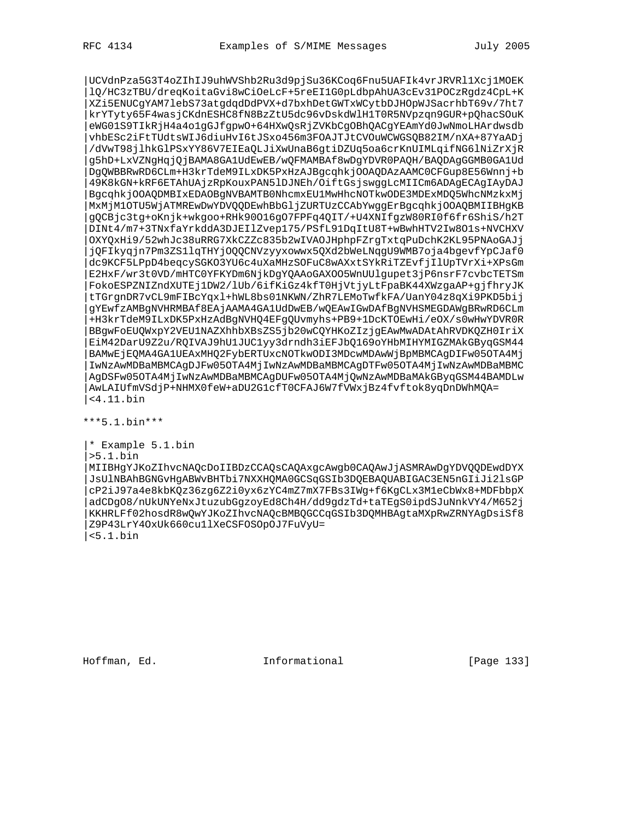|UCVdnPza5G3T4oZIhIJ9uhWVShb2Ru3d9pjSu36KCoq6Fnu5UAFIk4vrJRVRl1Xcj1MOEK |lQ/HC3zTBU/dreqKoitaGvi8wCiOeLcF+5reEI1G0pLdbpAhUA3cEv31POCzRgdz4CpL+K |XZi5ENUCgYAM7lebS73atgdqdDdPVX+d7bxhDetGWTxWCytbDJHOpWJSacrhbT69v/7ht7 |krYTyty65F4wasjCKdnESHC8fN8BzZtU5dc96vDskdWlH1T0R5NVpzqn9GUR+pQhacSOuK |eWG01S9TIkRjH4a4o1gGJfgpwO+64HXwQsRjZVKbCgOBhQACgYEAmYd0JwNmoLHArdwsdb |vhbESc2iFtTUdtsWIJ6diuHvI6tJSxo456m3FOAJTJtCVOuWCWGSQB82IM/nXA+87YaADj |/dVwT98jlhkGlPSxYY86V7EIEaQLJiXwUnaB6gtiDZUq5oa6crKnUIMLqifNG6lNiZrXjR |g5hD+LxVZNgHqjQjBAMA8GA1UdEwEB/wQFMAMBAf8wDgYDVR0PAQH/BAQDAgGGMB0GA1Ud |DgQWBBRwRD6CLm+H3krTdeM9ILxDK5PxHzAJBgcqhkjOOAQDAzAAMC0CFGup8E56Wnnj+b |49K8kGN+kRF6ETAhUAjzRpKouxPAN5lDJNEh/OiftGsjswggLcMIICm6ADAgECAgIAyDAJ |BgcqhkjOOAQDMBIxEDAOBgNVBAMTB0NhcmxEU1MwHhcNOTkwODE3MDExMDQ5WhcNMzkxMj |MxMjM1OTU5WjATMREwDwYDVQQDEwhBbGljZURTUzCCAbYwggErBgcqhkjOOAQBMIIBHgKB |gQCBjc3tg+oKnjk+wkgoo+RHk90O16gO7FPFq4QIT/+U4XNIfgzW80RI0f6fr6ShiS/h2T |DINt4/m7+3TNxfaYrkddA3DJEIlZvep175/PSfL91DqItU8T+wBwhHTV2Iw8O1s+NVCHXV |OXYQxHi9/52whJc38uRRG7XkCZZc835b2wIVAOJHphpFZrgTxtqPuDchK2KL95PNAoGAJj |jQFIkyqjn7Pm3ZS1lqTHYjOQQCNVzyyxowwx5QXd2bWeLNqgU9WMB7oja4bgevfYpCJaf0 |dc9KCF5LPpD4beqcySGKO3YU6c4uXaMHzSOFuC8wAXxtSYkRiTZEvfjIlUpTVrXi+XPsGm |E2HxF/wr3t0VD/mHTC0YFKYDm6NjkDgYQAAoGAXOO5WnUUlgupet3jP6nsrF7cvbcTETSm |FokoESPZNIZndXUTEj1DW2/lUb/6ifKiGz4kfT0HjVtjyLtFpaBK44XWzgaAP+gjfhryJK |tTGrgnDR7vCL9mFIBcYqxl+hWL8bs01NKWN/ZhR7LEMoTwfkFA/UanY04z8qXi9PKD5bij |gYEwfzAMBgNVHRMBAf8EAjAAMA4GA1UdDwEB/wQEAwIGwDAfBgNVHSMEGDAWgBRwRD6CLm |+H3krTdeM9ILxDK5PxHzAdBgNVHQ4EFgQUvmyhs+PB9+1DcKTOEwHi/eOX/s0wHwYDVR0R |BBgwFoEUQWxpY2VEU1NAZXhhbXBsZS5jb20wCQYHKoZIzjgEAwMwADAtAhRVDKQZH0IriX |EiM42DarU9Z2u/RQIVAJ9hU1JUC1yy3drndh3iEFJbQ169oYHbMIHYMIGZMAkGByqGSM44 |BAMwEjEQMA4GA1UEAxMHQ2FybERTUxcNOTkwODI3MDcwMDAwWjBpMBMCAgDIFw05OTA4Mj |IwNzAwMDBaMBMCAgDJFw05OTA4MjIwNzAwMDBaMBMCAgDTFw05OTA4MjIwNzAwMDBaMBMC |AgDSFw05OTA4MjIwNzAwMDBaMBMCAgDUFw05OTA4MjQwNzAwMDBaMAkGByqGSM44BAMDLw |AwLAIUfmVSdjP+NHMX0feW+aDU2G1cfT0CFAJ6W7fVWxjBz4fvftok8yqDnDWhMQA= |<4.11.bin

\*\*\*5.1.bin\*\*\*

|\* Example 5.1.bin |>5.1.bin |MIIBHgYJKoZIhvcNAQcDoIIBDzCCAQsCAQAxgcAwgb0CAQAwJjASMRAwDgYDVQQDEwdDYX |JsUlNBAhBGNGvHgABWvBHTbi7NXXHQMA0GCSqGSIb3DQEBAQUABIGAC3EN5nGIiJi2lsGP |cP2iJ97a4e8kbKQz36zg6Z2i0yx6zYC4mZ7mX7FBs3IWg+f6KgCLx3M1eCbWx8+MDFbbpX |adCDgO8/nUkUNYeNxJtuzubGgzoyEd8Ch4H/dd9gdzTd+taTEgS0ipdSJuNnkVY4/M652j |KKHRLFf02hosdR8wQwYJKoZIhvcNAQcBMBQGCCqGSIb3DQMHBAgtaMXpRwZRNYAgDsiSf8 |Z9P43LrY4OxUk660cu1lXeCSFOSOpOJ7FuVyU=  $<5.1.$ bin

Hoffman, Ed. Informational [Page 133]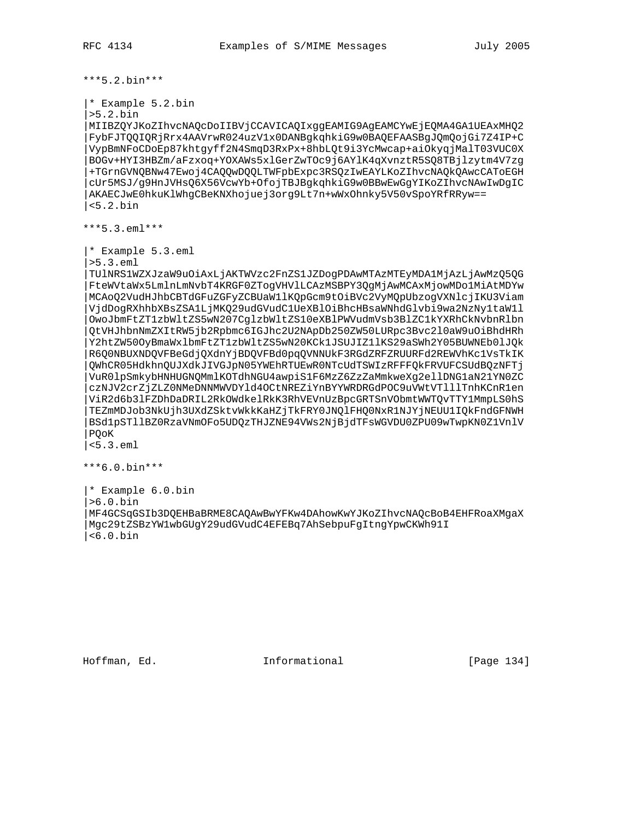\*\*\*5.2.bin\*\*\*

```
|* Example 5.2.bin
```
|>5.2.bin

|MIIBZQYJKoZIhvcNAQcDoIIBVjCCAVICAQIxggEAMIG9AgEAMCYwEjEQMA4GA1UEAxMHQ2 |FybFJTQQIQRjRrx4AAVrwR024uzV1x0DANBgkqhkiG9w0BAQEFAASBgJQmQojGi7Z4IP+C |VypBmNFoCDoEp87khtgyff2N4SmqD3RxPx+8hbLQt9i3YcMwcap+aiOkyqjMalT03VUC0X |BOGv+HYI3HBZm/aFzxoq+YOXAWs5xlGerZwTOc9j6AYlK4qXvnztR5SQ8TBjlzytm4V7zg |+TGrnGVNQBNw47Ewoj4CAQQwDQQLTWFpbExpc3RSQzIwEAYLKoZIhvcNAQkQAwcCAToEGH |cUr5MSJ/g9HnJVHsQ6X56VcwYb+OfojTBJBgkqhkiG9w0BBwEwGgYIKoZIhvcNAwIwDgIC |AKAECJwE0hkuKlWhgCBeKNXhojuej3org9Lt7n+wWxOhnky5V50vSpoYRfRRyw== |<5.2.bin

\*\*\*5.3.eml\*\*\*

|\* Example 5.3.eml

|>5.3.eml

|TUlNRS1WZXJzaW9uOiAxLjAKTWVzc2FnZS1JZDogPDAwMTAzMTEyMDA1MjAzLjAwMzQ5QG |FteWVtaWx5LmlnLmNvbT4KRGF0ZTogVHVlLCAzMSBPY3QgMjAwMCAxMjowMDo1MiAtMDYw |MCAoQ2VudHJhbCBTdGFuZGFyZCBUaW1lKQpGcm9tOiBVc2VyMQpUbzogVXNlcjIKU3Viam |VjdDogRXhhbXBsZSA1LjMKQ29udGVudC1UeXBlOiBhcHBsaWNhdGlvbi9wa2NzNy1taW1l |OwoJbmFtZT1zbWltZS5wN207CglzbWltZS10eXBlPWVudmVsb3BlZC1kYXRhCkNvbnRlbn |QtVHJhbnNmZXItRW5jb2Rpbmc6IGJhc2U2NApDb250ZW50LURpc3Bvc2l0aW9uOiBhdHRh |Y2htZW50OyBmaWxlbmFtZT1zbWltZS5wN20KCk1JSUJIZ1lKS29aSWh2Y05BUWNEb0lJQk |R6Q0NBUXNDQVFBeGdjQXdnYjBDQVFBd0pqQVNNUkF3RGdZRFZRUURFd2REWVhKc1VsTkIK |QWhCR05HdkhnQUJXdkJIVGJpN05YWEhRTUEwR0NTcUdTSWIzRFFFQkFRVUFCSUdBQzNFTj |VuR0lpSmkybHNHUGNQMmlKOTdhNGU4awpiS1F6MzZ6ZzZaMmkweXg2ellDNG1aN21YN0ZC |czNJV2crZjZLZ0NMeDNNMWVDYld4OCtNREZiYnBYYWRDRGdPOC9uVWtVTlllTnhKCnR1en |ViR2d6b3lFZDhDaDRIL2RkOWdkelRkK3RhVEVnUzBpcGRTSnVObmtWWTQvTTY1MmpLS0hS |TEZmMDJob3NkUjh3UXdZSktvWkkKaHZjTkFRY0JNQlFHQ0NxR1NJYjNEUU1IQkFndGFNWH |BSd1pSTllBZ0RzaVNmOFo5UDQzTHJZNE94VWs2NjBjdTFsWGVDU0ZPU09wTwpKN0Z1VnlV |PQoK

|<5.3.eml

\*\*\*6.0.bin\*\*\*

|\* Example 6.0.bin |>6.0.bin |MF4GCSqGSIb3DQEHBaBRME8CAQAwBwYFKw4DAhowKwYJKoZIhvcNAQcBoB4EHFRoaXMgaX |Mgc29tZSBzYW1wbGUgY29udGVudC4EFEBq7AhSebpuFgItngYpwCKWh91I |<6.0.bin

Hoffman, Ed. Informational [Page 134]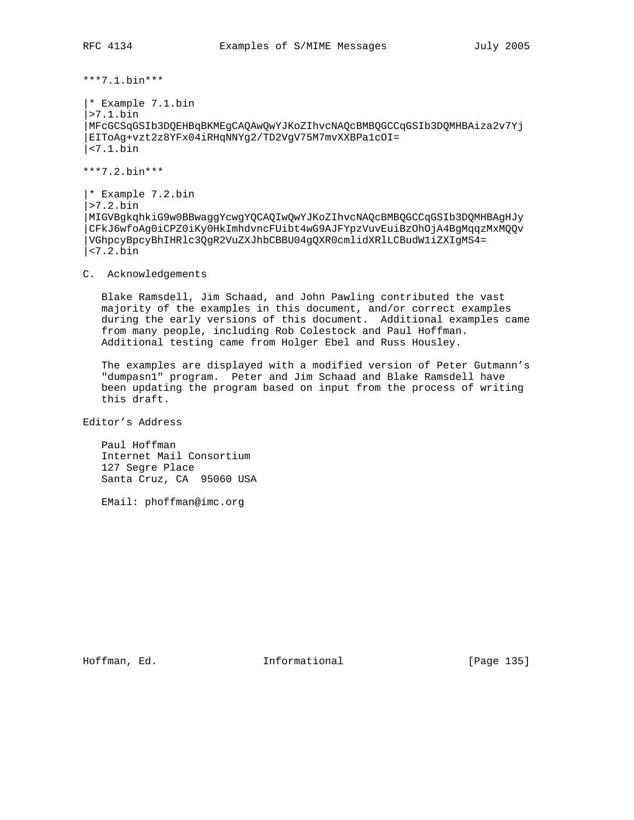\*\*\*7.1.bin\*\*\*

|\* Example 7.1.bin |>7.1.bin |MFcGCSqGSIb3DQEHBqBKMEgCAQAwQwYJKoZIhvcNAQcBMBQGCCqGSIb3DQMHBAiza2v7Yj |EIToAg+vzt2z8YFx04iRHqNNYg2/TD2VgV75M7mvXXBPa1cOI= |<7.1.bin

\*\*\*7.2.bin\*\*\*

|\* Example 7.2.bin |>7.2.bin |MIGVBgkqhkiG9w0BBwaggYcwgYQCAQIwQwYJKoZIhvcNAQcBMBQGCCqGSIb3DQMHBAgHJy |CFkJ6wfoAg0iCPZ0iKy0HkImhdvncFUibt4wG9AJFYpzVuvEuiBzOhOjA4BgMqqzMxMQQv |VGhpcyBpcyBhIHRlc3QgR2VuZXJhbCBBU04gQXR0cmlidXRlLCBudW1iZXIgMS4= |<7.2.bin

C. Acknowledgements

 Blake Ramsdell, Jim Schaad, and John Pawling contributed the vast majority of the examples in this document, and/or correct examples during the early versions of this document. Additional examples came from many people, including Rob Colestock and Paul Hoffman. Additional testing came from Holger Ebel and Russ Housley.

 The examples are displayed with a modified version of Peter Gutmann's "dumpasn1" program. Peter and Jim Schaad and Blake Ramsdell have been updating the program based on input from the process of writing this draft.

Editor's Address

 Paul Hoffman Internet Mail Consortium 127 Segre Place Santa Cruz, CA 95060 USA

EMail: phoffman@imc.org

Hoffman, Ed. 11 methods informational 1996 [Page 135]